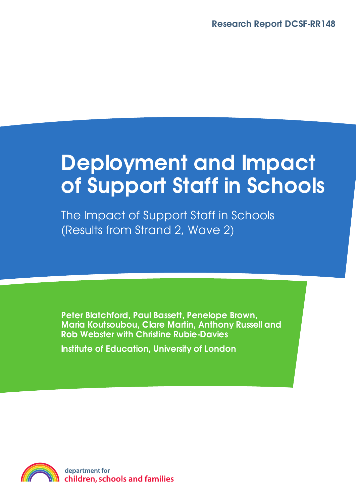# **Deployment and Impact of Support Staff in Schools**

The Impact of Support Staff in Schools (Results from Strand 2, Wave 2)

**Peter Blatchford, Paul Bassett, Penelope Brown, Maria Koutsoubou, Clare Martin, Anthony Russell and Rob Webster with Christine Rubie-Davies**

**Institute of Education, University of London**

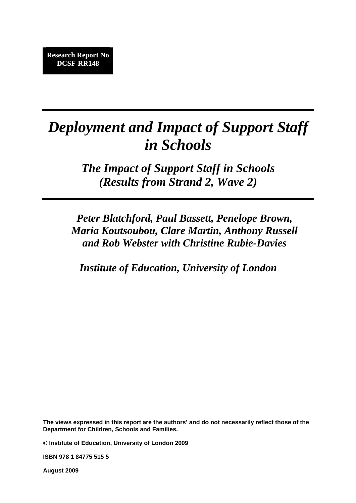# *Deployment and Impact of Support Staff in Schools*

*The Impact of Support Staff in Schools (Results from Strand 2, Wave 2)* 

*Peter Blatchford, Paul Bassett, Penelope Brown, Maria Koutsoubou, Clare Martin, Anthony Russell and Rob Webster with Christine Rubie-Davies* 

*Institute of Education, University of London*

**The views expressed in this report are the authors' and do not necessarily reflect those of the Department for Children, Schools and Families.** 

**© Institute of Education, University of London 2009** 

**ISBN 978 1 84775 515 5** 

**August 2009**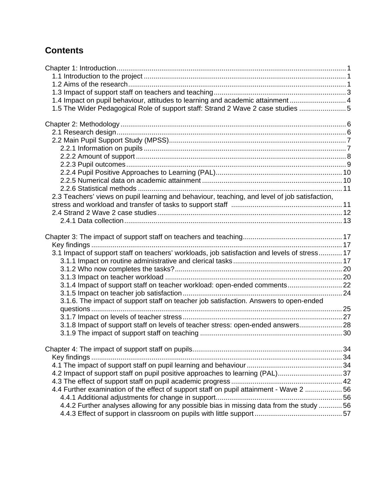# **Contents**

| 1.4 Impact on pupil behaviour, attitudes to learning and academic attainment 4                |  |
|-----------------------------------------------------------------------------------------------|--|
| 1.5 The Wider Pedagogical Role of support staff: Strand 2 Wave 2 case studies  5              |  |
|                                                                                               |  |
|                                                                                               |  |
|                                                                                               |  |
|                                                                                               |  |
|                                                                                               |  |
|                                                                                               |  |
|                                                                                               |  |
|                                                                                               |  |
|                                                                                               |  |
|                                                                                               |  |
| 2.3 Teachers' views on pupil learning and behaviour, teaching, and level of job satisfaction, |  |
|                                                                                               |  |
|                                                                                               |  |
|                                                                                               |  |
|                                                                                               |  |
|                                                                                               |  |
|                                                                                               |  |
| 3.1 Impact of support staff on teachers' workloads, job satisfaction and levels of stress 17  |  |
|                                                                                               |  |
|                                                                                               |  |
|                                                                                               |  |
| 3.1.4 Impact of support staff on teacher workload: open-ended comments 22                     |  |
|                                                                                               |  |
| 3.1.6. The impact of support staff on teacher job satisfaction. Answers to open-ended         |  |
|                                                                                               |  |
|                                                                                               |  |
| 3.1.8 Impact of support staff on levels of teacher stress: open-ended answers 28              |  |
|                                                                                               |  |
|                                                                                               |  |
|                                                                                               |  |
|                                                                                               |  |
|                                                                                               |  |
| 4.2 Impact of support staff on pupil positive approaches to learning (PAL)37                  |  |
|                                                                                               |  |
| 4.4 Further examination of the effect of support staff on pupil attainment - Wave 2 56        |  |
|                                                                                               |  |
| 4.4.2 Further analyses allowing for any possible bias in missing data from the study  56      |  |
|                                                                                               |  |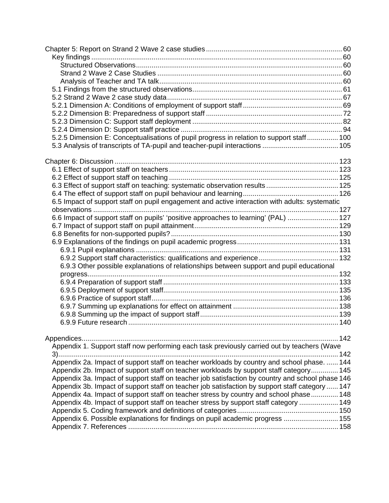| 5.2.5 Dimension E: Conceptualisations of pupil progress in relation to support staff  100        |  |
|--------------------------------------------------------------------------------------------------|--|
|                                                                                                  |  |
|                                                                                                  |  |
|                                                                                                  |  |
|                                                                                                  |  |
|                                                                                                  |  |
| 6.3 Effect of support staff on teaching: systematic observation results 125                      |  |
|                                                                                                  |  |
| 6.5 Impact of support staff on pupil engagement and active interaction with adults: systematic   |  |
|                                                                                                  |  |
| 6.6 Impact of support staff on pupils' 'positive approaches to learning' (PAL)  127              |  |
|                                                                                                  |  |
|                                                                                                  |  |
|                                                                                                  |  |
|                                                                                                  |  |
|                                                                                                  |  |
| 6.9.3 Other possible explanations of relationships between support and pupil educational         |  |
|                                                                                                  |  |
|                                                                                                  |  |
|                                                                                                  |  |
|                                                                                                  |  |
|                                                                                                  |  |
|                                                                                                  |  |
|                                                                                                  |  |
|                                                                                                  |  |
|                                                                                                  |  |
| Appendix 1. Support staff now performing each task previously carried out by teachers (Wave      |  |
| Appendix 2a. Impact of support staff on teacher workloads by country and school phase.  144      |  |
| Appendix 2b. Impact of support staff on teacher workloads by support staff category 145          |  |
| Appendix 3a. Impact of support staff on teacher job satisfaction by country and school phase 146 |  |
| Appendix 3b. Impact of support staff on teacher job satisfaction by support staff category  147  |  |
| Appendix 4a. Impact of support staff on teacher stress by country and school phase 148           |  |
| Appendix 4b. Impact of support staff on teacher stress by support staff category  149            |  |
|                                                                                                  |  |
| Appendix 6. Possible explanations for findings on pupil academic progress  155                   |  |
|                                                                                                  |  |
|                                                                                                  |  |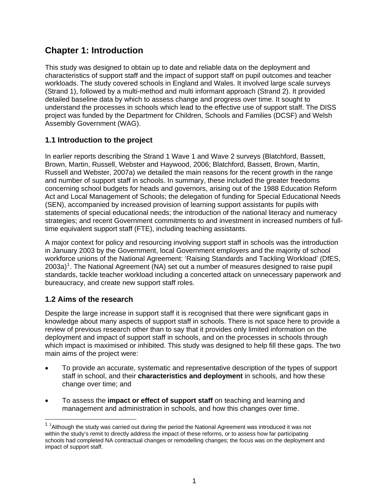## <span id="page-5-0"></span>**Chapter 1: Introduction**

This study was designed to obtain up to date and reliable data on the deployment and characteristics of support staff and the impact of support staff on pupil outcomes and teacher workloads. The study covered schools in England and Wales. It involved large scale surveys (Strand 1), followed by a multi-method and multi informant approach (Strand 2). It provided detailed baseline data by which to assess change and progress over time. It sought to understand the processes in schools which lead to the effective use of support staff. The DISS project was funded by the Department for Children, Schools and Families (DCSF) and Welsh Assembly Government (WAG).

#### **1.1 Introduction to the project**

In earlier reports describing the Strand 1 Wave 1 and Wave 2 surveys (Blatchford, Bassett, Brown, Martin, Russell, Webster and Haywood, 2006; Blatchford, Bassett, Brown, Martin, Russell and Webster, 2007a) we detailed the main reasons for the recent growth in the range and number of support staff in schools. In summary, these included the greater freedoms concerning school budgets for heads and governors, arising out of the 1988 Education Reform Act and Local Management of Schools; the delegation of funding for Special Educational Needs (SEN), accompanied by increased provision of learning support assistants for pupils with statements of special educational needs; the introduction of the national literacy and numeracy strategies; and recent Government commitments to and investment in increased numbers of fulltime equivalent support staff (FTE), including teaching assistants.

A major context for policy and resourcing involving support staff in schools was the introduction in January 2003 by the Government, local Government employers and the majority of school workforce unions of the National Agreement: 'Raising Standards and Tackling Workload' (DfES, 2003a)<sup>[1](#page-5-0)</sup>. The National Agreement (NA) set out a number of measures designed to raise pupil standards, tackle teacher workload including a concerted attack on unnecessary paperwork and bureaucracy, and create new support staff roles.

#### **1.2 Aims of the research**

Despite the large increase in support staff it is recognised that there were significant gaps in knowledge about many aspects of support staff in schools. There is not space here to provide a review of previous research other than to say that it provides only limited information on the deployment and impact of support staff in schools, and on the processes in schools through which impact is maximised or inhibited. This study was designed to help fill these gaps. The two main aims of the project were:

- To provide an accurate, systematic and representative description of the types of support staff in school, and their **characteristics and deployment** in schools, and how these change over time; and
- To assess the **impact or effect of support staff** on teaching and learning and management and administration in schools, and how this changes over time.

 $1$  <sup>1</sup> Although the study was carried out during the period the National Agreement was introduced it was not within the study's remit to directly address the impact of these reforms, or to assess how far participating schools had completed NA contractual changes or remodelling changes; the focus was on the deployment and impact of support staff.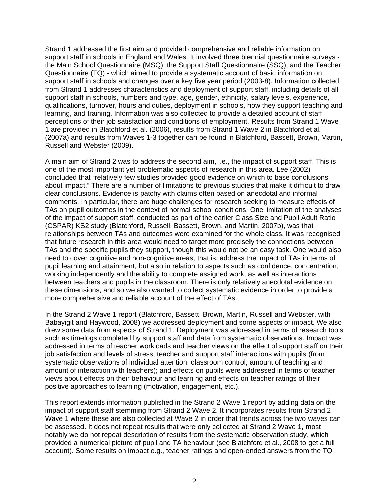Strand 1 addressed the first aim and provided comprehensive and reliable information on support staff in schools in England and Wales. It involved three biennial questionnaire surveys the Main School Questionnaire (MSQ), the Support Staff Questionnaire (SSQ), and the Teacher Questionnaire (TQ) - which aimed to provide a systematic account of basic information on support staff in schools and changes over a key five year period (2003-8). Information collected from Strand 1 addresses characteristics and deployment of support staff, including details of all support staff in schools, numbers and type, age, gender, ethnicity, salary levels, experience, qualifications, turnover, hours and duties, deployment in schools, how they support teaching and learning, and training. Information was also collected to provide a detailed account of staff perceptions of their job satisfaction and conditions of employment. Results from Strand 1 Wave 1 are provided in Blatchford et al. (2006), results from Strand 1 Wave 2 in Blatchford et al. (2007a) and results from Waves 1-3 together can be found in Blatchford, Bassett, Brown, Martin, Russell and Webster (2009).

A main aim of Strand 2 was to address the second aim, i.e., the impact of support staff. This is one of the most important yet problematic aspects of research in this area. Lee (2002) concluded that "relatively few studies provided good evidence on which to base conclusions about impact." There are a number of limitations to previous studies that make it difficult to draw clear conclusions. Evidence is patchy with claims often based on anecdotal and informal comments. In particular, there are huge challenges for research seeking to measure effects of TAs on pupil outcomes in the context of normal school conditions. One limitation of the analyses of the impact of support staff, conducted as part of the earlier Class Size and Pupil Adult Ratio (CSPAR) KS2 study (Blatchford, Russell, Bassett, Brown, and Martin, 2007b), was that relationships between TAs and outcomes were examined for the whole class. It was recognised that future research in this area would need to target more precisely the connections between TAs and the specific pupils they support, though this would not be an easy task. One would also need to cover cognitive and non-cognitive areas, that is, address the impact of TAs in terms of pupil learning and attainment, but also in relation to aspects such as confidence, concentration, working independently and the ability to complete assigned work, as well as interactions between teachers and pupils in the classroom. There is only relatively anecdotal evidence on these dimensions, and so we also wanted to collect systematic evidence in order to provide a more comprehensive and reliable account of the effect of TAs.

In the Strand 2 Wave 1 report (Blatchford, Bassett, Brown, Martin, Russell and Webster, with Babayigit and Haywood, 2008) we addressed deployment and some aspects of impact. We also drew some data from aspects of Strand 1. Deployment was addressed in terms of research tools such as timelogs completed by support staff and data from systematic observations. Impact was addressed in terms of teacher workloads and teacher views on the effect of support staff on their job satisfaction and levels of stress; teacher and support staff interactions with pupils (from systematic observations of individual attention, classroom control, amount of teaching and amount of interaction with teachers); and effects on pupils were addressed in terms of teacher views about effects on their behaviour and learning and effects on teacher ratings of their positive approaches to learning (motivation, engagement, etc.).

This report extends information published in the Strand 2 Wave 1 report by adding data on the impact of support staff stemming from Strand 2 Wave 2. It incorporates results from Strand 2 Wave 1 where these are also collected at Wave 2 in order that trends across the two waves can be assessed. It does not repeat results that were only collected at Strand 2 Wave 1, most notably we do not repeat description of results from the systematic observation study, which provided a numerical picture of pupil and TA behaviour (see Blatchford et al., 2008 to get a full account). Some results on impact e.g., teacher ratings and open-ended answers from the TQ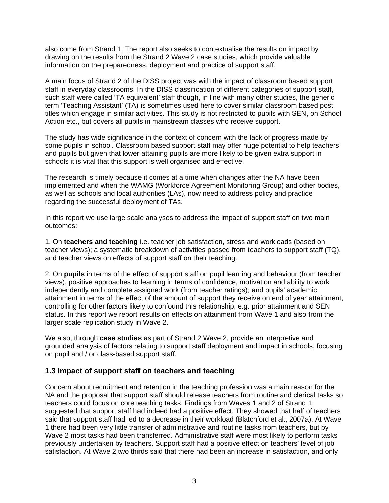<span id="page-7-0"></span>also come from Strand 1. The report also seeks to contextualise the results on impact by drawing on the results from the Strand 2 Wave 2 case studies, which provide valuable information on the preparedness, deployment and practice of support staff.

A main focus of Strand 2 of the DISS project was with the impact of classroom based support staff in everyday classrooms. In the DISS classification of different categories of support staff, such staff were called 'TA equivalent' staff though, in line with many other studies, the generic term 'Teaching Assistant' (TA) is sometimes used here to cover similar classroom based post titles which engage in similar activities. This study is not restricted to pupils with SEN, on School Action etc., but covers all pupils in mainstream classes who receive support.

The study has wide significance in the context of concern with the lack of progress made by some pupils in school. Classroom based support staff may offer huge potential to help teachers and pupils but given that lower attaining pupils are more likely to be given extra support in schools it is vital that this support is well organised and effective.

The research is timely because it comes at a time when changes after the NA have been implemented and when the WAMG (Workforce Agreement Monitoring Group) and other bodies, as well as schools and local authorities (LAs), now need to address policy and practice regarding the successful deployment of TAs.

In this report we use large scale analyses to address the impact of support staff on two main outcomes:

1. On **teachers and teaching** i.e. teacher job satisfaction, stress and workloads (based on teacher views); a systematic breakdown of activities passed from teachers to support staff (TQ), and teacher views on effects of support staff on their teaching.

2. On **pupils** in terms of the effect of support staff on pupil learning and behaviour (from teacher views), positive approaches to learning in terms of confidence, motivation and ability to work independently and complete assigned work (from teacher ratings); and pupils' academic attainment in terms of the effect of the amount of support they receive on end of year attainment, controlling for other factors likely to confound this relationship, e.g. prior attainment and SEN status. In this report we report results on effects on attainment from Wave 1 and also from the larger scale replication study in Wave 2.

We also, through **case studies** as part of Strand 2 Wave 2, provide an interpretive and grounded analysis of factors relating to support staff deployment and impact in schools, focusing on pupil and / or class-based support staff.

#### **1.3 Impact of support staff on teachers and teaching**

Concern about recruitment and retention in the teaching profession was a main reason for the NA and the proposal that support staff should release teachers from routine and clerical tasks so teachers could focus on core teaching tasks. Findings from Waves 1 and 2 of Strand 1 suggested that support staff had indeed had a positive effect. They showed that half of teachers said that support staff had led to a decrease in their workload (Blatchford et al., 2007a). At Wave 1 there had been very little transfer of administrative and routine tasks from teachers, but by Wave 2 most tasks had been transferred. Administrative staff were most likely to perform tasks previously undertaken by teachers. Support staff had a positive effect on teachers' level of job satisfaction. At Wave 2 two thirds said that there had been an increase in satisfaction, and only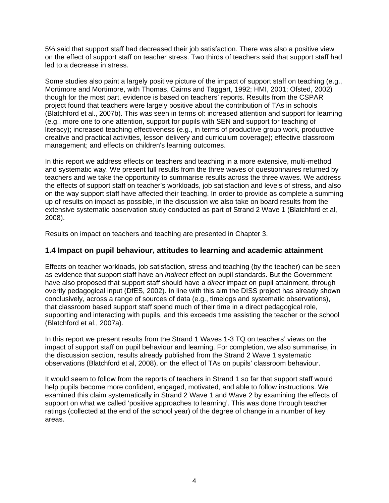<span id="page-8-0"></span>5% said that support staff had decreased their job satisfaction. There was also a positive view on the effect of support staff on teacher stress. Two thirds of teachers said that support staff had led to a decrease in stress.

Some studies also paint a largely positive picture of the impact of support staff on teaching (e.g., Mortimore and Mortimore, with Thomas, Cairns and Taggart, 1992; HMI, 2001; Ofsted, 2002) though for the most part, evidence is based on teachers' reports. Results from the CSPAR project found that teachers were largely positive about the contribution of TAs in schools (Blatchford et al., 2007b). This was seen in terms of: increased attention and support for learning (e.g., more one to one attention, support for pupils with SEN and support for teaching of literacy); increased teaching effectiveness (e.g., in terms of productive group work, productive creative and practical activities, lesson delivery and curriculum coverage); effective classroom management; and effects on children's learning outcomes.

In this report we address effects on teachers and teaching in a more extensive, multi-method and systematic way. We present full results from the three waves of questionnaires returned by teachers and we take the opportunity to summarise results across the three waves. We address the effects of support staff on teacher's workloads, job satisfaction and levels of stress, and also on the way support staff have affected their teaching. In order to provide as complete a summing up of results on impact as possible, in the discussion we also take on board results from the extensive systematic observation study conducted as part of Strand 2 Wave 1 (Blatchford et al, 2008).

Results on impact on teachers and teaching are presented in Chapter 3.

#### **1.4 Impact on pupil behaviour, attitudes to learning and academic attainment**

Effects on teacher workloads, job satisfaction, stress and teaching (by the teacher) can be seen as evidence that support staff have an *indirect* effect on pupil standards. But the Government have also proposed that support staff should have a *direct* impact on pupil attainment, through overtly pedagogical input (DfES, 2002). In line with this aim the DISS project has already shown conclusively, across a range of sources of data (e.g., timelogs and systematic observations), that classroom based support staff spend much of their time in a direct pedagogical role, supporting and interacting with pupils, and this exceeds time assisting the teacher or the school (Blatchford et al., 2007a).

In this report we present results from the Strand 1 Waves 1-3 TQ on teachers' views on the impact of support staff on pupil behaviour and learning. For completion, we also summarise, in the discussion section, results already published from the Strand 2 Wave 1 systematic observations (Blatchford et al, 2008), on the effect of TAs on pupils' classroom behaviour.

It would seem to follow from the reports of teachers in Strand 1 so far that support staff would help pupils become more confident, engaged, motivated, and able to follow instructions. We examined this claim systematically in Strand 2 Wave 1 and Wave 2 by examining the effects of support on what we called 'positive approaches to learning'. This was done through teacher ratings (collected at the end of the school year) of the degree of change in a number of key areas.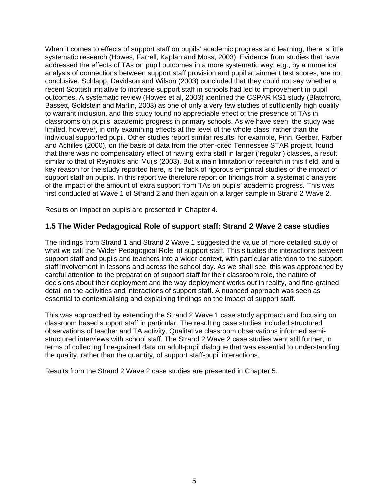<span id="page-9-0"></span>When it comes to effects of support staff on pupils' academic progress and learning, there is little systematic research (Howes, Farrell, Kaplan and Moss, 2003). Evidence from studies that have addressed the effects of TAs on pupil outcomes in a more systematic way, e.g., by a numerical analysis of connections between support staff provision and pupil attainment test scores, are not conclusive. Schlapp, Davidson and Wilson (2003) concluded that they could not say whether a recent Scottish initiative to increase support staff in schools had led to improvement in pupil outcomes. A systematic review (Howes et al, 2003) identified the CSPAR KS1 study (Blatchford, Bassett, Goldstein and Martin, 2003) as one of only a very few studies of sufficiently high quality to warrant inclusion, and this study found no appreciable effect of the presence of TAs in classrooms on pupils' academic progress in primary schools. As we have seen, the study was limited, however, in only examining effects at the level of the whole class, rather than the individual supported pupil. Other studies report similar results; for example, Finn, Gerber, Farber and Achilles (2000), on the basis of data from the often-cited Tennessee STAR project, found that there was no compensatory effect of having extra staff in larger ('regular') classes, a result similar to that of Reynolds and Muijs (2003). But a main limitation of research in this field, and a key reason for the study reported here, is the lack of rigorous empirical studies of the impact of support staff on pupils. In this report we therefore report on findings from a systematic analysis of the impact of the amount of extra support from TAs on pupils' academic progress. This was first conducted at Wave 1 of Strand 2 and then again on a larger sample in Strand 2 Wave 2.

Results on impact on pupils are presented in Chapter 4.

#### **1.5 The Wider Pedagogical Role of support staff: Strand 2 Wave 2 case studies**

The findings from Strand 1 and Strand 2 Wave 1 suggested the value of more detailed study of what we call the 'Wider Pedagogical Role' of support staff. This situates the interactions between support staff and pupils and teachers into a wider context, with particular attention to the support staff involvement in lessons and across the school day. As we shall see, this was approached by careful attention to the preparation of support staff for their classroom role, the nature of decisions about their deployment and the way deployment works out in reality, and fine-grained detail on the activities and interactions of support staff. A nuanced approach was seen as essential to contextualising and explaining findings on the impact of support staff.

This was approached by extending the Strand 2 Wave 1 case study approach and focusing on classroom based support staff in particular. The resulting case studies included structured observations of teacher and TA activity. Qualitative classroom observations informed semistructured interviews with school staff. The Strand 2 Wave 2 case studies went still further, in terms of collecting fine-grained data on adult-pupil dialogue that was essential to understanding the quality, rather than the quantity, of support staff-pupil interactions.

Results from the Strand 2 Wave 2 case studies are presented in Chapter 5.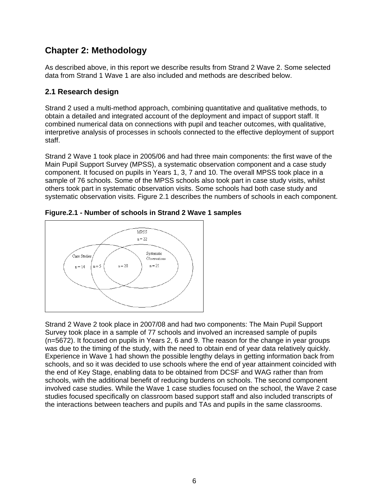## <span id="page-10-0"></span>**Chapter 2: Methodology**

As described above, in this report we describe results from Strand 2 Wave 2. Some selected data from Strand 1 Wave 1 are also included and methods are described below.

#### **2.1 Research design**

Strand 2 used a multi-method approach, combining quantitative and qualitative methods, to obtain a detailed and integrated account of the deployment and impact of support staff. It combined numerical data on connections with pupil and teacher outcomes, with qualitative, interpretive analysis of processes in schools connected to the effective deployment of support staff.

Strand 2 Wave 1 took place in 2005/06 and had three main components: the first wave of the Main Pupil Support Survey (MPSS), a systematic observation component and a case study component. It focused on pupils in Years 1, 3, 7 and 10. The overall MPSS took place in a sample of 76 schools. Some of the MPSS schools also took part in case study visits, whilst others took part in systematic observation visits. Some schools had both case study and systematic observation visits. Figure 2.1 describes the numbers of schools in each component.





Strand 2 Wave 2 took place in 2007/08 and had two components: The Main Pupil Support Survey took place in a sample of 77 schools and involved an increased sample of pupils (n=5672). It focused on pupils in Years 2, 6 and 9. The reason for the change in year groups was due to the timing of the study, with the need to obtain end of year data relatively quickly. Experience in Wave 1 had shown the possible lengthy delays in getting information back from schools, and so it was decided to use schools where the end of year attainment coincided with the end of Key Stage, enabling data to be obtained from DCSF and WAG rather than from schools, with the additional benefit of reducing burdens on schools. The second component involved case studies. While the Wave 1 case studies focused on the school, the Wave 2 case studies focused specifically on classroom based support staff and also included transcripts of the interactions between teachers and pupils and TAs and pupils in the same classrooms.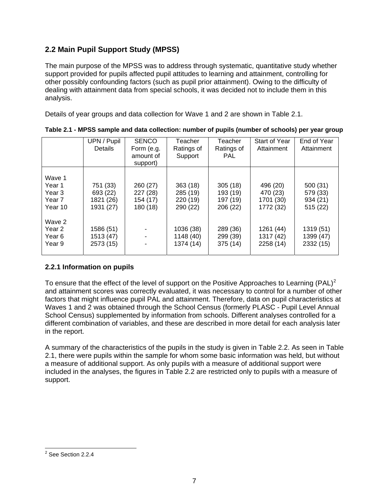#### <span id="page-11-0"></span>**2.2 Main Pupil Support Study (MPSS)**

The main purpose of the MPSS was to address through systematic, quantitative study whether support provided for pupils affected pupil attitudes to learning and attainment, controlling for other possibly confounding factors (such as pupil prior attainment). Owing to the difficulty of dealing with attainment data from special schools, it was decided not to include them in this analysis.

Details of year groups and data collection for Wave 1 and 2 are shown in Table 2.1.

|                                                 | UPN / Pupil<br><b>Details</b>                  | <b>SENCO</b><br>Form (e.g.<br>amount of<br>support) | Teacher<br>Ratings of<br>Support            | Teacher<br>Ratings of<br><b>PAL</b>         | Start of Year<br>Attainment                    | End of Year<br>Attainment                   |
|-------------------------------------------------|------------------------------------------------|-----------------------------------------------------|---------------------------------------------|---------------------------------------------|------------------------------------------------|---------------------------------------------|
| Wave 1<br>Year 1<br>Year 3<br>Year 7<br>Year 10 | 751 (33)<br>693 (22)<br>1821 (26)<br>1931 (27) | 260 (27)<br>227 (28)<br>154 (17)<br>180 (18)        | 363(18)<br>285 (19)<br>220 (19)<br>290 (22) | 305(18)<br>193 (19)<br>197 (19)<br>206 (22) | 496 (20)<br>470 (23)<br>1701 (30)<br>1772 (32) | 500 (31)<br>579 (33)<br>934 (21)<br>515(22) |
| Wave 2<br>Year 2<br>Year <sub>6</sub><br>Year 9 | 1586 (51)<br>1513 (47)<br>2573 (15)            |                                                     | 1036 (38)<br>1148(40)<br>1374 (14)          | 289 (36)<br>299 (39)<br>375 (14)            | 1261 (44)<br>1317 (42)<br>2258 (14)            | 1319 (51)<br>1399 (47)<br>2332 (15)         |

**Table 2.1 - MPSS sample and data collection: number of pupils (number of schools) per year group** 

#### **2.2.1 Information on pupils**

To ensure that the effect of the level of support on the Positive Approaches to Learning (PAL)<sup>[2](#page-11-0)</sup> and attainment scores was correctly evaluated, it was necessary to control for a number of other factors that might influence pupil PAL and attainment. Therefore, data on pupil characteristics at Waves 1 and 2 was obtained through the School Census (formerly PLASC - Pupil Level Annual School Census) supplemented by information from schools. Different analyses controlled for a different combination of variables, and these are described in more detail for each analysis later in the report.

A summary of the characteristics of the pupils in the study is given in Table 2.2. As seen in Table 2.1, there were pupils within the sample for whom some basic information was held, but without a measure of additional support. As only pupils with a measure of additional support were included in the analyses, the figures in Table 2.2 are restricted only to pupils with a measure of support.

 2 See Section 2.2.4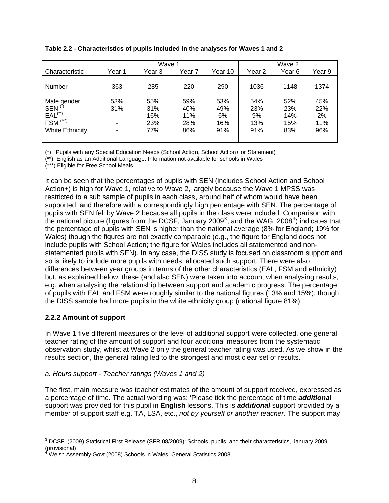|                        |        | Wave 1 |        | Wave 2  |        |        |        |
|------------------------|--------|--------|--------|---------|--------|--------|--------|
| Characteristic         | Year 1 | Year 3 | Year 7 | Year 10 | Year 2 | Year 6 | Year 9 |
|                        |        |        |        |         |        |        |        |
| Number                 | 363    | 285    | 220    | 290     | 1036   | 1148   | 1374   |
|                        |        |        |        |         |        |        |        |
| Male gender            | 53%    | 55%    | 59%    | 53%     | 54%    | 52%    | 45%    |
| <b>SEN</b>             | 31%    | 31%    | 40%    | 49%     | 23%    | 23%    | 22%    |
| $EAL(**)$              |        | 16%    | 11%    | 6%      | 9%     | 14%    | 2%     |
| $FSM$ <sup>(***)</sup> | ۰      | 23%    | 28%    | 16%     | 13%    | 15%    | 11%    |
| <b>White Ethnicity</b> |        | 77%    | 86%    | 91%     | 91%    | 83%    | 96%    |
|                        |        |        |        |         |        |        |        |

#### <span id="page-12-0"></span>**Table 2.2 - Characteristics of pupils included in the analyses for Waves 1 and 2**

(\*) Pupils with any Special Education Needs (School Action, School Action+ or Statement)

(\*\*) English as an Additional Language. Information not available for schools in Wales

(\*\*\*) Eligible for Free School Meals

It can be seen that the percentages of pupils with SEN (includes School Action and School Action+) is high for Wave 1, relative to Wave 2, largely because the Wave 1 MPSS was restricted to a sub sample of pupils in each class, around half of whom would have been supported, and therefore with a correspondingly high percentage with SEN. The percentage of pupils with SEN fell by Wave 2 because all pupils in the class were included. Comparison with the national picture (figures from the DCSF, January 2009<sup>[3](#page-12-0)</sup>, and the WAG, 2008<sup>[4](#page-12-0)</sup>) indicates that the percentage of pupils with SEN is higher than the national average (8% for England; 19% for Wales) though the figures are not exactly comparable (e.g., the figure for England does not include pupils with School Action; the figure for Wales includes all statemented and nonstatemented pupils with SEN). In any case, the DISS study is focused on classroom support and so is likely to include more pupils with needs, allocated such support. There were also differences between year groups in terms of the other characteristics (EAL, FSM and ethnicity) but, as explained below, these (and also SEN) were taken into account when analysing results, e.g. when analysing the relationship between support and academic progress. The percentage of pupils with EAL and FSM were roughly similar to the national figures (13% and 15%), though the DISS sample had more pupils in the white ethnicity group (national figure 81%).

#### **2.2.2 Amount of support**

In Wave 1 five different measures of the level of additional support were collected, one general teacher rating of the amount of support and four additional measures from the systematic observation study, whilst at Wave 2 only the general teacher rating was used. As we show in the results section, the general rating led to the strongest and most clear set of results.

#### *a. Hours support - Teacher ratings (Waves 1 and 2)*

The first, main measure was teacher estimates of the amount of support received, expressed as a percentage of time. The actual wording was: 'Please tick the percentage of time *additiona*l support was provided for this pupil in **English** lessons. This is *additional* support provided by a member of support staff e.g. TA, LSA, etc., *not by yourself or another teacher*. The support may

 3 DCSF. (2009) Statistical First Release (SFR 08/2009): Schools, pupils, and their characteristics, January 2009 (provisional) 4

Welsh Assembly Govt (2008) Schools in Wales: General Statistics 2008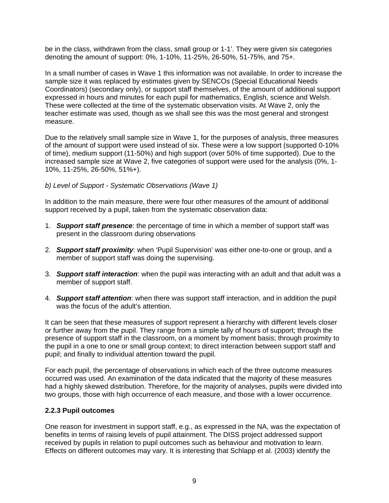<span id="page-13-0"></span>be in the class, withdrawn from the class, small group or 1-1'. They were given six categories denoting the amount of support: 0%, 1-10%, 11-25%, 26-50%, 51-75%, and 75+.

In a small number of cases in Wave 1 this information was not available. In order to increase the sample size it was replaced by estimates given by SENCOs (Special Educational Needs Coordinators) (secondary only), or support staff themselves, of the amount of additional support expressed in hours and minutes for each pupil for mathematics, English, science and Welsh. These were collected at the time of the systematic observation visits. At Wave 2, only the teacher estimate was used, though as we shall see this was the most general and strongest measure.

Due to the relatively small sample size in Wave 1, for the purposes of analysis, three measures of the amount of support were used instead of six. These were a low support (supported 0-10% of time), medium support (11-50%) and high support (over 50% of time supported). Due to the increased sample size at Wave 2, five categories of support were used for the analysis (0%, 1- 10%, 11-25%, 26-50%, 51%+).

#### *b) Level of Support - Systematic Observations (Wave 1)*

In addition to the main measure, there were four other measures of the amount of additional support received by a pupil, taken from the systematic observation data:

- 1. *Support staff presence*: the percentage of time in which a member of support staff was present in the classroom during observations
- 2. *Support staff proximity*: when 'Pupil Supervision' was either one-to-one or group, and a member of support staff was doing the supervising.
- 3. *Support staff interaction*: when the pupil was interacting with an adult and that adult was a member of support staff.
- 4. *Support staff attention*: when there was support staff interaction, and in addition the pupil was the focus of the adult's attention.

It can be seen that these measures of support represent a hierarchy with different levels closer or further away from the pupil. They range from a simple tally of hours of support; through the presence of support staff in the classroom, on a moment by moment basis; through proximity to the pupil in a one to one or small group context; to direct interaction between support staff and pupil; and finally to individual attention toward the pupil.

For each pupil, the percentage of observations in which each of the three outcome measures occurred was used. An examination of the data indicated that the majority of these measures had a highly skewed distribution. Therefore, for the majority of analyses, pupils were divided into two groups, those with high occurrence of each measure, and those with a lower occurrence.

#### **2.2.3 Pupil outcomes**

One reason for investment in support staff, e.g., as expressed in the NA, was the expectation of benefits in terms of raising levels of pupil attainment. The DISS project addressed support received by pupils in relation to pupil outcomes such as behaviour and motivation to learn. Effects on different outcomes may vary. It is interesting that Schlapp et al. (2003) identify the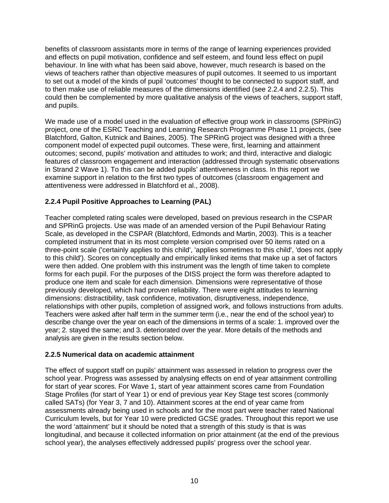<span id="page-14-0"></span>benefits of classroom assistants more in terms of the range of learning experiences provided and effects on pupil motivation, confidence and self esteem, and found less effect on pupil behaviour. In line with what has been said above, however, much research is based on the views of teachers rather than objective measures of pupil outcomes. It seemed to us important to set out a model of the kinds of pupil 'outcomes' thought to be connected to support staff, and to then make use of reliable measures of the dimensions identified (see 2.2.4 and 2.2.5). This could then be complemented by more qualitative analysis of the views of teachers, support staff, and pupils.

We made use of a model used in the evaluation of effective group work in classrooms (SPRinG) project, one of the ESRC Teaching and Learning Research Programme Phase 11 projects, (see Blatchford, Galton, Kutnick and Baines, 2005). The SPRinG project was designed with a three component model of expected pupil outcomes. These were, first, learning and attainment outcomes; second, pupils' motivation and attitudes to work; and third, interactive and dialogic features of classroom engagement and interaction (addressed through systematic observations in Strand 2 Wave 1). To this can be added pupils' attentiveness in class. In this report we examine support in relation to the first two types of outcomes (classroom engagement and attentiveness were addressed in Blatchford et al., 2008).

#### **2.2.4 Pupil Positive Approaches to Learning (PAL)**

Teacher completed rating scales were developed, based on previous research in the CSPAR and SPRinG projects. Use was made of an amended version of the Pupil Behaviour Rating Scale, as developed in the CSPAR (Blatchford, Edmonds and Martin, 2003). This is a teacher completed instrument that in its most complete version comprised over 50 items rated on a three-point scale ('certainly applies to this child', 'applies sometimes to this child', 'does not apply to this child'). Scores on conceptually and empirically linked items that make up a set of factors were then added. One problem with this instrument was the length of time taken to complete forms for each pupil. For the purposes of the DISS project the form was therefore adapted to produce one item and scale for each dimension. Dimensions were representative of those previously developed, which had proven reliability. There were eight attitudes to learning dimensions: distractibility, task confidence, motivation, disruptiveness, independence, relationships with other pupils, completion of assigned work, and follows instructions from adults. Teachers were asked after half term in the summer term (i.e., near the end of the school year) to describe change over the year on each of the dimensions in terms of a scale: 1. improved over the year; 2. stayed the same; and 3. deteriorated over the year. More details of the methods and analysis are given in the results section below.

#### **2.2.5 Numerical data on academic attainment**

The effect of support staff on pupils' attainment was assessed in relation to progress over the school year. Progress was assessed by analysing effects on end of year attainment controlling for start of year scores. For Wave 1, start of year attainment scores came from Foundation Stage Profiles (for start of Year 1) or end of previous year Key Stage test scores (commonly called SATs) (for Year 3, 7 and 10). Attainment scores at the end of year came from assessments already being used in schools and for the most part were teacher rated National Curriculum levels, but for Year 10 were predicted GCSE grades. Throughout this report we use the word 'attainment' but it should be noted that a strength of this study is that is was longitudinal, and because it collected information on prior attainment (at the end of the previous school year), the analyses effectively addressed pupils' progress over the school year.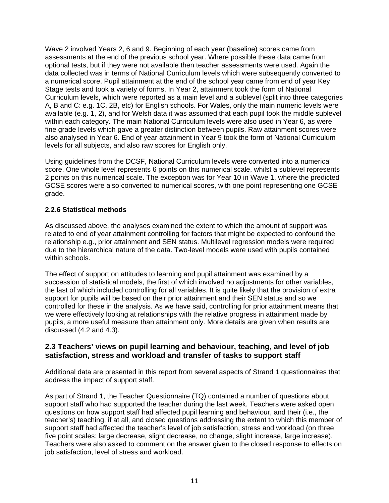<span id="page-15-0"></span>Wave 2 involved Years 2, 6 and 9. Beginning of each year (baseline) scores came from assessments at the end of the previous school year. Where possible these data came from optional tests, but if they were not available then teacher assessments were used. Again the data collected was in terms of National Curriculum levels which were subsequently converted to a numerical score. Pupil attainment at the end of the school year came from end of year Key Stage tests and took a variety of forms. In Year 2, attainment took the form of National Curriculum levels, which were reported as a main level and a sublevel (split into three categories A, B and C: e.g. 1C, 2B, etc) for English schools. For Wales, only the main numeric levels were available (e.g. 1, 2), and for Welsh data it was assumed that each pupil took the middle sublevel within each category. The main National Curriculum levels were also used in Year 6, as were fine grade levels which gave a greater distinction between pupils. Raw attainment scores were also analysed in Year 6. End of year attainment in Year 9 took the form of National Curriculum levels for all subjects, and also raw scores for English only.

Using guidelines from the DCSF, National Curriculum levels were converted into a numerical score. One whole level represents 6 points on this numerical scale, whilst a sublevel represents 2 points on this numerical scale. The exception was for Year 10 in Wave 1, where the predicted GCSE scores were also converted to numerical scores, with one point representing one GCSE grade.

#### **2.2.6 Statistical methods**

As discussed above, the analyses examined the extent to which the amount of support was related to end of year attainment controlling for factors that might be expected to confound the relationship e.g., prior attainment and SEN status. Multilevel regression models were required due to the hierarchical nature of the data. Two-level models were used with pupils contained within schools.

The effect of support on attitudes to learning and pupil attainment was examined by a succession of statistical models, the first of which involved no adjustments for other variables, the last of which included controlling for all variables. It is quite likely that the provision of extra support for pupils will be based on their prior attainment and their SEN status and so we controlled for these in the analysis. As we have said, controlling for prior attainment means that we were effectively looking at relationships with the relative progress in attainment made by pupils, a more useful measure than attainment only. More details are given when results are discussed (4.2 and 4.3).

#### **2.3 Teachers' views on pupil learning and behaviour, teaching, and level of job satisfaction, stress and workload and transfer of tasks to support staff**

Additional data are presented in this report from several aspects of Strand 1 questionnaires that address the impact of support staff.

As part of Strand 1, the Teacher Questionnaire (TQ) contained a number of questions about support staff who had supported the teacher during the last week. Teachers were asked open questions on how support staff had affected pupil learning and behaviour, and their (i.e., the teacher's) teaching, if at all, and closed questions addressing the extent to which this member of support staff had affected the teacher's level of job satisfaction, stress and workload (on three five point scales: large decrease, slight decrease, no change, slight increase, large increase). Teachers were also asked to comment on the answer given to the closed response to effects on job satisfaction, level of stress and workload.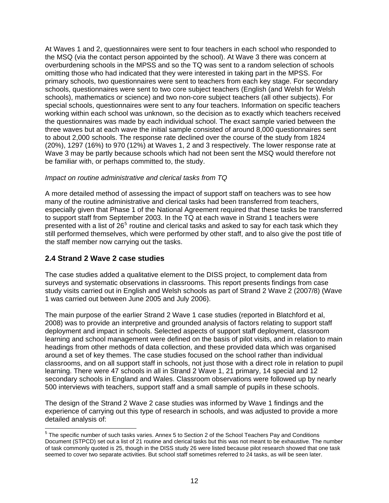<span id="page-16-0"></span>At Waves 1 and 2, questionnaires were sent to four teachers in each school who responded to the MSQ (via the contact person appointed by the school). At Wave 3 there was concern at overburdening schools in the MPSS and so the TQ was sent to a random selection of schools omitting those who had indicated that they were interested in taking part in the MPSS. For primary schools, two questionnaires were sent to teachers from each key stage. For secondary schools, questionnaires were sent to two core subject teachers (English (and Welsh for Welsh schools), mathematics or science) and two non-core subject teachers (all other subjects). For special schools, questionnaires were sent to any four teachers. Information on specific teachers working within each school was unknown, so the decision as to exactly which teachers received the questionnaires was made by each individual school. The exact sample varied between the three waves but at each wave the initial sample consisted of around 8,000 questionnaires sent to about 2,000 schools. The response rate declined over the course of the study from 1824 (20%), 1297 (16%) to 970 (12%) at Waves 1, 2 and 3 respectively. The lower response rate at Wave 3 may be partly because schools which had not been sent the MSQ would therefore not be familiar with, or perhaps committed to, the study.

#### *Impact on routine administrative and clerical tasks from TQ*

A more detailed method of assessing the impact of support staff on teachers was to see how many of the routine administrative and clerical tasks had been transferred from teachers, especially given that Phase 1 of the National Agreement required that these tasks be transferred to support staff from September 2003. In the TQ at each wave in Strand 1 teachers were presented with a list of 26<sup>[5](#page-16-0)</sup> routine and clerical tasks and asked to say for each task which they still performed themselves, which were performed by other staff, and to also give the post title of the staff member now carrying out the tasks.

#### **2.4 Strand 2 Wave 2 case studies**

The case studies added a qualitative element to the DISS project, to complement data from surveys and systematic observations in classrooms. This report presents findings from case study visits carried out in English and Welsh schools as part of Strand 2 Wave 2 (2007/8) (Wave 1 was carried out between June 2005 and July 2006).

The main purpose of the earlier Strand 2 Wave 1 case studies (reported in Blatchford et al, 2008) was to provide an interpretive and grounded analysis of factors relating to support staff deployment and impact in schools. Selected aspects of support staff deployment, classroom learning and school management were defined on the basis of pilot visits, and in relation to main headings from other methods of data collection, and these provided data which was organised around a set of key themes. The case studies focused on the school rather than individual classrooms, and on all support staff in schools, not just those with a direct role in relation to pupil learning. There were 47 schools in all in Strand 2 Wave 1, 21 primary, 14 special and 12 secondary schools in England and Wales. Classroom observations were followed up by nearly 500 interviews with teachers, support staff and a small sample of pupils in these schools.

The design of the Strand 2 Wave 2 case studies was informed by Wave 1 findings and the experience of carrying out this type of research in schools, and was adjusted to provide a more detailed analysis of:

<sup>————————————————————&</sup>lt;br><sup>5</sup> The specific number of such tasks varies. Annex 5 to Section 2 of the School Teachers Pay and Conditions Document (STPCD) set out a list of 21 routine and clerical tasks but this was not meant to be exhaustive. The number of task commonly quoted is 25, though in the DISS study 26 were listed because pilot research showed that one task seemed to cover two separate activities. But school staff sometimes referred to 24 tasks, as will be seen later.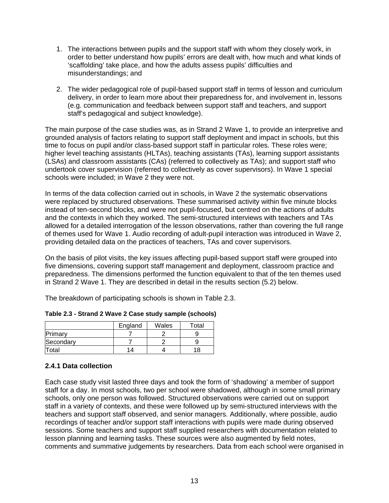- <span id="page-17-0"></span>1. The interactions between pupils and the support staff with whom they closely work, in order to better understand how pupils' errors are dealt with, how much and what kinds of 'scaffolding' take place, and how the adults assess pupils' difficulties and misunderstandings; and
- 2. The wider pedagogical role of pupil-based support staff in terms of lesson and curriculum delivery, in order to learn more about their preparedness for, and involvement in, lessons (e.g. communication and feedback between support staff and teachers, and support staff's pedagogical and subject knowledge).

The main purpose of the case studies was, as in Strand 2 Wave 1, to provide an interpretive and grounded analysis of factors relating to support staff deployment and impact in schools, but this time to focus on pupil and/or class-based support staff in particular roles. These roles were; higher level teaching assistants (HLTAs), teaching assistants (TAs), learning support assistants (LSAs) and classroom assistants (CAs) (referred to collectively as TAs); and support staff who undertook cover supervision (referred to collectively as cover supervisors). In Wave 1 special schools were included; in Wave 2 they were not.

In terms of the data collection carried out in schools, in Wave 2 the systematic observations were replaced by structured observations. These summarised activity within five minute blocks instead of ten-second blocks, and were not pupil-focused, but centred on the actions of adults and the contexts in which they worked. The semi-structured interviews with teachers and TAs allowed for a detailed interrogation of the lesson observations, rather than covering the full range of themes used for Wave 1. Audio recording of adult-pupil interaction was introduced in Wave 2, providing detailed data on the practices of teachers, TAs and cover supervisors.

On the basis of pilot visits, the key issues affecting pupil-based support staff were grouped into five dimensions, covering support staff management and deployment, classroom practice and preparedness. The dimensions performed the function equivalent to that of the ten themes used in Strand 2 Wave 1. They are described in detail in the results section (5.2) below.

The breakdown of participating schools is shown in Table 2.3.

|           | England | Wales | Total |
|-----------|---------|-------|-------|
| Primary   |         |       |       |
| Secondary |         |       |       |
| otal      | 14      |       | 18    |

|  |  |  | Table 2.3 - Strand 2 Wave 2 Case study sample (schools) |  |  |
|--|--|--|---------------------------------------------------------|--|--|
|--|--|--|---------------------------------------------------------|--|--|

#### **2.4.1 Data collection**

Each case study visit lasted three days and took the form of 'shadowing' a member of support staff for a day. In most schools, two per school were shadowed, although in some small primary schools, only one person was followed. Structured observations were carried out on support staff in a variety of contexts, and these were followed up by semi-structured interviews with the teachers and support staff observed, and senior managers. Additionally, where possible, audio recordings of teacher and/or support staff interactions with pupils were made during observed sessions. Some teachers and support staff supplied researchers with documentation related to lesson planning and learning tasks. These sources were also augmented by field notes, comments and summative judgements by researchers. Data from each school were organised in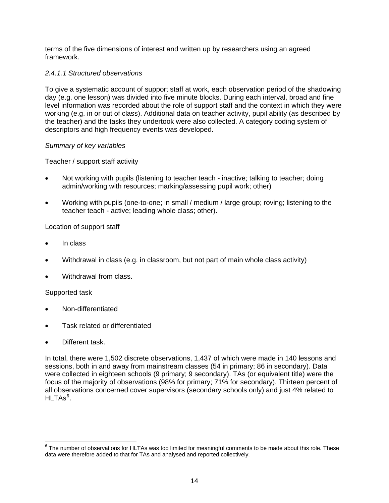<span id="page-18-0"></span>terms of the five dimensions of interest and written up by researchers using an agreed framework.

#### *2.4.1.1 Structured observations*

To give a systematic account of support staff at work, each observation period of the shadowing day (e.g. one lesson) was divided into five minute blocks. During each interval, broad and fine level information was recorded about the role of support staff and the context in which they were working (e.g. in or out of class). Additional data on teacher activity, pupil ability (as described by the teacher) and the tasks they undertook were also collected. A category coding system of descriptors and high frequency events was developed.

#### *Summary of key variables*

Teacher / support staff activity

- Not working with pupils (listening to teacher teach inactive; talking to teacher; doing admin/working with resources; marking/assessing pupil work; other)
- Working with pupils (one-to-one; in small / medium / large group; roving; listening to the teacher teach - active; leading whole class; other).

#### Location of support staff

- In class
- Withdrawal in class (e.g. in classroom, but not part of main whole class activity)
- Withdrawal from class.

#### Supported task

- Non-differentiated
- Task related or differentiated
- Different task.

In total, there were 1,502 discrete observations, 1,437 of which were made in 140 lessons and sessions, both in and away from mainstream classes (54 in primary; 86 in secondary). Data were collected in eighteen schools (9 primary; 9 secondary). TAs (or equivalent title) were the focus of the majority of observations (98% for primary; 71% for secondary). Thirteen percent of all observations concerned cover supervisors (secondary schools only) and just 4% related to  $\mathsf{HLTAs}^6$  $\mathsf{HLTAs}^6$  .

 6 The number of observations for HLTAs was too limited for meaningful comments to be made about this role. These data were therefore added to that for TAs and analysed and reported collectively.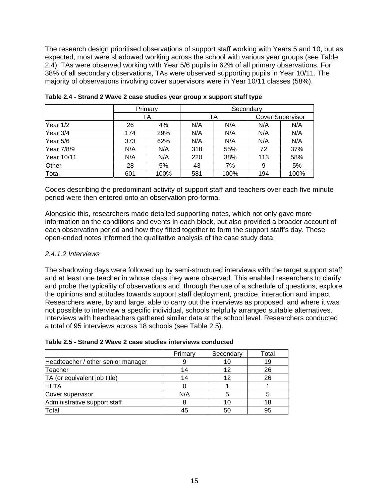The research design prioritised observations of support staff working with Years 5 and 10, but as expected, most were shadowed working across the school with various year groups (see Table 2.4). TAs were observed working with Year 5/6 pupils in 62% of all primary observations. For 38% of all secondary observations, TAs were observed supporting pupils in Year 10/11. The majority of observations involving cover supervisors were in Year 10/11 classes (58%).

|              | Primary |      | Secondary |      |                         |      |  |
|--------------|---------|------|-----------|------|-------------------------|------|--|
|              |         | ТA   |           | TA   | <b>Cover Supervisor</b> |      |  |
| Year 1/2     | 26      | 4%   | N/A       | N/A  | N/A                     | N/A  |  |
| Year 3/4     | 174     | 29%  | N/A       | N/A  | N/A                     | N/A  |  |
| Year 5/6     | 373     | 62%  | N/A       | N/A  | N/A                     | N/A  |  |
| Year 7/8/9   | N/A     | N/A  | 318       | 55%  | 72                      | 37%  |  |
| Year 10/11   | N/A     | N/A  | 220       | 38%  | 113                     | 58%  |  |
| <b>Other</b> | 28      | 5%   | 43        | 7%   | 9                       | 5%   |  |
| Total        | 601     | 100% | 581       | 100% | 194                     | 100% |  |

| Table 2.4 - Strand 2 Wave 2 case studies year group x support staff type |  |
|--------------------------------------------------------------------------|--|
|--------------------------------------------------------------------------|--|

Codes describing the predominant activity of support staff and teachers over each five minute period were then entered onto an observation pro-forma.

Alongside this, researchers made detailed supporting notes, which not only gave more information on the conditions and events in each block, but also provided a broader account of each observation period and how they fitted together to form the support staff's day. These open-ended notes informed the qualitative analysis of the case study data.

#### *2.4.1.2 Interviews*

The shadowing days were followed up by semi-structured interviews with the target support staff and at least one teacher in whose class they were observed. This enabled researchers to clarify and probe the typicality of observations and, through the use of a schedule of questions, explore the opinions and attitudes towards support staff deployment, practice, interaction and impact. Researchers were, by and large, able to carry out the interviews as proposed, and where it was not possible to interview a specific individual, schools helpfully arranged suitable alternatives. Interviews with headteachers gathered similar data at the school level. Researchers conducted a total of 95 interviews across 18 schools (see Table 2.5).

#### **Table 2.5 - Strand 2 Wave 2 case studies interviews conducted**

|                                    | Primary | Secondary | Total |
|------------------------------------|---------|-----------|-------|
| Headteacher / other senior manager |         | 1 C       | 19    |
| Teacher                            |         | 12        | 26    |
| TA (or equivalent job title)       |         | 12        | 26    |
| <b>HLTA</b>                        |         |           |       |
| Cover supervisor                   | N/A     |           |       |
| Administrative support staff       |         | 10        |       |
| Total                              |         | 50        | 95    |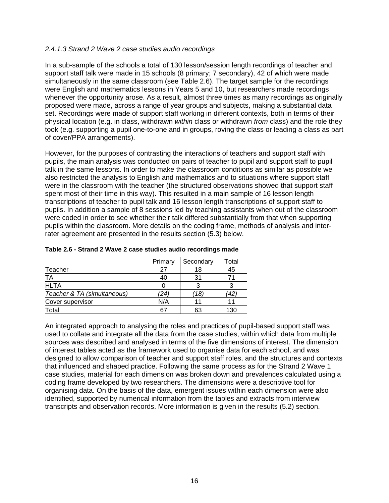#### *2.4.1.3 Strand 2 Wave 2 case studies audio recordings*

In a sub-sample of the schools a total of 130 lesson/session length recordings of teacher and support staff talk were made in 15 schools (8 primary; 7 secondary), 42 of which were made simultaneously in the same classroom (see Table 2.6). The target sample for the recordings were English and mathematics lessons in Years 5 and 10, but researchers made recordings whenever the opportunity arose. As a result, almost three times as many recordings as originally proposed were made, across a range of year groups and subjects, making a substantial data set. Recordings were made of support staff working in different contexts, both in terms of their physical location (e.g. in class, withdrawn *within* class or withdrawn *from* class) and the role they took (e.g. supporting a pupil one-to-one and in groups, roving the class or leading a class as part of cover/PPA arrangements).

However, for the purposes of contrasting the interactions of teachers and support staff with pupils, the main analysis was conducted on pairs of teacher to pupil and support staff to pupil talk in the same lessons. In order to make the classroom conditions as similar as possible we also restricted the analysis to English and mathematics and to situations where support staff were in the classroom with the teacher (the structured observations showed that support staff spent most of their time in this way). This resulted in a main sample of 16 lesson length transcriptions of teacher to pupil talk and 16 lesson length transcriptions of support staff to pupils. In addition a sample of 8 sessions led by teaching assistants when out of the classroom were coded in order to see whether their talk differed substantially from that when supporting pupils within the classroom. More details on the coding frame, methods of analysis and interrater agreement are presented in the results section (5.3) below.

|                             | Primary | Secondary | Total |
|-----------------------------|---------|-----------|-------|
| Teacher                     | 27      | 18        | 45    |
| TA                          | 40      | 31        |       |
| <b>HLTA</b>                 |         |           |       |
| Teacher & TA (simultaneous) | (24)    | 18        | ′42   |
| Cover supervisor            | N/A     |           |       |
| Total                       | 67      | 63        | 130   |

| Table 2.6 - Strand 2 Wave 2 case studies audio recordings made |  |  |  |
|----------------------------------------------------------------|--|--|--|
|----------------------------------------------------------------|--|--|--|

An integrated approach to analysing the roles and practices of pupil-based support staff was used to collate and integrate all the data from the case studies, within which data from multiple sources was described and analysed in terms of the five dimensions of interest. The dimension of interest tables acted as the framework used to organise data for each school, and was designed to allow comparison of teacher and support staff roles, and the structures and contexts that influenced and shaped practice. Following the same process as for the Strand 2 Wave 1 case studies, material for each dimension was broken down and prevalences calculated using a coding frame developed by two researchers. The dimensions were a descriptive tool for organising data. On the basis of the data, emergent issues within each dimension were also identified, supported by numerical information from the tables and extracts from interview transcripts and observation records. More information is given in the results (5.2) section.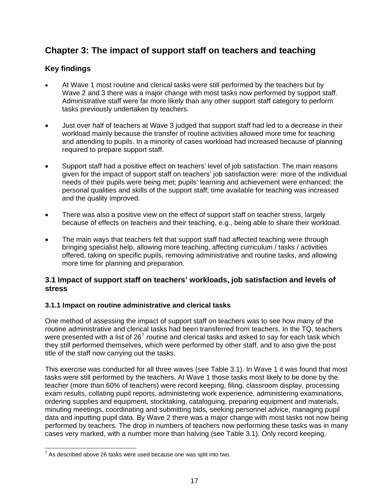# <span id="page-21-0"></span>**Chapter 3: The impact of support staff on teachers and teaching**

#### **Key findings**

- At Wave 1 most routine and clerical tasks were still performed by the teachers but by Wave 2 and 3 there was a major change with most tasks now performed by support staff. Administrative staff were far more likely than any other support staff category to perform tasks previously undertaken by teachers.
- Just over half of teachers at Wave 3 judged that support staff had led to a decrease in their workload mainly because the transfer of routine activities allowed more time for teaching and attending to pupils. In a minority of cases workload had increased because of planning required to prepare support staff.
- Support staff had a positive effect on teachers' level of job satisfaction. The main reasons given for the impact of support staff on teachers' job satisfaction were: more of the individual needs of their pupils were being met; pupils' learning and achievement were enhanced; the personal qualities and skills of the support staff; time available for teaching was increased and the quality improved.
- There was also a positive view on the effect of support staff on teacher stress, largely because of effects on teachers and their teaching, e.g., being able to share their workload.
- The main ways that teachers felt that support staff had affected teaching were through bringing specialist help, allowing more teaching, affecting curriculum / tasks / activities offered, taking on specific pupils, removing administrative and routine tasks, and allowing more time for planning and preparation.

#### **3.1 Impact of support staff on teachers' workloads, job satisfaction and levels of stress**

#### **3.1.1 Impact on routine administrative and clerical tasks**

One method of assessing the impact of support staff on teachers was to see how many of the routine administrative and clerical tasks had been transferred from teachers. In the TQ, teachers were presented with a list of 26<sup>[7](#page-21-0)</sup> routine and clerical tasks and asked to say for each task which they still performed themselves, which were performed by other staff, and to also give the post title of the staff now carrying out the tasks.

This exercise was conducted for all three waves (see Table 3.1). In Wave 1 it was found that most tasks were still performed by the teachers. At Wave 1 those tasks most likely to be done by the teacher (more than 60% of teachers) were record keeping, filing, classroom display, processing exam results, collating pupil reports, administering work experience, administering examinations, ordering supplies and equipment, stocktaking, cataloguing, preparing equipment and materials, minuting meetings, coordinating and submitting bids, seeking personnel advice, managing pupil data and inputting pupil data. By Wave 2 there was a major change with most tasks not now being performed by teachers. The drop in numbers of teachers now performing these tasks was in many cases very marked, with a number more than halving (see Table 3.1). Only record keeping,

  $7$  As described above 26 tasks were used because one was split into two.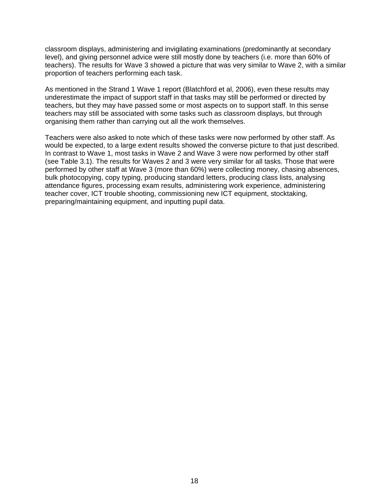classroom displays, administering and invigilating examinations (predominantly at secondary level), and giving personnel advice were still mostly done by teachers (i.e. more than 60% of teachers). The results for Wave 3 showed a picture that was very similar to Wave 2, with a similar proportion of teachers performing each task.

As mentioned in the Strand 1 Wave 1 report (Blatchford et al, 2006), even these results may underestimate the impact of support staff in that tasks may still be performed or directed by teachers, but they may have passed some or most aspects on to support staff. In this sense teachers may still be associated with some tasks such as classroom displays, but through organising them rather than carrying out all the work themselves.

Teachers were also asked to note which of these tasks were now performed by other staff. As would be expected, to a large extent results showed the converse picture to that just described. In contrast to Wave 1, most tasks in Wave 2 and Wave 3 were now performed by other staff (see Table 3.1). The results for Waves 2 and 3 were very similar for all tasks. Those that were performed by other staff at Wave 3 (more than 60%) were collecting money, chasing absences, bulk photocopying, copy typing, producing standard letters, producing class lists, analysing attendance figures, processing exam results, administering work experience, administering teacher cover, ICT trouble shooting, commissioning new ICT equipment, stocktaking, preparing/maintaining equipment, and inputting pupil data.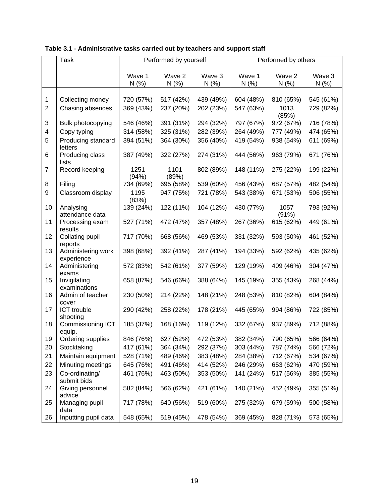|                | Task                             | Performed by yourself |               |           | Performed by others |               |           |
|----------------|----------------------------------|-----------------------|---------------|-----------|---------------------|---------------|-----------|
|                |                                  | Wave 1                | Wave 2        | Wave 3    | Wave 1              | Wave 2        | Wave 3    |
|                |                                  | N(%                   | N(% )         | N(% )     | N(% )               | N(%           | N(% )     |
|                |                                  |                       |               |           |                     |               |           |
| 1              | Collecting money                 | 720 (57%)             | 517 (42%)     | 439 (49%) | 604 (48%)           | 810 (65%)     | 545 (61%) |
| $\overline{2}$ | Chasing absences                 | 369 (43%)             | 237 (20%)     | 202 (23%) | 547 (63%)           | 1013<br>(85%) | 729 (82%) |
| 3              | Bulk photocopying                | 546 (46%)             | 391 (31%)     | 294 (32%) | 797 (67%)           | 972 (67%)     | 716 (78%) |
| 4              | Copy typing                      | 314 (58%)             | 325 (31%)     | 282 (39%) | 264 (49%)           | 777 (49%)     | 474 (65%) |
| 5              | Producing standard<br>letters    | 394 (51%)             | 364 (30%)     | 356 (40%) | 419 (54%)           | 938 (54%)     | 611 (69%) |
| 6              | Producing class<br>lists         | 387 (49%)             | 322 (27%)     | 274 (31%) | 444 (56%)           | 963 (79%)     | 671 (76%) |
| $\overline{7}$ | Record keeping                   | 1251<br>(94%)         | 1101<br>(89%) | 802 (89%) | 148 (11%)           | 275 (22%)     | 199 (22%) |
| 8              | Filing                           | 734 (69%)             | 695 (58%)     | 539 (60%) | 456 (43%)           | 687 (57%)     | 482 (54%) |
| 9              | Classroom display                | 1195<br>(83%)         | 947 (75%)     | 721 (78%) | 543 (38%)           | 671 (53%)     | 506 (55%) |
| 10             | Analysing<br>attendance data     | 139 (24%)             | 122 (11%)     | 104 (12%) | 430 (77%)           | 1057<br>(91%) | 793 (92%) |
| 11             | Processing exam<br>results       | 527 (71%)             | 472 (47%)     | 357 (48%) | 267 (36%)           | 615 (62%)     | 449 (61%) |
| 12             | Collating pupil<br>reports       | 717 (70%)             | 668 (56%)     | 469 (53%) | 331 (32%)           | 593 (50%)     | 461 (52%) |
| 13             | Administering work<br>experience | 398 (68%)             | 392 (41%)     | 287 (41%) | 194 (33%)           | 592 (62%)     | 435 (62%) |
| 14             | Administering<br>exams           | 572 (83%)             | 542 (61%)     | 377 (59%) | 129 (19%)           | 409 (46%)     | 304 (47%) |
| 15             | Invigilating<br>examinations     | 658 (87%)             | 546 (66%)     | 388 (64%) | 145 (19%)           | 355 (43%)     | 268 (44%) |
| 16             | Admin of teacher<br>cover        | 230 (50%)             | 214 (22%)     | 148 (21%) | 248 (53%)           | 810 (82%)     | 604 (84%) |
| 17             | <b>ICT</b> trouble<br>shooting   | 290 (42%)             | 258 (22%)     | 178 (21%) | 445 (65%)           | 994 (86%)     | 722 (85%) |
| 18             | Commissioning ICT<br>equip.      | 185 (37%)             | 168 (16%)     | 119 (12%) | 332 (67%)           | 937 (89%)     | 712 (88%) |
| 19             | Ordering supplies                | 846 (76%)             | 627 (52%)     | 472 (53%) | 382 (34%)           | 790 (65%)     | 566 (64%) |
| 20             | Stocktaking                      | 417 (61%)             | 364 (34%)     | 292 (37%) | 303 (44%)           | 787 (74%)     | 566 (72%) |
| 21             | Maintain equipment               | 528 (71%)             | 489 (46%)     | 383 (48%) | 284 (38%)           | 712 (67%)     | 534 (67%) |
| 22             | Minuting meetings                | 645 (76%)             | 491 (46%)     | 414 (52%) | 246 (29%)           | 653 (62%)     | 470 (59%) |
| 23             | Co-ordinating/<br>submit bids    | 461 (76%)             | 463 (50%)     | 353 (50%) | 141 (24%)           | 517 (56%)     | 385 (55%) |
| 24             | Giving personnel<br>advice       | 582 (84%)             | 566 (62%)     | 421 (61%) | 140 (21%)           | 452 (49%)     | 355 (51%) |
| 25             | Managing pupil                   | 717 (78%)             | 640 (56%)     | 519 (60%) | 275 (32%)           | 679 (59%)     | 500 (58%) |
| 26             | data<br>Inputting pupil data     | 548 (65%)             | 519 (45%)     | 478 (54%) | 369 (45%)           | 828 (71%)     | 573 (65%) |

#### **Table 3.1 - Administrative tasks carried out by teachers and support staff**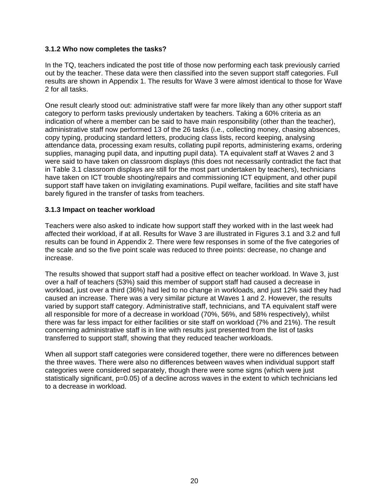#### <span id="page-24-0"></span>**3.1.2 Who now completes the tasks?**

In the TQ, teachers indicated the post title of those now performing each task previously carried out by the teacher. These data were then classified into the seven support staff categories. Full results are shown in Appendix 1. The results for Wave 3 were almost identical to those for Wave 2 for all tasks.

One result clearly stood out: administrative staff were far more likely than any other support staff category to perform tasks previously undertaken by teachers. Taking a 60% criteria as an indication of where a member can be said to have main responsibility (other than the teacher), administrative staff now performed 13 of the 26 tasks (i.e., collecting money, chasing absences, copy typing, producing standard letters, producing class lists, record keeping, analysing attendance data, processing exam results, collating pupil reports, administering exams, ordering supplies, managing pupil data, and inputting pupil data). TA equivalent staff at Waves 2 and 3 were said to have taken on classroom displays (this does not necessarily contradict the fact that in Table 3.1 classroom displays are still for the most part undertaken by teachers), technicians have taken on ICT trouble shooting/repairs and commissioning ICT equipment, and other pupil support staff have taken on invigilating examinations. Pupil welfare, facilities and site staff have barely figured in the transfer of tasks from teachers.

#### **3.1.3 Impact on teacher workload**

Teachers were also asked to indicate how support staff they worked with in the last week had affected their workload, if at all. Results for Wave 3 are illustrated in Figures 3.1 and 3.2 and full results can be found in Appendix 2. There were few responses in some of the five categories of the scale and so the five point scale was reduced to three points: decrease, no change and increase.

The results showed that support staff had a positive effect on teacher workload. In Wave 3, just over a half of teachers (53%) said this member of support staff had caused a decrease in workload, just over a third (36%) had led to no change in workloads, and just 12% said they had caused an increase. There was a very similar picture at Waves 1 and 2. However, the results varied by support staff category. Administrative staff, technicians, and TA equivalent staff were all responsible for more of a decrease in workload (70%, 56%, and 58% respectively), whilst there was far less impact for either facilities or site staff on workload (7% and 21%). The result concerning administrative staff is in line with results just presented from the list of tasks transferred to support staff, showing that they reduced teacher workloads.

When all support staff categories were considered together, there were no differences between the three waves. There were also no differences between waves when individual support staff categories were considered separately, though there were some signs (which were just statistically significant, p=0.05) of a decline across waves in the extent to which technicians led to a decrease in workload.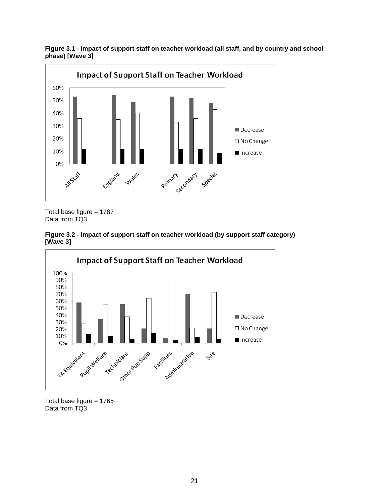

**Figure 3.1 - Impact of support staff on teacher workload (all staff, and by country and school phase) [Wave 3]** 

Total base figure  $= 1787$ Data from TQ3





Total base figure  $= 1765$ Data from TQ3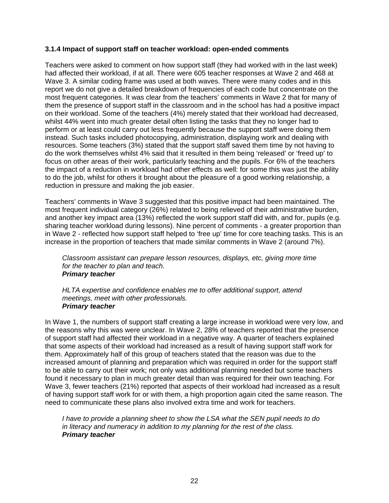#### <span id="page-26-0"></span>**3.1.4 Impact of support staff on teacher workload: open-ended comments**

Teachers were asked to comment on how support staff (they had worked with in the last week) had affected their workload, if at all. There were 605 teacher responses at Wave 2 and 468 at Wave 3. A similar coding frame was used at both waves. There were many codes and in this report we do not give a detailed breakdown of frequencies of each code but concentrate on the most frequent categories. It was clear from the teachers' comments in Wave 2 that for many of them the presence of support staff in the classroom and in the school has had a positive impact on their workload. Some of the teachers (4%) merely stated that their workload had decreased, whilst 44% went into much greater detail often listing the tasks that they no longer had to perform or at least could carry out less frequently because the support staff were doing them instead. Such tasks included photocopying, administration, displaying work and dealing with resources. Some teachers (3%) stated that the support staff saved them time by not having to do the work themselves whilst 4% said that it resulted in them being 'released' or 'freed up' to focus on other areas of their work, particularly teaching and the pupils. For 6% of the teachers the impact of a reduction in workload had other effects as well: for some this was just the ability to do the job, whilst for others it brought about the pleasure of a good working relationship, a reduction in pressure and making the job easier.

Teachers' comments in Wave 3 suggested that this positive impact had been maintained. The most frequent individual category (26%) related to being relieved of their administrative burden, and another key impact area (13%) reflected the work support staff did with, and for, pupils (e.g. sharing teacher workload during lessons). Nine percent of comments - a greater proportion than in Wave 2 - reflected how support staff helped to 'free up' time for core teaching tasks. This is an increase in the proportion of teachers that made similar comments in Wave 2 (around 7%).

*Classroom assistant can prepare lesson resources, displays, etc, giving more time for the teacher to plan and teach. Primary teacher* 

*HLTA expertise and confidence enables me to offer additional support, attend meetings, meet with other professionals. Primary teacher* 

In Wave 1, the numbers of support staff creating a large increase in workload were very low, and the reasons why this was were unclear. In Wave 2, 28% of teachers reported that the presence of support staff had affected their workload in a negative way. A quarter of teachers explained that some aspects of their workload had increased as a result of having support staff work for them. Approximately half of this group of teachers stated that the reason was due to the increased amount of planning and preparation which was required in order for the support staff to be able to carry out their work; not only was additional planning needed but some teachers found it necessary to plan in much greater detail than was required for their own teaching. For Wave 3, fewer teachers (21%) reported that aspects of their workload had increased as a result of having support staff work for or with them, a high proportion again cited the same reason. The need to communicate these plans also involved extra time and work for teachers.

*I have to provide a planning sheet to show the LSA what the SEN pupil needs to do in literacy and numeracy in addition to my planning for the rest of the class. Primary teacher*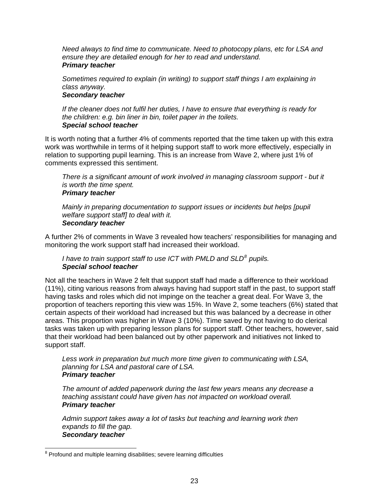<span id="page-27-0"></span>*Need always to find time to communicate. Need to photocopy plans, etc for LSA and ensure they are detailed enough for her to read and understand. Primary teacher* 

*Sometimes required to explain (in writing) to support staff things I am explaining in class anyway.* 

#### *Secondary teacher*

*If the cleaner does not fulfil her duties, I have to ensure that everything is ready for the children: e.g. bin liner in bin, toilet paper in the toilets. Special school teacher* 

It is worth noting that a further 4% of comments reported that the time taken up with this extra work was worthwhile in terms of it helping support staff to work more effectively, especially in relation to supporting pupil learning. This is an increase from Wave 2, where just 1% of comments expressed this sentiment.

*There is a significant amount of work involved in managing classroom support - but it is worth the time spent. Primary teacher* 

*Mainly in preparing documentation to support issues or incidents but helps [pupil welfare support staff] to deal with it. Secondary teacher* 

A further 2% of comments in Wave 3 revealed how teachers' responsibilities for managing and monitoring the work support staff had increased their workload.

*I* have to train support staff to use ICT with PMLD and SLD<sup>[8](#page-27-0)</sup> pupils. *Special school teacher* 

Not all the teachers in Wave 2 felt that support staff had made a difference to their workload (11%), citing various reasons from always having had support staff in the past, to support staff having tasks and roles which did not impinge on the teacher a great deal. For Wave 3, the proportion of teachers reporting this view was 15%. In Wave 2, some teachers (6%) stated that certain aspects of their workload had increased but this was balanced by a decrease in other areas. This proportion was higher in Wave 3 (10%). Time saved by not having to do clerical tasks was taken up with preparing lesson plans for support staff. Other teachers, however, said that their workload had been balanced out by other paperwork and initiatives not linked to support staff.

*Less work in preparation but much more time given to communicating with LSA, planning for LSA and pastoral care of LSA. Primary teacher* 

*The amount of added paperwork during the last few years means any decrease a teaching assistant could have given has not impacted on workload overall. Primary teacher* 

*Admin support takes away a lot of tasks but teaching and learning work then expands to fill the gap. Secondary teacher* 

encound and multiple learning disabilities; severe learning difficulties<br>a Profound and multiple learning disabilities; severe learning difficulties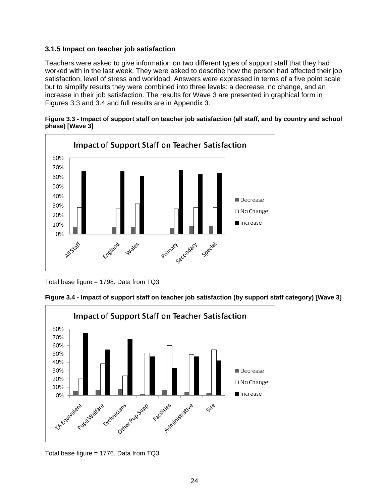#### <span id="page-28-0"></span>**3.1.5 Impact on teacher job satisfaction**

Teachers were asked to give information on two different types of support staff that they had worked with in the last week. They were asked to describe how the person had affected their job satisfaction, level of stress and workload. Answers were expressed in terms of a five point scale but to simplify results they were combined into three levels: a decrease, no change, and an increase in their job satisfaction. The results for Wave 3 are presented in graphical form in Figures 3.3 and 3.4 and full results are in Appendix 3.





Total base figure = 1798. Data from TQ3

**Figure 3.4 - Impact of support staff on teacher job satisfaction (by support staff category) [Wave 3]** 



Total base figure = 1776. Data from TQ3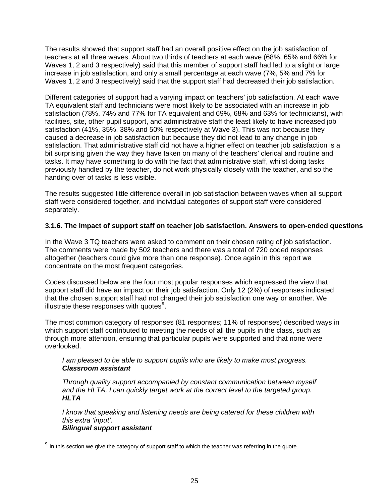<span id="page-29-0"></span>The results showed that support staff had an overall positive effect on the job satisfaction of teachers at all three waves. About two thirds of teachers at each wave (68%, 65% and 66% for Waves 1, 2 and 3 respectively) said that this member of support staff had led to a slight or large increase in job satisfaction, and only a small percentage at each wave (7%, 5% and 7% for Waves 1, 2 and 3 respectively) said that the support staff had decreased their job satisfaction.

Different categories of support had a varying impact on teachers' job satisfaction. At each wave TA equivalent staff and technicians were most likely to be associated with an increase in job satisfaction (78%, 74% and 77% for TA equivalent and 69%, 68% and 63% for technicians), with facilities, site, other pupil support, and administrative staff the least likely to have increased job satisfaction (41%, 35%, 38% and 50% respectively at Wave 3). This was not because they caused a decrease in job satisfaction but because they did not lead to any change in job satisfaction. That administrative staff did not have a higher effect on teacher job satisfaction is a bit surprising given the way they have taken on many of the teachers' clerical and routine and tasks. It may have something to do with the fact that administrative staff, whilst doing tasks previously handled by the teacher, do not work physically closely with the teacher, and so the handing over of tasks is less visible.

The results suggested little difference overall in job satisfaction between waves when all support staff were considered together, and individual categories of support staff were considered separately.

#### **3.1.6. The impact of support staff on teacher job satisfaction. Answers to open-ended questions**

In the Wave 3 TQ teachers were asked to comment on their chosen rating of job satisfaction. The comments were made by 502 teachers and there was a total of 720 coded responses altogether (teachers could give more than one response). Once again in this report we concentrate on the most frequent categories.

Codes discussed below are the four most popular responses which expressed the view that support staff did have an impact on their job satisfaction. Only 12 (2%) of responses indicated that the chosen support staff had not changed their job satisfaction one way or another. We illustrate these responses with quotes $9$ .

The most common category of responses (81 responses; 11% of responses) described ways in which support staff contributed to meeting the needs of all the pupils in the class, such as through more attention, ensuring that particular pupils were supported and that none were overlooked.

#### *I am pleased to be able to support pupils who are likely to make most progress. Classroom assistant*

*Through quality support accompanied by constant communication between myself and the HLTA, I can quickly target work at the correct level to the targeted group. HLTA* 

*I know that speaking and listening needs are being catered for these children with this extra 'input'. Bilingual support assistant* 

 $9$  In this section we give the category of support staff to which the teacher was referring in the quote.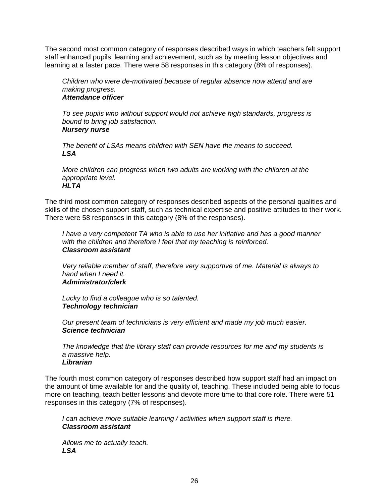The second most common category of responses described ways in which teachers felt support staff enhanced pupils' learning and achievement, such as by meeting lesson objectives and learning at a faster pace. There were 58 responses in this category (8% of responses).

*Children who were de-motivated because of regular absence now attend and are making progress. Attendance officer* 

*To see pupils who without support would not achieve high standards, progress is bound to bring job satisfaction. Nursery nurse* 

*The benefit of LSAs means children with SEN have the means to succeed. LSA* 

*More children can progress when two adults are working with the children at the appropriate level. HLTA* 

The third most common category of responses described aspects of the personal qualities and skills of the chosen support staff, such as technical expertise and positive attitudes to their work. There were 58 responses in this category (8% of the responses).

*I have a very competent TA who is able to use her initiative and has a good manner with the children and therefore I feel that my teaching is reinforced. Classroom assistant* 

*Very reliable member of staff, therefore very supportive of me. Material is always to hand when I need it. Administrator/clerk* 

*Lucky to find a colleague who is so talented. Technology technician* 

*Our present team of technicians is very efficient and made my job much easier. Science technician* 

*The knowledge that the library staff can provide resources for me and my students is a massive help. Librarian* 

The fourth most common category of responses described how support staff had an impact on the amount of time available for and the quality of, teaching. These included being able to focus more on teaching, teach better lessons and devote more time to that core role. There were 51 responses in this category (7% of responses).

*I can achieve more suitable learning / activities when support staff is there. Classroom assistant* 

*Allows me to actually teach. LSA*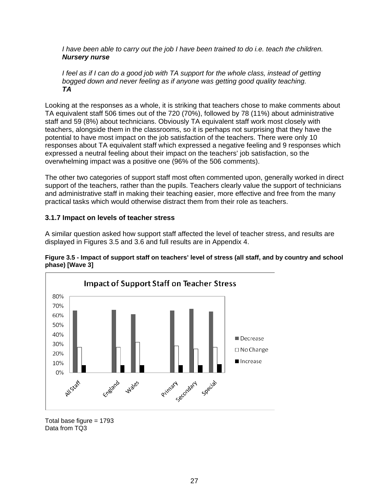<span id="page-31-0"></span>*I have been able to carry out the job I have been trained to do i.e. teach the children. Nursery nurse* 

*I feel as if I can do a good job with TA support for the whole class, instead of getting bogged down and never feeling as if anyone was getting good quality teaching. TA* 

Looking at the responses as a whole, it is striking that teachers chose to make comments about TA equivalent staff 506 times out of the 720 (70%), followed by 78 (11%) about administrative staff and 59 (8%) about technicians. Obviously TA equivalent staff work most closely with teachers, alongside them in the classrooms, so it is perhaps not surprising that they have the potential to have most impact on the job satisfaction of the teachers. There were only 10 responses about TA equivalent staff which expressed a negative feeling and 9 responses which expressed a neutral feeling about their impact on the teachers' job satisfaction, so the overwhelming impact was a positive one (96% of the 506 comments).

The other two categories of support staff most often commented upon, generally worked in direct support of the teachers, rather than the pupils. Teachers clearly value the support of technicians and administrative staff in making their teaching easier, more effective and free from the many practical tasks which would otherwise distract them from their role as teachers.

#### **3.1.7 Impact on levels of teacher stress**

A similar question asked how support staff affected the level of teacher stress, and results are displayed in Figures 3.5 and 3.6 and full results are in Appendix 4.





Total base figure  $= 1793$ Data from TQ3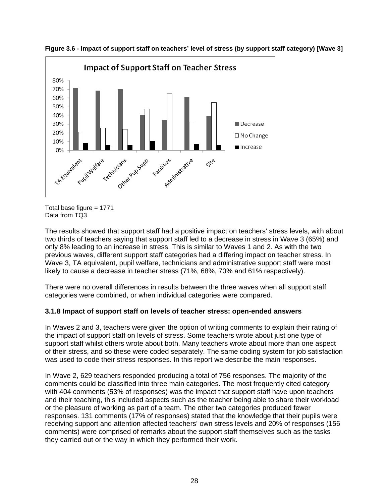

<span id="page-32-0"></span>**Figure 3.6 - Impact of support staff on teachers' level of stress (by support staff category) [Wave 3]** 

The results showed that support staff had a positive impact on teachers' stress levels, with about two thirds of teachers saying that support staff led to a decrease in stress in Wave 3 (65%) and only 8% leading to an increase in stress. This is similar to Waves 1 and 2. As with the two previous waves, different support staff categories had a differing impact on teacher stress. In Wave 3, TA equivalent, pupil welfare, technicians and administrative support staff were most likely to cause a decrease in teacher stress (71%, 68%, 70% and 61% respectively).

There were no overall differences in results between the three waves when all support staff categories were combined, or when individual categories were compared.

#### **3.1.8 Impact of support staff on levels of teacher stress: open-ended answers**

In Waves 2 and 3, teachers were given the option of writing comments to explain their rating of the impact of support staff on levels of stress. Some teachers wrote about just one type of support staff whilst others wrote about both. Many teachers wrote about more than one aspect of their stress, and so these were coded separately. The same coding system for job satisfaction was used to code their stress responses. In this report we describe the main responses.

In Wave 2, 629 teachers responded producing a total of 756 responses. The majority of the comments could be classified into three main categories. The most frequently cited category with 404 comments (53% of responses) was the impact that support staff have upon teachers and their teaching, this included aspects such as the teacher being able to share their workload or the pleasure of working as part of a team. The other two categories produced fewer responses. 131 comments (17% of responses) stated that the knowledge that their pupils were receiving support and attention affected teachers' own stress levels and 20% of responses (156 comments) were comprised of remarks about the support staff themselves such as the tasks they carried out or the way in which they performed their work.

Total base figure = 1771 Data from TQ3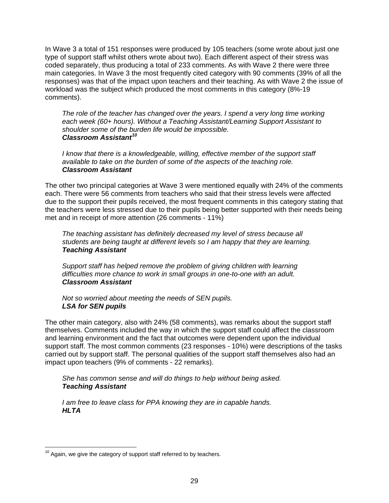<span id="page-33-0"></span>In Wave 3 a total of 151 responses were produced by 105 teachers (some wrote about just one type of support staff whilst others wrote about two). Each different aspect of their stress was coded separately, thus producing a total of 233 comments. As with Wave 2 there were three main categories. In Wave 3 the most frequently cited category with 90 comments (39% of all the responses) was that of the impact upon teachers and their teaching. As with Wave 2 the issue of workload was the subject which produced the most comments in this category (8%-19 comments).

*The role of the teacher has changed over the years. I spend a very long time working each week (60+ hours). Without a Teaching Assistant/Learning Support Assistant to shoulder some of the burden life would be impossible. Classroom Assistant[10](#page-33-0)*

*I know that there is a knowledgeable, willing, effective member of the support staff available to take on the burden of some of the aspects of the teaching role. Classroom Assistant* 

The other two principal categories at Wave 3 were mentioned equally with 24% of the comments each. There were 56 comments from teachers who said that their stress levels were affected due to the support their pupils received, the most frequent comments in this category stating that the teachers were less stressed due to their pupils being better supported with their needs being met and in receipt of more attention (26 comments - 11%)

*The teaching assistant has definitely decreased my level of stress because all students are being taught at different levels so I am happy that they are learning. Teaching Assistant* 

*Support staff has helped remove the problem of giving children with learning difficulties more chance to work in small groups in one-to-one with an adult. Classroom Assistant* 

*Not so worried about meeting the needs of SEN pupils. LSA for SEN pupils* 

The other main category, also with 24% (58 comments), was remarks about the support staff themselves. Comments included the way in which the support staff could affect the classroom and learning environment and the fact that outcomes were dependent upon the individual support staff. The most common comments (23 responses - 10%) were descriptions of the tasks carried out by support staff. The personal qualities of the support staff themselves also had an impact upon teachers (9% of comments - 22 remarks).

*She has common sense and will do things to help without being asked. Teaching Assistant* 

*I am free to leave class for PPA knowing they are in capable hands. HLTA* 

 $10$  Again, we give the category of support staff referred to by teachers.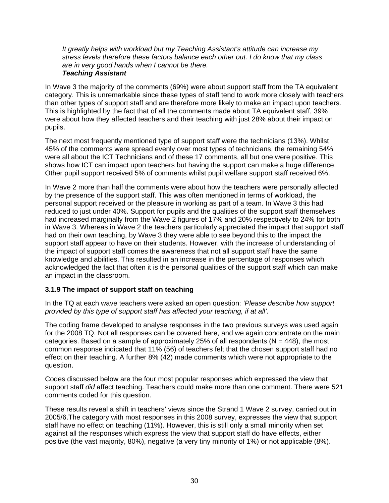<span id="page-34-0"></span>*It greatly helps with workload but my Teaching Assistant's attitude can increase my stress levels therefore these factors balance each other out. I do know that my class are in very good hands when I cannot be there.* 

#### *Teaching Assistant*

In Wave 3 the majority of the comments (69%) were about support staff from the TA equivalent category. This is unremarkable since these types of staff tend to work more closely with teachers than other types of support staff and are therefore more likely to make an impact upon teachers. This is highlighted by the fact that of all the comments made about TA equivalent staff, 39% were about how they affected teachers and their teaching with just 28% about their impact on pupils.

The next most frequently mentioned type of support staff were the technicians (13%). Whilst 45% of the comments were spread evenly over most types of technicians, the remaining 54% were all about the ICT Technicians and of these 17 comments, all but one were positive. This shows how ICT can impact upon teachers but having the support can make a huge difference. Other pupil support received 5% of comments whilst pupil welfare support staff received 6%.

In Wave 2 more than half the comments were about how the teachers were personally affected by the presence of the support staff. This was often mentioned in terms of workload, the personal support received or the pleasure in working as part of a team. In Wave 3 this had reduced to just under 40%. Support for pupils and the qualities of the support staff themselves had increased marginally from the Wave 2 figures of 17% and 20% respectively to 24% for both in Wave 3. Whereas in Wave 2 the teachers particularly appreciated the impact that support staff had on their own teaching, by Wave 3 they were able to see beyond this to the impact the support staff appear to have on their students. However, with the increase of understanding of the impact of support staff comes the awareness that not all support staff have the same knowledge and abilities. This resulted in an increase in the percentage of responses which acknowledged the fact that often it is the personal qualities of the support staff which can make an impact in the classroom.

#### **3.1.9 The impact of support staff on teaching**

In the TQ at each wave teachers were asked an open question: *'Please describe how support provided by this type of support staff has affected your teaching, if at all'*.

The coding frame developed to analyse responses in the two previous surveys was used again for the 2008 TQ. Not all responses can be covered here, and we again concentrate on the main categories. Based on a sample of approximately 25% of all respondents ( $N = 448$ ), the most common response indicated that 11% (56) of teachers felt that the chosen support staff had no effect on their teaching. A further 8% (42) made comments which were not appropriate to the question.

Codes discussed below are the four most popular responses which expressed the view that support staff *did* affect teaching. Teachers could make more than one comment. There were 521 comments coded for this question.

These results reveal a shift in teachers' views since the Strand 1 Wave 2 survey, carried out in 2005/6.The category with most responses in this 2008 survey, expresses the view that support staff have no effect on teaching (11%). However, this is still only a small minority when set against all the responses which express the view that support staff do have effects, either positive (the vast majority, 80%), negative (a very tiny minority of 1%) or not applicable (8%).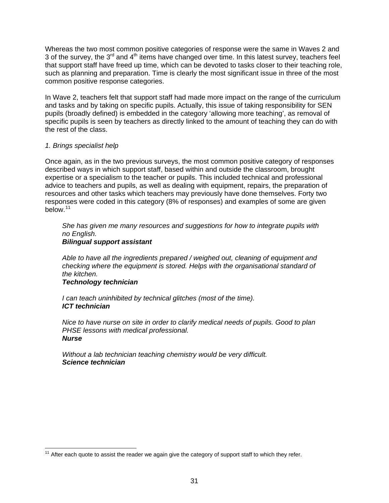<span id="page-35-0"></span>Whereas the two most common positive categories of response were the same in Waves 2 and 3 of the survey, the  $3<sup>rd</sup>$  and  $4<sup>th</sup>$  items have changed over time. In this latest survey, teachers feel that support staff have freed up time, which can be devoted to tasks closer to their teaching role, such as planning and preparation. Time is clearly the most significant issue in three of the most common positive response categories.

In Wave 2, teachers felt that support staff had made more impact on the range of the curriculum and tasks and by taking on specific pupils. Actually, this issue of taking responsibility for SEN pupils (broadly defined) is embedded in the category 'allowing more teaching', as removal of specific pupils is seen by teachers as directly linked to the amount of teaching they can do with the rest of the class.

#### *1. Brings specialist help*

Once again, as in the two previous surveys, the most common positive category of responses described ways in which support staff, based within and outside the classroom, brought expertise or a specialism to the teacher or pupils. This included technical and professional advice to teachers and pupils, as well as dealing with equipment, repairs, the preparation of resources and other tasks which teachers may previously have done themselves. Forty two responses were coded in this category (8% of responses) and examples of some are given below.[11](#page-35-0)

*She has given me many resources and suggestions for how to integrate pupils with no English. Bilingual support assistant* 

*Able to have all the ingredients prepared / weighed out, cleaning of equipment and checking where the equipment is stored. Helps with the organisational standard of the kitchen.* 

#### *Technology technician*

*I can teach uninhibited by technical glitches (most of the time). ICT technician* 

*Nice to have nurse on site in order to clarify medical needs of pupils. Good to plan PHSE lessons with medical professional. Nurse* 

*Without a lab technician teaching chemistry would be very difficult. Science technician* 

 $\overline{a}$  $11$  After each quote to assist the reader we again give the category of support staff to which they refer.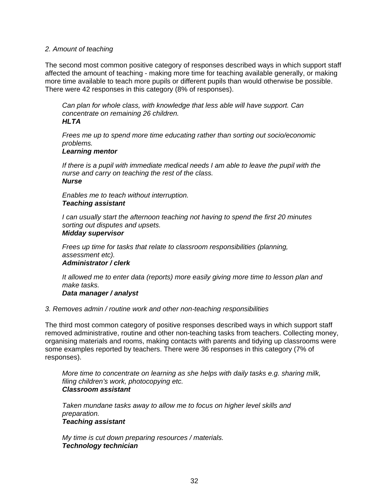#### *2. Amount of teaching*

The second most common positive category of responses described ways in which support staff affected the amount of teaching - making more time for teaching available generally, or making more time available to teach more pupils or different pupils than would otherwise be possible. There were 42 responses in this category (8% of responses).

*Can plan for whole class, with knowledge that less able will have support. Can concentrate on remaining 26 children. HLTA* 

*Frees me up to spend more time educating rather than sorting out socio/economic problems.* 

#### *Learning mentor*

*If there is a pupil with immediate medical needs I am able to leave the pupil with the nurse and carry on teaching the rest of the class. Nurse* 

*Enables me to teach without interruption. Teaching assistant* 

*I can usually start the afternoon teaching not having to spend the first 20 minutes sorting out disputes and upsets.* 

## *Midday supervisor*

*Frees up time for tasks that relate to classroom responsibilities (planning, assessment etc). Administrator / clerk* 

*It allowed me to enter data (reports) more easily giving more time to lesson plan and make tasks.* 

#### *Data manager / analyst*

#### *3. Removes admin / routine work and other non-teaching responsibilities*

The third most common category of positive responses described ways in which support staff removed administrative, routine and other non-teaching tasks from teachers. Collecting money, organising materials and rooms, making contacts with parents and tidying up classrooms were some examples reported by teachers. There were 36 responses in this category (7% of responses).

*More time to concentrate on learning as she helps with daily tasks e.g. sharing milk, filing children's work, photocopying etc. Classroom assistant* 

*Taken mundane tasks away to allow me to focus on higher level skills and preparation. Teaching assistant* 

*My time is cut down preparing resources / materials. Technology technician*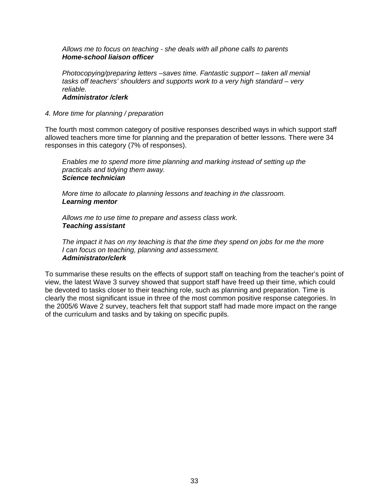*Allows me to focus on teaching - she deals with all phone calls to parents Home-school liaison officer* 

*Photocopying/preparing letters –saves time. Fantastic support – taken all menial tasks off teachers' shoulders and supports work to a very high standard – very reliable. Administrator /clerk* 

## *4. More time for planning / preparation*

The fourth most common category of positive responses described ways in which support staff allowed teachers more time for planning and the preparation of better lessons. There were 34 responses in this category (7% of responses).

*Enables me to spend more time planning and marking instead of setting up the practicals and tidying them away. Science technician* 

*More time to allocate to planning lessons and teaching in the classroom. Learning mentor* 

*Allows me to use time to prepare and assess class work. Teaching assistant* 

*The impact it has on my teaching is that the time they spend on jobs for me the more I can focus on teaching, planning and assessment. Administrator/clerk* 

To summarise these results on the effects of support staff on teaching from the teacher's point of view, the latest Wave 3 survey showed that support staff have freed up their time, which could be devoted to tasks closer to their teaching role, such as planning and preparation. Time is clearly the most significant issue in three of the most common positive response categories. In the 2005/6 Wave 2 survey, teachers felt that support staff had made more impact on the range of the curriculum and tasks and by taking on specific pupils.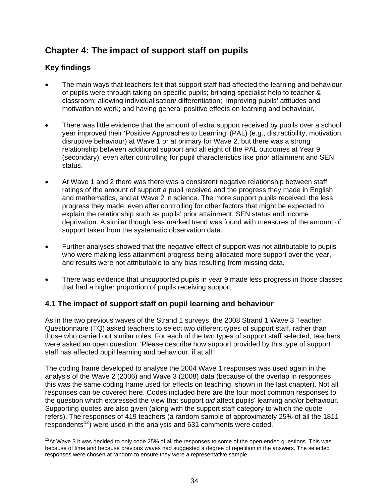# <span id="page-38-0"></span>**Chapter 4: The impact of support staff on pupils**

# **Key findings**

- The main ways that teachers felt that support staff had affected the learning and behaviour of pupils were through taking on specific pupils; bringing specialist help to teacher & classroom; allowing individualisation/ differentiation; improving pupils' attitudes and motivation to work; and having general positive effects on learning and behaviour.
- There was little evidence that the amount of extra support received by pupils over a school year improved their 'Positive Approaches to Learning' (PAL) (e.g., distractibility, motivation, disruptive behaviour) at Wave 1 or at primary for Wave 2, but there was a strong relationship between additional support and all eight of the PAL outcomes at Year 9 (secondary), even after controlling for pupil characteristics like prior attainment and SEN status.
- At Wave 1 and 2 there was there was a consistent negative relationship between staff ratings of the amount of support a pupil received and the progress they made in English and mathematics, and at Wave 2 in science. The more support pupils received, the less progress they made, even after controlling for other factors that might be expected to explain the relationship such as pupils' prior attainment, SEN status and income deprivation. A similar though less marked trend was found with measures of the amount of support taken from the systematic observation data.
- Further analyses showed that the negative effect of support was not attributable to pupils who were making less attainment progress being allocated more support over the year, and results were not attributable to any bias resulting from missing data.
- There was evidence that unsupported pupils in year 9 made less progress in those classes that had a higher proportion of pupils receiving support.

# **4.1 The impact of support staff on pupil learning and behaviour**

As in the two previous waves of the Strand 1 surveys, the 2008 Strand 1 Wave 3 Teacher Questionnaire (TQ) asked teachers to select two different types of support staff, rather than those who carried out similar roles. For each of the two types of support staff selected, teachers were asked an open question: 'Please describe how support provided by this type of support staff has affected pupil learning and behaviour, if at all.'

The coding frame developed to analyse the 2004 Wave 1 responses was used again in the analysis of the Wave 2 (2006) and Wave 3 (2008) data (because of the overlap in responses this was the same coding frame used for effects on teaching, shown in the last chapter). Not all responses can be covered here. Codes included here are the four most common responses to the question which expressed the view that support *did* affect pupils' learning and/or behaviour. Supporting quotes are also given (along with the support staff category to which the quote refers). The responses of 419 teachers (a random sample of approximately 25% of all the 1811 respondents<sup>[12](#page-38-0)</sup>) were used in the analysis and 631 comments were coded.

 $\overline{a}$  $12$ At Wave 3 it was decided to only code 25% of all the responses to some of the open ended questions. This was because of time and because previous waves had suggested a degree of repetition in the answers. The selected responses were chosen at random to ensure they were a representative sample.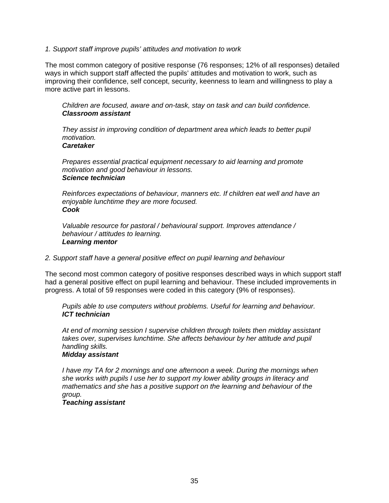#### *1. Support staff improve pupils' attitudes and motivation to work*

The most common category of positive response (76 responses; 12% of all responses) detailed ways in which support staff affected the pupils' attitudes and motivation to work, such as improving their confidence, self concept, security, keenness to learn and willingness to play a more active part in lessons.

*Children are focused, aware and on-task, stay on task and can build confidence. Classroom assistant* 

*They assist in improving condition of department area which leads to better pupil motivation. Caretaker* 

*Prepares essential practical equipment necessary to aid learning and promote motivation and good behaviour in lessons. Science technician* 

*Reinforces expectations of behaviour, manners etc. If children eat well and have an enjoyable lunchtime they are more focused. Cook* 

*Valuable resource for pastoral / behavioural support. Improves attendance / behaviour / attitudes to learning. Learning mentor* 

#### *2. Support staff have a general positive effect on pupil learning and behaviour*

The second most common category of positive responses described ways in which support staff had a general positive effect on pupil learning and behaviour. These included improvements in progress. A total of 59 responses were coded in this category (9% of responses).

*Pupils able to use computers without problems. Useful for learning and behaviour. ICT technician* 

*At end of morning session I supervise children through toilets then midday assistant takes over, supervises lunchtime. She affects behaviour by her attitude and pupil handling skills.* 

## *Midday assistant*

*I have my TA for 2 mornings and one afternoon a week. During the mornings when she works with pupils I use her to support my lower ability groups in literacy and mathematics and she has a positive support on the learning and behaviour of the group.* 

#### *Teaching assistant*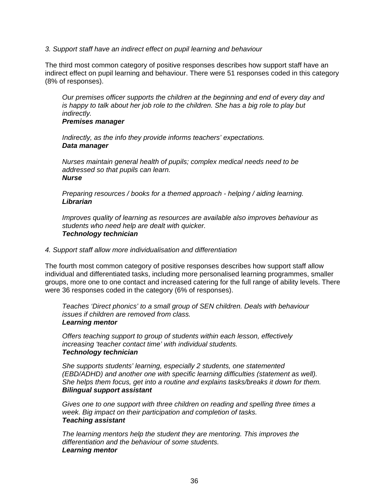#### *3. Support staff have an indirect effect on pupil learning and behaviour*

The third most common category of positive responses describes how support staff have an indirect effect on pupil learning and behaviour. There were 51 responses coded in this category (8% of responses).

*Our premises officer supports the children at the beginning and end of every day and is happy to talk about her job role to the children. She has a big role to play but indirectly.* 

#### *Premises manager*

*Indirectly, as the info they provide informs teachers' expectations. Data manager* 

*Nurses maintain general health of pupils; complex medical needs need to be addressed so that pupils can learn. Nurse* 

*Preparing resources / books for a themed approach - helping / aiding learning. Librarian* 

*Improves quality of learning as resources are available also improves behaviour as students who need help are dealt with quicker. Technology technician* 

#### *4. Support staff allow more individualisation and differentiation*

The fourth most common category of positive responses describes how support staff allow individual and differentiated tasks, including more personalised learning programmes, smaller groups, more one to one contact and increased catering for the full range of ability levels. There were 36 responses coded in the category (6% of responses).

*Teaches 'Direct phonics' to a small group of SEN children. Deals with behaviour issues if children are removed from class. Learning mentor* 

*Offers teaching support to group of students within each lesson, effectively increasing 'teacher contact time' with individual students. Technology technician* 

*She supports students' learning, especially 2 students, one statemented (EBD/ADHD) and another one with specific learning difficulties (statement as well). She helps them focus, get into a routine and explains tasks/breaks it down for them. Bilingual support assistant* 

*Gives one to one support with three children on reading and spelling three times a week. Big impact on their participation and completion of tasks. Teaching assistant* 

*The learning mentors help the student they are mentoring. This improves the differentiation and the behaviour of some students. Learning mentor*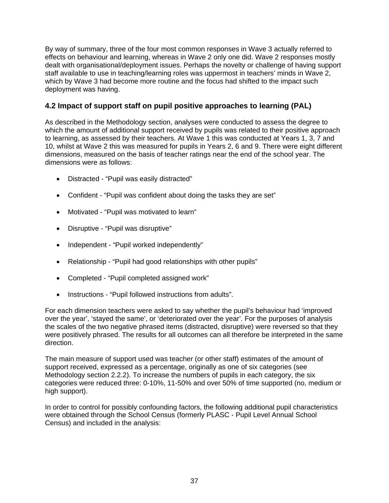By way of summary, three of the four most common responses in Wave 3 actually referred to effects on behaviour and learning, whereas in Wave 2 only one did. Wave 2 responses mostly dealt with organisational/deployment issues. Perhaps the novelty or challenge of having support staff available to use in teaching/learning roles was uppermost in teachers' minds in Wave 2, which by Wave 3 had become more routine and the focus had shifted to the impact such deployment was having.

# **4.2 Impact of support staff on pupil positive approaches to learning (PAL)**

As described in the Methodology section, analyses were conducted to assess the degree to which the amount of additional support received by pupils was related to their positive approach to learning, as assessed by their teachers. At Wave 1 this was conducted at Years 1, 3, 7 and 10, whilst at Wave 2 this was measured for pupils in Years 2, 6 and 9. There were eight different dimensions, measured on the basis of teacher ratings near the end of the school year. The dimensions were as follows:

- Distracted "Pupil was easily distracted"
- Confident "Pupil was confident about doing the tasks they are set"
- Motivated "Pupil was motivated to learn"
- Disruptive "Pupil was disruptive"
- Independent "Pupil worked independently"
- Relationship "Pupil had good relationships with other pupils"
- Completed "Pupil completed assigned work"
- Instructions "Pupil followed instructions from adults".

For each dimension teachers were asked to say whether the pupil's behaviour had 'improved over the year', 'stayed the same', or 'deteriorated over the year'. For the purposes of analysis the scales of the two negative phrased items (distracted, disruptive) were reversed so that they were positively phrased. The results for all outcomes can all therefore be interpreted in the same direction.

The main measure of support used was teacher (or other staff) estimates of the amount of support received, expressed as a percentage, originally as one of six categories (see Methodology section 2.2.2). To increase the numbers of pupils in each category, the six categories were reduced three: 0-10%, 11-50% and over 50% of time supported (no, medium or high support).

In order to control for possibly confounding factors, the following additional pupil characteristics were obtained through the School Census (formerly PLASC - Pupil Level Annual School Census) and included in the analysis: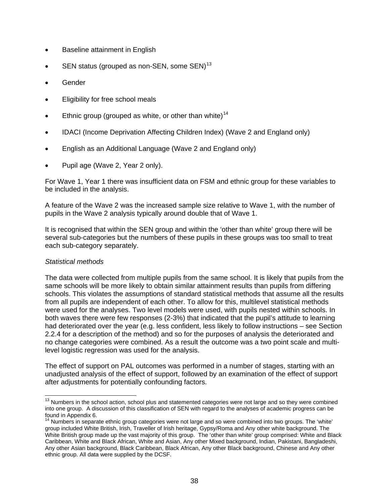- <span id="page-42-0"></span>• Baseline attainment in English
- SEN status (grouped as non-SEN, some SEN)<sup>[13](#page-42-0)</sup>
- Gender
- Eligibility for free school meals
- Ethnic group (grouped as white, or other than white)<sup>[14](#page-42-0)</sup>
- IDACI (Income Deprivation Affecting Children Index) (Wave 2 and England only)
- English as an Additional Language (Wave 2 and England only)
- Pupil age (Wave 2, Year 2 only).

For Wave 1, Year 1 there was insufficient data on FSM and ethnic group for these variables to be included in the analysis.

A feature of the Wave 2 was the increased sample size relative to Wave 1, with the number of pupils in the Wave 2 analysis typically around double that of Wave 1.

It is recognised that within the SEN group and within the 'other than white' group there will be several sub-categories but the numbers of these pupils in these groups was too small to treat each sub-category separately.

## *Statistical methods*

The data were collected from multiple pupils from the same school. It is likely that pupils from the same schools will be more likely to obtain similar attainment results than pupils from differing schools. This violates the assumptions of standard statistical methods that assume all the results from all pupils are independent of each other. To allow for this, multilevel statistical methods were used for the analyses. Two level models were used, with pupils nested within schools. In both waves there were few responses (2-3%) that indicated that the pupil's attitude to learning had deteriorated over the year (e.g. less confident, less likely to follow instructions – see Section 2.2.4 for a description of the method) and so for the purposes of analysis the deteriorated and no change categories were combined. As a result the outcome was a two point scale and multilevel logistic regression was used for the analysis.

The effect of support on PAL outcomes was performed in a number of stages, starting with an unadjusted analysis of the effect of support, followed by an examination of the effect of support after adjustments for potentially confounding factors.

  $13$  Numbers in the school action, school plus and statemented categories were not large and so they were combined into one group. A discussion of this classification of SEN with regard to the analyses of academic progress can be found in Appendix 6.

<sup>&</sup>lt;sup>14</sup> Numbers in separate ethnic group categories were not large and so were combined into two groups. The 'white' group included White British, Irish, Traveller of Irish heritage, Gypsy/Roma and Any other white background. The White British group made up the vast majority of this group. The 'other than white' group comprised: White and Black Caribbean, White and Black African, White and Asian, Any other Mixed background, Indian, Pakistani, Bangladeshi, Any other Asian background, Black Caribbean, Black African, Any other Black background, Chinese and Any other ethnic group. All data were supplied by the DCSF.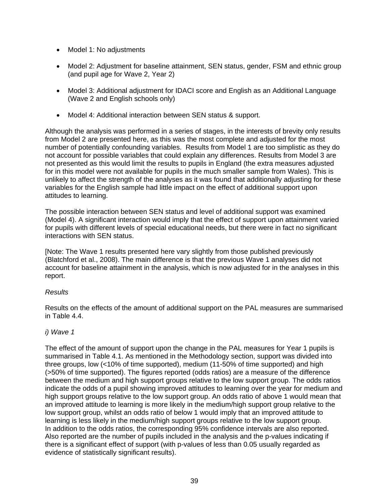- Model 1: No adjustments
- Model 2: Adjustment for baseline attainment, SEN status, gender, FSM and ethnic group (and pupil age for Wave 2, Year 2)
- Model 3: Additional adjustment for IDACI score and English as an Additional Language (Wave 2 and English schools only)
- Model 4: Additional interaction between SEN status & support.

Although the analysis was performed in a series of stages, in the interests of brevity only results from Model 2 are presented here, as this was the most complete and adjusted for the most number of potentially confounding variables. Results from Model 1 are too simplistic as they do not account for possible variables that could explain any differences. Results from Model 3 are not presented as this would limit the results to pupils in England (the extra measures adjusted for in this model were not available for pupils in the much smaller sample from Wales). This is unlikely to affect the strength of the analyses as it was found that additionally adjusting for these variables for the English sample had little impact on the effect of additional support upon attitudes to learning.

The possible interaction between SEN status and level of additional support was examined (Model 4). A significant interaction would imply that the effect of support upon attainment varied for pupils with different levels of special educational needs, but there were in fact no significant interactions with SEN status.

[Note: The Wave 1 results presented here vary slightly from those published previously (Blatchford et al., 2008). The main difference is that the previous Wave 1 analyses did not account for baseline attainment in the analysis, which is now adjusted for in the analyses in this report.

## *Results*

Results on the effects of the amount of additional support on the PAL measures are summarised in Table 4.4.

## *i) Wave 1*

The effect of the amount of support upon the change in the PAL measures for Year 1 pupils is summarised in Table 4.1. As mentioned in the Methodology section, support was divided into three groups, low (<10% of time supported), medium (11-50% of time supported) and high (>50% of time supported). The figures reported (odds ratios) are a measure of the difference between the medium and high support groups relative to the low support group. The odds ratios indicate the odds of a pupil showing improved attitudes to learning over the year for medium and high support groups relative to the low support group. An odds ratio of above 1 would mean that an improved attitude to learning is more likely in the medium/high support group relative to the low support group, whilst an odds ratio of below 1 would imply that an improved attitude to learning is less likely in the medium/high support groups relative to the low support group. In addition to the odds ratios, the corresponding 95% confidence intervals are also reported. Also reported are the number of pupils included in the analysis and the p-values indicating if there is a significant effect of support (with p-values of less than 0.05 usually regarded as evidence of statistically significant results).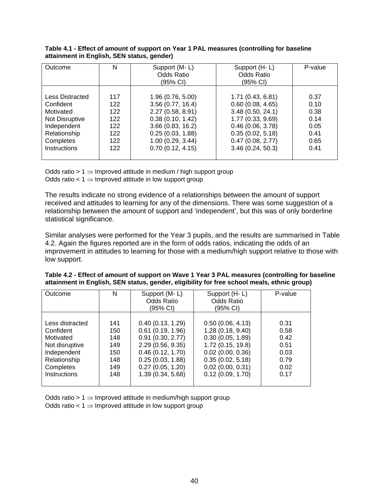| Outcome         | N   | Support (M-L)     | Support (H-L)     | P-value |
|-----------------|-----|-------------------|-------------------|---------|
|                 |     | <b>Odds Ratio</b> | <b>Odds Ratio</b> |         |
|                 |     | (95% CI)          | (95% CI)          |         |
|                 |     |                   |                   |         |
| Less Distracted | 117 | 1.96 (0.76, 5.00) | 1.71 (0.43, 6.81) | 0.37    |
| Confident       | 122 | 3.56(0.77, 16.4)  | 0.60(0.08, 4.65)  | 0.10    |
| Motivated       | 122 | 2.27(0.58, 8.91)  | 3.48(0.50, 24.1)  | 0.38    |
| Not Disruptive  | 122 | 0.38(0.10, 1.42)  | 1.77 (0.33, 9.69) | 0.14    |
| Independent     | 122 | 3.66(0.83, 16.2)  | 0.46(0.06, 3.78)  | 0.05    |
| Relationship    | 122 | 0.25(0.03, 1.88)  | 0.35(0.02, 5.18)  | 0.41    |
| Completes       | 122 | 1.00(0.29, 3.44)  | 0.47(0.08, 2.77)  | 0.65    |
| Instructions    | 122 | 0.70(0.12, 4.15)  | 3.46(0.24, 50.3)  | 0.41    |
|                 |     |                   |                   |         |

#### **Table 4.1 - Effect of amount of support on Year 1 PAL measures (controlling for baseline attainment in English, SEN status, gender)**

Odds ratio > 1  $\Rightarrow$  Improved attitude in medium / high support group Odds ratio <  $1 \Rightarrow$  Improved attitude in low support group

The results indicate no strong evidence of a relationships between the amount of support received and attitudes to learning for any of the dimensions. There was some suggestion of a relationship between the amount of support and 'independent', but this was of only borderline statistical significance.

Similar analyses were performed for the Year 3 pupils, and the results are summarised in Table 4.2. Again the figures reported are in the form of odds ratios, indicating the odds of an improvement in attitudes to learning for those with a medium/high support relative to those with low support.

| Outcome         | N   | Support (M-L)<br>Odds Ratio<br>(95% CI) | Support (H-L)<br>Odds Ratio<br>(95% CI) | P-value |
|-----------------|-----|-----------------------------------------|-----------------------------------------|---------|
|                 |     |                                         |                                         |         |
| Less distracted | 141 | 0.40(0.13, 1.29)                        | 0.50(0.06, 4.13)                        | 0.31    |
| Confident       | 150 | $0.61$ (0.19, 1.96)                     | 1.28(0.18, 9.40)                        | 0.58    |
| Motivated       | 148 | 0.91(0.30, 2.77)                        | 0.30(0.05, 1.89)                        | 0.42    |
| Not disruptive  | 149 | 2.29(0.56, 9.35)                        | 1.72 (0.15, 19.8)                       | 0.51    |
| Independent     | 150 | 0.46(0.12, 1.70)                        | 0.02(0.00, 0.36)                        | 0.03    |
| Relationship    | 148 | 0.25(0.03, 1.88)                        | 0.35(0.02, 5.18)                        | 0.79    |
| Completes       | 149 | 0.27(0.05, 1.20)                        | 0.02(0.00, 0.31)                        | 0.02    |
| Instructions    | 148 | 1.39 (0.34, 5.68)                       | 0.12(0.09, 1.70)                        | 0.17    |

**Table 4.2 - Effect of amount of support on Wave 1 Year 3 PAL measures (controlling for baseline attainment in English, SEN status, gender, eligibility for free school meals, ethnic group)** 

Odds ratio > 1  $\Rightarrow$  Improved attitude in medium/high support group Odds ratio <  $1 \Rightarrow$  Improved attitude in low support group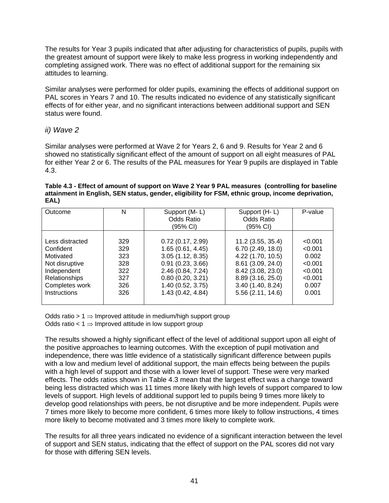The results for Year 3 pupils indicated that after adjusting for characteristics of pupils, pupils with the greatest amount of support were likely to make less progress in working independently and completing assigned work. There was no effect of additional support for the remaining six attitudes to learning.

Similar analyses were performed for older pupils, examining the effects of additional support on PAL scores in Years 7 and 10. The results indicated no evidence of any statistically significant effects of for either year, and no significant interactions between additional support and SEN status were found.

## *ii) Wave 2*

Similar analyses were performed at Wave 2 for Years 2, 6 and 9. Results for Year 2 and 6 showed no statistically significant effect of the amount of support on all eight measures of PAL for either Year 2 or 6. The results of the PAL measures for Year 9 pupils are displayed in Table 4.3.

**Table 4.3 - Effect of amount of support on Wave 2 Year 9 PAL measures (controlling for baseline attainment in English, SEN status, gender, eligibility for FSM, ethnic group, income deprivation, EAL)**

| Outcome              | N   | Support (M-L)<br><b>Odds Ratio</b><br>(95% CI) | Support (H-L)<br><b>Odds Ratio</b><br>(95% CI) | P-value |
|----------------------|-----|------------------------------------------------|------------------------------------------------|---------|
| Less distracted      | 329 | 0.72(0.17, 2.99)                               | 11.2 (3.55, 35.4)                              | < 0.001 |
| Confident            | 329 | 1.65(0.61, 4.45)                               | 6.70 (2.49, 18.0)                              | < 0.001 |
| Motivated            | 323 | 3.05(1.12, 8.35)                               | 4.22 (1.70, 10.5)                              | 0.002   |
| Not disruptive       | 328 | 0.91(0.23, 3.66)                               | 8.61 (3.09, 24.0)                              | < 0.001 |
| Independent          | 322 | 2.46(0.84, 7.24)                               | 8.42 (3.08, 23.0)                              | < 0.001 |
| <b>Relationships</b> | 327 | 0.80(0.20, 3.21)                               | 8.89 (3.16, 25.0)                              | < 0.001 |
| Completes work       | 326 | 1.40 (0.52, 3.75)                              | 3.40(1.40, 8.24)                               | 0.007   |
| <b>Instructions</b>  | 326 | 1.43 (0.42, 4.84)                              | 5.56(2.11, 14.6)                               | 0.001   |

Odds ratio > 1  $\Rightarrow$  Improved attitude in medium/high support group Odds ratio <  $1 \Rightarrow$  Improved attitude in low support group

The results showed a highly significant effect of the level of additional support upon all eight of the positive approaches to learning outcomes. With the exception of pupil motivation and independence, there was little evidence of a statistically significant difference between pupils with a low and medium level of additional support, the main effects being between the pupils with a high level of support and those with a lower level of support. These were very marked effects. The odds ratios shown in Table 4.3 mean that the largest effect was a change toward being less distracted which was 11 times more likely with high levels of support compared to low levels of support. High levels of additional support led to pupils being 9 times more likely to develop good relationships with peers, be not disruptive and be more independent. Pupils were 7 times more likely to become more confident, 6 times more likely to follow instructions, 4 times more likely to become motivated and 3 times more likely to complete work.

The results for all three years indicated no evidence of a significant interaction between the level of support and SEN status, indicating that the effect of support on the PAL scores did not vary for those with differing SEN levels.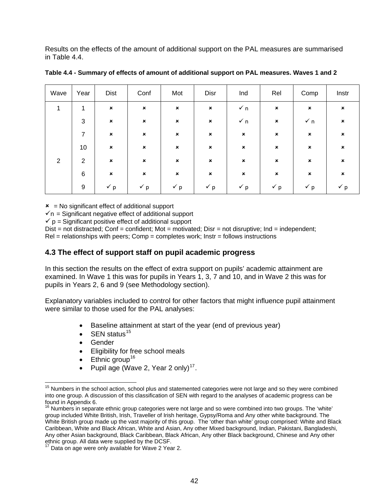<span id="page-46-0"></span>Results on the effects of the amount of additional support on the PAL measures are summarised in Table 4.4.

| Wave           | Year           | <b>Dist</b>               | Conf           | Mot            | Disr           | Ind            | Rel            | Comp                      | Instr                     |
|----------------|----------------|---------------------------|----------------|----------------|----------------|----------------|----------------|---------------------------|---------------------------|
| 1              | $\mathbf{1}$   | $\boldsymbol{\mathsf{x}}$ | $\pmb{\times}$ | $\pmb{\times}$ | $\pmb{\times}$ | $\checkmark$ n | $\pmb{\times}$ | $\pmb{\times}$            | $\mathbf{x}$              |
|                | 3              | $\pmb{\times}$            | $\pmb{\times}$ | $\pmb{\times}$ | $\pmb{\times}$ | $\checkmark$ n | $\pmb{\times}$ | $\checkmark$ n            | $\boldsymbol{\mathsf{x}}$ |
|                | $\overline{7}$ | $\boldsymbol{\mathsf{x}}$ | $\pmb{\times}$ | $\pmb{\times}$ | $\pmb{\times}$ | $\pmb{\times}$ | $\pmb{\times}$ | $\pmb{\times}$            | $\boldsymbol{\mathsf{x}}$ |
|                | 10             | $\pmb{\times}$            | ×              | $\pmb{\times}$ | $\pmb{\times}$ | $\pmb{\times}$ | $\pmb{\times}$ | $\pmb{\times}$            | $\boldsymbol{\mathsf{x}}$ |
| $\overline{2}$ | $\overline{2}$ | $\boldsymbol{\mathsf{x}}$ | $\pmb{\times}$ | $\pmb{\times}$ | $\pmb{\times}$ | $\pmb{\times}$ | $\pmb{\times}$ | $\boldsymbol{\mathsf{x}}$ | $\boldsymbol{\mathsf{x}}$ |
|                | 6              | $\boldsymbol{\mathsf{x}}$ | $\pmb{\times}$ | $\pmb{\times}$ | $\pmb{\times}$ | $\pmb{\times}$ | $\pmb{\times}$ | $\pmb{\times}$            | $\boldsymbol{\mathsf{x}}$ |
|                | 9              | $\checkmark$ p            | $\checkmark$ p | $\checkmark$ p | $\check{p}$    | $\check{p}$    | $\check{p}$    | $\checkmark$ p            | $\checkmark$ p            |

**Table 4.4 - Summary of effects of amount of additional support on PAL measures. Waves 1 and 2** 

 $x = No$  significant effect of additional support

 $\sqrt{n}$  = Significant negative effect of additional support

 $\checkmark$  p = Significant positive effect of additional support

 $Dist = not\ distanceed$ ;  $Conf = \text{confident}$ ;  $Mot = \text{motivated}$ ;  $Dist = \text{not}$  disruptive;  $Ind = \text{independent}$ ;  $Rel = relationships$  with peers;  $Comp = completes work$ ; lnstr = follows instructions

## **4.3 The effect of support staff on pupil academic progress**

In this section the results on the effect of extra support on pupils' academic attainment are examined. In Wave 1 this was for pupils in Years 1, 3, 7 and 10, and in Wave 2 this was for pupils in Years 2, 6 and 9 (see Methodology section).

Explanatory variables included to control for other factors that might influence pupil attainment were similar to those used for the PAL analyses:

- Baseline attainment at start of the year (end of previous year)
- $\bullet$  SFN status<sup>[15](#page-46-0)</sup>
- Gender

- Eligibility for free school meals
- $\bullet$  Ethnic group<sup>[16](#page-46-0)</sup>
- Pupil age (Wave 2, Year 2 only)<sup>[17](#page-46-0)</sup>.

 $15$  Numbers in the school action, school plus and statemented categories were not large and so they were combined into one group. A discussion of this classification of SEN with regard to the analyses of academic progress can be found in Appendix 6.

<sup>&</sup>lt;sup>16</sup> Numbers in separate ethnic group categories were not large and so were combined into two groups. The 'white' group included White British, Irish, Traveller of Irish heritage, Gypsy/Roma and Any other white background. The White British group made up the vast majority of this group. The 'other than white' group comprised: White and Black Caribbean, White and Black African, White and Asian, Any other Mixed background, Indian, Pakistani, Bangladeshi, Any other Asian background, Black Caribbean, Black African, Any other Black background, Chinese and Any other ethnic group. All data were supplied by the DCSF.

 $17$  Data on age were only available for Wave 2 Year 2.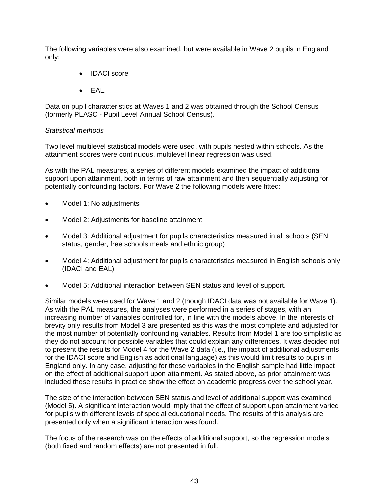The following variables were also examined, but were available in Wave 2 pupils in England only:

- IDACI score
- EAL.

Data on pupil characteristics at Waves 1 and 2 was obtained through the School Census (formerly PLASC - Pupil Level Annual School Census).

#### *Statistical methods*

Two level multilevel statistical models were used, with pupils nested within schools. As the attainment scores were continuous, multilevel linear regression was used.

As with the PAL measures, a series of different models examined the impact of additional support upon attainment, both in terms of raw attainment and then sequentially adjusting for potentially confounding factors. For Wave 2 the following models were fitted:

- Model 1: No adjustments
- Model 2: Adjustments for baseline attainment
- Model 3: Additional adjustment for pupils characteristics measured in all schools (SEN status, gender, free schools meals and ethnic group)
- Model 4: Additional adjustment for pupils characteristics measured in English schools only (IDACI and EAL)
- Model 5: Additional interaction between SEN status and level of support.

Similar models were used for Wave 1 and 2 (though IDACI data was not available for Wave 1). As with the PAL measures, the analyses were performed in a series of stages, with an increasing number of variables controlled for, in line with the models above. In the interests of brevity only results from Model 3 are presented as this was the most complete and adjusted for the most number of potentially confounding variables. Results from Model 1 are too simplistic as they do not account for possible variables that could explain any differences. It was decided not to present the results for Model 4 for the Wave 2 data (i.e., the impact of additional adjustments for the IDACI score and English as additional language) as this would limit results to pupils in England only. In any case, adjusting for these variables in the English sample had little impact on the effect of additional support upon attainment. As stated above, as prior attainment was included these results in practice show the effect on academic progress over the school year.

The size of the interaction between SEN status and level of additional support was examined (Model 5). A significant interaction would imply that the effect of support upon attainment varied for pupils with different levels of special educational needs. The results of this analysis are presented only when a significant interaction was found.

The focus of the research was on the effects of additional support, so the regression models (both fixed and random effects) are not presented in full.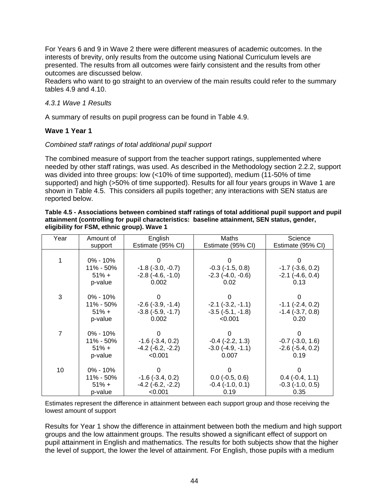For Years 6 and 9 in Wave 2 there were different measures of academic outcomes. In the interests of brevity, only results from the outcome using National Curriculum levels are presented. The results from all outcomes were fairly consistent and the results from other outcomes are discussed below.

Readers who want to go straight to an overview of the main results could refer to the summary tables 4.9 and 4.10.

#### *4.3.1 Wave 1 Results*

A summary of results on pupil progress can be found in Table 4.9.

## **Wave 1 Year 1**

#### *Combined staff ratings of total additional pupil support*

The combined measure of support from the teacher support ratings, supplemented where needed by other staff ratings, was used. As described in the Methodology section 2.2.2, support was divided into three groups: low (<10% of time supported), medium (11-50% of time supported) and high (>50% of time supported). Results for all four years groups in Wave 1 are shown in Table 4.5. This considers all pupils together; any interactions with SEN status are reported below.

| Table 4.5 - Associations between combined staff ratings of total additional pupil support and pupil |
|-----------------------------------------------------------------------------------------------------|
| attainment (controlling for pupil characteristics: baseline attainment, SEN status, gender,         |
| eligibility for FSM, ethnic group). Wave 1                                                          |

| Year           | Amount of    | English                 | Maths                    | Science               |
|----------------|--------------|-------------------------|--------------------------|-----------------------|
|                | support      | Estimate (95% CI)       | Estimate (95% CI)        | Estimate (95% CI)     |
|                |              |                         |                          |                       |
|                | $0\% - 10\%$ |                         |                          |                       |
|                | 11% - 50%    | $-1.8$ ( $-3.0, -0.7$ ) | $-0.3$ $(-1.5, 0.8)$     | $-1.7$ $(-3.6, 0.2)$  |
|                | $51\% +$     | $-2.8$ $(-4.6, -1.0)$   | $-2.3$ $(-4.0, -0.6)$    | $-2.1$ $(-4.6, 0.4)$  |
|                | p-value      | 0.002                   | 0.02                     | 0.13                  |
|                |              |                         |                          |                       |
| 3              | $0\% - 10\%$ |                         |                          |                       |
|                | 11% - 50%    | $-2.6$ $(-3.9, -1.4)$   | $-2.1$ $(-3.2, -1.1)$    | $-1.1$ $(-2.4, 0.2)$  |
|                | $51\% +$     | $-3.8$ $(-5.9, -1.7)$   | $-3.5(-5.1, -1.8)$       | $-1.4$ $(-3.7, 0.8)$  |
|                | p-value      | 0.002                   | < 0.001                  | 0.20                  |
|                |              |                         |                          |                       |
| $\overline{7}$ | $0\% - 10\%$ |                         |                          |                       |
|                | 11% - 50%    | $-1.6$ ( $-3.4$ , 0.2)  | $-0.4$ $(-2.2, 1.3)$     | $-0.7$ $(-3.0, 1.6)$  |
|                | $51\% +$     | $-4.2$ $(-6.2, -2.2)$   | $-3.0$ $(-4.9, -1.1)$    | $-2.6$ $(-5.4, 0.2)$  |
|                | p-value      | < 0.001                 | 0.007                    | 0.19                  |
|                |              |                         |                          |                       |
| 10             | $0\% - 10\%$ |                         |                          |                       |
|                | 11% - 50%    | $-1.6$ $(-3.4, 0.2)$    | $0.0$ ( $-0.5$ , $0.6$ ) | $0.4$ ( $-0.4$ , 1.1) |
|                | $51% +$      | $-4.2$ ( $-6.2, -2.2$ ) | $-0.4$ $(-1.0, 0.1)$     | $-0.3$ $(-1.0, 0.5)$  |
|                | p-value      | < 0.001                 | 0.19                     | 0.35                  |

Estimates represent the difference in attainment between each support group and those receiving the lowest amount of support

Results for Year 1 show the difference in attainment between both the medium and high support groups and the low attainment groups. The results showed a significant effect of support on pupil attainment in English and mathematics. The results for both subjects show that the higher the level of support, the lower the level of attainment. For English, those pupils with a medium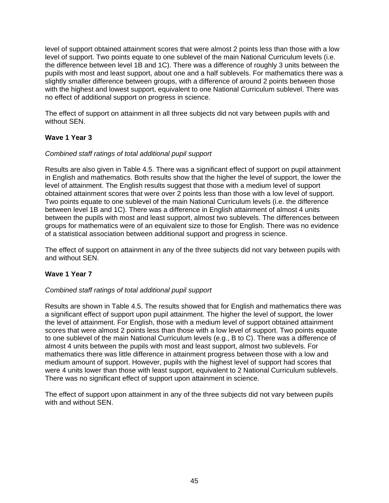level of support obtained attainment scores that were almost 2 points less than those with a low level of support. Two points equate to one sublevel of the main National Curriculum levels (i.e. the difference between level 1B and 1C). There was a difference of roughly 3 units between the pupils with most and least support, about one and a half sublevels. For mathematics there was a slightly smaller difference between groups, with a difference of around 2 points between those with the highest and lowest support, equivalent to one National Curriculum sublevel. There was no effect of additional support on progress in science.

The effect of support on attainment in all three subjects did not vary between pupils with and without SEN.

## **Wave 1 Year 3**

## *Combined staff ratings of total additional pupil support*

Results are also given in Table 4.5. There was a significant effect of support on pupil attainment in English and mathematics. Both results show that the higher the level of support, the lower the level of attainment. The English results suggest that those with a medium level of support obtained attainment scores that were over 2 points less than those with a low level of support. Two points equate to one sublevel of the main National Curriculum levels (i.e. the difference between level 1B and 1C). There was a difference in English attainment of almost 4 units between the pupils with most and least support, almost two sublevels. The differences between groups for mathematics were of an equivalent size to those for English. There was no evidence of a statistical association between additional support and progress in science.

The effect of support on attainment in any of the three subjects did not vary between pupils with and without SEN.

## **Wave 1 Year 7**

## *Combined staff ratings of total additional pupil support*

Results are shown in Table 4.5. The results showed that for English and mathematics there was a significant effect of support upon pupil attainment. The higher the level of support, the lower the level of attainment. For English, those with a medium level of support obtained attainment scores that were almost 2 points less than those with a low level of support. Two points equate to one sublevel of the main National Curriculum levels (e.g., B to C). There was a difference of almost 4 units between the pupils with most and least support, almost two sublevels. For mathematics there was little difference in attainment progress between those with a low and medium amount of support. However, pupils with the highest level of support had scores that were 4 units lower than those with least support, equivalent to 2 National Curriculum sublevels. There was no significant effect of support upon attainment in science.

The effect of support upon attainment in any of the three subjects did not vary between pupils with and without SEN.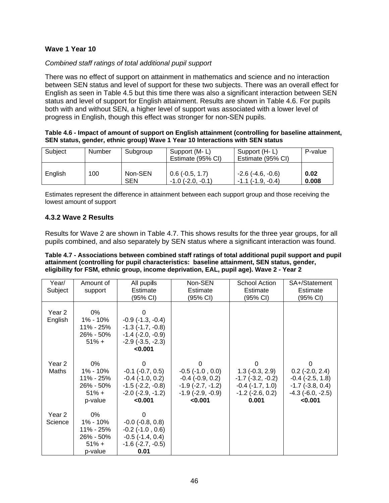## **Wave 1 Year 10**

## *Combined staff ratings of total additional pupil support*

There was no effect of support on attainment in mathematics and science and no interaction between SEN status and level of support for these two subjects. There was an overall effect for English as seen in Table 4.5 but this time there was also a significant interaction between SEN status and level of support for English attainment. Results are shown in Table 4.6. For pupils both with and without SEN, a higher level of support was associated with a lower level of progress in English, though this effect was stronger for non-SEN pupils.

| Table 4.6 - Impact of amount of support on English attainment (controlling for baseline attainment, |
|-----------------------------------------------------------------------------------------------------|
| SEN status, gender, ethnic group) Wave 1 Year 10 Interactions with SEN status                       |

| Subject | Number | Subgroup              | Support (M-L)<br>Estimate (95% CI)                  | Support (H-L)<br>Estimate (95% CI)                       | P-value       |
|---------|--------|-----------------------|-----------------------------------------------------|----------------------------------------------------------|---------------|
| English | 100    | Non-SEN<br><b>SEN</b> | $0.6$ ( $-0.5$ , 1.7)<br>$-1.0$ ( $-2.0$ . $-0.1$ ) | $-2.6$ ( $-4.6$ , $-0.6$ )<br>$-1.1$ ( $-1.9$ . $-0.4$ ) | 0.02<br>0.008 |

Estimates represent the difference in attainment between each support group and those receiving the lowest amount of support

## **4.3.2 Wave 2 Results**

Results for Wave 2 are shown in Table 4.7. This shows results for the three year groups, for all pupils combined, and also separately by SEN status where a significant interaction was found.

| Table 4.7 - Associations between combined staff ratings of total additional pupil support and pupil |
|-----------------------------------------------------------------------------------------------------|
| attainment (controlling for pupil characteristics: baseline attainment, SEN status, gender,         |
| eligibility for FSM, ethnic group, income deprivation, EAL, pupil age). Wave 2 - Year 2             |

| Year/<br>Subject           | Amount of<br>support                                            | All pupils<br>Estimate<br>(95% CI)                                                                                     | Non-SEN<br>Estimate<br>(95% CI)                                                                                     | <b>School Action</b><br>Estimate<br>(95% CI)                                                                 | SA+/Statement<br>Estimate<br>(95% CI)                                                                          |
|----------------------------|-----------------------------------------------------------------|------------------------------------------------------------------------------------------------------------------------|---------------------------------------------------------------------------------------------------------------------|--------------------------------------------------------------------------------------------------------------|----------------------------------------------------------------------------------------------------------------|
| Year 2<br>English          | 0%<br>1% - 10%<br>11% - 25%<br>26% - 50%<br>$51% +$             | 0<br>$-0.9$ $(-1.3, -0.4)$<br>$-1.3$ $(-1.7, -0.8)$<br>$-1.4$ ( $-2.0, -0.9$ )<br>$-2.9$ $(-3.5, -2.3)$<br>< 0.001     |                                                                                                                     |                                                                                                              |                                                                                                                |
| Year <sub>2</sub><br>Maths | 0%<br>1% - 10%<br>11% - 25%<br>26% - 50%<br>$51\% +$<br>p-value | 0<br>$-0.1$ $(-0.7, 0.5)$<br>$-0.4$ $(-1.0, 0.2)$<br>$-1.5$ ( $-2.2, -0.8$ )<br>$-2.0$ ( $-2.9$ , $-1.2$ )<br>< 0.001  | 0<br>$-0.5$ ( $-1.0$ , $0.0$ )<br>$-0.4$ $(-0.9, 0.2)$<br>$-1.9$ $(-2.7, -1.2)$<br>$-1.9$ $(-2.9, -0.9)$<br>< 0.001 | 0<br>$1.3$ (-0.3, 2.9)<br>$-1.7$ ( $-3.2, -0.2$ )<br>$-0.4$ $(-1.7, 1.0)$<br>$-1.2$ ( $-2.6$ , 0.2)<br>0.001 | 0<br>$0.2$ (-2.0, 2.4)<br>$-0.4$ $(-2.5, 1.8)$<br>$-1.7$ ( $-3.8, 0.4$ )<br>$-4.3$ ( $-6.0, -2.5$ )<br>< 0.001 |
| Year 2<br>Science          | 0%<br>1% - 10%<br>11% - 25%<br>26% - 50%<br>$51\% +$<br>p-value | 0<br>$-0.0$ $(-0.8, 0.8)$<br>$-0.2$ ( $-1.0$ , $0.6$ )<br>$-0.5$ ( $-1.4$ , $0.4$ )<br>$-1.6$ ( $-2.7, -0.5$ )<br>0.01 |                                                                                                                     |                                                                                                              |                                                                                                                |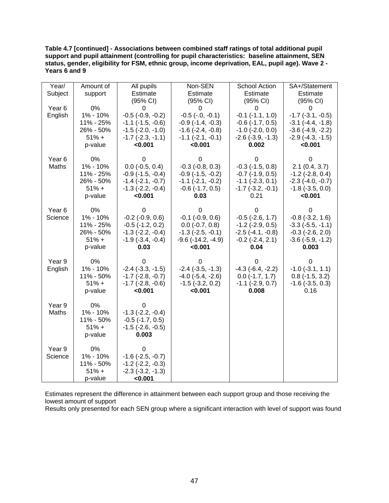**Table 4.7 [continued] - Associations between combined staff ratings of total additional pupil support and pupil attainment (controlling for pupil characteristics: baseline attainment, SEN status, gender, eligibility for FSM, ethnic group, income deprivation, EAL, pupil age). Wave 2 - Years 6 and 9** 

| Year/             | Amount of | All pupils                 | Non-SEN                     | <b>School Action</b>    | SA+/Statement            |
|-------------------|-----------|----------------------------|-----------------------------|-------------------------|--------------------------|
| Subject           | support   | Estimate                   | Estimate                    | Estimate                | Estimate                 |
|                   |           | (95% CI)                   | (95% CI)                    | (95% CI)                | (95% CI)                 |
| Year <sub>6</sub> | 0%        | 0                          | 0                           | 0                       | 0                        |
| English           | 1% - 10%  | $-0.5$ $(-0.9, -0.2)$      | $-0.5$ $(-.0, -0.1)$        | $-0.1$ $(-1.1, 1.0)$    | $-1.7$ $(-3.1, -0.5)$    |
|                   | 11% - 25% | $-1.1$ $(-1.5, -0.6)$      | $-0.9$ $(-1.4, -0.3)$       | $-0.6$ $(-1.7, 0.5)$    | $-3.1$ $(-4.4, -1.8)$    |
|                   | 26% - 50% | $-1.5$ $(-2.0, -1.0)$      | $-1.6$ $(-2.4, -0.8)$       | $-1.0$ $(-2.0, 0.0)$    | $-3.6$ $(-4.9, -2.2)$    |
|                   | $51% +$   | $-1.7$ $(-2.3, -1.1)$      | $-1.1$ $(-2.1, -0.1)$       | $-2.6$ $(-3.9, -1.3)$   | $-2.9$ $(-4.3, -1.5)$    |
|                   | p-value   | < 0.001                    | < 0.001                     | 0.002                   | < 0.001                  |
|                   |           |                            |                             |                         |                          |
| Year <sub>6</sub> | 0%        | O                          | O                           | O                       | O                        |
| Maths             | 1% - 10%  | $0.0$ (-0.5, 0.4)          | $-0.3$ $(-0.8, 0.3)$        | $-0.3$ $(-1.5, 0.8)$    | 2.1(0.4, 3.7)            |
|                   | 11% - 25% | $-0.9$ $(-1.5, -0.4)$      | $-0.9$ $(-1.5, -0.2)$       | $-0.7$ $(-1.9, 0.5)$    | $-1.2$ ( $-2.8$ , 0.4)   |
|                   | 26% - 50% | $-1.4$ $(-2.1, -0.7)$      | $-1.1$ $(-2.1, -0.2)$       | $-1.1$ $(-2.3, 0.1)$    | $-2.3$ $(-4.0, -0.7)$    |
|                   | $51% +$   | $-1.3$ $(-2.2, -0.4)$      | $-0.6$ $(-1.7, 0.5)$        | $-1.7$ $(-3.2, -0.1)$   | $-1.8$ $(-3.5, 0.0)$     |
|                   | p-value   | < 0.001                    | 0.03                        | 0.21                    | < 0.001                  |
|                   |           |                            |                             |                         |                          |
| Year <sub>6</sub> | 0%        | 0                          | 0                           | 0                       | 0                        |
| Science           | 1% - 10%  | $-0.2$ $(-0.9, 0.6)$       | $-0.1$ $(-0.9, 0.6)$        | $-0.5$ $(-2.6, 1.7)$    | $-0.8$ $(-3.2, 1.6)$     |
|                   | 11% - 25% | $-0.5$ $(-1.2, 0.2)$       | $0.0$ (-0.7, 0.8)           | $-1.2$ ( $-2.9, 0.5$ )  | $-3.3$ $(-5.5, -1.1)$    |
|                   | 26% - 50% | $-1.3$ $(-2.2, -0.4)$      | $-1.3$ $(-2.5, -0.1)$       | $-2.5$ ( $-4.1, -0.8$ ) | $-0.3$ $(-2.6, 2.0)$     |
|                   | $51% +$   | $-1.9$ $(-3.4, -0.4)$      | $-9.6$ ( $-14.2$ , $-4.9$ ) | $-0.2$ $(-2.4, 2.1)$    | $-3.6$ $(-5.9, -1.2)$    |
|                   | p-value   | 0.03                       | < 0.001                     | 0.04                    | 0.003                    |
| Year 9            | 0%        | 0                          | 0                           | 0                       | 0                        |
| English           | 1% - 10%  | $-2.4$ $(-3.3, -1.5)$      | $-2.4$ $(-3.5, -1.3)$       | $-4.3$ $(-6.4, -2.2)$   | $-1.0$ $(-3.1, 1.1)$     |
|                   | 11% - 50% | $-1.7$ ( $-2.8$ , $-0.7$ ) | $-4.0$ $(-5.4, -2.6)$       | $0.0$ (-1.7, 1.7)       | $0.8$ ( $-1.5$ , $3.2$ ) |
|                   | $51% +$   | $-1.7$ $(-2.8, -0.6)$      | $-1.5$ $(-3.2, 0.2)$        | $-1.1$ $(-2.9, 0.7)$    | $-1.6$ ( $-3.5, 0.3$ )   |
|                   | p-value   | < 0.001                    | < 0.001                     | 0.008                   | 0.16                     |
|                   |           |                            |                             |                         |                          |
| Year 9            | 0%        | 0                          |                             |                         |                          |
| Maths             | 1% - 10%  | $-1.3$ $(-2.2, -0.4)$      |                             |                         |                          |
|                   | 11% - 50% | $-0.5$ ( $-1.7, 0.5$ )     |                             |                         |                          |
|                   | $51% +$   | $-1.5$ ( $-2.6$ , $-0.5$ ) |                             |                         |                          |
|                   | p-value   | 0.003                      |                             |                         |                          |
|                   |           |                            |                             |                         |                          |
| Year 9            | 0%        | 0                          |                             |                         |                          |
| Science           | 1% - 10%  | $-1.6$ ( $-2.5$ , $-0.7$ ) |                             |                         |                          |
|                   | 11% - 50% | $-1.2$ ( $-2.2$ , $-0.3$ ) |                             |                         |                          |
|                   | $51% +$   | $-2.3$ $(-3.2, -1.3)$      |                             |                         |                          |
|                   | p-value   | < 0.001                    |                             |                         |                          |

Estimates represent the difference in attainment between each support group and those receiving the lowest amount of support

Results only presented for each SEN group where a significant interaction with level of support was found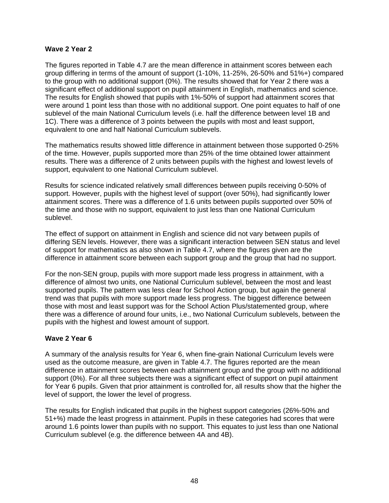## **Wave 2 Year 2**

The figures reported in Table 4.7 are the mean difference in attainment scores between each group differing in terms of the amount of support (1-10%, 11-25%, 26-50% and 51%+) compared to the group with no additional support (0%). The results showed that for Year 2 there was a significant effect of additional support on pupil attainment in English, mathematics and science. The results for English showed that pupils with 1%-50% of support had attainment scores that were around 1 point less than those with no additional support. One point equates to half of one sublevel of the main National Curriculum levels (i.e. half the difference between level 1B and 1C). There was a difference of 3 points between the pupils with most and least support, equivalent to one and half National Curriculum sublevels.

The mathematics results showed little difference in attainment between those supported 0-25% of the time. However, pupils supported more than 25% of the time obtained lower attainment results. There was a difference of 2 units between pupils with the highest and lowest levels of support, equivalent to one National Curriculum sublevel.

Results for science indicated relatively small differences between pupils receiving 0-50% of support. However, pupils with the highest level of support (over 50%), had significantly lower attainment scores. There was a difference of 1.6 units between pupils supported over 50% of the time and those with no support, equivalent to just less than one National Curriculum sublevel.

The effect of support on attainment in English and science did not vary between pupils of differing SEN levels. However, there was a significant interaction between SEN status and level of support for mathematics as also shown in Table 4.7, where the figures given are the difference in attainment score between each support group and the group that had no support.

For the non-SEN group, pupils with more support made less progress in attainment, with a difference of almost two units, one National Curriculum sublevel, between the most and least supported pupils. The pattern was less clear for School Action group, but again the general trend was that pupils with more support made less progress. The biggest difference between those with most and least support was for the School Action Plus/statemented group, where there was a difference of around four units, i.e., two National Curriculum sublevels, between the pupils with the highest and lowest amount of support.

## **Wave 2 Year 6**

A summary of the analysis results for Year 6, when fine-grain National Curriculum levels were used as the outcome measure, are given in Table 4.7. The figures reported are the mean difference in attainment scores between each attainment group and the group with no additional support (0%). For all three subjects there was a significant effect of support on pupil attainment for Year 6 pupils. Given that prior attainment is controlled for, all results show that the higher the level of support, the lower the level of progress.

The results for English indicated that pupils in the highest support categories (26%-50% and 51+%) made the least progress in attainment. Pupils in these categories had scores that were around 1.6 points lower than pupils with no support. This equates to just less than one National Curriculum sublevel (e.g. the difference between 4A and 4B).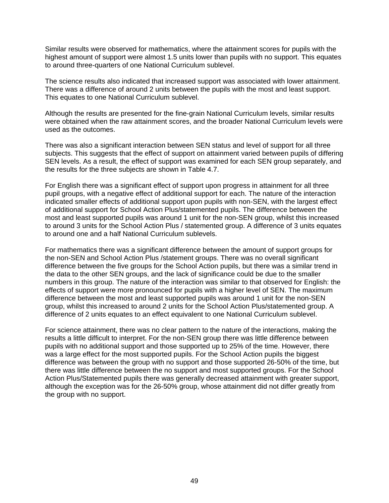Similar results were observed for mathematics, where the attainment scores for pupils with the highest amount of support were almost 1.5 units lower than pupils with no support. This equates to around three-quarters of one National Curriculum sublevel.

The science results also indicated that increased support was associated with lower attainment. There was a difference of around 2 units between the pupils with the most and least support. This equates to one National Curriculum sublevel.

Although the results are presented for the fine-grain National Curriculum levels, similar results were obtained when the raw attainment scores, and the broader National Curriculum levels were used as the outcomes.

There was also a significant interaction between SEN status and level of support for all three subjects. This suggests that the effect of support on attainment varied between pupils of differing SEN levels. As a result, the effect of support was examined for each SEN group separately, and the results for the three subjects are shown in Table 4.7.

For English there was a significant effect of support upon progress in attainment for all three pupil groups, with a negative effect of additional support for each. The nature of the interaction indicated smaller effects of additional support upon pupils with non-SEN, with the largest effect of additional support for School Action Plus/statemented pupils. The difference between the most and least supported pupils was around 1 unit for the non-SEN group, whilst this increased to around 3 units for the School Action Plus / statemented group. A difference of 3 units equates to around one and a half National Curriculum sublevels.

For mathematics there was a significant difference between the amount of support groups for the non-SEN and School Action Plus /statement groups. There was no overall significant difference between the five groups for the School Action pupils, but there was a similar trend in the data to the other SEN groups, and the lack of significance could be due to the smaller numbers in this group. The nature of the interaction was similar to that observed for English: the effects of support were more pronounced for pupils with a higher level of SEN. The maximum difference between the most and least supported pupils was around 1 unit for the non-SEN group, whilst this increased to around 2 units for the School Action Plus/statemented group. A difference of 2 units equates to an effect equivalent to one National Curriculum sublevel.

For science attainment, there was no clear pattern to the nature of the interactions, making the results a little difficult to interpret. For the non-SEN group there was little difference between pupils with no additional support and those supported up to 25% of the time. However, there was a large effect for the most supported pupils. For the School Action pupils the biggest difference was between the group with no support and those supported 26-50% of the time, but there was little difference between the no support and most supported groups. For the School Action Plus/Statemented pupils there was generally decreased attainment with greater support, although the exception was for the 26-50% group, whose attainment did not differ greatly from the group with no support.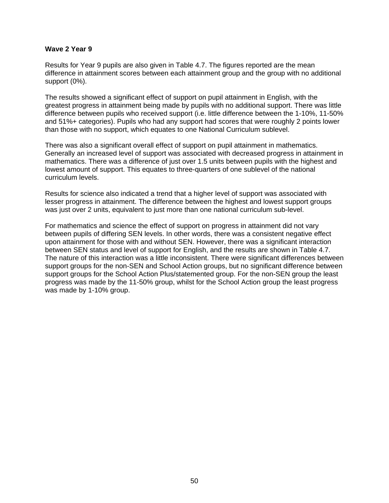#### **Wave 2 Year 9**

Results for Year 9 pupils are also given in Table 4.7. The figures reported are the mean difference in attainment scores between each attainment group and the group with no additional support (0%).

The results showed a significant effect of support on pupil attainment in English, with the greatest progress in attainment being made by pupils with no additional support. There was little difference between pupils who received support (i.e. little difference between the 1-10%, 11-50% and 51%+ categories). Pupils who had any support had scores that were roughly 2 points lower than those with no support, which equates to one National Curriculum sublevel.

There was also a significant overall effect of support on pupil attainment in mathematics. Generally an increased level of support was associated with decreased progress in attainment in mathematics. There was a difference of just over 1.5 units between pupils with the highest and lowest amount of support. This equates to three-quarters of one sublevel of the national curriculum levels.

Results for science also indicated a trend that a higher level of support was associated with lesser progress in attainment. The difference between the highest and lowest support groups was just over 2 units, equivalent to just more than one national curriculum sub-level.

For mathematics and science the effect of support on progress in attainment did not vary between pupils of differing SEN levels. In other words, there was a consistent negative effect upon attainment for those with and without SEN. However, there was a significant interaction between SEN status and level of support for English, and the results are shown in Table 4.7. The nature of this interaction was a little inconsistent. There were significant differences between support groups for the non-SEN and School Action groups, but no significant difference between support groups for the School Action Plus/statemented group. For the non-SEN group the least progress was made by the 11-50% group, whilst for the School Action group the least progress was made by 1-10% group.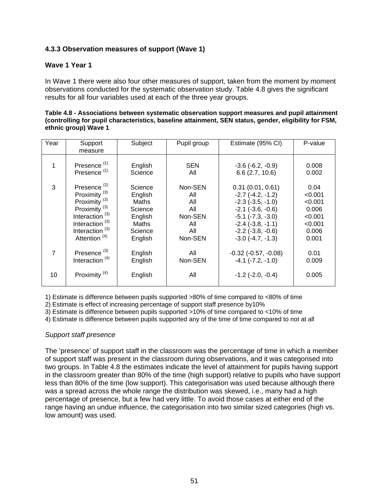## **4.3.3 Observation measures of support (Wave 1)**

## **Wave 1 Year 1**

In Wave 1 there were also four other measures of support, taken from the moment by moment observations conducted for the systematic observation study. Table 4.8 gives the significant results for all four variables used at each of the three year groups.

| Table 4.8 - Associations between systematic observation support measures and pupil attainment         |
|-------------------------------------------------------------------------------------------------------|
| (controlling for pupil characteristics, baseline attainment, SEN status, gender, eligibility for FSM, |
| ethnic group) Wave 1                                                                                  |

| Year | Support<br>measure         | Subject | Pupil group | Estimate (95% CI)        | P-value |
|------|----------------------------|---------|-------------|--------------------------|---------|
|      | Presence <sup>(1)</sup>    | English | <b>SEN</b>  | $-3.6$ $(-6.2, -0.9)$    | 0.008   |
|      | Presence <sup>(1)</sup>    | Science | All         | 6.6(2.7, 10.6)           | 0.002   |
| 3    | Presence <sup>(2)</sup>    | Science | Non-SEN     | 0.31(0.01, 0.61)         | 0.04    |
|      | Proximity $(3)$            | English | All         | $-2.7$ $(-4.2, -1.2)$    | < 0.001 |
|      | Proximity $(3)$            | Maths   | All         | $-2.3$ $(-3.5, -1.0)$    | < 0.001 |
|      | Proximity $(3)$            | Science | All         | $-2.1$ $(-3.6, -0.6)$    | 0.006   |
|      | Interaction <sup>(3)</sup> | English | Non-SEN     | $-5.1$ $(-7.3, -3.0)$    | < 0.001 |
|      | Interaction <sup>(3)</sup> | Maths   | All         | $-2.4$ $(-3.8, -1.1)$    | < 0.001 |
|      | Interaction $(3)$          | Science | All         | $-2.2$ $(-3.8, -0.6)$    | 0.006   |
|      | Attention <sup>(4)</sup>   | English | Non-SEN     | $-3.0$ $(-4.7, -1.3)$    | 0.001   |
| 7    | Presence <sup>(3)</sup>    | English | All         | $-0.32$ $(-0.57, -0.08)$ | 0.01    |
|      | Interaction $(4)$          | English | Non-SEN     | $-4.1$ $(-7.2, -1.0)$    | 0.009   |
| 10   | Proximity $(4)$            | English | All         | $-1.2$ ( $-2.0, -0.4$ )  | 0.005   |

1) Estimate is difference between pupils supported >80% of time compared to <80% of time

2) Estimate is effect of increasing percentage of support staff presence by10%

3) Estimate is difference between pupils supported >10% of time compared to <10% of time

4) Estimate is difference between pupils supported any of the time of time compared to not at all

## *Support staff presence*

The 'presence' of support staff in the classroom was the percentage of time in which a member of support staff was present in the classroom during observations, and it was categorised into two groups. In Table 4.8 the estimates indicate the level of attainment for pupils having support in the classroom greater than 80% of the time (high support) relative to pupils who have support less than 80% of the time (low support). This categorisation was used because although there was a spread across the whole range the distribution was skewed, i.e., many had a high percentage of presence, but a few had very little. To avoid those cases at either end of the range having an undue influence, the categorisation into two similar sized categories (high vs. low amount) was used.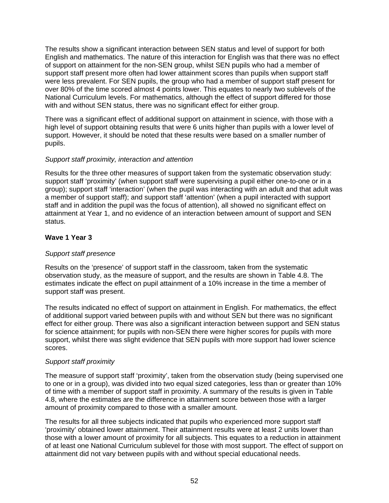The results show a significant interaction between SEN status and level of support for both English and mathematics. The nature of this interaction for English was that there was no effect of support on attainment for the non-SEN group, whilst SEN pupils who had a member of support staff present more often had lower attainment scores than pupils when support staff were less prevalent. For SEN pupils, the group who had a member of support staff present for over 80% of the time scored almost 4 points lower. This equates to nearly two sublevels of the National Curriculum levels. For mathematics, although the effect of support differed for those with and without SEN status, there was no significant effect for either group.

There was a significant effect of additional support on attainment in science, with those with a high level of support obtaining results that were 6 units higher than pupils with a lower level of support. However, it should be noted that these results were based on a smaller number of pupils.

#### *Support staff proximity, interaction and attention*

Results for the three other measures of support taken from the systematic observation study: support staff 'proximity' (when support staff were supervising a pupil either one-to-one or in a group); support staff 'interaction' (when the pupil was interacting with an adult and that adult was a member of support staff); and support staff 'attention' (when a pupil interacted with support staff and in addition the pupil was the focus of attention), all showed no significant effect on attainment at Year 1, and no evidence of an interaction between amount of support and SEN status.

## **Wave 1 Year 3**

## *Support staff presence*

Results on the 'presence' of support staff in the classroom, taken from the systematic observation study, as the measure of support, and the results are shown in Table 4.8. The estimates indicate the effect on pupil attainment of a 10% increase in the time a member of support staff was present.

The results indicated no effect of support on attainment in English. For mathematics, the effect of additional support varied between pupils with and without SEN but there was no significant effect for either group. There was also a significant interaction between support and SEN status for science attainment; for pupils with non-SEN there were higher scores for pupils with more support, whilst there was slight evidence that SEN pupils with more support had lower science scores.

#### *Support staff proximity*

The measure of support staff 'proximity', taken from the observation study (being supervised one to one or in a group), was divided into two equal sized categories, less than or greater than 10% of time with a member of support staff in proximity. A summary of the results is given in Table 4.8, where the estimates are the difference in attainment score between those with a larger amount of proximity compared to those with a smaller amount.

The results for all three subjects indicated that pupils who experienced more support staff 'proximity' obtained lower attainment. Their attainment results were at least 2 units lower than those with a lower amount of proximity for all subjects. This equates to a reduction in attainment of at least one National Curriculum sublevel for those with most support. The effect of support on attainment did not vary between pupils with and without special educational needs.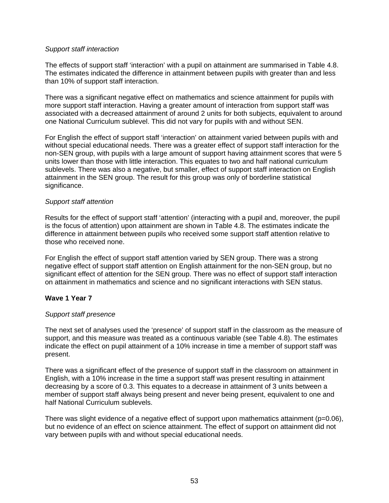## *Support staff interaction*

The effects of support staff 'interaction' with a pupil on attainment are summarised in Table 4.8. The estimates indicated the difference in attainment between pupils with greater than and less than 10% of support staff interaction.

There was a significant negative effect on mathematics and science attainment for pupils with more support staff interaction. Having a greater amount of interaction from support staff was associated with a decreased attainment of around 2 units for both subjects, equivalent to around one National Curriculum sublevel. This did not vary for pupils with and without SEN.

For English the effect of support staff 'interaction' on attainment varied between pupils with and without special educational needs. There was a greater effect of support staff interaction for the non-SEN group, with pupils with a large amount of support having attainment scores that were 5 units lower than those with little interaction. This equates to two and half national curriculum sublevels. There was also a negative, but smaller, effect of support staff interaction on English attainment in the SEN group. The result for this group was only of borderline statistical significance.

#### *Support staff attention*

Results for the effect of support staff 'attention' (interacting with a pupil and, moreover, the pupil is the focus of attention) upon attainment are shown in Table 4.8. The estimates indicate the difference in attainment between pupils who received some support staff attention relative to those who received none.

For English the effect of support staff attention varied by SEN group. There was a strong negative effect of support staff attention on English attainment for the non-SEN group, but no significant effect of attention for the SEN group. There was no effect of support staff interaction on attainment in mathematics and science and no significant interactions with SEN status.

## **Wave 1 Year 7**

## *Support staff presence*

The next set of analyses used the 'presence' of support staff in the classroom as the measure of support, and this measure was treated as a continuous variable (see Table 4.8). The estimates indicate the effect on pupil attainment of a 10% increase in time a member of support staff was present.

There was a significant effect of the presence of support staff in the classroom on attainment in English, with a 10% increase in the time a support staff was present resulting in attainment decreasing by a score of 0.3. This equates to a decrease in attainment of 3 units between a member of support staff always being present and never being present, equivalent to one and half National Curriculum sublevels.

There was slight evidence of a negative effect of support upon mathematics attainment (p=0.06), but no evidence of an effect on science attainment. The effect of support on attainment did not vary between pupils with and without special educational needs.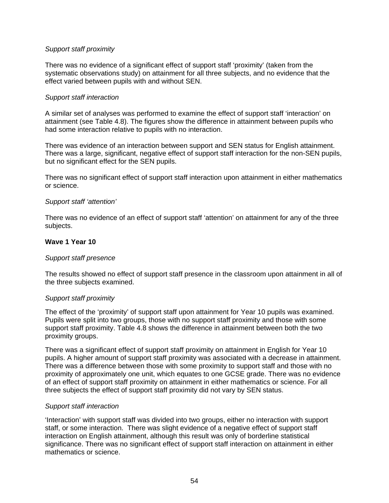## *Support staff proximity*

There was no evidence of a significant effect of support staff 'proximity' (taken from the systematic observations study) on attainment for all three subjects, and no evidence that the effect varied between pupils with and without SEN.

#### *Support staff interaction*

A similar set of analyses was performed to examine the effect of support staff 'interaction' on attainment (see Table 4.8). The figures show the difference in attainment between pupils who had some interaction relative to pupils with no interaction.

There was evidence of an interaction between support and SEN status for English attainment. There was a large, significant, negative effect of support staff interaction for the non-SEN pupils, but no significant effect for the SEN pupils.

There was no significant effect of support staff interaction upon attainment in either mathematics or science.

#### *Support staff 'attention'*

There was no evidence of an effect of support staff 'attention' on attainment for any of the three subjects.

#### **Wave 1 Year 10**

#### *Support staff presence*

The results showed no effect of support staff presence in the classroom upon attainment in all of the three subjects examined.

#### *Support staff proximity*

The effect of the 'proximity' of support staff upon attainment for Year 10 pupils was examined. Pupils were split into two groups, those with no support staff proximity and those with some support staff proximity. Table 4.8 shows the difference in attainment between both the two proximity groups.

There was a significant effect of support staff proximity on attainment in English for Year 10 pupils. A higher amount of support staff proximity was associated with a decrease in attainment. There was a difference between those with some proximity to support staff and those with no proximity of approximately one unit, which equates to one GCSE grade. There was no evidence of an effect of support staff proximity on attainment in either mathematics or science. For all three subjects the effect of support staff proximity did not vary by SEN status.

#### *Support staff interaction*

'Interaction' with support staff was divided into two groups, either no interaction with support staff, or some interaction. There was slight evidence of a negative effect of support staff interaction on English attainment, although this result was only of borderline statistical significance. There was no significant effect of support staff interaction on attainment in either mathematics or science.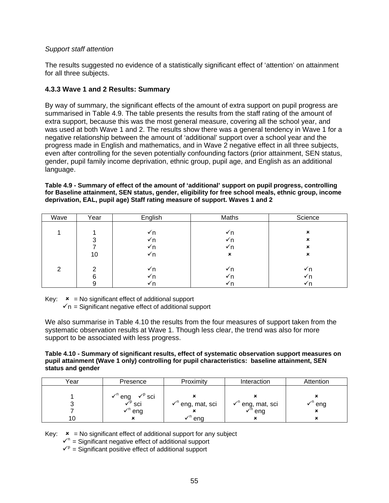## *Support staff attention*

The results suggested no evidence of a statistically significant effect of 'attention' on attainment for all three subjects.

## **4.3.3 Wave 1 and 2 Results: Summary**

By way of summary, the significant effects of the amount of extra support on pupil progress are summarised in Table 4.9. The table presents the results from the staff rating of the amount of extra support, because this was the most general measure, covering all the school year, and was used at both Wave 1 and 2. The results show there was a general tendency in Wave 1 for a negative relationship between the amount of 'additional' support over a school year and the progress made in English and mathematics, and in Wave 2 negative effect in all three subjects, even after controlling for the seven potentially confounding factors (prior attainment, SEN status, gender, pupil family income deprivation, ethnic group, pupil age, and English as an additional language.

**Table 4.9 - Summary of effect of the amount of 'additional' support on pupil progress, controlling for Baseline attainment, SEN status, gender, eligibility for free school meals, ethnic group, income deprivation, EAL, pupil age) Staff rating measure of support. Waves 1 and 2** 

| Wave | Year | English | Maths          | Science |
|------|------|---------|----------------|---------|
|      |      |         |                |         |
|      |      | √n      | √n             | ×       |
|      | ົ    | √n      | √n             | ×       |
|      |      | √n      | Y n            | ×       |
|      | 10   | √n      | $\pmb{\times}$ | ×       |
|      |      |         |                |         |
| 2    | ົ    | √n      | √n             | √n      |
|      | 6    | √n      | √n             | √n      |
|      | a    | √n      | √ n            |         |

Key:  $x = No$  significant effect of additional support

 $\mathbf{v}_n$  = Significant negative effect of additional support

We also summarise in Table 4.10 the results from the four measures of support taken from the systematic observation results at Wave 1. Though less clear, the trend was also for more support to be associated with less progress.

**Table 4.10 - Summary of significant results, effect of systematic observation support measures on pupil attainment (Wave 1 only) controlling for pupil characteristics: baseline attainment, SEN status and gender** 

| Year | Presence                                                       | Proximity                    | Interaction                             | Attention                     |
|------|----------------------------------------------------------------|------------------------------|-----------------------------------------|-------------------------------|
|      |                                                                |                              |                                         |                               |
|      | $\sqrt{P}$ sci                                                 |                              |                                         |                               |
|      | $\checkmark^{\mathsf{n}}$ eng<br>$\checkmark^{\mathsf{p}}$ sci | √ <sup>n</sup> eng, mat, sci | $\checkmark$ <sup>n</sup> eng, mat, sci | $\checkmark$ <sup>n</sup> eng |
|      | $\checkmark$ <sup>n</sup> eng                                  |                              | $\checkmark$ <sup>n</sup> eng           |                               |
|      | ×                                                              | ena                          |                                         |                               |

Key:  $\mathbf{x}$  = No significant effect of additional support for any subject

 $\mathbf{v}^n$  = Significant negative effect of additional support

 $\mathbf{v}^{\mathrm{p}}$  = Significant positive effect of additional support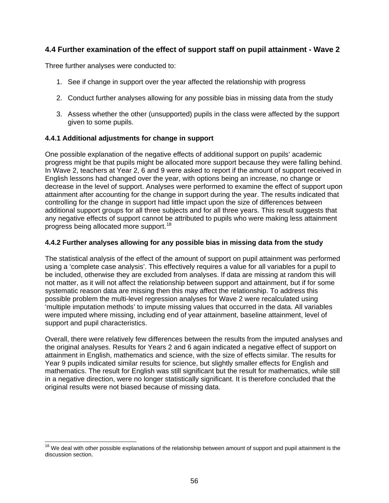# <span id="page-60-0"></span>**4.4 Further examination of the effect of support staff on pupil attainment - Wave 2**

Three further analyses were conducted to:

- 1. See if change in support over the year affected the relationship with progress
- 2. Conduct further analyses allowing for any possible bias in missing data from the study
- 3. Assess whether the other (unsupported) pupils in the class were affected by the support given to some pupils.

## **4.4.1 Additional adjustments for change in support**

One possible explanation of the negative effects of additional support on pupils' academic progress might be that pupils might be allocated more support because they were falling behind. In Wave 2, teachers at Year 2, 6 and 9 were asked to report if the amount of support received in English lessons had changed over the year, with options being an increase, no change or decrease in the level of support. Analyses were performed to examine the effect of support upon attainment after accounting for the change in support during the year. The results indicated that controlling for the change in support had little impact upon the size of differences between additional support groups for all three subjects and for all three years. This result suggests that any negative effects of support cannot be attributed to pupils who were making less attainment progress being allocated more support.<sup>[18](#page-60-0)</sup>

## **4.4.2 Further analyses allowing for any possible bias in missing data from the study**

The statistical analysis of the effect of the amount of support on pupil attainment was performed using a 'complete case analysis'. This effectively requires a value for all variables for a pupil to be included, otherwise they are excluded from analyses. If data are missing at random this will not matter, as it will not affect the relationship between support and attainment, but if for some systematic reason data are missing then this may affect the relationship. To address this possible problem the multi-level regression analyses for Wave 2 were recalculated using 'multiple imputation methods' to impute missing values that occurred in the data. All variables were imputed where missing, including end of year attainment, baseline attainment, level of support and pupil characteristics.

Overall, there were relatively few differences between the results from the imputed analyses and the original analyses. Results for Years 2 and 6 again indicated a negative effect of support on attainment in English, mathematics and science, with the size of effects similar. The results for Year 9 pupils indicated similar results for science, but slightly smaller effects for English and mathematics. The result for English was still significant but the result for mathematics, while still in a negative direction, were no longer statistically significant. It is therefore concluded that the original results were not biased because of missing data.

  $18$  We deal with other possible explanations of the relationship between amount of support and pupil attainment is the discussion section.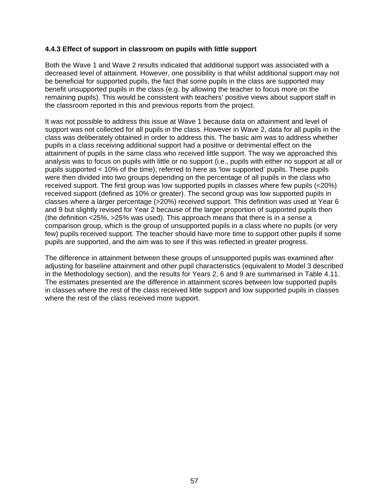## **4.4.3 Effect of support in classroom on pupils with little support**

Both the Wave 1 and Wave 2 results indicated that additional support was associated with a decreased level of attainment. However, one possibility is that whilst additional support may not be beneficial for supported pupils, the fact that some pupils in the class are supported may benefit unsupported pupils in the class (e.g. by allowing the teacher to focus more on the remaining pupils). This would be consistent with teachers' positive views about support staff in the classroom reported in this and previous reports from the project.

It was not possible to address this issue at Wave 1 because data on attainment and level of support was not collected for all pupils in the class. However in Wave 2, data for all pupils in the class was deliberately obtained in order to address this. The basic aim was to address whether pupils in a class receiving additional support had a positive or detrimental effect on the attainment of pupils in the same class who received little support. The way we approached this analysis was to focus on pupils with little or no support (i.e., pupils with either no support at all or pupils supported < 10% of the time), referred to here as 'low supported' pupils. These pupils were then divided into two groups depending on the percentage of all pupils in the class who received support. The first group was low supported pupils in classes where few pupils (<20%) received support (defined as 10% or greater). The second group was low supported pupils in classes where a larger percentage (>20%) received support. This definition was used at Year 6 and 9 but slightly revised for Year 2 because of the larger proportion of supported pupils then (the definition <25%, >25% was used). This approach means that there is in a sense a comparison group, which is the group of unsupported pupils in a class where no pupils (or very few) pupils received support. The teacher should have more time to support other pupils if some pupils are supported, and the aim was to see if this was reflected in greater progress.

The difference in attainment between these groups of unsupported pupils was examined after adjusting for baseline attainment and other pupil characteristics (equivalent to Model 3 described in the Methodology section), and the results for Years 2, 6 and 9 are summarised in Table 4.11. The estimates presented are the difference in attainment scores between low supported pupils in classes where the rest of the class received little support and low supported pupils in classes where the rest of the class received more support.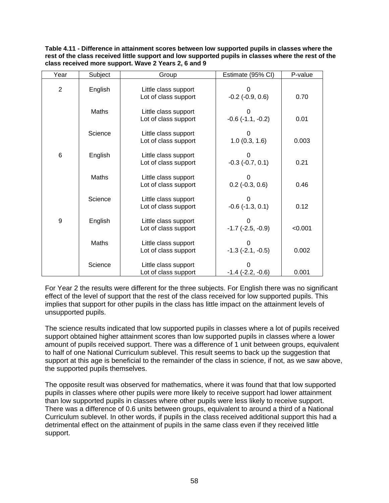**Table 4.11 - Difference in attainment scores between low supported pupils in classes where the rest of the class received little support and low supported pupils in classes where the rest of the class received more support. Wave 2 Years 2, 6 and 9** 

| Year           | Subject      | Group                                        | Estimate (95% CI)          | P-value |
|----------------|--------------|----------------------------------------------|----------------------------|---------|
| $\overline{2}$ | English      | Little class support<br>Lot of class support | $-0.2$ $(-0.9, 0.6)$       | 0.70    |
|                | <b>Maths</b> | Little class support<br>Lot of class support | $-0.6$ $(-1.1, -0.2)$      | 0.01    |
|                | Science      | Little class support<br>Lot of class support | 1.0(0.3, 1.6)              | 0.003   |
| 6              | English      | Little class support<br>Lot of class support | $-0.3$ $(-0.7, 0.1)$       | 0.21    |
|                | <b>Maths</b> | Little class support<br>Lot of class support | $0.2$ (-0.3, 0.6)          | 0.46    |
|                | Science      | Little class support<br>Lot of class support | 0<br>$-0.6$ $(-1.3, 0.1)$  | 0.12    |
| 9              | English      | Little class support<br>Lot of class support | $-1.7$ ( $-2.5$ , $-0.9$ ) | < 0.001 |
|                | <b>Maths</b> | Little class support<br>Lot of class support | $-1.3$ $(-2.1, -0.5)$      | 0.002   |
|                | Science      | Little class support<br>Lot of class support | $-1.4$ ( $-2.2, -0.6$ )    | 0.001   |

For Year 2 the results were different for the three subjects. For English there was no significant effect of the level of support that the rest of the class received for low supported pupils. This implies that support for other pupils in the class has little impact on the attainment levels of unsupported pupils.

The science results indicated that low supported pupils in classes where a lot of pupils received support obtained higher attainment scores than low supported pupils in classes where a lower amount of pupils received support. There was a difference of 1 unit between groups, equivalent to half of one National Curriculum sublevel. This result seems to back up the suggestion that support at this age is beneficial to the remainder of the class in science, if not, as we saw above, the supported pupils themselves.

The opposite result was observed for mathematics, where it was found that that low supported pupils in classes where other pupils were more likely to receive support had lower attainment than low supported pupils in classes where other pupils were less likely to receive support. There was a difference of 0.6 units between groups, equivalent to around a third of a National Curriculum sublevel. In other words, if pupils in the class received additional support this had a detrimental effect on the attainment of pupils in the same class even if they received little support.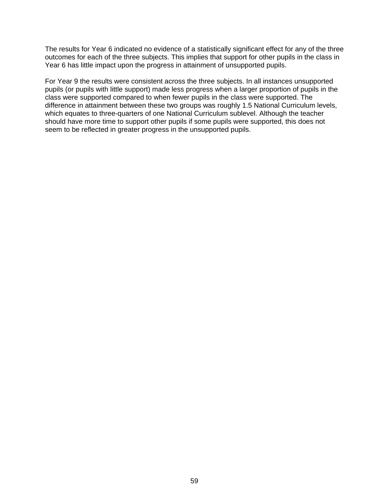The results for Year 6 indicated no evidence of a statistically significant effect for any of the three outcomes for each of the three subjects. This implies that support for other pupils in the class in Year 6 has little impact upon the progress in attainment of unsupported pupils.

For Year 9 the results were consistent across the three subjects. In all instances unsupported pupils (or pupils with little support) made less progress when a larger proportion of pupils in the class were supported compared to when fewer pupils in the class were supported. The difference in attainment between these two groups was roughly 1.5 National Curriculum levels, which equates to three-quarters of one National Curriculum sublevel. Although the teacher should have more time to support other pupils if some pupils were supported, this does not seem to be reflected in greater progress in the unsupported pupils.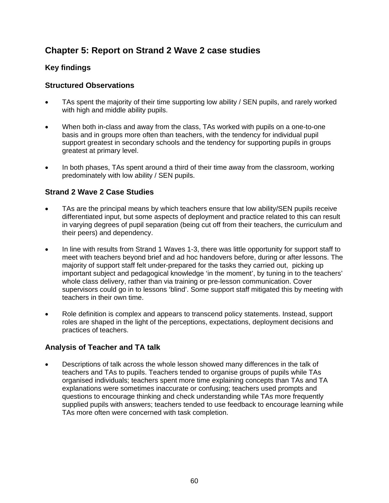# **Chapter 5: Report on Strand 2 Wave 2 case studies**

# **Key findings**

## **Structured Observations**

- TAs spent the majority of their time supporting low ability / SEN pupils, and rarely worked with high and middle ability pupils.
- When both in-class and away from the class, TAs worked with pupils on a one-to-one basis and in groups more often than teachers, with the tendency for individual pupil support greatest in secondary schools and the tendency for supporting pupils in groups greatest at primary level.
- In both phases, TAs spent around a third of their time away from the classroom, working predominately with low ability / SEN pupils.

## **Strand 2 Wave 2 Case Studies**

- TAs are the principal means by which teachers ensure that low ability/SEN pupils receive differentiated input, but some aspects of deployment and practice related to this can result in varying degrees of pupil separation (being cut off from their teachers, the curriculum and their peers) and dependency.
- In line with results from Strand 1 Waves 1-3, there was little opportunity for support staff to meet with teachers beyond brief and ad hoc handovers before, during or after lessons. The majority of support staff felt under-prepared for the tasks they carried out, picking up important subject and pedagogical knowledge 'in the moment', by tuning in to the teachers' whole class delivery, rather than via training or pre-lesson communication. Cover supervisors could go in to lessons 'blind'. Some support staff mitigated this by meeting with teachers in their own time.
- Role definition is complex and appears to transcend policy statements. Instead, support roles are shaped in the light of the perceptions, expectations, deployment decisions and practices of teachers.

## **Analysis of Teacher and TA talk**

• Descriptions of talk across the whole lesson showed many differences in the talk of teachers and TAs to pupils. Teachers tended to organise groups of pupils while TAs organised individuals; teachers spent more time explaining concepts than TAs and TA explanations were sometimes inaccurate or confusing; teachers used prompts and questions to encourage thinking and check understanding while TAs more frequently supplied pupils with answers; teachers tended to use feedback to encourage learning while TAs more often were concerned with task completion.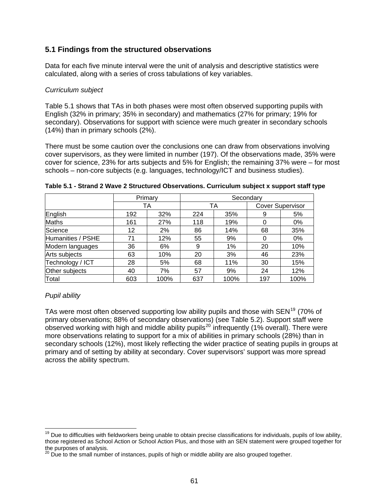## <span id="page-65-0"></span>**5.1 Findings from the structured observations**

Data for each five minute interval were the unit of analysis and descriptive statistics were calculated, along with a series of cross tabulations of key variables.

#### *Curriculum subject*

Table 5.1 shows that TAs in both phases were most often observed supporting pupils with English (32% in primary; 35% in secondary) and mathematics (27% for primary; 19% for secondary). Observations for support with science were much greater in secondary schools (14%) than in primary schools (2%).

There must be some caution over the conclusions one can draw from observations involving cover supervisors, as they were limited in number (197). Of the observations made, 35% were cover for science, 23% for arts subjects and 5% for English; the remaining 37% were – for most schools – non-core subjects (e.g. languages, technology/ICT and business studies).

|                   | Primary |      | Secondary |      |                         |      |  |  |
|-------------------|---------|------|-----------|------|-------------------------|------|--|--|
|                   |         | TA   |           | TA   | <b>Cover Supervisor</b> |      |  |  |
| English           | 192     | 32%  | 224       | 35%  | 9                       | 5%   |  |  |
| <b>Maths</b>      | 161     | 27%  | 118       | 19%  |                         | 0%   |  |  |
| Science           | 12      | 2%   | 86        | 14%  |                         | 35%  |  |  |
| Humanities / PSHE | 71      | 12%  | 55        | 9%   |                         | 0%   |  |  |
| Modern languages  | 36      | 6%   | 9         | 1%   | 20                      | 10%  |  |  |
| Arts subjects     | 63      | 10%  | 20        | 3%   | 46                      | 23%  |  |  |
| Technology / ICT  | 28      | 5%   | 11%<br>68 |      | 30                      | 15%  |  |  |
| Other subjects    | 40      | 7%   | 57        | 9%   | 24                      | 12%  |  |  |
| Total             | 603     | 100% | 637       | 100% | 197                     | 100% |  |  |

|  |  |  | Table 5.1 - Strand 2 Wave 2 Structured Observations. Curriculum subject x support staff type |
|--|--|--|----------------------------------------------------------------------------------------------|
|  |  |  |                                                                                              |

## *Pupil ability*

TAs were most often observed supporting low ability pupils and those with  $SEN^{19}$  $SEN^{19}$  $SEN^{19}$  (70% of primary observations; 88% of secondary observations) (see Table 5.2). Support staff were observed working with high and middle ability pupils<sup>[20](#page-65-0)</sup> infrequently (1% overall). There were more observations relating to support for a mix of abilities in primary schools (28%) than in secondary schools (12%), most likely reflecting the wider practice of seating pupils in groups at primary and of setting by ability at secondary. Cover supervisors' support was more spread across the ability spectrum.

<sup>&</sup>lt;sup>19</sup> Due to difficulties with fieldworkers being unable to obtain precise classifications for individuals, pupils of low ability, those registered as School Action or School Action Plus, and those with an SEN statement were grouped together for the purposes of analysis.

<sup>&</sup>lt;sup>20</sup> Due to the small number of instances, pupils of high or middle ability are also grouped together.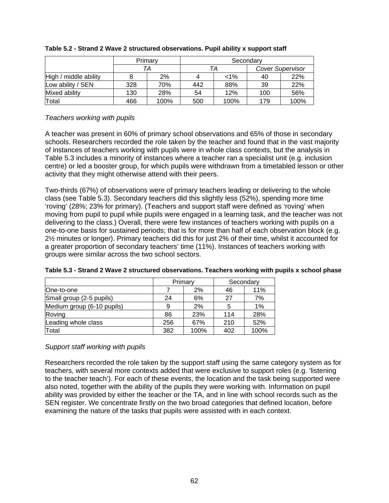|                       |     | Primary | Secondary |       |                         |      |  |  |
|-----------------------|-----|---------|-----------|-------|-------------------------|------|--|--|
|                       |     | TА      |           | TА    | <b>Cover Supervisor</b> |      |  |  |
| High / middle ability |     | 2%      |           | $1\%$ | 40                      | 22%  |  |  |
| Low ability / SEN     | 328 | 70%     | 442       | 88%   | 39                      | 22%  |  |  |
| Mixed ability         | 130 | 28%     | 54        | 12%   | 100                     | 56%  |  |  |
| Total                 | 466 | 100%    | 500       | 100%  | 179                     | 100% |  |  |

#### **Table 5.2 - Strand 2 Wave 2 structured observations. Pupil ability x support staff**

#### *Teachers working with pupils*

A teacher was present in 60% of primary school observations and 65% of those in secondary schools. Researchers recorded the role taken by the teacher and found that in the vast majority of instances of teachers working with pupils were in whole class contexts, but the analysis in Table 5.3 includes a minority of instances where a teacher ran a specialist unit (e.g. inclusion centre) or led a booster group, for which pupils were withdrawn from a timetabled lesson or other activity that they might otherwise attend with their peers.

Two-thirds (67%) of observations were of primary teachers leading or delivering to the whole class (see Table 5.3). Secondary teachers did this slightly less (52%), spending more time 'roving' (28%; 23% for primary). (Teachers and support staff were defined as 'roving' when moving from pupil to pupil while pupils were engaged in a learning task, and the teacher was not delivering to the class.) Overall, there were few instances of teachers working with pupils on a one-to-one basis for sustained periods; that is for more than half of each observation block (e.g. 2½ minutes or longer). Primary teachers did this for just 2% of their time, whilst it accounted for a greater proportion of secondary teachers' time (11%). Instances of teachers working with groups were similar across the two school sectors.

|                            |     | Primary | Secondary |      |
|----------------------------|-----|---------|-----------|------|
| One-to-one                 |     | 2%      | 46        | 11%  |
| Small group (2-5 pupils)   | 24  | 6%      | 27        | 7%   |
| Medium group (6-10 pupils) | 9   | 2%      | 5         | 1%   |
| Roving                     | 86  | 23%     | 114       | 28%  |
| Leading whole class        | 256 | 67%     | 210       | 52%  |
| Total                      | 382 | 100%    | 402       | 100% |

| Table 5.3 - Strand 2 Wave 2 structured observations. Teachers working with pupils x school phase |  |
|--------------------------------------------------------------------------------------------------|--|
|--------------------------------------------------------------------------------------------------|--|

## *Support staff working with pupils*

Researchers recorded the role taken by the support staff using the same category system as for teachers, with several more contexts added that were exclusive to support roles (e.g. 'listening to the teacher teach'). For each of these events, the location and the task being supported were also noted, together with the ability of the pupils they were working with. Information on pupil ability was provided by either the teacher or the TA, and in line with school records such as the SEN register. We concentrate firstly on the two broad categories that defined location, before examining the nature of the tasks that pupils were assisted with in each context.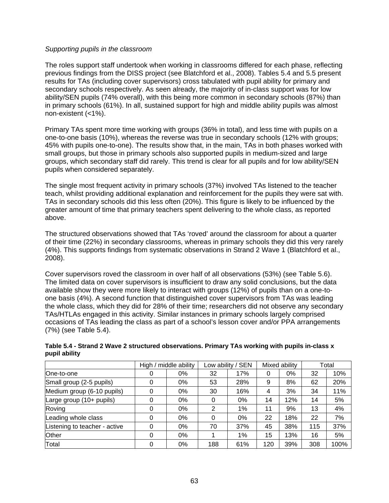#### *Supporting pupils in the classroom*

The roles support staff undertook when working in classrooms differed for each phase, reflecting previous findings from the DISS project (see Blatchford et al., 2008). Tables 5.4 and 5.5 present results for TAs (including cover supervisors) cross tabulated with pupil ability for primary and secondary schools respectively. As seen already, the majority of in-class support was for low ability/SEN pupils (74% overall), with this being more common in secondary schools (87%) than in primary schools (61%). In all, sustained support for high and middle ability pupils was almost non-existent (<1%).

Primary TAs spent more time working with groups (36% in total), and less time with pupils on a one-to-one basis (10%), whereas the reverse was true in secondary schools (12% with groups; 45% with pupils one-to-one). The results show that, in the main, TAs in both phases worked with small groups, but those in primary schools also supported pupils in medium-sized and large groups, which secondary staff did rarely. This trend is clear for all pupils and for low ability/SEN pupils when considered separately.

The single most frequent activity in primary schools (37%) involved TAs listened to the teacher teach, whilst providing additional explanation and reinforcement for the pupils they were sat with. TAs in secondary schools did this less often (20%). This figure is likely to be influenced by the greater amount of time that primary teachers spent delivering to the whole class, as reported above.

The structured observations showed that TAs 'roved' around the classroom for about a quarter of their time (22%) in secondary classrooms, whereas in primary schools they did this very rarely (4%). This supports findings from systematic observations in Strand 2 Wave 1 (Blatchford et al., 2008).

Cover supervisors roved the classroom in over half of all observations (53%) (see Table 5.6). The limited data on cover supervisors is insufficient to draw any solid conclusions, but the data available show they were more likely to interact with groups (12%) of pupils than on a one-toone basis (4%). A second function that distinguished cover supervisors from TAs was leading the whole class, which they did for 28% of their time; researchers did not observe any secondary TAs/HTLAs engaged in this activity. Similar instances in primary schools largely comprised occasions of TAs leading the class as part of a school's lesson cover and/or PPA arrangements (7%) (see Table 5.4).

|                               |   | High / middle ability | Low ability / SEN<br>Mixed ability |       |     | Total |     |      |
|-------------------------------|---|-----------------------|------------------------------------|-------|-----|-------|-----|------|
| One-to-one                    | 0 | 0%                    | 32                                 | 17%   | 0   | 0%    | 32  | 10%  |
| Small group (2-5 pupils)      | 0 | 0%                    | 53                                 | 28%   | 9   | 8%    | 62  | 20%  |
| Medium group (6-10 pupils)    | 0 | 0%                    | 30                                 | 16%   | 4   | 3%    | 34  | 11%  |
| Large group (10+ pupils)      | 0 | 0%                    | 0                                  | $0\%$ | 14  | 12%   | 14  | 5%   |
| Roving                        | 0 | 0%                    | 2                                  | $1\%$ | 11  | 9%    | 13  | 4%   |
| Leading whole class           | 0 | 0%                    | 0                                  | $0\%$ | 22  | 18%   | 22  | 7%   |
| Listening to teacher - active | 0 | 0%                    | 70                                 | 37%   | 45  | 38%   | 115 | 37%  |
| <b>Other</b>                  | 0 | 0%                    |                                    | 1%    | 15  | 13%   | 16  | 5%   |
| Total                         | 0 | 0%                    | 188                                | 61%   | 120 | 39%   | 308 | 100% |

#### **Table 5.4 - Strand 2 Wave 2 structured observations. Primary TAs working with pupils in-class x pupil ability**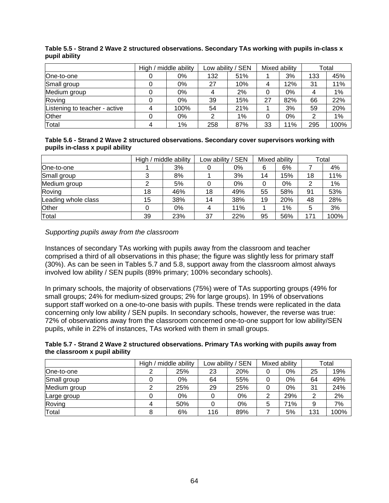|                               | High / middle ability | Low ability / SEN<br>Mixed ability |       | Total |     |     |      |
|-------------------------------|-----------------------|------------------------------------|-------|-------|-----|-----|------|
| lOne-to-one                   | 0%                    | 132                                | 51%   |       | 3%  | 133 | 45%  |
| Small group                   | 0%                    | 27                                 | 10%   | 4     | 12% | 31  | 11%  |
| Medium group                  | 0%                    |                                    | 2%    |       | 0%  | 4   | 1%   |
| Roving                        | 0%                    | 39                                 | 15%   | 27    | 82% | 66  | 22%  |
| Listening to teacher - active | 100%                  | 54                                 | 21%   |       | 3%  | 59  | 20%  |
| <b>Other</b>                  | 0%                    | າ                                  | $1\%$ | 0     | 0%  | 2   | 1%   |
| Total                         | $1\%$                 | 258                                | 87%   | 33    | 11% | 295 | 100% |

#### **Table 5.5 - Strand 2 Wave 2 structured observations. Secondary TAs working with pupils in-class x pupil ability**

#### **Table 5.6 - Strand 2 Wave 2 structured observations. Secondary cover supervisors working with pupils in-class x pupil ability**

|                     |    | High / middle ability |    | Low ability / SEN |    | Mixed ability |     | Total |  |
|---------------------|----|-----------------------|----|-------------------|----|---------------|-----|-------|--|
| One-to-one          |    | 3%                    |    | 0%                | 6  | 6%            |     | 4%    |  |
| Small group         |    | 8%                    |    | 3%                | 14 | 15%           | 18  | 11%   |  |
| Medium group        |    | 5%                    |    | 0%                | 0  | 0%            | 2   | $1\%$ |  |
| Roving              | 18 | 46%                   | 18 | 49%               | 55 | 58%           | 91  | 53%   |  |
| Leading whole class | 15 | 38%                   | 14 | 38%               | 19 | 20%           | 48  | 28%   |  |
| Other               |    | 0%                    | 4  | 11%               |    | 1%            | 5   | 3%    |  |
| Total               | 39 | 23%                   | 37 | 22%               | 95 | 56%           | 171 | 100%  |  |

## *Supporting pupils away from the classroom*

Instances of secondary TAs working with pupils away from the classroom and teacher comprised a third of all observations in this phase; the figure was slightly less for primary staff (30%). As can be seen in Tables 5.7 and 5.8, support away from the classroom almost always involved low ability / SEN pupils (89% primary; 100% secondary schools).

In primary schools, the majority of observations (75%) were of TAs supporting groups (49% for small groups; 24% for medium-sized groups; 2% for large groups). In 19% of observations support staff worked on a one-to-one basis with pupils. These trends were replicated in the data concerning only low ability / SEN pupils. In secondary schools, however, the reverse was true: 72% of observations away from the classroom concerned one-to-one support for low ability/SEN pupils, while in 22% of instances, TAs worked with them in small groups.

| Table 5.7 - Strand 2 Wave 2 structured observations. Primary TAs working with pupils away from |  |
|------------------------------------------------------------------------------------------------|--|
| the classroom x pupil ability                                                                  |  |

|              | High / middle ability |     | Low ability / SEN |     | Mixed ability |     | Total |      |
|--------------|-----------------------|-----|-------------------|-----|---------------|-----|-------|------|
| lOne-to-one  |                       | 25% | 23                | 20% |               | 0%  | 25    | 19%  |
| Small group  |                       | 0%  | 64                | 55% |               | 0%  | 64    | 49%  |
| Medium group |                       | 25% | 29                | 25% |               | 0%  | 31    | 24%  |
| Large group  |                       | 0%  |                   | 0%  | ◠             | 29% | 2     | 2%   |
| Roving       |                       | 50% |                   | 0%  | 5             | 71% | 9     | 7%   |
| Total        |                       | 6%  | 116               | 89% |               | 5%  | 131   | 100% |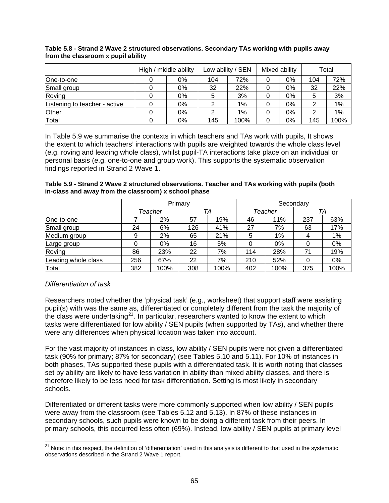|                               | High / middle ability |    | Low ability / SEN |       | Mixed ability |       | Total |      |
|-------------------------------|-----------------------|----|-------------------|-------|---------------|-------|-------|------|
| One-to-one                    |                       | 0% | 104               | 72%   | 0             | 0%    | 104   | 72%  |
| Small group                   |                       | 0% | 32                | 22%   |               | 0%    | 32    | 22%  |
| Roving                        |                       | 0% |                   | 3%    |               | 0%    | 5     | 3%   |
| Listening to teacher - active |                       | 0% |                   | $1\%$ | 0             | $0\%$ |       | 1%   |
| <b>Other</b>                  |                       | 0% |                   | $1\%$ |               | 0%    |       | 1%   |
| Total                         |                       | 0% | 145               | 100%  | 0             | 0%    | 145   | 100% |

#### <span id="page-69-0"></span>**Table 5.8 - Strand 2 Wave 2 structured observations. Secondary TAs working with pupils away from the classroom x pupil ability**

In Table 5.9 we summarise the contexts in which teachers and TAs work with pupils, It shows the extent to which teachers' interactions with pupils are weighted towards the whole class level (e.g. roving and leading whole class), whilst pupil-TA interactions take place on an individual or personal basis (e.g. one-to-one and group work). This supports the systematic observation findings reported in Strand 2 Wave 1.

| Table 5.9 - Strand 2 Wave 2 structured observations. Teacher and TAs working with pupils (both |  |
|------------------------------------------------------------------------------------------------|--|
| in-class and away from the classroom) x school phase                                           |  |

|                     |     |         | Primary |      |         |       | Secondary |      |
|---------------------|-----|---------|---------|------|---------|-------|-----------|------|
|                     |     | Teacher | TA      |      | Teacher |       |           | TA   |
| One-to-one          |     | 2%      | 57      | 19%  | 46      | 11%   | 237       | 63%  |
| Small group         | 24  | 6%      | 126     | 41%  | 27      | 7%    | 63        | 17%  |
| Medium group        | 9   | 2%      | 65      | 21%  | 5       | $1\%$ |           | 1%   |
| Large group         |     | 0%      | 16      | 5%   | 0       | 0%    |           | 0%   |
| Roving              | 86  | 23%     | 22      | 7%   | 114     | 28%   | 71        | 19%  |
| Leading whole class | 256 | 67%     | 22      | 7%   | 210     | 52%   | 0         | 0%   |
| Total               | 382 | 100%    | 308     | 100% | 402     | 100%  | 375       | 100% |

## *Differentiation of task*

Researchers noted whether the 'physical task' (e.g., worksheet) that support staff were assisting pupil(s) with was the same as, differentiated or completely different from the task the majority of paping man has and same as, allocationally compress, allocation from the class were undertaking<sup>[21](#page-69-0)</sup>. In particular, researchers wanted to know the extent to which tasks were differentiated for low ability / SEN pupils (when supported by TAs), and whether there were any differences when physical location was taken into account.

For the vast majority of instances in class, low ability / SEN pupils were not given a differentiated task (90% for primary; 87% for secondary) (see Tables 5.10 and 5.11). For 10% of instances in both phases, TAs supported these pupils with a differentiated task. It is worth noting that classes set by ability are likely to have less variation in ability than mixed ability classes, and there is therefore likely to be less need for task differentiation. Setting is most likely in secondary schools.

Differentiated or different tasks were more commonly supported when low ability / SEN pupils were away from the classroom (see Tables 5.12 and 5.13). In 87% of these instances in secondary schools, such pupils were known to be doing a different task from their peers. In primary schools, this occurred less often (69%). Instead, low ability / SEN pupils at primary level

 <sup>21</sup> Note: in this respect, the definition of 'differentiation' used in this analysis is different to that used in the systematic observations described in the Strand 2 Wave 1 report.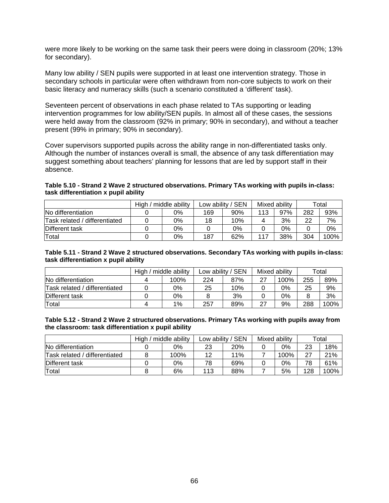were more likely to be working on the same task their peers were doing in classroom (20%; 13% for secondary).

Many low ability / SEN pupils were supported in at least one intervention strategy. Those in secondary schools in particular were often withdrawn from non-core subjects to work on their basic literacy and numeracy skills (such a scenario constituted a 'different' task).

Seventeen percent of observations in each phase related to TAs supporting or leading intervention programmes for low ability/SEN pupils. In almost all of these cases, the sessions were held away from the classroom (92% in primary; 90% in secondary), and without a teacher present (99% in primary; 90% in secondary).

Cover supervisors supported pupils across the ability range in non-differentiated tasks only. Although the number of instances overall is small, the absence of any task differentiation may suggest something about teachers' planning for lessons that are led by support staff in their absence.

#### **Table 5.10 - Strand 2 Wave 2 structured observations. Primary TAs working with pupils in-class: task differentiation x pupil ability**

|                               | High<br>middle ability |    | Low ability / SEN |     | Mixed ability |     | Total |      |
|-------------------------------|------------------------|----|-------------------|-----|---------------|-----|-------|------|
| No differentiation            |                        | 0% | 169               | 90% | 113           | 97% | 282   | 93%  |
| Task related / differentiated |                        | 0% | 18                | 10% |               | 3%  | 22    | 7%   |
| Different task                |                        | 0% |                   | 0%  |               | 0%  |       | 0%   |
| Total                         |                        | 0% | 187               | 62% | 117           | 38% | 304   | 100% |

#### **Table 5.11 - Strand 2 Wave 2 structured observations. Secondary TAs working with pupils in-class: task differentiation x pupil ability**

|                               | High / middle ability |      | Low ability / SEN |     |    | Mixed ability | Total |      |
|-------------------------------|-----------------------|------|-------------------|-----|----|---------------|-------|------|
| No differentiation            |                       | 100% | 224               | 87% | 27 | 100%          | 255   | 89%  |
| Task related / differentiated |                       | 0%   | 25                | 10% |    | 0%            | 25    | 9%   |
| Different task                |                       | 0%   |                   | 3%  |    | 0%            | 8     | 3%   |
| Total                         |                       | 1%   | 257               | 89% | 27 | 9%            | 288   | 100% |

#### **Table 5.12 - Strand 2 Wave 2 structured observations. Primary TAs working with pupils away from the classroom: task differentiation x pupil ability**

|                               | middle ability<br>High $/$ |      | Low ability / SEN |            | Mixed ability |      | Total |      |
|-------------------------------|----------------------------|------|-------------------|------------|---------------|------|-------|------|
| No differentiation            |                            | 0%   | 23                | <b>20%</b> |               | 0%   | 23    | 18%  |
| Task related / differentiated |                            | 100% | 12                | 11%        |               | 100% | 27    | 21%  |
| Different task                |                            | 0%   | 78                | 69%        |               | 0%   | 78    | 61%  |
| Total                         |                            | 6%   | 113               | 88%        |               | 5%   | 128   | 100% |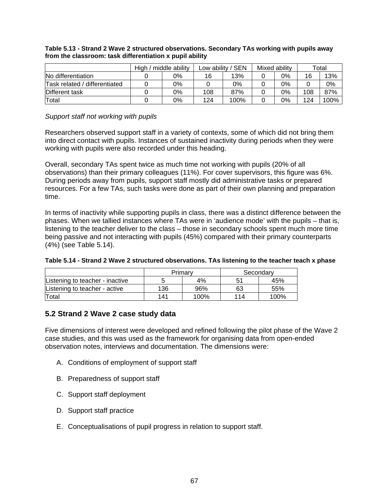|                               | High / middle ability |    | Low ability / SEN |      | Mixed ability |    | Total |      |
|-------------------------------|-----------------------|----|-------------------|------|---------------|----|-------|------|
| No differentiation            |                       | 0% | 16                | 13%  |               | 0% | 16    | 13%  |
| Task related / differentiated |                       | 0% |                   | 0%   |               | 0% |       | 0%   |
| Different task                |                       | 0% | 108               | 87%  |               | 0% | 108   | 87%  |
| Total                         |                       | 0% | 124               | 100% |               | 0% | 124   | 100% |

#### **Table 5.13 - Strand 2 Wave 2 structured observations. Secondary TAs working with pupils away from the classroom: task differentiation x pupil ability**

#### *Support staff not working with pupils*

Researchers observed support staff in a variety of contexts, some of which did not bring them into direct contact with pupils. Instances of sustained inactivity during periods when they were working with pupils were also recorded under this heading.

Overall, secondary TAs spent twice as much time not working with pupils (20% of all observations) than their primary colleagues (11%). For cover supervisors, this figure was 6%. During periods away from pupils, support staff mostly did administrative tasks or prepared resources. For a few TAs, such tasks were done as part of their own planning and preparation time.

In terms of inactivity while supporting pupils in class, there was a distinct difference between the phases. When we tallied instances where TAs were in 'audience mode' with the pupils – that is, listening to the teacher deliver to the class – those in secondary schools spent much more time being passive and not interacting with pupils (45%) compared with their primary counterparts (4%) (see Table 5.14).

|                                 | Primary |      |     | Secondary |
|---------------------------------|---------|------|-----|-----------|
| Listening to teacher - inactive |         | 4%   |     | 45%       |
| Listening to teacher - active   | 136     | 96%  | 63  | 55%       |
| Total                           | 141     | 100% | 114 | 100%      |

## **5.2 Strand 2 Wave 2 case study data**

Five dimensions of interest were developed and refined following the pilot phase of the Wave 2 case studies, and this was used as the framework for organising data from open-ended observation notes, interviews and documentation. The dimensions were:

- A. Conditions of employment of support staff
- B. Preparedness of support staff
- C. Support staff deployment
- D. Support staff practice
- E. Conceptualisations of pupil progress in relation to support staff.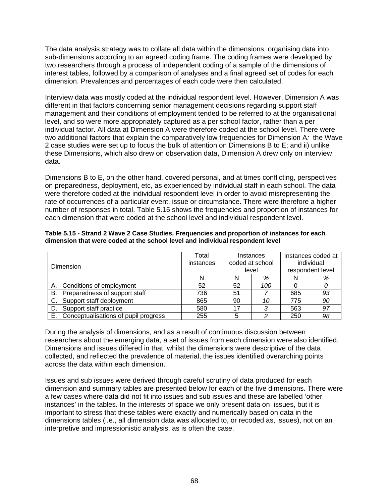The data analysis strategy was to collate all data within the dimensions, organising data into sub-dimensions according to an agreed coding frame. The coding frames were developed by two researchers through a process of independent coding of a sample of the dimensions of interest tables, followed by a comparison of analyses and a final agreed set of codes for each dimension. Prevalences and percentages of each code were then calculated.

Interview data was mostly coded at the individual respondent level. However, Dimension A was different in that factors concerning senior management decisions regarding support staff management and their conditions of employment tended to be referred to at the organisational level, and so were more appropriately captured as a per school factor, rather than a per individual factor. All data at Dimension A were therefore coded at the school level. There were two additional factors that explain the comparatively low frequencies for Dimension A*:* the Wave 2 case studies were set up to focus the bulk of attention on Dimensions B to E; and ii) unlike these Dimensions, which also drew on observation data, Dimension A drew only on interview data.

Dimensions B to E, on the other hand, covered personal, and at times conflicting, perspectives on preparedness, deployment, etc, as experienced by individual staff in each school. The data were therefore coded at the individual respondent level in order to avoid misrepresenting the rate of occurrences of a particular event, issue or circumstance. There were therefore a higher number of responses in total. Table 5.15 shows the frequencies and proportion of instances for each dimension that were coded at the school level and individual respondent level.

| Dimension                                  | Total<br>instances |           | Instances<br>coded at school<br>level | Instances coded at<br>individual<br>respondent level |    |  |
|--------------------------------------------|--------------------|-----------|---------------------------------------|------------------------------------------------------|----|--|
|                                            |                    |           | %                                     |                                                      | %  |  |
| A. Conditions of employment                | 52                 | 100<br>52 |                                       |                                                      |    |  |
| Preparedness of support staff<br>В.        | 736                | 51        |                                       |                                                      | 93 |  |
| C. Support staff deployment                | 865                | 90        | 10                                    | 775                                                  | 90 |  |
| Support staff practice<br>D.               | 580                | 17        | 3                                     | 563                                                  | 97 |  |
| Conceptualisations of pupil progress<br>Е. | 255                |           |                                       | 250                                                  | 98 |  |

**Table 5.15 - Strand 2 Wave 2 Case Studies. Frequencies and proportion of instances for each dimension that were coded at the school level and individual respondent level** 

During the analysis of dimensions, and as a result of continuous discussion between researchers about the emerging data, a set of issues from each dimension were also identified. Dimensions and issues differed in that, whilst the dimensions were descriptive of the data collected, and reflected the prevalence of material, the issues identified overarching points across the data within each dimension.

Issues and sub issues were derived through careful scrutiny of data produced for each dimension and summary tables are presented below for each of the five dimensions. There were a few cases where data did not fit into issues and sub issues and these are labelled 'other instances' in the tables. In the interests of space we only present data on issues, but it is important to stress that these tables were exactly and numerically based on data in the dimensions tables (i.e., all dimension data was allocated to, or recoded as, issues), not on an interpretive and impressionistic analysis, as is often the case.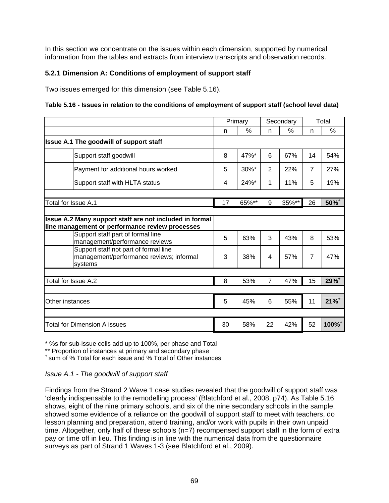In this section we concentrate on the issues within each dimension, supported by numerical information from the tables and extracts from interview transcripts and observation records.

# **5.2.1 Dimension A: Conditions of employment of support staff**

Two issues emerged for this dimension (see Table 5.16).

## **Table 5.16 - Issues in relation to the conditions of employment of support staff (school level data)**

|                                                                                                            | Primary |         | Secondary      |       |                | Total     |
|------------------------------------------------------------------------------------------------------------|---------|---------|----------------|-------|----------------|-----------|
|                                                                                                            | n       | $\%$    | n              | %     | n              | %         |
| Issue A.1 The goodwill of support staff                                                                    |         |         |                |       |                |           |
| Support staff goodwill                                                                                     | 8       | 47%*    | 6              | 67%   | 14             | 54%       |
| Payment for additional hours worked                                                                        | 5       | 30%*    | 2              | 22%   | $\overline{7}$ | 27%       |
| Support staff with HLTA status                                                                             | 4       | $24%$ * | 1              | 11%   | 5              | 19%       |
|                                                                                                            |         |         |                |       |                |           |
| Total for Issue A.1                                                                                        | 17      | 65%**   | 9              | 35%** | 26             | 50%+      |
| Issue A.2 Many support staff are not included in formal<br>line management or performance review processes |         |         |                |       |                |           |
| Support staff part of formal line<br>management/performance reviews                                        | 5       | 63%     | 3              | 43%   | 8              | 53%       |
| Support staff not part of formal line<br>management/performance reviews; informal<br>systems               | 3       | 38%     | 4              | 57%   | $\overline{7}$ | 47%       |
| Total for Issue A.2                                                                                        | 8       | 53%     | $\overline{7}$ | 47%   | 15             | 29%+      |
|                                                                                                            |         |         |                |       |                |           |
| Other instances                                                                                            | 5       | 45%     | 6              | 55%   | 11             | $21%^{+}$ |
|                                                                                                            |         |         |                |       |                |           |
| Total for Dimension A issues                                                                               | 30      | 58%     | 22             | 42%   | 52             | 100%+     |

\* %s for sub-issue cells add up to 100%, per phase and Total

\*\* Proportion of instances at primary and secondary phase

+ sum of % Total for each issue and % Total of Other instances

## *Issue A.1 - The goodwill of support staff*

Findings from the Strand 2 Wave 1 case studies revealed that the goodwill of support staff was 'clearly indispensable to the remodelling process' (Blatchford et al., 2008, p74). As Table 5.16 shows, eight of the nine primary schools, and six of the nine secondary schools in the sample, showed some evidence of a reliance on the goodwill of support staff to meet with teachers, do lesson planning and preparation, attend training, and/or work with pupils in their own unpaid time. Altogether, only half of these schools (n=7) recompensed support staff in the form of extra pay or time off in lieu. This finding is in line with the numerical data from the questionnaire surveys as part of Strand 1 Waves 1-3 (see Blatchford et al., 2009).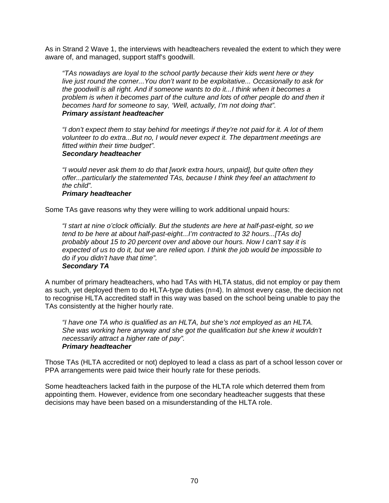As in Strand 2 Wave 1, the interviews with headteachers revealed the extent to which they were aware of, and managed, support staff's goodwill.

*"TAs nowadays are loyal to the school partly because their kids went here or they live just round the corner...You don't want to be exploitative... Occasionally to ask for the goodwill is all right. And if someone wants to do it...I think when it becomes a problem is when it becomes part of the culture and lots of other people do and then it becomes hard for someone to say, 'Well, actually, I'm not doing that". Primary assistant headteacher* 

*"I don't expect them to stay behind for meetings if they're not paid for it. A lot of them volunteer to do extra...But no, I would never expect it. The department meetings are fitted within their time budget".* 

## *Secondary headteacher*

*"I would never ask them to do that [work extra hours, unpaid], but quite often they offer...particularly the statemented TAs, because I think they feel an attachment to the child".* 

#### *Primary headteacher*

Some TAs gave reasons why they were willing to work additional unpaid hours:

*"I start at nine o'clock officially. But the students are here at half-past-eight, so we tend to be here at about half-past-eight...I'm contracted to 32 hours...[TAs do] probably about 15 to 20 percent over and above our hours. Now I can't say it is expected of us to do it, but we are relied upon. I think the job would be impossible to do if you didn't have that time". Secondary TA* 

#### A number of primary headteachers, who had TAs with HLTA status, did not employ or pay them as such, yet deployed them to do HLTA-type duties (n=4). In almost every case, the decision not to recognise HLTA accredited staff in this way was based on the school being unable to pay the TAs consistently at the higher hourly rate.

*"I have one TA who is qualified as an HLTA, but she's not employed as an HLTA. She was working here anyway and she got the qualification but she knew it wouldn't necessarily attract a higher rate of pay". Primary headteacher* 

Those TAs (HLTA accredited or not) deployed to lead a class as part of a school lesson cover or PPA arrangements were paid twice their hourly rate for these periods.

Some headteachers lacked faith in the purpose of the HLTA role which deterred them from appointing them. However, evidence from one secondary headteacher suggests that these decisions may have been based on a misunderstanding of the HLTA role.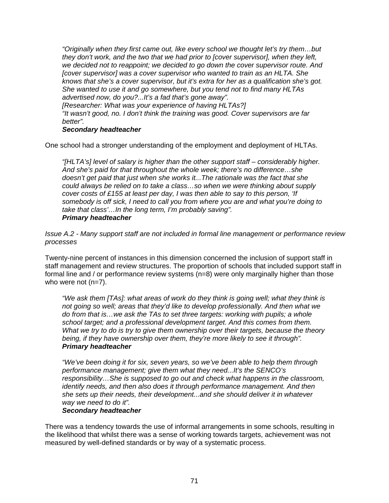*"Originally when they first came out, like every school we thought let's try them…but they don't work, and the two that we had prior to [cover supervisor], when they left, we decided not to reappoint; we decided to go down the cover supervisor route. And [cover supervisor] was a cover supervisor who wanted to train as an HLTA. She knows that she's a cover supervisor, but it's extra for her as a qualification she's got. She wanted to use it and go somewhere, but you tend not to find many HLTAs advertised now, do you?...It's a fad that's gone away". [Researcher: What was your experience of having HLTAs?]* 

*"It wasn't good, no. I don't think the training was good. Cover supervisors are far better".* 

## *Secondary headteacher*

One school had a stronger understanding of the employment and deployment of HLTAs.

*"[HLTA's] level of salary is higher than the other support staff – considerably higher. And she's paid for that throughout the whole week; there's no difference…she doesn't get paid that just when she works it...The rationale was the fact that she could always be relied on to take a class…so when we were thinking about supply cover costs of £155 at least per day, I was then able to say to this person, 'If somebody is off sick, I need to call you from where you are and what you're doing to take that class'…In the long term, I'm probably saving". Primary headteacher* 

*Issue A.2 - Many support staff are not included in formal line management or performance review processes* 

Twenty-nine percent of instances in this dimension concerned the inclusion of support staff in staff management and review structures. The proportion of schools that included support staff in formal line and / or performance review systems (n=8) were only marginally higher than those who were not (n=7).

*"We ask them [TAs]: what areas of work do they think is going well; what they think is not going so well; areas that they'd like to develop professionally. And then what we do from that is…we ask the TAs to set three targets: working with pupils; a whole school target; and a professional development target. And this comes from them. What we try to do is try to give them ownership over their targets, because the theory being, if they have ownership over them, they're more likely to see it through". Primary headteacher* 

*"We've been doing it for six, seven years, so we've been able to help them through performance management; give them what they need...It's the SENCO's responsibility…She is supposed to go out and check what happens in the classroom, identify needs, and then also does it through performance management. And then she sets up their needs, their development...and she should deliver it in whatever way we need to do it".* 

#### *Secondary headteacher*

There was a tendency towards the use of informal arrangements in some schools, resulting in the likelihood that whilst there was a sense of working towards targets, achievement was not measured by well-defined standards or by way of a systematic process.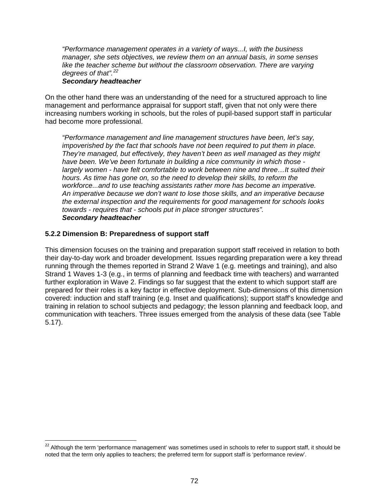<span id="page-76-0"></span>*"Performance management operates in a variety of ways...I, with the business manager, she sets objectives, we review them on an annual basis, in some senses like the teacher scheme but without the classroom observation. There are varying degrees of that".[22](#page-76-0)*

#### *Secondary headteacher*

On the other hand there was an understanding of the need for a structured approach to line management and performance appraisal for support staff, given that not only were there increasing numbers working in schools, but the roles of pupil-based support staff in particular had become more professional.

*"Performance management and line management structures have been, let's say, impoverished by the fact that schools have not been required to put them in place. They're managed, but effectively, they haven't been as well managed as they might have been. We've been fortunate in building a nice community in which those largely women - have felt comfortable to work between nine and three…It suited their hours. As time has gone on, so the need to develop their skills, to reform the workforce...and to use teaching assistants rather more has become an imperative. An imperative because we don't want to lose those skills, and an imperative because the external inspection and the requirements for good management for schools looks towards - requires that - schools put in place stronger structures". Secondary headteacher* 

## **5.2.2 Dimension B: Preparedness of support staff**

This dimension focuses on the training and preparation support staff received in relation to both their day-to-day work and broader development. Issues regarding preparation were a key thread running through the themes reported in Strand 2 Wave 1 (e.g. meetings and training), and also Strand 1 Waves 1-3 (e.g., in terms of planning and feedback time with teachers) and warranted further exploration in Wave 2. Findings so far suggest that the extent to which support staff are prepared for their roles is a key factor in effective deployment. Sub-dimensions of this dimension covered: induction and staff training (e.g. Inset and qualifications); support staff's knowledge and training in relation to school subjects and pedagogy; the lesson planning and feedback loop, and communication with teachers. Three issues emerged from the analysis of these data (see Table 5.17).

 $22$  Although the term 'performance management' was sometimes used in schools to refer to support staff, it should be noted that the term only applies to teachers; the preferred term for support staff is 'performance review'.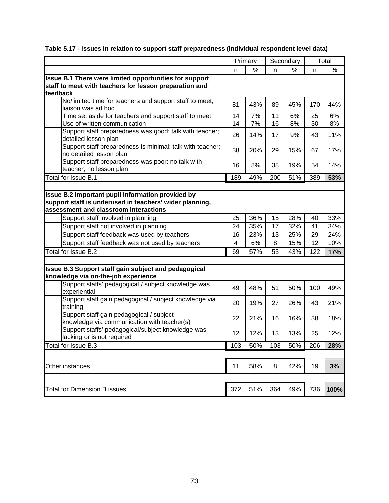|                                                                                                                                                       | Primary |     | Secondary |     |     | Total |
|-------------------------------------------------------------------------------------------------------------------------------------------------------|---------|-----|-----------|-----|-----|-------|
|                                                                                                                                                       | %<br>n  |     | %<br>n    |     | n   | %     |
| Issue B.1 There were limited opportunities for support<br>staff to meet with teachers for lesson preparation and<br>feedback                          |         |     |           |     |     |       |
| No/limited time for teachers and support staff to meet;<br>liaison was ad hoc                                                                         | 81      | 43% | 89        | 45% | 170 | 44%   |
| Time set aside for teachers and support staff to meet                                                                                                 | 14      | 7%  | 11        | 6%  | 25  | 6%    |
| Use of written communication                                                                                                                          | 14      | 7%  | 16        | 8%  | 30  | 8%    |
| Support staff preparedness was good: talk with teacher;<br>detailed lesson plan                                                                       | 26      | 14% | 17        | 9%  | 43  | 11%   |
| Support staff preparedness is minimal: talk with teacher;<br>no detailed lesson plan                                                                  | 38      | 20% | 29        | 15% | 67  | 17%   |
| Support staff preparedness was poor: no talk with<br>teacher; no lesson plan                                                                          | 16      | 8%  | 38        | 19% | 54  | 14%   |
| Total for Issue B.1                                                                                                                                   | 189     | 49% | 200       | 51% | 389 | 53%   |
|                                                                                                                                                       |         |     |           |     |     |       |
| Issue B.2 Important pupil information provided by<br>support staff is underused in teachers' wider planning,<br>assessment and classroom interactions |         |     |           |     |     |       |
| Support staff involved in planning                                                                                                                    | 25      | 36% | 15        | 28% | 40  | 33%   |
| Support staff not involved in planning                                                                                                                | 24      | 35% | 17        | 32% | 41  | 34%   |
| Support staff feedback was used by teachers                                                                                                           | 16      | 23% | 13        | 25% | 29  | 24%   |
| Support staff feedback was not used by teachers                                                                                                       | 4       | 6%  | 8         | 15% | 12  | 10%   |
| Total for Issue B.2                                                                                                                                   | 69      | 57% | 53        | 43% | 122 | 17%   |
|                                                                                                                                                       |         |     |           |     |     |       |
| Issue B.3 Support staff gain subject and pedagogical<br>knowledge via on-the-job experience                                                           |         |     |           |     |     |       |
| Support staffs' pedagogical / subject knowledge was<br>experiential                                                                                   | 49      | 48% | 51        | 50% | 100 | 49%   |
| Support staff gain pedagogical / subject knowledge via<br>training                                                                                    | 20      | 19% | 27        | 26% | 43  | 21%   |
| Support staff gain pedagogical / subject<br>knowledge via communication with teacher(s)                                                               | 22      | 21% | 16        | 16% | 38  | 18%   |
| Support staffs' pedagogical/subject knowledge was<br>lacking or is not required                                                                       | 12      | 12% | 13        | 13% | 25  | 12%   |
| Total for Issue B.3                                                                                                                                   | 103     | 50% | 103       | 50% | 206 | 28%   |
|                                                                                                                                                       |         |     |           |     |     |       |
| Other instances                                                                                                                                       | 11      | 58% | 8         | 42% | 19  | 3%    |
|                                                                                                                                                       |         |     |           |     |     |       |
| <b>Total for Dimension B issues</b>                                                                                                                   | 372     | 51% | 364       | 49% | 736 | 100%  |

# **Table 5.17 - Issues in relation to support staff preparedness (individual respondent level data)**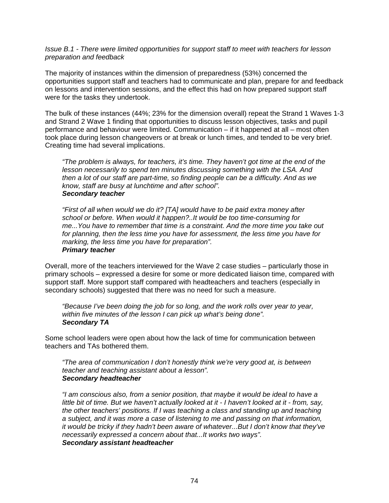*Issue B.1 - There were limited opportunities for support staff to meet with teachers for lesson preparation and feedback* 

The majority of instances within the dimension of preparedness (53%) concerned the opportunities support staff and teachers had to communicate and plan, prepare for and feedback on lessons and intervention sessions, and the effect this had on how prepared support staff were for the tasks they undertook.

The bulk of these instances (44%; 23% for the dimension overall) repeat the Strand 1 Waves 1-3 and Strand 2 Wave 1 finding that opportunities to discuss lesson objectives, tasks and pupil performance and behaviour were limited. Communication – if it happened at all – most often took place during lesson changeovers or at break or lunch times, and tended to be very brief. Creating time had several implications.

*"The problem is always, for teachers, it's time. They haven't got time at the end of the lesson necessarily to spend ten minutes discussing something with the LSA. And then a lot of our staff are part-time, so finding people can be a difficulty. And as we know, staff are busy at lunchtime and after school". Secondary teacher* 

*"First of all when would we do it? [TA] would have to be paid extra money after school or before. When would it happen?..It would be too time-consuming for me...You have to remember that time is a constraint. And the more time you take out for planning, then the less time you have for assessment, the less time you have for marking, the less time you have for preparation". Primary teacher* 

Overall, more of the teachers interviewed for the Wave 2 case studies – particularly those in primary schools – expressed a desire for some or more dedicated liaison time, compared with support staff. More support staff compared with headteachers and teachers (especially in secondary schools) suggested that there was no need for such a measure.

*"Because I've been doing the job for so long, and the work rolls over year to year, within five minutes of the lesson I can pick up what's being done". Secondary TA* 

Some school leaders were open about how the lack of time for communication between teachers and TAs bothered them.

*"The area of communication I don't honestly think we're very good at, is between teacher and teaching assistant about a lesson". Secondary headteacher* 

*"I am conscious also, from a senior position, that maybe it would be ideal to have a little bit of time. But we haven't actually looked at it - I haven't looked at it - from, say, the other teachers' positions. If I was teaching a class and standing up and teaching a subject, and it was more a case of listening to me and passing on that information, it would be tricky if they hadn't been aware of whatever...But I don't know that they've necessarily expressed a concern about that...It works two ways". Secondary assistant headteacher*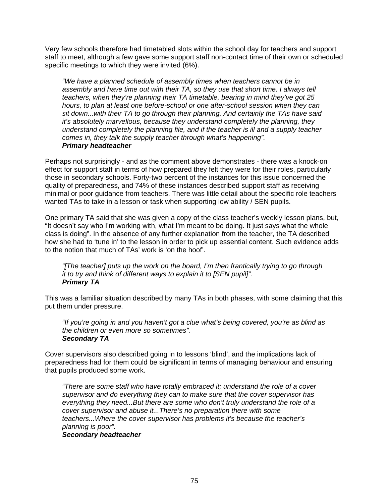Very few schools therefore had timetabled slots within the school day for teachers and support staff to meet, although a few gave some support staff non-contact time of their own or scheduled specific meetings to which they were invited (6%).

*"We have a planned schedule of assembly times when teachers cannot be in assembly and have time out with their TA, so they use that short time. I always tell teachers, when they're planning their TA timetable, bearing in mind they've got 25 hours, to plan at least one before-school or one after-school session when they can sit down...with their TA to go through their planning. And certainly the TAs have said it's absolutely marvellous, because they understand completely the planning, they understand completely the planning file, and if the teacher is ill and a supply teacher comes in, they talk the supply teacher through what's happening". Primary headteacher* 

Perhaps not surprisingly - and as the comment above demonstrates - there was a knock-on effect for support staff in terms of how prepared they felt they were for their roles, particularly those in secondary schools. Forty-two percent of the instances for this issue concerned the quality of preparedness, and 74% of these instances described support staff as receiving minimal or poor guidance from teachers. There was little detail about the specific role teachers wanted TAs to take in a lesson or task when supporting low ability / SEN pupils.

One primary TA said that she was given a copy of the class teacher's weekly lesson plans, but, "It doesn't say who I'm working with, what I'm meant to be doing. It just says what the whole class is doing". In the absence of any further explanation from the teacher, the TA described how she had to 'tune in' to the lesson in order to pick up essential content. Such evidence adds to the notion that much of TAs' work is 'on the hoof'.

*"[The teacher] puts up the work on the board, I'm then frantically trying to go through it to try and think of different ways to explain it to [SEN pupil]". Primary TA* 

This was a familiar situation described by many TAs in both phases, with some claiming that this put them under pressure.

*"If you're going in and you haven't got a clue what's being covered, you're as blind as the children or even more so sometimes". Secondary TA* 

Cover supervisors also described going in to lessons 'blind', and the implications lack of preparedness had for them could be significant in terms of managing behaviour and ensuring that pupils produced some work.

*"There are some staff who have totally embraced it; understand the role of a cover supervisor and do everything they can to make sure that the cover supervisor has everything they need...But there are some who don't truly understand the role of a cover supervisor and abuse it...There's no preparation there with some teachers...Where the cover supervisor has problems it's because the teacher's planning is poor".* 

### *Secondary headteacher*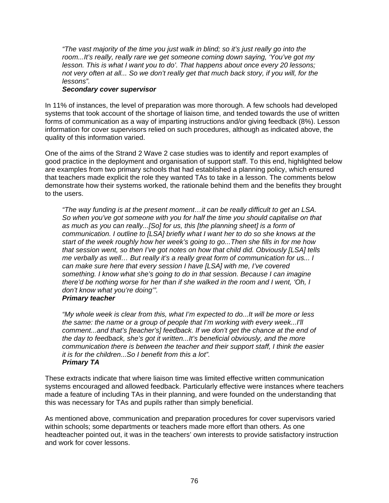*"The vast majority of the time you just walk in blind; so it's just really go into the room...It's really, really rare we get someone coming down saying, 'You've got my lesson. This is what I want you to do'. That happens about once every 20 lessons; not very often at all... So we don't really get that much back story, if you will, for the lessons".* 

## *Secondary cover supervisor*

In 11% of instances, the level of preparation was more thorough. A few schools had developed systems that took account of the shortage of liaison time, and tended towards the use of written forms of communication as a way of imparting instructions and/or giving feedback (8%). Lesson information for cover supervisors relied on such procedures, although as indicated above, the quality of this information varied.

One of the aims of the Strand 2 Wave 2 case studies was to identify and report examples of good practice in the deployment and organisation of support staff. To this end, highlighted below are examples from two primary schools that had established a planning policy, which ensured that teachers made explicit the role they wanted TAs to take in a lesson. The comments below demonstrate how their systems worked, the rationale behind them and the benefits they brought to the users.

*"The way funding is at the present moment…it can be really difficult to get an LSA. So when you've got someone with you for half the time you should capitalise on that as much as you can really...[So] for us, this [the planning sheet] is a form of communication. I outline to [LSA] briefly what I want her to do so she knows at the start of the week roughly how her week's going to go...Then she fills in for me how that session went, so then I've got notes on how that child did. Obviously [LSA] tells me verbally as well… But really it's a really great form of communication for us... I can make sure here that every session I have [LSA] with me, I've covered something. I know what she's going to do in that session. Because I can imagine there'd be nothing worse for her than if she walked in the room and I went, 'Oh, I don't know what you're doing'".* 

## *Primary teacher*

*"My whole week is clear from this, what I'm expected to do...It will be more or less the same: the name or a group of people that I'm working with every week...I'll comment...and that's [teacher's] feedback. If we don't get the chance at the end of the day to feedback, she's got it written...It's beneficial obviously, and the more communication there is between the teacher and their support staff, I think the easier it is for the children...So I benefit from this a lot". Primary TA* 

These extracts indicate that where liaison time was limited effective written communication systems encouraged and allowed feedback. Particularly effective were instances where teachers made a feature of including TAs in their planning, and were founded on the understanding that this was necessary for TAs and pupils rather than simply beneficial.

As mentioned above, communication and preparation procedures for cover supervisors varied within schools; some departments or teachers made more effort than others. As one headteacher pointed out, it was in the teachers' own interests to provide satisfactory instruction and work for cover lessons.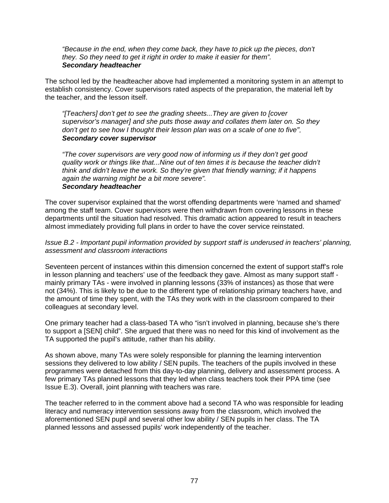*"Because in the end, when they come back, they have to pick up the pieces, don't they. So they need to get it right in order to make it easier for them". Secondary headteacher* 

The school led by the headteacher above had implemented a monitoring system in an attempt to establish consistency. Cover supervisors rated aspects of the preparation, the material left by the teacher, and the lesson itself.

*"[Teachers] don't get to see the grading sheets...They are given to [cover supervisor's manager] and she puts those away and collates them later on. So they don't get to see how I thought their lesson plan was on a scale of one to five". Secondary cover supervisor* 

*"The cover supervisors are very good now of informing us if they don't get good quality work or things like that...Nine out of ten times it is because the teacher didn't think and didn't leave the work. So they're given that friendly warning; if it happens again the warning might be a bit more severe". Secondary headteacher* 

The cover supervisor explained that the worst offending departments were 'named and shamed' among the staff team. Cover supervisors were then withdrawn from covering lessons in these departments until the situation had resolved. This dramatic action appeared to result in teachers almost immediately providing full plans in order to have the cover service reinstated.

## *Issue B.2 - Important pupil information provided by support staff is underused in teachers' planning, assessment and classroom interactions*

Seventeen percent of instances within this dimension concerned the extent of support staff's role in lesson planning and teachers' use of the feedback they gave. Almost as many support staff mainly primary TAs - were involved in planning lessons (33% of instances) as those that were not (34%). This is likely to be due to the different type of relationship primary teachers have, and the amount of time they spent, with the TAs they work with in the classroom compared to their colleagues at secondary level.

One primary teacher had a class-based TA who "isn't involved in planning, because she's there to support a [SEN] child". She argued that there was no need for this kind of involvement as the TA supported the pupil's attitude, rather than his ability.

As shown above, many TAs were solely responsible for planning the learning intervention sessions they delivered to low ability / SEN pupils. The teachers of the pupils involved in these programmes were detached from this day-to-day planning, delivery and assessment process. A few primary TAs planned lessons that they led when class teachers took their PPA time (see Issue E.3). Overall, joint planning with teachers was rare.

The teacher referred to in the comment above had a second TA who was responsible for leading literacy and numeracy intervention sessions away from the classroom, which involved the aforementioned SEN pupil and several other low ability / SEN pupils in her class. The TA planned lessons and assessed pupils' work independently of the teacher.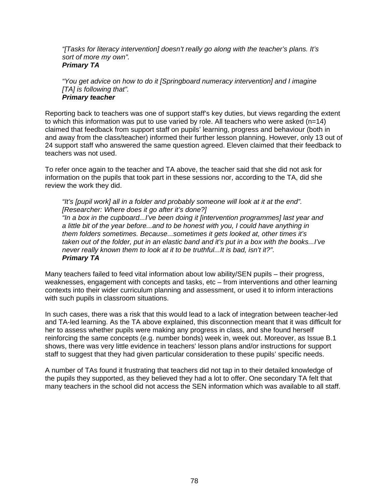*"[Tasks for literacy intervention] doesn't really go along with the teacher's plans. It's sort of more my own". Primary TA*

*"You get advice on how to do it [Springboard numeracy intervention] and I imagine [TA] is following that". Primary teacher* 

Reporting back to teachers was one of support staff's key duties, but views regarding the extent to which this information was put to use varied by role. All teachers who were asked  $(n=14)$ claimed that feedback from support staff on pupils' learning, progress and behaviour (both in and away from the class/teacher) informed their further lesson planning. However, only 13 out of 24 support staff who answered the same question agreed. Eleven claimed that their feedback to teachers was not used.

To refer once again to the teacher and TA above, the teacher said that she did not ask for information on the pupils that took part in these sessions nor, according to the TA, did she review the work they did.

*"It's [pupil work] all in a folder and probably someone will look at it at the end". [Researcher: Where does it go after it's done?] "In a box in the cupboard...I've been doing it [intervention programmes] last year and a little bit of the year before...and to be honest with you, I could have anything in them folders sometimes. Because...sometimes it gets looked at, other times it's taken out of the folder, put in an elastic band and it's put in a box with the books...I've never really known them to look at it to be truthful...It is bad, isn't it?". Primary TA* 

Many teachers failed to feed vital information about low ability/SEN pupils – their progress, weaknesses, engagement with concepts and tasks, etc – from interventions and other learning contexts into their wider curriculum planning and assessment, or used it to inform interactions with such pupils in classroom situations.

In such cases, there was a risk that this would lead to a lack of integration between teacher-led and TA-led learning. As the TA above explained, this disconnection meant that it was difficult for her to assess whether pupils were making any progress in class, and she found herself reinforcing the same concepts (e.g. number bonds) week in, week out. Moreover, as Issue B.1 shows, there was very little evidence in teachers' lesson plans and/or instructions for support staff to suggest that they had given particular consideration to these pupils' specific needs.

A number of TAs found it frustrating that teachers did not tap in to their detailed knowledge of the pupils they supported, as they believed they had a lot to offer. One secondary TA felt that many teachers in the school did not access the SEN information which was available to all staff.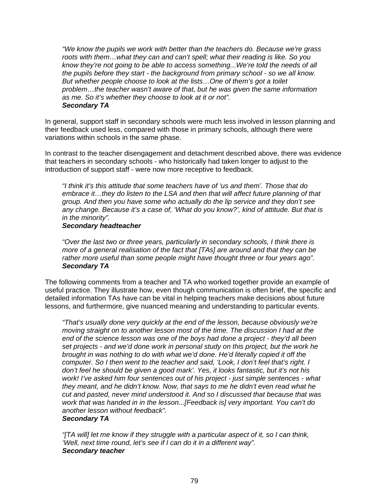*"We know the pupils we work with better than the teachers do. Because we're grass roots with them…what they can and can't spell; what their reading is like. So you know they're not going to be able to access something...We're told the needs of all the pupils before they start - the background from primary school - so we all know. But whether people choose to look at the lists…One of them's got a toilet problem…the teacher wasn't aware of that, but he was given the same information as me. So it's whether they choose to look at it or not". Secondary TA* 

In general, support staff in secondary schools were much less involved in lesson planning and their feedback used less, compared with those in primary schools, although there were variations within schools in the same phase.

In contrast to the teacher disengagement and detachment described above, there was evidence that teachers in secondary schools - who historically had taken longer to adjust to the introduction of support staff - were now more receptive to feedback.

*"I think it's this attitude that some teachers have of 'us and them'. Those that do embrace it…they do listen to the LSA and then that will affect future planning of that group. And then you have some who actually do the lip service and they don't see any change. Because it's a case of, 'What do you know?', kind of attitude. But that is in the minority".* 

#### *Secondary headteacher*

*"Over the last two or three years, particularly in secondary schools, I think there is more of a general realisation of the fact that [TAs] are around and that they can be rather more useful than some people might have thought three or four years ago". Secondary TA* 

The following comments from a teacher and TA who worked together provide an example of useful practice. They illustrate how, even though communication is often brief, the specific and detailed information TAs have can be vital in helping teachers make decisions about future lessons, and furthermore, give nuanced meaning and understanding to particular events.

*"That's usually done very quickly at the end of the lesson, because obviously we're moving straight on to another lesson most of the time. The discussion I had at the end of the science lesson was one of the boys had done a project - they'd all been set projects - and we'd done work in personal study on this project, but the work he brought in was nothing to do with what we'd done. He'd literally copied it off the computer. So I then went to the teacher and said, 'Look, I don't feel that's right. I don't feel he should be given a good mark'. Yes, it looks fantastic, but it's not his work! I've asked him four sentences out of his project - just simple sentences - what they meant, and he didn't know. Now, that says to me he didn't even read what he cut and pasted, never mind understood it. And so I discussed that because that was work that was handed in in the lesson...[Feedback is] very important. You can't do another lesson without feedback".* 

## *Secondary TA*

*"[TA will] let me know if they struggle with a particular aspect of it, so I can think, 'Well, next time round, let's see if I can do it in a different way". Secondary teacher*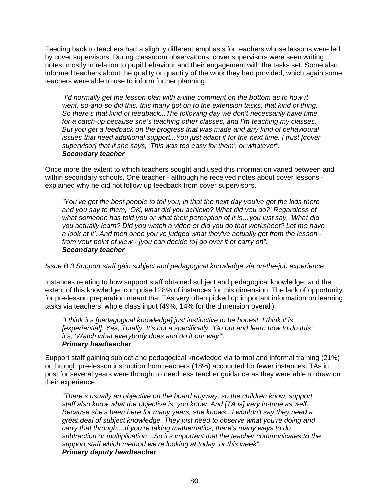Feeding back to teachers had a slightly different emphasis for teachers whose lessons were led by cover supervisors. During classroom observations, cover supervisors were seen writing notes, mostly in relation to pupil behaviour and their engagement with the tasks set. Some also informed teachers about the quality or quantity of the work they had provided, which again some teachers were able to use to inform further planning.

*"I'd normally get the lesson plan with a little comment on the bottom as to how it went: so-and-so did this; this many got on to the extension tasks; that kind of thing. So there's that kind of feedback...The following day we don't necessarily have time for a catch-up because she's teaching other classes, and I'm teaching my classes. But you get a feedback on the progress that was made and any kind of behavioural issues that need additional support...You just adapt if for the next time. I trust [cover supervisor] that if she says, 'This was too easy for them', or whatever". Secondary teacher* 

Once more the extent to which teachers sought and used this information varied between and within secondary schools. One teacher - although he received notes about cover lessons explained why he did not follow up feedback from cover supervisors.

*"You've got the best people to tell you, in that the next day you've got the kids there and you say to them, 'OK, what did you achieve? What did you do?' Regardless of what someone has told you or what their perception of it is…you just say, 'What did you actually learn? Did you watch a video or did you do that worksheet? Let me have a look at it'. And then once you've judged what they've actually got from the lesson from your point of view - [you can decide to] go over it or carry on". Secondary teacher* 

*Issue B.3 Support staff gain subject and pedagogical knowledge via on-the-job experience* 

Instances relating to how support staff obtained subject and pedagogical knowledge, and the extent of this knowledge, comprised 28% of instances for this dimension. The lack of opportunity for pre-lesson preparation meant that TAs very often picked up important information on learning tasks via teachers' whole class input (49%; 14% for the dimension overall).

*"I think it's [pedagogical knowledge] just instinctive to be honest. I think it is [experiential]. Yes, Totally. It's not a specifically, 'Go out and learn how to do this'; it's, 'Watch what everybody does and do it our way'". Primary headteacher* 

Support staff gaining subject and pedagogical knowledge via formal and informal training (21%) or through pre-lesson instruction from teachers (18%) accounted for fewer instances. TAs in post for several years were thought to need less teacher guidance as they were able to draw on their experience.

*"There's usually an objective on the board anyway, so the children know, support staff also know what the objective is, you know. And [TA is] very in-tune as well. Because she's been here for many years, she knows...I wouldn't say they need a great deal of subject knowledge. They just need to observe what you're doing and carry that through....If you're taking mathematics, there's many ways to do subtraction or multiplication…So it's important that the teacher communicates to the support staff which method we're looking at today, or this week". Primary deputy headteacher*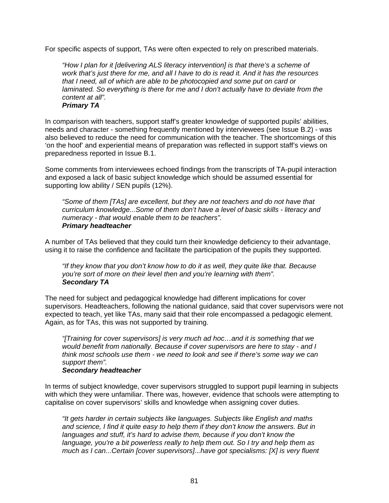For specific aspects of support, TAs were often expected to rely on prescribed materials.

*"How I plan for it [delivering ALS literacy intervention] is that there's a scheme of work that's just there for me, and all I have to do is read it. And it has the resources that I need, all of which are able to be photocopied and some put on card or laminated.* So everything is there for me and I don't actually have to deviate from the *content at all". Primary TA* 

In comparison with teachers, support staff's greater knowledge of supported pupils' abilities, needs and character - something frequently mentioned by interviewees (see Issue B.2) - was also believed to reduce the need for communication with the teacher. The shortcomings of this 'on the hoof' and experiential means of preparation was reflected in support staff's views on preparedness reported in Issue B.1.

Some comments from interviewees echoed findings from the transcripts of TA-pupil interaction and exposed a lack of basic subject knowledge which should be assumed essential for supporting low ability / SEN pupils (12%).

*"Some of them [TAs] are excellent, but they are not teachers and do not have that curriculum knowledge...Some of them don't have a level of basic skills - literacy and numeracy - that would enable them to be teachers". Primary headteacher* 

A number of TAs believed that they could turn their knowledge deficiency to their advantage, using it to raise the confidence and facilitate the participation of the pupils they supported.

*"If they know that you don't know how to do it as well, they quite like that. Because you're sort of more on their level then and you're learning with them". Secondary TA*

The need for subject and pedagogical knowledge had different implications for cover supervisors. Headteachers, following the national guidance, said that cover supervisors were not expected to teach, yet like TAs, many said that their role encompassed a pedagogic element. Again, as for TAs, this was not supported by training.

*"[Training for cover supervisors] is very much ad hoc…and it is something that we would benefit from nationally. Because if cover supervisors are here to stay - and I think most schools use them - we need to look and see if there's some way we can support them".* 

#### *Secondary headteacher*

In terms of subject knowledge, cover supervisors struggled to support pupil learning in subjects with which they were unfamiliar. There was, however, evidence that schools were attempting to capitalise on cover supervisors' skills and knowledge when assigning cover duties.

*"It gets harder in certain subjects like languages. Subjects like English and maths and science, I find it quite easy to help them if they don't know the answers. But in languages and stuff, it's hard to advise them, because if you don't know the language, you're a bit powerless really to help them out. So I try and help them as much as I can...Certain [cover supervisors]...have got specialisms: [X] is very fluent*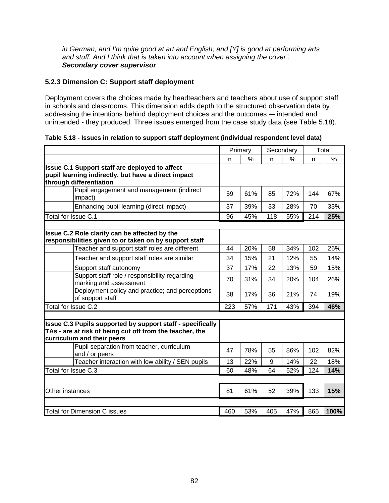*in German; and I'm quite good at art and English; and [Y] is good at performing arts and stuff. And I think that is taken into account when assigning the cover". Secondary cover supervisor* 

## **5.2.3 Dimension C: Support staff deployment**

Deployment covers the choices made by headteachers and teachers about use of support staff in schools and classrooms. This dimension adds depth to the structured observation data by addressing the intentions behind deployment choices and the outcomes -– intended and unintended - they produced. Three issues emerged from the case study data (see Table 5.18).

**Table 5.18 - Issues in relation to support staff deployment (individual respondent level data)** 

|                                                                                                                                                          | Primary |     | Secondary |     |              | Total |
|----------------------------------------------------------------------------------------------------------------------------------------------------------|---------|-----|-----------|-----|--------------|-------|
|                                                                                                                                                          | n       | %   | n         | %   | $\mathsf{n}$ | $\%$  |
| <b>Issue C.1 Support staff are deployed to affect</b><br>pupil learning indirectly, but have a direct impact<br>through differentiation                  |         |     |           |     |              |       |
| Pupil engagement and management (indirect<br>impact)                                                                                                     | 59      | 61% | 85        | 72% | 144          | 67%   |
| Enhancing pupil learning (direct impact)                                                                                                                 | 37      | 39% | 33        | 28% | 70           | 33%   |
| Total for Issue C.1                                                                                                                                      | 96      | 45% | 118       | 55% | 214          | 25%   |
| Issue C.2 Role clarity can be affected by the<br>responsibilities given to or taken on by support staff<br>Teacher and support staff roles are different | 44      | 20% | 58        | 34% | 102          | 26%   |
| Teacher and support staff roles are similar                                                                                                              | 34      | 15% | 21        | 12% | 55           | 14%   |
| Support staff autonomy                                                                                                                                   | 37      | 17% | 22        | 13% | 59           | 15%   |
| Support staff role / responsibility regarding<br>marking and assessment                                                                                  | 70      | 31% | 34        | 20% | 104          | 26%   |
| Deployment policy and practice; and perceptions<br>of support staff                                                                                      | 38      | 17% | 36        | 21% | 74           | 19%   |
| Total for Issue C.2                                                                                                                                      | 223     | 57% | 171       | 43% | 394          | 46%   |
| Issue C.3 Pupils supported by support staff - specifically<br>TAs - are at risk of being cut off from the teacher, the<br>curriculum and their peers     |         |     |           |     |              |       |
| Pupil separation from teacher, curriculum<br>and / or peers                                                                                              | 47      | 78% | 55        | 86% | 102          | 82%   |
| Teacher interaction with low ability / SEN pupils                                                                                                        | 13      | 22% | 9         | 14% | 22           | 18%   |
| Total for Issue C.3                                                                                                                                      | 60      | 48% | 64        | 52% | 124          | 14%   |
| Other instances                                                                                                                                          | 81      | 61% | 52        | 39% | 133          | 15%   |
| <b>Total for Dimension C issues</b>                                                                                                                      | 460     | 53% | 405       | 47% | 865          | 100%  |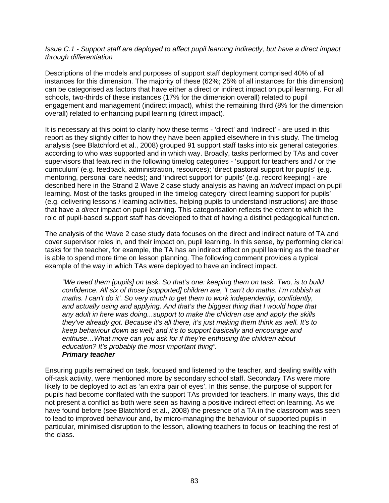## *Issue C.1 - Support staff are deployed to affect pupil learning indirectly, but have a direct impact through differentiation*

Descriptions of the models and purposes of support staff deployment comprised 40% of all instances for this dimension. The majority of these (62%; 25% of all instances for this dimension) can be categorised as factors that have either a direct or indirect impact on pupil learning. For all schools, two-thirds of these instances (17% for the dimension overall) related to pupil engagement and management (indirect impact), whilst the remaining third (8% for the dimension overall) related to enhancing pupil learning (direct impact).

It is necessary at this point to clarify how these terms - 'direct' and 'indirect' - are used in this report as they slightly differ to how they have been applied elsewhere in this study. The timelog analysis (see Blatchford et al., 2008) grouped 91 support staff tasks into six general categories, according to who was supported and in which way. Broadly, tasks performed by TAs and cover supervisors that featured in the following timelog categories - 'support for teachers and / or the curriculum' (e.g. feedback, administration, resources); 'direct pastoral support for pupils' (e.g. mentoring, personal care needs); and 'indirect support for pupils' (e.g. record keeping) - are described here in the Strand 2 Wave 2 case study analysis as having an *indirect* impact on pupil learning. Most of the tasks grouped in the timelog category 'direct learning support for pupils' (e.g. delivering lessons / learning activities, helping pupils to understand instructions) are those that have a *direct* impact on pupil learning. This categorisation reflects the extent to which the role of pupil-based support staff has developed to that of having a distinct pedagogical function.

The analysis of the Wave 2 case study data focuses on the direct and indirect nature of TA and cover supervisor roles in, and their impact on, pupil learning. In this sense, by performing clerical tasks for the teacher, for example, the TA has an indirect effect on pupil learning as the teacher is able to spend more time on lesson planning. The following comment provides a typical example of the way in which TAs were deployed to have an indirect impact.

*"We need them [pupils] on task. So that's one: keeping them on task. Two, is to build confidence. All six of those [supported] children are, 'I can't do maths. I'm rubbish at maths. I can't do it'. So very much to get them to work independently, confidently, and actually using and applying. And that's the biggest thing that I would hope that any adult in here was doing...support to make the children use and apply the skills they've already got. Because it's all there, it's just making them think as well. It's to keep behaviour down as well; and it's to support basically and encourage and enthuse…What more can you ask for if they're enthusing the children about education? It's probably the most important thing". Primary teacher* 

Ensuring pupils remained on task, focused and listened to the teacher, and dealing swiftly with off-task activity, were mentioned more by secondary school staff. Secondary TAs were more likely to be deployed to act as 'an extra pair of eyes'. In this sense, the purpose of support for pupils had become conflated with the support TAs provided for teachers. In many ways, this did not present a conflict as both were seen as having a positive indirect effect on learning. As we have found before (see Blatchford et al., 2008) the presence of a TA in the classroom was seen to lead to improved behaviour and, by micro-managing the behaviour of supported pupils in particular, minimised disruption to the lesson, allowing teachers to focus on teaching the rest of the class.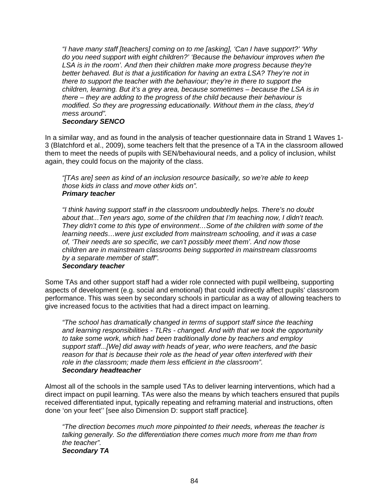*"I have many staff [teachers] coming on to me [asking], 'Can I have support?' 'Why do you need support with eight children?' 'Because the behaviour improves when the*  LSA is in the room'. And then their children make more progress because they're *better behaved. But is that a justification for having an extra LSA? They're not in there to support the teacher with the behaviour; they're in there to support the children, learning. But it's a grey area, because sometimes – because the LSA is in there – they are adding to the progress of the child because their behaviour is modified. So they are progressing educationally. Without them in the class, they'd mess around".* 

## *Secondary SENCO*

In a similar way, and as found in the analysis of teacher questionnaire data in Strand 1 Waves 1- 3 (Blatchford et al., 2009), some teachers felt that the presence of a TA in the classroom allowed them to meet the needs of pupils with SEN/behavioural needs, and a policy of inclusion, whilst again, they could focus on the majority of the class.

*"[TAs are] seen as kind of an inclusion resource basically, so we're able to keep those kids in class and move other kids on". Primary teacher* 

*"I think having support staff in the classroom undoubtedly helps. There's no doubt about that...Ten years ago, some of the children that I'm teaching now, I didn't teach. They didn't come to this type of environment…Some of the children with some of the learning needs…were just excluded from mainstream schooling, and it was a case of, 'Their needs are so specific, we can't possibly meet them'. And now those children are in mainstream classrooms being supported in mainstream classrooms by a separate member of staff".* 

#### *Secondary teacher*

Some TAs and other support staff had a wider role connected with pupil wellbeing, supporting aspects of development (e.g. social and emotional) that could indirectly affect pupils' classroom performance. This was seen by secondary schools in particular as a way of allowing teachers to give increased focus to the activities that had a direct impact on learning.

*"The school has dramatically changed in terms of support staff since the teaching and learning responsibilities - TLRs - changed. And with that we took the opportunity to take some work, which had been traditionally done by teachers and employ support staff...[We] did away with heads of year, who were teachers, and the basic reason for that is because their role as the head of year often interfered with their role in the classroom; made them less efficient in the classroom". Secondary headteacher* 

Almost all of the schools in the sample used TAs to deliver learning interventions, which had a direct impact on pupil learning. TAs were also the means by which teachers ensured that pupils received differentiated input, typically repeating and reframing material and instructions, often done 'on your feet'' [see also Dimension D: support staff practice].

*"The direction becomes much more pinpointed to their needs, whereas the teacher is talking generally. So the differentiation there comes much more from me than from the teacher". Secondary TA*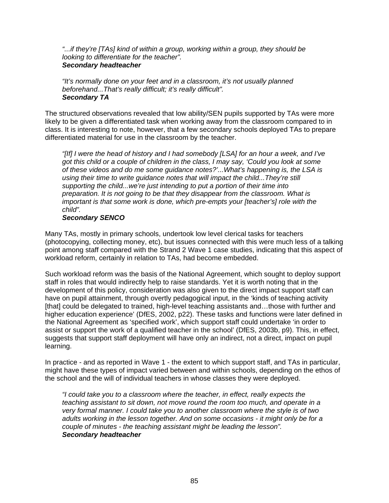*"...if they're [TAs] kind of within a group, working within a group, they should be looking to differentiate for the teacher". Secondary headteacher* 

*"It's normally done on your feet and in a classroom, it's not usually planned beforehand...That's really difficult; it's really difficult". Secondary TA* 

The structured observations revealed that low ability/SEN pupils supported by TAs were more likely to be given a differentiated task when working away from the classroom compared to in class. It is interesting to note, however, that a few secondary schools deployed TAs to prepare differentiated material for use in the classroom by the teacher.

*"[If] I were the head of history and I had somebody [LSA] for an hour a week, and I've got this child or a couple of children in the class, I may say, 'Could you look at some of these videos and do me some guidance notes?'...What's happening is, the LSA is using their time to write guidance notes that will impact the child...They're still supporting the child...we're just intending to put a portion of their time into preparation. It is not going to be that they disappear from the classroom. What is important is that some work is done, which pre-empts your [teacher's] role with the child".*

#### *Secondary SENCO*

Many TAs, mostly in primary schools, undertook low level clerical tasks for teachers (photocopying, collecting money, etc), but issues connected with this were much less of a talking point among staff compared with the Strand 2 Wave 1 case studies, indicating that this aspect of workload reform, certainly in relation to TAs, had become embedded.

Such workload reform was the basis of the National Agreement, which sought to deploy support staff in roles that would indirectly help to raise standards. Yet it is worth noting that in the development of this policy, consideration was also given to the direct impact support staff can have on pupil attainment, through overtly pedagogical input, in the 'kinds of teaching activity [that] could be delegated to trained, high-level teaching assistants and...those with further and higher education experience' (DfES, 2002, p22). These tasks and functions were later defined in the National Agreement as 'specified work', which support staff could undertake 'in order to assist or support the work of a qualified teacher in the school' (DfES, 2003b, p9). This, in effect, suggests that support staff deployment will have only an indirect, not a direct, impact on pupil learning.

In practice - and as reported in Wave 1 - the extent to which support staff, and TAs in particular, might have these types of impact varied between and within schools, depending on the ethos of the school and the will of individual teachers in whose classes they were deployed.

*"I could take you to a classroom where the teacher, in effect, really expects the teaching assistant to sit down, not move round the room too much, and operate in a very formal manner. I could take you to another classroom where the style is of two adults working in the lesson together. And on some occasions - it might only be for a couple of minutes - the teaching assistant might be leading the lesson". Secondary headteacher*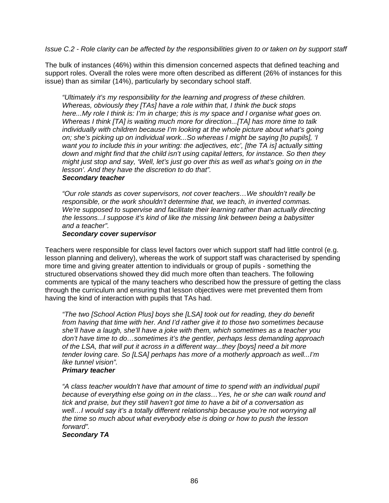## *Issue C.2 - Role clarity can be affected by the responsibilities given to or taken on by support staff*

The bulk of instances (46%) within this dimension concerned aspects that defined teaching and support roles. Overall the roles were more often described as different (26% of instances for this issue) than as similar (14%), particularly by secondary school staff.

*"Ultimately it's my responsibility for the learning and progress of these children. Whereas, obviously they [TAs] have a role within that, I think the buck stops here...My role I think is: I'm in charge; this is my space and I organise what goes on. Whereas I think [TA] is waiting much more for direction...[TA] has more time to talk individually with children because I'm looking at the whole picture about what's going on; she's picking up on individual work...So whereas I might be saying [to pupils], 'I want you to include this in your writing: the adjectives, etc', [the TA is] actually sitting down and might find that the child isn't using capital letters, for instance. So then they might just stop and say, 'Well, let's just go over this as well as what's going on in the lesson'. And they have the discretion to do that".* 

#### *Secondary teacher*

*"Our role stands as cover supervisors, not cover teachers…We shouldn't really be responsible, or the work shouldn't determine that, we teach, in inverted commas. We're supposed to supervise and facilitate their learning rather than actually directing the lessons...I suppose it's kind of like the missing link between being a babysitter and a teacher".* 

#### *Secondary cover supervisor*

Teachers were responsible for class level factors over which support staff had little control (e.g. lesson planning and delivery), whereas the work of support staff was characterised by spending more time and giving greater attention to individuals or group of pupils - something the structured observations showed they did much more often than teachers. The following comments are typical of the many teachers who described how the pressure of getting the class through the curriculum and ensuring that lesson objectives were met prevented them from having the kind of interaction with pupils that TAs had.

*"The two [School Action Plus] boys she [LSA] took out for reading, they do benefit from having that time with her. And I'd rather give it to those two sometimes because she'll have a laugh, she'll have a joke with them, which sometimes as a teacher you don't have time to do…sometimes it's the gentler, perhaps less demanding approach of the LSA, that will put it across in a different way...they [boys] need a bit more tender loving care. So [LSA] perhaps has more of a motherly approach as well...I'm like tunnel vision".* 

#### *Primary teacher*

*"A class teacher wouldn't have that amount of time to spend with an individual pupil because of everything else going on in the class…Yes, he or she can walk round and tick and praise, but they still haven't got time to have a bit of a conversation as well…I would say it's a totally different relationship because you're not worrying all the time so much about what everybody else is doing or how to push the lesson forward".* 

#### *Secondary TA*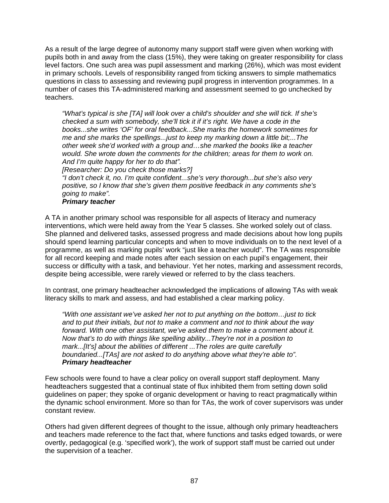As a result of the large degree of autonomy many support staff were given when working with pupils both in and away from the class (15%), they were taking on greater responsibility for class level factors. One such area was pupil assessment and marking (26%), which was most evident in primary schools. Levels of responsibility ranged from ticking answers to simple mathematics questions in class to assessing and reviewing pupil progress in intervention programmes. In a number of cases this TA-administered marking and assessment seemed to go unchecked by teachers.

*"What's typical is she [TA] will look over a child's shoulder and she will tick. If she's checked a sum with somebody, she'll tick it if it's right. We have a code in the books...she writes 'OF' for oral feedback...She marks the homework sometimes for me and she marks the spellings...just to keep my marking down a little bit;...The other week she'd worked with a group and…she marked the books like a teacher would. She wrote down the comments for the children; areas for them to work on. And I'm quite happy for her to do that".* 

*[Researcher: Do you check those marks?]* 

*"I don't check it, no. I'm quite confident...she's very thorough...but she's also very positive, so I know that she's given them positive feedback in any comments she's going to make".* 

## *Primary teacher*

A TA in another primary school was responsible for all aspects of literacy and numeracy interventions, which were held away from the Year 5 classes. She worked solely out of class. She planned and delivered tasks, assessed progress and made decisions about how long pupils should spend learning particular concepts and when to move individuals on to the next level of a programme, as well as marking pupils' work "just like a teacher would". The TA was responsible for all record keeping and made notes after each session on each pupil's engagement, their success or difficulty with a task, and behaviour. Yet her notes, marking and assessment records, despite being accessible, were rarely viewed or referred to by the class teachers.

In contrast, one primary headteacher acknowledged the implications of allowing TAs with weak literacy skills to mark and assess, and had established a clear marking policy.

*"With one assistant we've asked her not to put anything on the bottom…just to tick and to put their initials, but not to make a comment and not to think about the way forward. With one other assistant, we've asked them to make a comment about it. Now that's to do with things like spelling ability...They're not in a position to mark...[It's] about the abilities of different ...The roles are quite carefully boundaried...[TAs] are not asked to do anything above what they're able to". Primary headteacher* 

Few schools were found to have a clear policy on overall support staff deployment. Many headteachers suggested that a continual state of flux inhibited them from setting down solid guidelines on paper; they spoke of organic development or having to react pragmatically within the dynamic school environment. More so than for TAs, the work of cover supervisors was under constant review.

Others had given different degrees of thought to the issue, although only primary headteachers and teachers made reference to the fact that, where functions and tasks edged towards, or were overtly, pedagogical (e.g. 'specified work'), the work of support staff must be carried out under the supervision of a teacher.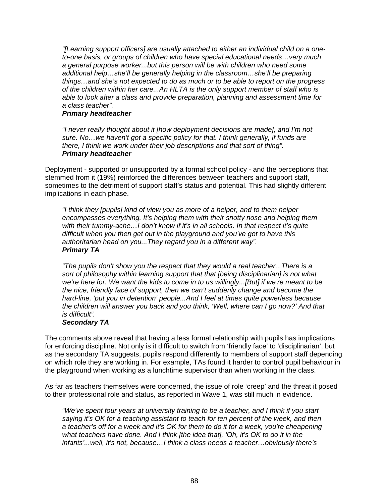*"[Learning support officers] are usually attached to either an individual child on a oneto-one basis, or groups of children who have special educational needs…very much a general purpose worker...but this person will be with children who need some additional help…she'll be generally helping in the classroom…she'll be preparing things…and she's not expected to do as much or to be able to report on the progress of the children within her care...An HLTA is the only support member of staff who is able to look after a class and provide preparation, planning and assessment time for a class teacher".* 

#### *Primary headteacher*

*"I never really thought about it [how deployment decisions are made], and I'm not sure. No…we haven't got a specific policy for that. I think generally, if funds are there, I think we work under their job descriptions and that sort of thing". Primary headteacher* 

Deployment - supported or unsupported by a formal school policy - and the perceptions that stemmed from it (19%) reinforced the differences between teachers and support staff, sometimes to the detriment of support staff's status and potential. This had slightly different implications in each phase.

*"I think they [pupils] kind of view you as more of a helper, and to them helper encompasses everything. It's helping them with their snotty nose and helping them with their tummy-ache…I don't know if it's in all schools. In that respect it's quite difficult when you then get out in the playground and you've got to have this authoritarian head on you...They regard you in a different way". Primary TA* 

*"The pupils don't show you the respect that they would a real teacher...There is a sort of philosophy within learning support that that [being disciplinarian] is not what we're here for. We want the kids to come in to us willingly...[But] if we're meant to be the nice, friendly face of support, then we can't suddenly change and become the hard-line, 'put you in detention' people...And I feel at times quite powerless because the children will answer you back and you think, 'Well, where can I go now?' And that is difficult".* 

#### *Secondary TA*

The comments above reveal that having a less formal relationship with pupils has implications for enforcing discipline. Not only is it difficult to switch from 'friendly face' to 'disciplinarian', but as the secondary TA suggests, pupils respond differently to members of support staff depending on which role they are working in. For example, TAs found it harder to control pupil behaviour in the playground when working as a lunchtime supervisor than when working in the class.

As far as teachers themselves were concerned, the issue of role 'creep' and the threat it posed to their professional role and status, as reported in Wave 1, was still much in evidence.

*"We've spent four years at university training to be a teacher, and I think if you start saying it's OK for a teaching assistant to teach for ten percent of the week, and then a teacher's off for a week and it's OK for them to do it for a week, you're cheapening what teachers have done. And I think [the idea that], 'Oh, it's OK to do it in the infants'...well, it's not, because…I think a class needs a teacher…obviously there's*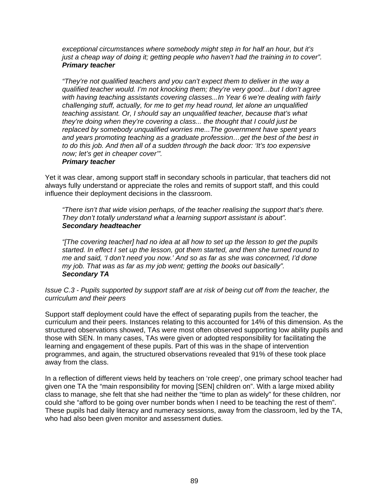*exceptional circumstances where somebody might step in for half an hour, but it's just a cheap way of doing it; getting people who haven't had the training in to cover". Primary teacher* 

*"They're not qualified teachers and you can't expect them to deliver in the way a qualified teacher would. I'm not knocking them; they're very good…but I don't agree with having teaching assistants covering classes...In Year 6 we're dealing with fairly challenging stuff, actually, for me to get my head round, let alone an unqualified teaching assistant. Or, I should say an unqualified teacher, because that's what they're doing when they're covering a class... the thought that I could just be replaced by somebody unqualified worries me...The government have spent years and years promoting teaching as a graduate profession…get the best of the best in to do this job. And then all of a sudden through the back door: 'It's too expensive now; let's get in cheaper cover'".* 

## *Primary teacher*

Yet it was clear, among support staff in secondary schools in particular, that teachers did not always fully understand or appreciate the roles and remits of support staff, and this could influence their deployment decisions in the classroom.

*"There isn't that wide vision perhaps, of the teacher realising the support that's there. They don't totally understand what a learning support assistant is about". Secondary headteacher* 

*"[The covering teacher] had no idea at all how to set up the lesson to get the pupils started. In effect I set up the lesson, got them started, and then she turned round to me and said, 'I don't need you now.' And so as far as she was concerned, I'd done my job. That was as far as my job went; getting the books out basically". Secondary TA* 

*Issue C.3 - Pupils supported by support staff are at risk of being cut off from the teacher, the curriculum and their peers* 

Support staff deployment could have the effect of separating pupils from the teacher, the curriculum and their peers. Instances relating to this accounted for 14% of this dimension. As the structured observations showed, TAs were most often observed supporting low ability pupils and those with SEN. In many cases, TAs were given or adopted responsibility for facilitating the learning and engagement of these pupils. Part of this was in the shape of intervention programmes, and again, the structured observations revealed that 91% of these took place away from the class.

In a reflection of different views held by teachers on 'role creep', one primary school teacher had given one TA the "main responsibility for moving [SEN] children on". With a large mixed ability class to manage, she felt that she had neither the "time to plan as widely" for these children, nor could she "afford to be going over number bonds when I need to be teaching the rest of them". These pupils had daily literacy and numeracy sessions, away from the classroom, led by the TA, who had also been given monitor and assessment duties.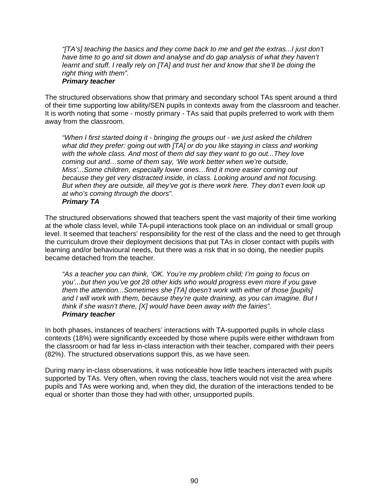*"[TA's] teaching the basics and they come back to me and get the extras...I just don't have time to go and sit down and analyse and do gap analysis of what they haven't learnt and stuff. I really rely on [TA] and trust her and know that she'll be doing the right thing with them".* 

## *Primary teacher*

The structured observations show that primary and secondary school TAs spent around a third of their time supporting low ability/SEN pupils in contexts away from the classroom and teacher. It is worth noting that some - mostly primary - TAs said that pupils preferred to work with them away from the classroom.

*"When I first started doing it - bringing the groups out - we just asked the children what did they prefer: going out with [TA] or do you like staying in class and working with the whole class. And most of them did say they want to go out...They love coming out and…some of them say, 'We work better when we're outside, Miss'...Some children, especially lower ones…find it more easier coming out because they get very distracted inside, in class. Looking around and not focusing. But when they are outside, all they've got is there work here. They don't even look up at who's coming through the doors". Primary TA* 

The structured observations showed that teachers spent the vast majority of their time working at the whole class level, while TA-pupil interactions took place on an individual or small group level. It seemed that teachers' responsibility for the rest of the class and the need to get through the curriculum drove their deployment decisions that put TAs in closer contact with pupils with learning and/or behavioural needs, but there was a risk that in so doing, the needier pupils became detached from the teacher.

*"As a teacher you can think, 'OK. You're my problem child; I'm going to focus on you'...but then you've got 28 other kids who would progress even more if you gave them the attention...Sometimes she [TA] doesn't work with either of those [pupils] and I will work with them, because they're quite draining, as you can imagine. But I think if she wasn't there, [X] would have been away with the fairies". Primary teacher* 

In both phases, instances of teachers' interactions with TA-supported pupils in whole class contexts (18%) were significantly exceeded by those where pupils were either withdrawn from the classroom or had far less in-class interaction with their teacher, compared with their peers (82%). The structured observations support this, as we have seen.

During many in-class observations, it was noticeable how little teachers interacted with pupils supported by TAs. Very often, when roving the class, teachers would not visit the area where pupils and TAs were working and, when they did, the duration of the interactions tended to be equal or shorter than those they had with other, unsupported pupils.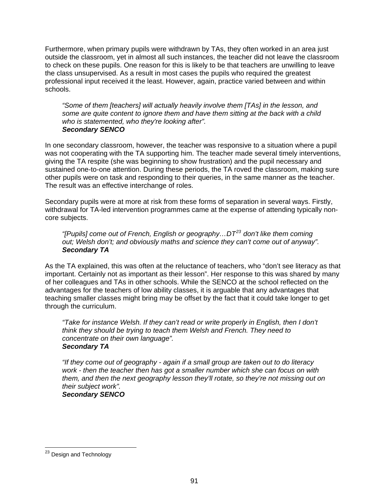<span id="page-95-0"></span>Furthermore, when primary pupils were withdrawn by TAs, they often worked in an area just outside the classroom, yet in almost all such instances, the teacher did not leave the classroom to check on these pupils. One reason for this is likely to be that teachers are unwilling to leave the class unsupervised. As a result in most cases the pupils who required the greatest professional input received it the least. However, again, practice varied between and within schools.

*"Some of them [teachers] will actually heavily involve them [TAs] in the lesson, and some are quite content to ignore them and have them sitting at the back with a child who is statemented, who they're looking after". Secondary SENCO* 

In one secondary classroom, however, the teacher was responsive to a situation where a pupil was not cooperating with the TA supporting him. The teacher made several timely interventions, giving the TA respite (she was beginning to show frustration) and the pupil necessary and sustained one-to-one attention. During these periods, the TA roved the classroom, making sure other pupils were on task and responding to their queries, in the same manner as the teacher. The result was an effective interchange of roles.

Secondary pupils were at more at risk from these forms of separation in several ways. Firstly, withdrawal for TA-led intervention programmes came at the expense of attending typically noncore subjects.

*"[Pupils] come out of French, English or geography…DT[23](#page-95-0) don't like them coming out; Welsh don't; and obviously maths and science they can't come out of anyway". Secondary TA* 

As the TA explained, this was often at the reluctance of teachers, who "don't see literacy as that important. Certainly not as important as their lesson". Her response to this was shared by many of her colleagues and TAs in other schools. While the SENCO at the school reflected on the advantages for the teachers of low ability classes, it is arguable that any advantages that teaching smaller classes might bring may be offset by the fact that it could take longer to get through the curriculum.

*"Take for instance Welsh. If they can't read or write properly in English, then I don't think they should be trying to teach them Welsh and French. They need to concentrate on their own language". Secondary TA* 

*"If they come out of geography - again if a small group are taken out to do literacy work - then the teacher then has got a smaller number which she can focus on with them, and then the next geography lesson they'll rotate, so they're not missing out on their subject work". Secondary SENCO* 

 $\overline{a}$ 

<sup>&</sup>lt;sup>23</sup> Design and Technology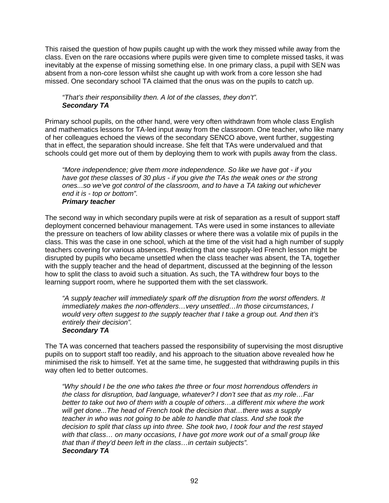This raised the question of how pupils caught up with the work they missed while away from the class. Even on the rare occasions where pupils were given time to complete missed tasks, it was inevitably at the expense of missing something else. In one primary class, a pupil with SEN was absent from a non-core lesson whilst she caught up with work from a core lesson she had missed. One secondary school TA claimed that the onus was on the pupils to catch up.

## *"That's their responsibility then. A lot of the classes, they don't". Secondary TA*

Primary school pupils, on the other hand, were very often withdrawn from whole class English and mathematics lessons for TA-led input away from the classroom. One teacher, who like many of her colleagues echoed the views of the secondary SENCO above, went further, suggesting that in effect, the separation should increase. She felt that TAs were undervalued and that schools could get more out of them by deploying them to work with pupils away from the class.

*"More independence; give them more independence. So like we have got - if you have got these classes of 30 plus - if you give the TAs the weak ones or the strong ones...so we've got control of the classroom, and to have a TA taking out whichever end it is - top or bottom".* 

## *Primary teacher*

The second way in which secondary pupils were at risk of separation as a result of support staff deployment concerned behaviour management. TAs were used in some instances to alleviate the pressure on teachers of low ability classes or where there was a volatile mix of pupils in the class. This was the case in one school, which at the time of the visit had a high number of supply teachers covering for various absences. Predicting that one supply-led French lesson might be disrupted by pupils who became unsettled when the class teacher was absent, the TA, together with the supply teacher and the head of department, discussed at the beginning of the lesson how to split the class to avoid such a situation. As such, the TA withdrew four boys to the learning support room, where he supported them with the set classwork.

*"A supply teacher will immediately spark off the disruption from the worst offenders. It immediately makes the non-offenders…very unsettled…In those circumstances, I would very often suggest to the supply teacher that I take a group out. And then it's entirely their decision". Secondary TA* 

The TA was concerned that teachers passed the responsibility of supervising the most disruptive pupils on to support staff too readily, and his approach to the situation above revealed how he minimised the risk to himself. Yet at the same time, he suggested that withdrawing pupils in this way often led to better outcomes.

*"Why should I be the one who takes the three or four most horrendous offenders in the class for disruption, bad language, whatever? I don't see that as my role…Far better to take out two of them with a couple of others…a different mix where the work will get done...The head of French took the decision that…there was a supply teacher in who was not going to be able to handle that class. And she took the decision to split that class up into three. She took two, I took four and the rest stayed with that class… on many occasions, I have got more work out of a small group like that than if they'd been left in the class…in certain subjects". Secondary TA*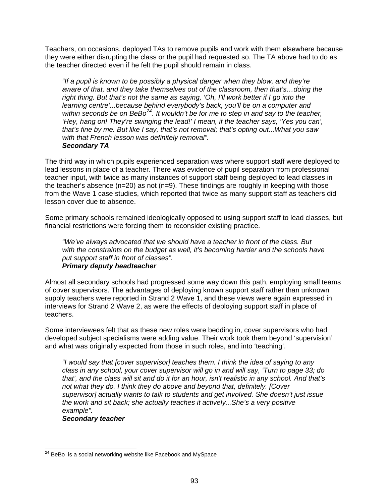<span id="page-97-0"></span>Teachers, on occasions, deployed TAs to remove pupils and work with them elsewhere because they were either disrupting the class or the pupil had requested so. The TA above had to do as the teacher directed even if he felt the pupil should remain in class.

*"If a pupil is known to be possibly a physical danger when they blow, and they're aware of that, and they take themselves out of the classroom, then that's…doing the right thing. But that's not the same as saying, 'Oh, I'll work better if I go into the learning centre'...because behind everybody's back, you'll be on a computer and within seconds be on BeBo[24](#page-97-0). It wouldn't be for me to step in and say to the teacher, 'Hey, hang on! They're swinging the lead!' I mean, if the teacher says, 'Yes you can', that's fine by me. But like I say, that's not removal; that's opting out...What you saw with that French lesson was definitely removal". Secondary TA* 

The third way in which pupils experienced separation was where support staff were deployed to lead lessons in place of a teacher. There was evidence of pupil separation from professional teacher input, with twice as many instances of support staff being deployed to lead classes in the teacher's absence  $(n=20)$  as not  $(n=9)$ . These findings are roughly in keeping with those from the Wave 1 case studies, which reported that twice as many support staff as teachers did lesson cover due to absence.

Some primary schools remained ideologically opposed to using support staff to lead classes, but financial restrictions were forcing them to reconsider existing practice.

*"We've always advocated that we should have a teacher in front of the class. But with the constraints on the budget as well, it's becoming harder and the schools have put support staff in front of classes". Primary deputy headteacher* 

Almost all secondary schools had progressed some way down this path, employing small teams of cover supervisors. The advantages of deploying known support staff rather than unknown supply teachers were reported in Strand 2 Wave 1, and these views were again expressed in interviews for Strand 2 Wave 2, as were the effects of deploying support staff in place of teachers.

Some interviewees felt that as these new roles were bedding in, cover supervisors who had developed subject specialisms were adding value. Their work took them beyond 'supervision' and what was originally expected from those in such roles, and into 'teaching'.

*"I would say that [cover supervisor] teaches them. I think the idea of saying to any class in any school, your cover supervisor will go in and will say, 'Turn to page 33; do that', and the class will sit and do it for an hour, isn't realistic in any school. And that's not what they do. I think they do above and beyond that, definitely. [Cover supervisor] actually wants to talk to students and get involved. She doesn't just issue the work and sit back; she actually teaches it actively...She's a very positive example".* 

*Secondary teacher* 

 $\overline{a}$ 

 $^{24}$  BeBo is a social networking website like Facebook and MySpace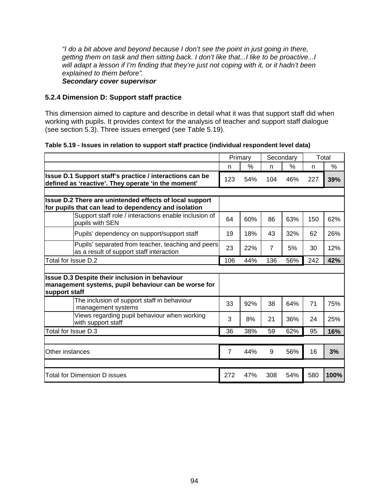*"I do a bit above and beyond because I don't see the point in just going in there, getting them on task and then sitting back. I don't like that...I like to be proactive...I will adapt a lesson if I'm finding that they're just not coping with it, or it hadn't been explained to them before".* 

#### *Secondary cover supervisor*

## **5.2.4 Dimension D: Support staff practice**

This dimension aimed to capture and describe in detail what it was that support staff did when working with pupils. It provides context for the analysis of teacher and support staff dialogue (see section 5.3). Three issues emerged (see Table 5.19).

|  |  | Table 5.19 - Issues in relation to support staff practice (individual respondent level data) |  |
|--|--|----------------------------------------------------------------------------------------------|--|
|  |  |                                                                                              |  |

|                                                                                                                 | Primary        |     | Secondary      |     | Total |      |
|-----------------------------------------------------------------------------------------------------------------|----------------|-----|----------------|-----|-------|------|
|                                                                                                                 | n              | %   | n              | %   | n     | %    |
| Issue D.1 Support staff's practice / interactions can be<br>defined as 'reactive'. They operate 'in the moment' | 123            | 54% | 104            | 46% | 227   | 39%  |
|                                                                                                                 |                |     |                |     |       |      |
| Issue D.2 There are unintended effects of local support<br>for pupils that can lead to dependency and isolation |                |     |                |     |       |      |
| Support staff role / interactions enable inclusion of<br>pupils with SEN                                        | 64             | 60% | 86             | 63% | 150   | 62%  |
| Pupils' dependency on support/support staff                                                                     | 19             | 18% | 43             | 32% | 62    | 26%  |
| Pupils' separated from teacher, teaching and peers<br>as a result of support staff interaction                  | 23             | 22% | $\overline{7}$ | 5%  | 30    | 12%  |
| Total for Issue D.2                                                                                             | 106            | 44% | 136            | 56% | 242   | 42%  |
|                                                                                                                 |                |     |                |     |       |      |
| Issue D.3 Despite their inclusion in behaviour<br>management systems, pupil behaviour can be worse for          |                |     |                |     |       |      |
| support staff                                                                                                   |                |     |                |     |       |      |
| The inclusion of support staff in behaviour<br>management systems                                               | 33             | 92% | 38             | 64% | 71    | 75%  |
| Views regarding pupil behaviour when working<br>with support staff                                              | 3              | 8%  | 21             | 36% | 24    | 25%  |
| Total for Issue D.3                                                                                             | 36             | 38% | 59             | 62% | 95    | 16%  |
|                                                                                                                 |                |     |                |     |       |      |
| Other instances                                                                                                 | $\overline{7}$ | 44% | 9              | 56% | 16    | 3%   |
|                                                                                                                 |                |     |                |     |       |      |
| Total for Dimension D issues                                                                                    | 272            | 47% | 308            | 54% | 580   | 100% |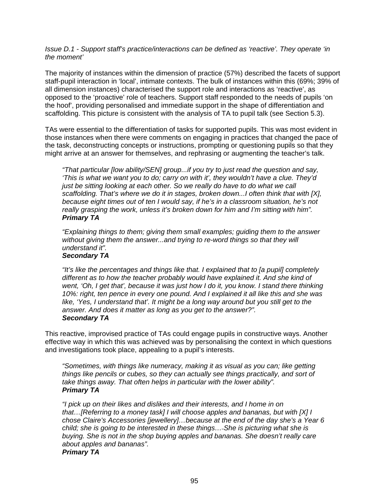*Issue D.1 - Support staff's practice/interactions can be defined as 'reactive'. They operate 'in the moment'* 

The majority of instances within the dimension of practice (57%) described the facets of support staff-pupil interaction in 'local', intimate contexts. The bulk of instances within this (69%; 39% of all dimension instances) characterised the support role and interactions as 'reactive', as opposed to the 'proactive' role of teachers. Support staff responded to the needs of pupils 'on the hoof', providing personalised and immediate support in the shape of differentiation and scaffolding. This picture is consistent with the analysis of TA to pupil talk (see Section 5.3).

TAs were essential to the differentiation of tasks for supported pupils. This was most evident in those instances when there were comments on engaging in practices that changed the pace of the task, deconstructing concepts or instructions, prompting or questioning pupils so that they might arrive at an answer for themselves, and rephrasing or augmenting the teacher's talk.

*"That particular [low ability/SEN] group...if you try to just read the question and say, 'This is what we want you to do; carry on with it', they wouldn't have a clue. They'd just be sitting looking at each other. So we really do have to do what we call scaffolding. That's where we do it in stages, broken down...I often think that with [X], because eight times out of ten I would say, if he's in a classroom situation, he's not really grasping the work, unless it's broken down for him and I'm sitting with him". Primary TA* 

*"Explaining things to them; giving them small examples; guiding them to the answer without giving them the answer...and trying to re-word things so that they will understand it".* 

## *Secondary TA*

*"It's like the percentages and things like that. I explained that to [a pupil] completely different as to how the teacher probably would have explained it. And she kind of went, 'Oh, I get that', because it was just how I do it, you know. I stand there thinking 10%: right, ten pence in every one pound. And I explained it all like this and she was*  like, 'Yes, I understand that'. It might be a long way around but you still get to the *answer. And does it matter as long as you get to the answer?". Secondary TA* 

This reactive, improvised practice of TAs could engage pupils in constructive ways. Another effective way in which this was achieved was by personalising the context in which questions and investigations took place, appealing to a pupil's interests.

*"Sometimes, with things like numeracy, making it as visual as you can; like getting things like pencils or cubes, so they can actually see things practically, and sort of take things away. That often helps in particular with the lower ability". Primary TA* 

*"I pick up on their likes and dislikes and their interests, and I home in on that…[Referring to a money task] I will choose apples and bananas, but with [X] I chose Claire's Accessories [jewellery]…because at the end of the day she's a Year 6 child; she is going to be interested in these things… She is picturing what she is buying. She is not in the shop buying apples and bananas. She doesn't really care about apples and bananas". Primary TA*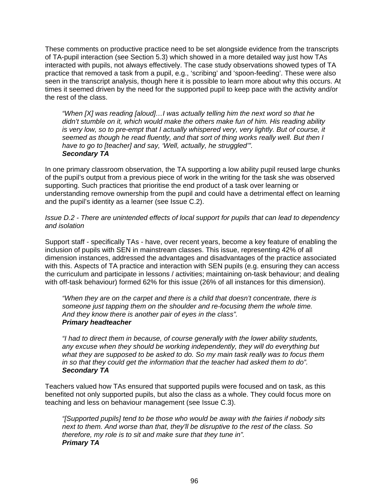These comments on productive practice need to be set alongside evidence from the transcripts of TA-pupil interaction (see Section 5.3) which showed in a more detailed way just how TAs interacted with pupils, not always effectively. The case study observations showed types of TA practice that removed a task from a pupil, e.g., 'scribing' and 'spoon-feeding'. These were also seen in the transcript analysis, though here it is possible to learn more about why this occurs. At times it seemed driven by the need for the supported pupil to keep pace with the activity and/or the rest of the class.

*"When [X] was reading [aloud]…I was actually telling him the next word so that he didn't stumble on it, which would make the others make fun of him. His reading ability is very low, so to pre-empt that I actually whispered very, very lightly. But of course, it seemed as though he read fluently, and that sort of thing works really well. But then I have to go to [teacher] and say, 'Well, actually, he struggled'". Secondary TA* 

In one primary classroom observation, the TA supporting a low ability pupil reused large chunks of the pupil's output from a previous piece of work in the writing for the task she was observed supporting. Such practices that prioritise the end product of a task over learning or understanding remove ownership from the pupil and could have a detrimental effect on learning and the pupil's identity as a learner (see Issue C.2).

#### *Issue D.2 - There are unintended effects of local support for pupils that can lead to dependency and isolation*

Support staff - specifically TAs - have, over recent years, become a key feature of enabling the inclusion of pupils with SEN in mainstream classes. This issue, representing 42% of all dimension instances, addressed the advantages and disadvantages of the practice associated with this. Aspects of TA practice and interaction with SEN pupils (e.g. ensuring they can access the curriculum and participate in lessons / activities; maintaining on-task behaviour; and dealing with off-task behaviour) formed 62% for this issue (26% of all instances for this dimension).

*"When they are on the carpet and there is a child that doesn't concentrate, there is someone just tapping them on the shoulder and re-focusing them the whole time. And they know there is another pair of eyes in the class". Primary headteacher* 

*"I had to direct them in because, of course generally with the lower ability students, any excuse when they should be working independently, they will do everything but what they are supposed to be asked to do. So my main task really was to focus them in so that they could get the information that the teacher had asked them to do". Secondary TA* 

Teachers valued how TAs ensured that supported pupils were focused and on task, as this benefited not only supported pupils, but also the class as a whole. They could focus more on teaching and less on behaviour management (see Issue C.3).

*"[Supported pupils] tend to be those who would be away with the fairies if nobody sits next to them. And worse than that, they'll be disruptive to the rest of the class. So therefore, my role is to sit and make sure that they tune in". Primary TA*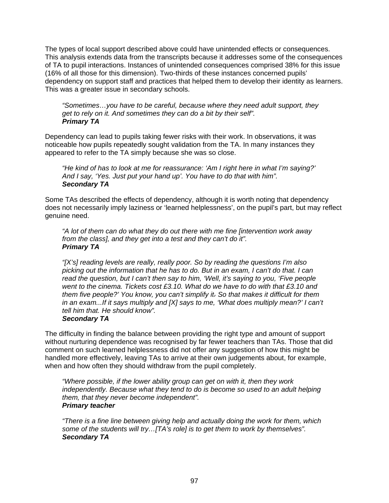The types of local support described above could have unintended effects or consequences. This analysis extends data from the transcripts because it addresses some of the consequences of TA to pupil interactions. Instances of unintended consequences comprised 38% for this issue (16% of all those for this dimension). Two-thirds of these instances concerned pupils' dependency on support staff and practices that helped them to develop their identity as learners. This was a greater issue in secondary schools.

*"Sometimes…you have to be careful, because where they need adult support, they get to rely on it. And sometimes they can do a bit by their self". Primary TA* 

Dependency can lead to pupils taking fewer risks with their work. In observations, it was noticeable how pupils repeatedly sought validation from the TA. In many instances they appeared to refer to the TA simply because she was so close.

*"He kind of has to look at me for reassurance: 'Am I right here in what I'm saying?' And I say, 'Yes. Just put your hand up'. You have to do that with him". Secondary TA* 

Some TAs described the effects of dependency, although it is worth noting that dependency does not necessarily imply laziness or 'learned helplessness', on the pupil's part, but may reflect genuine need.

*"A lot of them can do what they do out there with me fine [intervention work away from the class], and they get into a test and they can't do it". Primary TA* 

*"[X's] reading levels are really, really poor. So by reading the questions I'm also picking out the information that he has to do. But in an exam, I can't do that. I can read the question, but I can't then say to him, 'Well, it's saying to you, 'Five people went to the cinema. Tickets cost £3.10. What do we have to do with that £3.10 and them five people?' You know, you can't simplify it. So that makes it difficult for them in an exam...If it says multiply and [X] says to me, 'What does multiply mean?' I can't tell him that. He should know".* 

#### *Secondary TA*

The difficulty in finding the balance between providing the right type and amount of support without nurturing dependence was recognised by far fewer teachers than TAs. Those that did comment on such learned helplessness did not offer any suggestion of how this might be handled more effectively, leaving TAs to arrive at their own judgements about, for example, when and how often they should withdraw from the pupil completely.

*"Where possible, if the lower ability group can get on with it, then they work independently. Because what they tend to do is become so used to an adult helping them, that they never become independent". Primary teacher* 

*"There is a fine line between giving help and actually doing the work for them, which some of the students will try…[TA's role] is to get them to work by themselves". Secondary TA*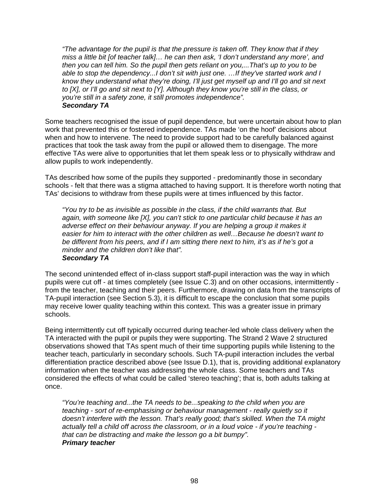*"The advantage for the pupil is that the pressure is taken off. They know that if they miss a little bit [of teacher talk]… he can then ask, 'I don't understand any more', and then you can tell him. So the pupil then gets reliant on you,...That's up to you to be able to stop the dependency...I don't sit with just one. …If they've started work and I know they understand what they're doing, I'll just get myself up and I'll go and sit next to [X], or I'll go and sit next to [Y]. Although they know you're still in the class, or you're still in a safety zone, it still promotes independence". Secondary TA* 

Some teachers recognised the issue of pupil dependence, but were uncertain about how to plan work that prevented this or fostered independence. TAs made 'on the hoof' decisions about when and how to intervene. The need to provide support had to be carefully balanced against practices that took the task away from the pupil or allowed them to disengage. The more effective TAs were alive to opportunities that let them speak less or to physically withdraw and allow pupils to work independently.

TAs described how some of the pupils they supported - predominantly those in secondary schools - felt that there was a stigma attached to having support. It is therefore worth noting that TAs' decisions to withdraw from these pupils were at times influenced by this factor.

*"You try to be as invisible as possible in the class, if the child warrants that. But again, with someone like [X], you can't stick to one particular child because it has an adverse effect on their behaviour anyway. If you are helping a group it makes it easier for him to interact with the other children as well…Because he doesn't want to be different from his peers, and if I am sitting there next to him, it's as if he's got a minder and the children don't like that". Secondary TA* 

The second unintended effect of in-class support staff-pupil interaction was the way in which pupils were cut off - at times completely (see Issue C.3) and on other occasions, intermittently  $\cdot$ from the teacher, teaching and their peers. Furthermore, drawing on data from the transcripts of TA-pupil interaction (see Section 5.3), it is difficult to escape the conclusion that some pupils may receive lower quality teaching within this context. This was a greater issue in primary schools.

Being intermittently cut off typically occurred during teacher-led whole class delivery when the TA interacted with the pupil or pupils they were supporting. The Strand 2 Wave 2 structured observations showed that TAs spent much of their time supporting pupils while listening to the teacher teach, particularly in secondary schools. Such TA-pupil interaction includes the verbal differentiation practice described above (see Issue D.1), that is, providing additional explanatory information when the teacher was addressing the whole class. Some teachers and TAs considered the effects of what could be called 'stereo teaching'; that is, both adults talking at once.

*"You're teaching and...the TA needs to be...speaking to the child when you are teaching - sort of re-emphasising or behaviour management - really quietly so it doesn't interfere with the lesson. That's really good; that's skilled. When the TA might actually tell a child off across the classroom, or in a loud voice - if you're teaching that can be distracting and make the lesson go a bit bumpy". Primary teacher*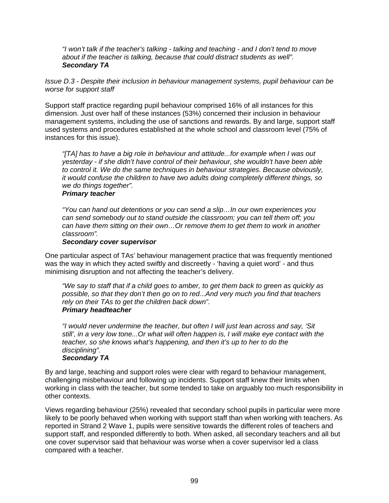*"I won't talk if the teacher's talking - talking and teaching - and I don't tend to move about if the teacher is talking, because that could distract students as well". Secondary TA* 

*Issue D.3 - Despite their inclusion in behaviour management systems, pupil behaviour can be worse for support staff* 

Support staff practice regarding pupil behaviour comprised 16% of all instances for this dimension. Just over half of these instances (53%) concerned their inclusion in behaviour management systems, including the use of sanctions and rewards. By and large, support staff used systems and procedures established at the whole school and classroom level (75% of instances for this issue).

*"[TA] has to have a big role in behaviour and attitude...for example when I was out yesterday - if she didn't have control of their behaviour, she wouldn't have been able to control it. We do the same techniques in behaviour strategies. Because obviously, it would confuse the children to have two adults doing completely different things, so we do things together".* 

# *Primary teacher*

*"You can hand out detentions or you can send a slip…In our own experiences you can send somebody out to stand outside the classroom; you can tell them off; you can have them sitting on their own…Or remove them to get them to work in another classroom".* 

#### *Secondary cover supervisor*

One particular aspect of TAs' behaviour management practice that was frequently mentioned was the way in which they acted swiftly and discreetly - 'having a quiet word' - and thus minimising disruption and not affecting the teacher's delivery.

*"We say to staff that if a child goes to amber, to get them back to green as quickly as possible, so that they don't then go on to red...And very much you find that teachers rely on their TAs to get the children back down". Primary headteacher* 

*"I would never undermine the teacher, but often I will just lean across and say, 'Sit still', in a very low tone...Or what will often happen is, I will make eye contact with the teacher, so she knows what's happening, and then it's up to her to do the disciplining".* 

# *Secondary TA*

By and large, teaching and support roles were clear with regard to behaviour management, challenging misbehaviour and following up incidents. Support staff knew their limits when working in class with the teacher, but some tended to take on arguably too much responsibility in other contexts.

Views regarding behaviour (25%) revealed that secondary school pupils in particular were more likely to be poorly behaved when working with support staff than when working with teachers. As reported in Strand 2 Wave 1, pupils were sensitive towards the different roles of teachers and support staff, and responded differently to both. When asked, all secondary teachers and all but one cover supervisor said that behaviour was worse when a cover supervisor led a class compared with a teacher.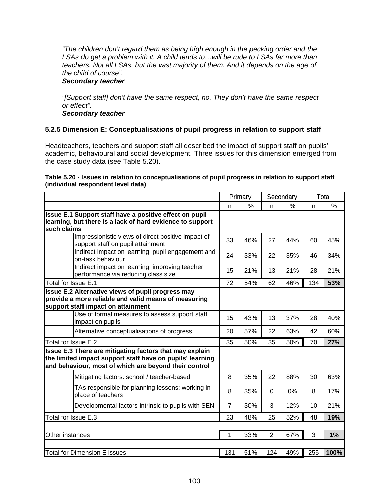*"The children don't regard them as being high enough in the pecking order and the LSAs do get a problem with it. A child tends to…will be rude to LSAs far more than teachers. Not all LSAs, but the vast majority of them. And it depends on the age of the child of course".* 

## *Secondary teacher*

*"[Support staff] don't have the same respect, no. They don't have the same respect or effect".* 

#### *Secondary teacher*

# **5.2.5 Dimension E: Conceptualisations of pupil progress in relation to support staff**

Headteachers, teachers and support staff all described the impact of support staff on pupils' academic, behavioural and social development. Three issues for this dimension emerged from the case study data (see Table 5.20).

#### **Table 5.20 - Issues in relation to conceptualisations of pupil progress in relation to support staff (individual respondent level data)**

|                                                                                                                                                                               | Primary        |     | Secondary      |      |     | Total |
|-------------------------------------------------------------------------------------------------------------------------------------------------------------------------------|----------------|-----|----------------|------|-----|-------|
|                                                                                                                                                                               | n              | %   | n              | $\%$ | n   | $\%$  |
| Issue E.1 Support staff have a positive effect on pupil<br>learning, but there is a lack of hard evidence to support<br>such claims                                           |                |     |                |      |     |       |
| Impressionistic views of direct positive impact of<br>support staff on pupil attainment                                                                                       | 33             | 46% | 27             | 44%  | 60  | 45%   |
| Indirect impact on learning: pupil engagement and<br>on-task behaviour                                                                                                        | 24             | 33% | 22             | 35%  | 46  | 34%   |
| Indirect impact on learning: improving teacher<br>performance via reducing class size                                                                                         | 15             | 21% | 13             | 21%  | 28  | 21%   |
| Total for Issue E.1                                                                                                                                                           | 72             | 54% | 62             | 46%  | 134 | 53%   |
| Issue E.2 Alternative views of pupil progress may<br>provide a more reliable and valid means of measuring<br>support staff impact on attainment                               |                |     |                |      |     |       |
| Use of formal measures to assess support staff<br>impact on pupils                                                                                                            | 15             | 43% | 13             | 37%  | 28  | 40%   |
| Alternative conceptualisations of progress                                                                                                                                    | 20             | 57% | 22             | 63%  | 42  | 60%   |
| Total for Issue E.2                                                                                                                                                           | 35             | 50% | 35             | 50%  | 70  | 27%   |
| Issue E.3 There are mitigating factors that may explain<br>the limited impact support staff have on pupils' learning<br>and behaviour, most of which are beyond their control |                |     |                |      |     |       |
| Mitigating factors: school / teacher-based                                                                                                                                    | 8              | 35% | 22             | 88%  | 30  | 63%   |
| TAs responsible for planning lessons; working in<br>place of teachers                                                                                                         | 8              | 35% | $\Omega$       | 0%   | 8   | 17%   |
| Developmental factors intrinsic to pupils with SEN                                                                                                                            | $\overline{7}$ | 30% | 3              | 12%  | 10  | 21%   |
| Total for Issue E.3                                                                                                                                                           | 23             | 48% | 25             | 52%  | 48  | 19%   |
|                                                                                                                                                                               |                |     |                |      |     |       |
| Other instances                                                                                                                                                               | $\mathbf{1}$   | 33% | $\overline{2}$ | 67%  | 3   | 1%    |
| <b>Total for Dimension E issues</b>                                                                                                                                           | 131            | 51% | 124            | 49%  | 255 | 100%  |
|                                                                                                                                                                               |                |     |                |      |     |       |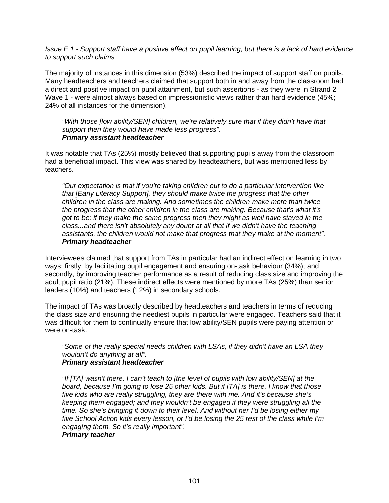*Issue E.1 - Support staff have a positive effect on pupil learning, but there is a lack of hard evidence to support such claims* 

The majority of instances in this dimension (53%) described the impact of support staff on pupils. Many headteachers and teachers claimed that support both in and away from the classroom had a direct and positive impact on pupil attainment, but such assertions - as they were in Strand 2 Wave 1 - were almost always based on impressionistic views rather than hard evidence (45%; 24% of all instances for the dimension).

*"With those [low ability/SEN] children, we're relatively sure that if they didn't have that support then they would have made less progress". Primary assistant headteacher* 

It was notable that TAs (25%) mostly believed that supporting pupils away from the classroom had a beneficial impact. This view was shared by headteachers, but was mentioned less by teachers.

*"Our expectation is that if you're taking children out to do a particular intervention like that [Early Literacy Support], they should make twice the progress that the other children in the class are making. And sometimes the children make more than twice the progress that the other children in the class are making. Because that's what it's got to be: if they make the same progress then they might as well have stayed in the class...and there isn't absolutely any doubt at all that if we didn't have the teaching assistants, the children would not make that progress that they make at the moment". Primary headteacher* 

Interviewees claimed that support from TAs in particular had an indirect effect on learning in two ways: firstly, by facilitating pupil engagement and ensuring on-task behaviour (34%); and secondly, by improving teacher performance as a result of reducing class size and improving the adult:pupil ratio (21%). These indirect effects were mentioned by more TAs (25%) than senior leaders (10%) and teachers (12%) in secondary schools.

The impact of TAs was broadly described by headteachers and teachers in terms of reducing the class size and ensuring the neediest pupils in particular were engaged. Teachers said that it was difficult for them to continually ensure that low ability/SEN pupils were paying attention or were on-task.

*"Some of the really special needs children with LSAs, if they didn't have an LSA they wouldn't do anything at all". Primary assistant headteacher* 

*"If [TA] wasn't there, I can't teach to [the level of pupils with low ability/SEN] at the board, because I'm going to lose 25 other kids. But if [TA] is there, I know that those five kids who are really struggling, they are there with me. And it's because she's keeping them engaged; and they wouldn't be engaged if they were struggling all the time. So she's bringing it down to their level. And without her I'd be losing either my five School Action kids every lesson, or I'd be losing the 25 rest of the class while I'm engaging them. So it's really important".* 

## *Primary teacher*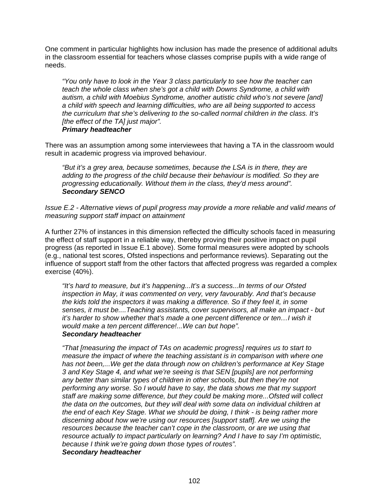One comment in particular highlights how inclusion has made the presence of additional adults in the classroom essential for teachers whose classes comprise pupils with a wide range of needs.

*"You only have to look in the Year 3 class particularly to see how the teacher can teach the whole class when she's got a child with Downs Syndrome, a child with autism, a child with Moebius Syndrome, another autistic child who's not severe [and] a child with speech and learning difficulties, who are all being supported to access the curriculum that she's delivering to the so-called normal children in the class. It's [the effect of the TA] just major". Primary headteacher* 

There was an assumption among some interviewees that having a TA in the classroom would result in academic progress via improved behaviour.

*"But it's a grey area, because sometimes, because the LSA is in there, they are adding to the progress of the child because their behaviour is modified. So they are progressing educationally. Without them in the class, they'd mess around". Secondary SENCO* 

*Issue E.2 - Alternative views of pupil progress may provide a more reliable and valid means of measuring support staff impact on attainment* 

A further 27% of instances in this dimension reflected the difficulty schools faced in measuring the effect of staff support in a reliable way, thereby proving their positive impact on pupil progress (as reported in Issue E.1 above). Some formal measures were adopted by schools (e.g., national test scores, Ofsted inspections and performance reviews). Separating out the influence of support staff from the other factors that affected progress was regarded a complex exercise (40%).

*"It's hard to measure, but it's happening...It's a success...In terms of our Ofsted inspection in May, it was commented on very, very favourably. And that's because the kids told the inspectors it was making a difference. So if they feel it, in some senses, it must be....Teaching assistants, cover supervisors, all make an impact - but it's harder to show whether that's made a one percent difference or ten...I wish it would make a ten percent difference!...We can but hope". Secondary headteacher* 

*"That [measuring the impact of TAs on academic progress] requires us to start to measure the impact of where the teaching assistant is in comparison with where one has not been,...We get the data through now on children's performance at Key Stage 3 and Key Stage 4, and what we're seeing is that SEN [pupils] are not performing any better than similar types of children in other schools, but then they're not performing any worse. So I would have to say, the data shows me that my support staff are making some difference, but they could be making more...Ofsted will collect the data on the outcomes, but they will deal with some data on individual children at the end of each Key Stage. What we should be doing, I think - is being rather more discerning about how we're using our resources [support staff]. Are we using the resources because the teacher can't cope in the classroom, or are we using that resource actually to impact particularly on learning? And I have to say I'm optimistic, because I think we're going down those types of routes". Secondary headteacher*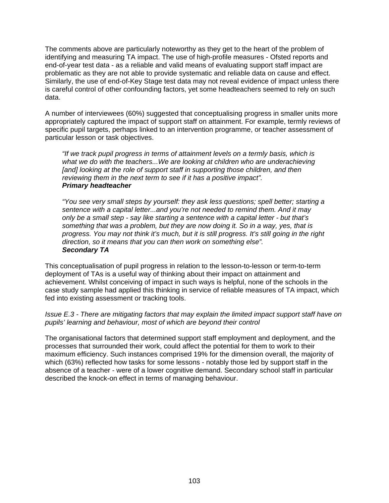The comments above are particularly noteworthy as they get to the heart of the problem of identifying and measuring TA impact. The use of high-profile measures - Ofsted reports and end-of-year test data - as a reliable and valid means of evaluating support staff impact are problematic as they are not able to provide systematic and reliable data on cause and effect. Similarly, the use of end-of-Key Stage test data may not reveal evidence of impact unless there is careful control of other confounding factors, yet some headteachers seemed to rely on such data.

A number of interviewees (60%) suggested that conceptualising progress in smaller units more appropriately captured the impact of support staff on attainment. For example, termly reviews of specific pupil targets, perhaps linked to an intervention programme, or teacher assessment of particular lesson or task objectives.

*"If we track pupil progress in terms of attainment levels on a termly basis, which is what we do with the teachers...We are looking at children who are underachieving*  [and] looking at the role of support staff in supporting those children, and then *reviewing them in the next term to see if it has a positive impact". Primary headteacher* 

*"You see very small steps by yourself: they ask less questions; spell better; starting a sentence with a capital letter...and you're not needed to remind them. And it may only be a small step - say like starting a sentence with a capital letter - but that's something that was a problem, but they are now doing it. So in a way, yes, that is progress. You may not think it's much, but it is still progress. It's still going in the right direction, so it means that you can then work on something else". Secondary TA* 

This conceptualisation of pupil progress in relation to the lesson-to-lesson or term-to-term deployment of TAs is a useful way of thinking about their impact on attainment and achievement. Whilst conceiving of impact in such ways is helpful, none of the schools in the case study sample had applied this thinking in service of reliable measures of TA impact, which fed into existing assessment or tracking tools.

*Issue E.3 - There are mitigating factors that may explain the limited impact support staff have on pupils' learning and behaviour, most of which are beyond their control* 

The organisational factors that determined support staff employment and deployment, and the processes that surrounded their work, could affect the potential for them to work to their maximum efficiency. Such instances comprised 19% for the dimension overall, the majority of which (63%) reflected how tasks for some lessons - notably those led by support staff in the absence of a teacher - were of a lower cognitive demand. Secondary school staff in particular described the knock-on effect in terms of managing behaviour.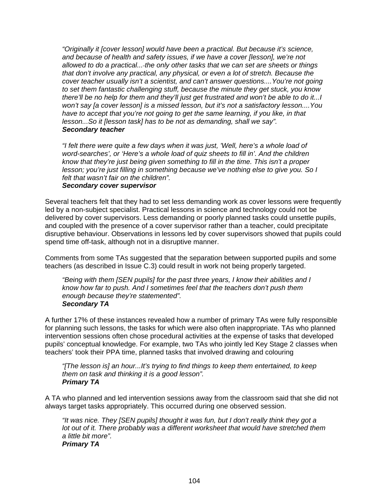*"Originally it [cover lesson] would have been a practical. But because it's science, and because of health and safety issues, if we have a cover [lesson], we're not allowed to do a practical... the only other tasks that we can set are sheets or things that don't involve any practical, any physical, or even a lot of stretch. Because the cover teacher usually isn't a scientist, and can't answer questions....You're not going to set them fantastic challenging stuff, because the minute they get stuck, you know there'll be no help for them and they'll just get frustrated and won't be able to do it...I won't say [a cover lesson] is a missed lesson, but it's not a satisfactory lesson....You have to accept that you're not going to get the same learning, if you like, in that lesson...So it [lesson task] has to be not as demanding, shall we say". Secondary teacher* 

*"I felt there were quite a few days when it was just, 'Well, here's a whole load of word-searches', or 'Here's a whole load of quiz sheets to fill in'. And the children know that they're just being given something to fill in the time. This isn't a proper lesson; you're just filling in something because we've nothing else to give you. So I felt that wasn't fair on the children".* 

# *Secondary cover supervisor*

Several teachers felt that they had to set less demanding work as cover lessons were frequently led by a non-subject specialist. Practical lessons in science and technology could not be delivered by cover supervisors. Less demanding or poorly planned tasks could unsettle pupils, and coupled with the presence of a cover supervisor rather than a teacher, could precipitate disruptive behaviour. Observations in lessons led by cover supervisors showed that pupils could spend time off-task, although not in a disruptive manner.

Comments from some TAs suggested that the separation between supported pupils and some teachers (as described in Issue C.3) could result in work not being properly targeted.

*"Being with them [SEN pupils] for the past three years, I know their abilities and I know how far to push. And I sometimes feel that the teachers don't push them enough because they're statemented". Secondary TA* 

A further 17% of these instances revealed how a number of primary TAs were fully responsible for planning such lessons, the tasks for which were also often inappropriate. TAs who planned intervention sessions often chose procedural activities at the expense of tasks that developed pupils' conceptual knowledge. For example, two TAs who jointly led Key Stage 2 classes when teachers' took their PPA time, planned tasks that involved drawing and colouring

*"[The lesson is] an hour...It's trying to find things to keep them entertained, to keep them on task and thinking it is a good lesson". Primary TA* 

A TA who planned and led intervention sessions away from the classroom said that she did not always target tasks appropriately. This occurred during one observed session.

*"It was nice. They [SEN pupils] thought it was fun, but I don't really think they got a lot out of it. There probably was a different worksheet that would have stretched them a little bit more".* 

*Primary TA*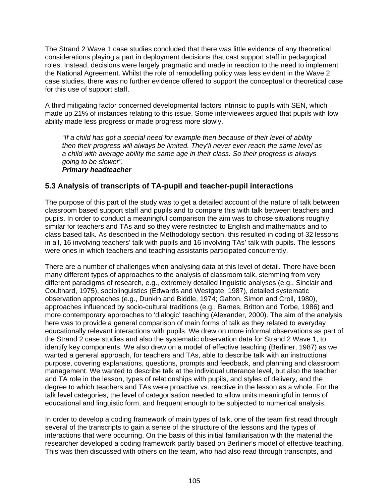The Strand 2 Wave 1 case studies concluded that there was little evidence of any theoretical considerations playing a part in deployment decisions that cast support staff in pedagogical roles. Instead, decisions were largely pragmatic and made in reaction to the need to implement the National Agreement. Whilst the role of remodelling policy was less evident in the Wave 2 case studies, there was no further evidence offered to support the conceptual or theoretical case for this use of support staff.

A third mitigating factor concerned developmental factors intrinsic to pupils with SEN, which made up 21% of instances relating to this issue. Some interviewees argued that pupils with low ability made less progress or made progress more slowly.

*"If a child has got a special need for example then because of their level of ability then their progress will always be limited. They'll never ever reach the same level as a child with average ability the same age in their class. So their progress is always going to be slower".* 

#### *Primary headteacher*

# **5.3 Analysis of transcripts of TA-pupil and teacher-pupil interactions**

The purpose of this part of the study was to get a detailed account of the nature of talk between classroom based support staff and pupils and to compare this with talk between teachers and pupils. In order to conduct a meaningful comparison the aim was to chose situations roughly similar for teachers and TAs and so they were restricted to English and mathematics and to class based talk. As described in the Methodology section, this resulted in coding of 32 lessons in all, 16 involving teachers' talk with pupils and 16 involving TAs' talk with pupils. The lessons were ones in which teachers and teaching assistants participated concurrently.

There are a number of challenges when analysing data at this level of detail. There have been many different types of approaches to the analysis of classroom talk, stemming from very different paradigms of research, e.g., extremely detailed linguistic analyses (e.g., Sinclair and Coulthard, 1975), sociolinguistics (Edwards and Westgate, 1987), detailed systematic observation approaches (e.g., Dunkin and Biddle, 1974; Galton, Simon and Croll, 1980), approaches influenced by socio-cultural traditions (e.g., Barnes, Britton and Torbe, 1986) and more contemporary approaches to 'dialogic' teaching (Alexander, 2000). The aim of the analysis here was to provide a general comparison of main forms of talk as they related to everyday educationally relevant interactions with pupils. We drew on more informal observations as part of the Strand 2 case studies and also the systematic observation data for Strand 2 Wave 1, to identify key components. We also drew on a model of effective teaching (Berliner, 1987) as we wanted a general approach, for teachers and TAs, able to describe talk with an instructional purpose, covering explanations, questions, prompts and feedback, and planning and classroom management. We wanted to describe talk at the individual utterance level, but also the teacher and TA role in the lesson, types of relationships with pupils, and styles of delivery, and the degree to which teachers and TAs were proactive vs. reactive in the lesson as a whole. For the talk level categories, the level of categorisation needed to allow units meaningful in terms of educational and linguistic form, and frequent enough to be subjected to numerical analysis.

In order to develop a coding framework of main types of talk, one of the team first read through several of the transcripts to gain a sense of the structure of the lessons and the types of interactions that were occurring. On the basis of this initial familiarisation with the material the researcher developed a coding framework partly based on Berliner's model of effective teaching. This was then discussed with others on the team, who had also read through transcripts, and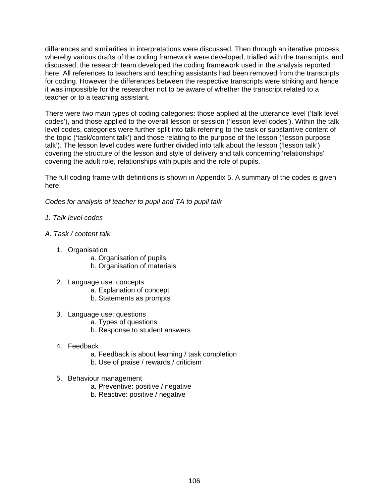differences and similarities in interpretations were discussed. Then through an iterative process whereby various drafts of the coding framework were developed, trialled with the transcripts, and discussed, the research team developed the coding framework used in the analysis reported here. All references to teachers and teaching assistants had been removed from the transcripts for coding. However the differences between the respective transcripts were striking and hence it was impossible for the researcher not to be aware of whether the transcript related to a teacher or to a teaching assistant.

There were two main types of coding categories: those applied at the utterance level ('talk level codes'), and those applied to the overall lesson or session ('lesson level codes'). Within the talk level codes, categories were further split into talk referring to the task or substantive content of the topic ('task/content talk') and those relating to the purpose of the lesson ('lesson purpose talk'). The lesson level codes were further divided into talk about the lesson ('lesson talk') covering the structure of the lesson and style of delivery and talk concerning 'relationships' covering the adult role, relationships with pupils and the role of pupils.

The full coding frame with definitions is shown in Appendix 5. A summary of the codes is given here.

*Codes for analysis of teacher to pupil and TA to pupil talk* 

- *1. Talk level codes*
- *A. Task / content talk* 
	- 1. Organisation
		- a. Organisation of pupils
		- b. Organisation of materials
	- 2. Language use: concepts
		- a. Explanation of concept
		- b. Statements as prompts
	- 3. Language use: questions
		- a. Types of questions
		- b. Response to student answers
	- 4. Feedback
		- a. Feedback is about learning / task completion
		- b. Use of praise / rewards / criticism
	- 5. Behaviour management
		- a. Preventive: positive / negative
		- b. Reactive: positive / negative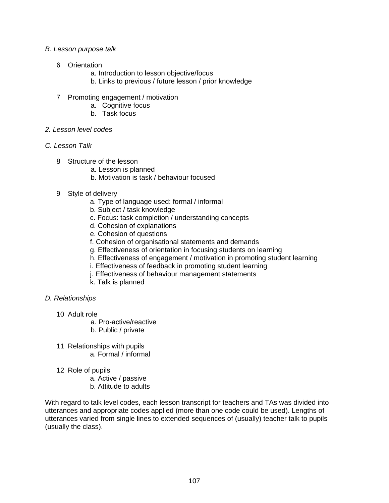#### *B. Lesson purpose talk*

- 6 Orientation
	- a. Introduction to lesson objective/focus
	- b. Links to previous / future lesson / prior knowledge
- 7 Promoting engagement / motivation
	- a. Cognitive focus
	- b. Task focus
- *2. Lesson level codes*
- *C. Lesson Talk* 
	- 8 Structure of the lesson
		- a. Lesson is planned
		- b. Motivation is task / behaviour focused
	- 9 Style of delivery
		- a. Type of language used: formal / informal
		- b. Subject / task knowledge
		- c. Focus: task completion / understanding concepts
		- d. Cohesion of explanations
		- e. Cohesion of questions
		- f. Cohesion of organisational statements and demands
		- g. Effectiveness of orientation in focusing students on learning
		- h. Effectiveness of engagement / motivation in promoting student learning
		- i. Effectiveness of feedback in promoting student learning
		- j. Effectiveness of behaviour management statements
		- k. Talk is planned

# *D. Relationships*

- 10 Adult role
	- a. Pro-active/reactive
	- b. Public / private
- 11 Relationships with pupils a. Formal / informal
- 12 Role of pupils
	- a. Active / passive
	- b. Attitude to adults

With regard to talk level codes, each lesson transcript for teachers and TAs was divided into utterances and appropriate codes applied (more than one code could be used). Lengths of utterances varied from single lines to extended sequences of (usually) teacher talk to pupils (usually the class).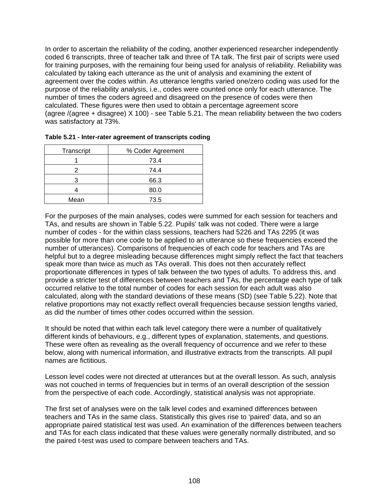In order to ascertain the reliability of the coding, another experienced researcher independently coded 6 transcripts, three of teacher talk and three of TA talk. The first pair of scripts were used for training purposes, with the remaining four being used for analysis of reliability. Reliability was calculated by taking each utterance as the unit of analysis and examining the extent of agreement over the codes within. As utterance lengths varied one/zero coding was used for the purpose of the reliability analysis, i.e., codes were counted once only for each utterance. The number of times the coders agreed and disagreed on the presence of codes were then calculated. These figures were then used to obtain a percentage agreement score (agree /(agree + disagree) X 100) - see Table 5.21. The mean reliability between the two coders was satisfactory at 73%.

| Transcript | % Coder Agreement |  |  |
|------------|-------------------|--|--|
|            | 73.4              |  |  |
|            | 74.4              |  |  |
|            | 66.3              |  |  |
|            | 80.0              |  |  |
| Mean       | 73.5              |  |  |

| Table 5.21 - Inter-rater agreement of transcripts coding |  |
|----------------------------------------------------------|--|
|                                                          |  |

For the purposes of the main analyses, codes were summed for each session for teachers and TAs, and results are shown in Table 5.22. Pupils' talk was not coded. There were a large number of codes - for the within class sessions, teachers had 5226 and TAs 2295 (it was possible for more than one code to be applied to an utterance so these frequencies exceed the number of utterances). Comparisons of frequencies of each code for teachers and TAs are helpful but to a degree misleading because differences might simply reflect the fact that teachers speak more than twice as much as TAs overall. This does not then accurately reflect proportionate differences in types of talk between the two types of adults. To address this, and provide a stricter test of differences between teachers and TAs, the percentage each type of talk occurred relative to the total number of codes for each session for each adult was also calculated, along with the standard deviations of these means (SD) (see Table 5.22). Note that relative proportions may not exactly reflect overall frequencies because session lengths varied, as did the number of times other codes occurred within the session.

It should be noted that within each talk level category there were a number of qualitatively different kinds of behaviours, e.g., different types of explanation, statements, and questions. These were often as revealing as the overall frequency of occurrence and we refer to these below, along with numerical information, and illustrative extracts from the transcripts. All pupil names are fictitious.

Lesson level codes were not directed at utterances but at the overall lesson. As such, analysis was not couched in terms of frequencies but in terms of an overall description of the session from the perspective of each code. Accordingly, statistical analysis was not appropriate.

The first set of analyses were on the talk level codes and examined differences between teachers and TAs in the same class. Statistically this gives rise to 'paired' data, and so an appropriate paired statistical test was used. An examination of the differences between teachers and TAs for each class indicated that these values were generally normally distributed, and so the paired t-test was used to compare between teachers and TAs.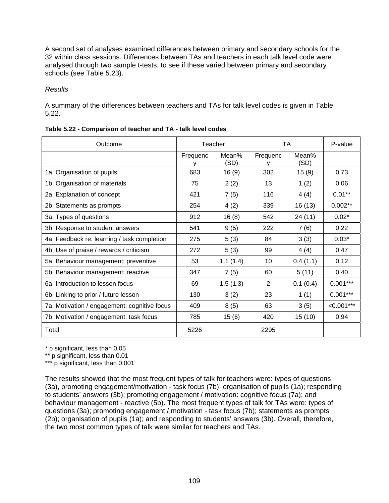A second set of analyses examined differences between primary and secondary schools for the 32 within class sessions. Differences between TAs and teachers in each talk level code were analysed through two sample t-tests, to see if these varied between primary and secondary schools (see Table 5.23).

# *Results*

A summary of the differences between teachers and TAs for talk level codes is given in Table 5.22.

| Outcome                                      | Teacher  |               | TA       |               | P-value      |
|----------------------------------------------|----------|---------------|----------|---------------|--------------|
|                                              | Frequenc | Mean%<br>(SD) | Frequenc | Mean%<br>(SD) |              |
| 1a. Organisation of pupils                   | 683      | 16(9)         | 302      | 15(9)         | 0.73         |
| 1b. Organisation of materials                | 75       | 2(2)          | 13       | 1(2)          | 0.06         |
| 2a. Explanation of concept                   | 421      | 7(5)          | 116      | 4(4)          | $0.01**$     |
| 2b. Statements as prompts                    | 254      | 4(2)          | 339      | 16(13)        | $0.002**$    |
| 3a. Types of questions                       | 912      | 16(8)         | 542      | 24 (11)       | $0.02*$      |
| 3b. Response to student answers              | 541      | 9(5)          | 222      | 7(6)          | 0.22         |
| 4a. Feedback re: learning / task completion  | 275      | 5(3)          | 84       | 3(3)          | $0.03*$      |
| 4b. Use of praise / rewards / criticism      | 272      | 5(3)          | 99       | 4(4)          | 0.47         |
| 5a. Behaviour management: preventive         | 53       | 1.1(1.4)      | 10       | 0.4(1.1)      | 0.12         |
| 5b. Behaviour management: reactive           | 347      | 7(5)          | 60       | 5(11)         | 0.40         |
| 6a. Introduction to lesson focus             | 69       | 1.5(1.3)      | 2        | 0.1(0.4)      | $0.001***$   |
| 6b. Linking to prior / future lesson         | 130      | 3(2)          | 23       | 1(1)          | $0.001***$   |
| 7a. Motivation / engagement: cognitive focus | 409      | 8(5)          | 63       | 3(5)          | $< 0.001***$ |
| 7b. Motivation / engagement: task focus      | 785      | 15(6)         | 420      | 15(10)        | 0.94         |
| Total                                        | 5226     |               | 2295     |               |              |

\* p significant, less than 0.05

\*\* p significant, less than 0.01

\*\*\* p significant, less than 0.001

The results showed that the most frequent types of talk for teachers were: types of questions (3a), promoting engagement/motivation - task focus (7b); organisation of pupils (1a); responding to students' answers (3b); promoting engagement / motivation: cognitive focus (7a); and behaviour management - reactive (5b). The most frequent types of talk for TAs were: types of questions (3a); promoting engagement / motivation - task focus (7b); statements as prompts (2b); organisation of pupils (1a); and responding to students' answers (3b). Overall, therefore, the two most common types of talk were similar for teachers and TAs.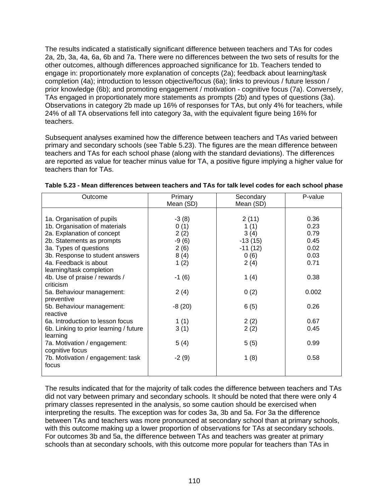The results indicated a statistically significant difference between teachers and TAs for codes 2a, 2b, 3a, 4a, 6a, 6b and 7a. There were no differences between the two sets of results for the other outcomes, although differences approached significance for 1b. Teachers tended to engage in: proportionately more explanation of concepts (2a); feedback about learning/task completion (4a); introduction to lesson objective/focus (6a); links to previous / future lesson / prior knowledge (6b); and promoting engagement / motivation - cognitive focus (7a). Conversely, TAs engaged in proportionately more statements as prompts (2b) and types of questions (3a). Observations in category 2b made up 16% of responses for TAs, but only 4% for teachers, while 24% of all TA observations fell into category 3a, with the equivalent figure being 16% for teachers.

Subsequent analyses examined how the difference between teachers and TAs varied between primary and secondary schools (see Table 5.23). The figures are the mean difference between teachers and TAs for each school phase (along with the standard deviations). The differences are reported as value for teacher minus value for TA, a positive figure implying a higher value for teachers than for TAs.

| Outcome                                | Primary<br>Mean (SD) | Secondary<br>Mean (SD) | P-value |
|----------------------------------------|----------------------|------------------------|---------|
|                                        |                      |                        |         |
| 1a. Organisation of pupils             | $-3(8)$              | 2(11)                  | 0.36    |
| 1b. Organisation of materials          | 0(1)                 | 1(1)                   | 0.23    |
| 2a. Explanation of concept             | 2(2)                 | 3(4)                   | 0.79    |
| 2b. Statements as prompts              | $-9(6)$              | $-13(15)$              | 0.45    |
| 3a. Types of questions                 | 2(6)                 | $-11(12)$              | 0.02    |
| 3b. Response to student answers        | 8(4)                 | 0(6)                   | 0.03    |
| 4a. Feedback is about                  | 1(2)                 | 2(4)                   | 0.71    |
| learning/task completion               |                      |                        |         |
| 4b. Use of praise / rewards /          | $-1(6)$              | 1 $(4)$                | 0.38    |
| criticism                              |                      |                        |         |
| 5a. Behaviour management:              | 2(4)                 | 0(2)                   | 0.002   |
| preventive                             |                      |                        |         |
| 5b. Behaviour management:              | $-8(20)$             | 6(5)                   | 0.26    |
| reactive                               |                      |                        |         |
| 6a. Introduction to lesson focus       | 1(1)                 | 2(2)                   | 0.67    |
| 6b. Linking to prior learning / future | 3(1)                 | 2(2)                   | 0.45    |
| learning                               |                      |                        |         |
| 7a. Motivation / engagement:           | 5(4)                 | 5(5)                   | 0.99    |
| cognitive focus                        |                      |                        |         |
| 7b. Motivation / engagement: task      | $-2(9)$              | 1(8)                   | 0.58    |
| focus                                  |                      |                        |         |
|                                        |                      |                        |         |

| Table 5.23 - Mean differences between teachers and TAs for talk level codes for each school phase |  |  |
|---------------------------------------------------------------------------------------------------|--|--|
|---------------------------------------------------------------------------------------------------|--|--|

The results indicated that for the majority of talk codes the difference between teachers and TAs did not vary between primary and secondary schools. It should be noted that there were only 4 primary classes represented in the analysis, so some caution should be exercised when interpreting the results. The exception was for codes 3a, 3b and 5a. For 3a the difference between TAs and teachers was more pronounced at secondary school than at primary schools, with this outcome making up a lower proportion of observations for TAs at secondary schools. For outcomes 3b and 5a, the difference between TAs and teachers was greater at primary schools than at secondary schools, with this outcome more popular for teachers than TAs in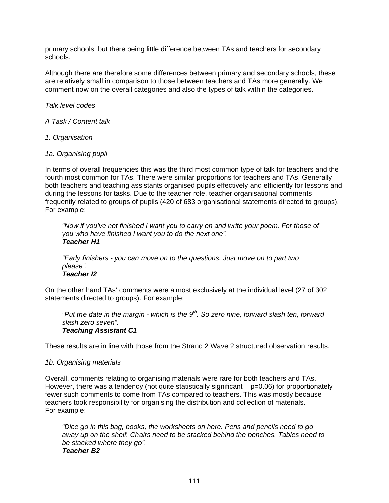primary schools, but there being little difference between TAs and teachers for secondary schools.

Although there are therefore some differences between primary and secondary schools, these are relatively small in comparison to those between teachers and TAs more generally. We comment now on the overall categories and also the types of talk within the categories.

*Talk level codes* 

- *A Task / Content talk*
- *1. Organisation*
- *1a. Organising pupil*

In terms of overall frequencies this was the third most common type of talk for teachers and the fourth most common for TAs. There were similar proportions for teachers and TAs. Generally both teachers and teaching assistants organised pupils effectively and efficiently for lessons and during the lessons for tasks. Due to the teacher role, teacher organisational comments frequently related to groups of pupils (420 of 683 organisational statements directed to groups). For example:

*"Now if you've not finished I want you to carry on and write your poem. For those of you who have finished I want you to do the next one". Teacher H1* 

*"Early finishers - you can move on to the questions. Just move on to part two please". Teacher I2* 

On the other hand TAs' comments were almost exclusively at the individual level (27 of 302 statements directed to groups). For example:

*"Put the date in the margin - which is the 9th. So zero nine, forward slash ten, forward slash zero seven". Teaching Assistant C1* 

These results are in line with those from the Strand 2 Wave 2 structured observation results.

#### *1b. Organising materials*

Overall, comments relating to organising materials were rare for both teachers and TAs. However, there was a tendency (not quite statistically significant  $p=0.06$ ) for proportionately fewer such comments to come from TAs compared to teachers. This was mostly because teachers took responsibility for organising the distribution and collection of materials. For example:

*"Dice go in this bag, books, the worksheets on here. Pens and pencils need to go away up on the shelf. Chairs need to be stacked behind the benches. Tables need to be stacked where they go". Teacher B2*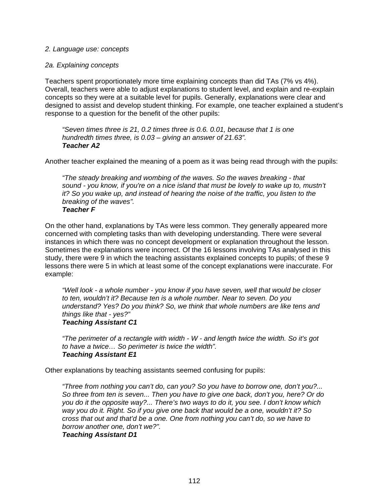#### *2. Language use: concepts*

#### *2a. Explaining concepts*

Teachers spent proportionately more time explaining concepts than did TAs (7% vs 4%). Overall, teachers were able to adjust explanations to student level, and explain and re-explain concepts so they were at a suitable level for pupils. Generally, explanations were clear and designed to assist and develop student thinking. For example, one teacher explained a student's response to a question for the benefit of the other pupils:

*"Seven times three is 21, 0.2 times three is 0.6. 0.01, because that 1 is one hundredth times three, is 0.03 – giving an answer of 21.63". Teacher A2* 

Another teacher explained the meaning of a poem as it was being read through with the pupils:

*"The steady breaking and wombing of the waves. So the waves breaking - that sound - you know, if you're on a nice island that must be lovely to wake up to, mustn't it? So you wake up, and instead of hearing the noise of the traffic, you listen to the breaking of the waves". Teacher F* 

On the other hand, explanations by TAs were less common. They generally appeared more concerned with completing tasks than with developing understanding. There were several instances in which there was no concept development or explanation throughout the lesson. Sometimes the explanations were incorrect. Of the 16 lessons involving TAs analysed in this study, there were 9 in which the teaching assistants explained concepts to pupils; of these 9 lessons there were 5 in which at least some of the concept explanations were inaccurate. For example:

*"Well look - a whole number - you know if you have seven, well that would be closer to ten, wouldn't it? Because ten is a whole number. Near to seven. Do you understand? Yes? Do you think? So, we think that whole numbers are like tens and things like that - yes?" Teaching Assistant C1* 

*"The perimeter of a rectangle with width - W - and length twice the width. So it's got to have a twice… So perimeter is twice the width". Teaching Assistant E1* 

Other explanations by teaching assistants seemed confusing for pupils:

*"Three from nothing you can't do, can you? So you have to borrow one, don't you?... So three from ten is seven... Then you have to give one back, don't you, here? Or do you do it the opposite way?... There's two ways to do it, you see. I don't know which way you do it. Right. So if you give one back that would be a one, wouldn't it? So cross that out and that'd be a one. One from nothing you can't do, so we have to borrow another one, don't we?".* 

*Teaching Assistant D1*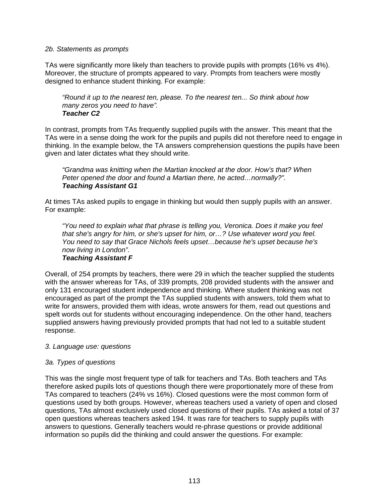#### *2b. Statements as prompts*

TAs were significantly more likely than teachers to provide pupils with prompts (16% vs 4%). Moreover, the structure of prompts appeared to vary. Prompts from teachers were mostly designed to enhance student thinking. For example:

*"Round it up to the nearest ten, please. To the nearest ten... So think about how many zeros you need to have". Teacher C2* 

In contrast, prompts from TAs frequently supplied pupils with the answer. This meant that the TAs were in a sense doing the work for the pupils and pupils did not therefore need to engage in thinking. In the example below, the TA answers comprehension questions the pupils have been given and later dictates what they should write.

*"Grandma was knitting when the Martian knocked at the door. How's that? When Peter opened the door and found a Martian there, he acted…normally?". Teaching Assistant G1* 

At times TAs asked pupils to engage in thinking but would then supply pupils with an answer. For example:

*"You need to explain what that phrase is telling you, Veronica. Does it make you feel that she's angry for him, or she's upset for him, or…? Use whatever word you feel. You need to say that Grace Nichols feels upset…because he's upset because he's now living in London".* 

# *Teaching Assistant F*

Overall, of 254 prompts by teachers, there were 29 in which the teacher supplied the students with the answer whereas for TAs, of 339 prompts, 208 provided students with the answer and only 131 encouraged student independence and thinking. Where student thinking was not encouraged as part of the prompt the TAs supplied students with answers, told them what to write for answers, provided them with ideas, wrote answers for them, read out questions and spelt words out for students without encouraging independence. On the other hand, teachers supplied answers having previously provided prompts that had not led to a suitable student response.

#### *3. Language use: questions*

# *3a. Types of questions*

This was the single most frequent type of talk for teachers and TAs. Both teachers and TAs therefore asked pupils lots of questions though there were proportionately more of these from TAs compared to teachers (24% vs 16%). Closed questions were the most common form of questions used by both groups. However, whereas teachers used a variety of open and closed questions, TAs almost exclusively used closed questions of their pupils. TAs asked a total of 37 open questions whereas teachers asked 194. It was rare for teachers to supply pupils with answers to questions. Generally teachers would re-phrase questions or provide additional information so pupils did the thinking and could answer the questions. For example: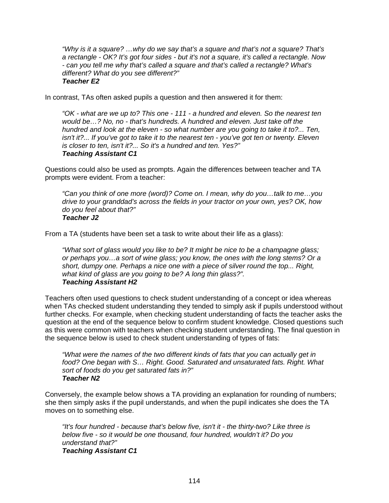*"Why is it a square? …why do we say that's a square and that's not a square? That's a rectangle - OK? It's got four sides - but it's not a square, it's called a rectangle. Now - can you tell me why that's called a square and that's called a rectangle? What's different? What do you see different?" Teacher E2* 

In contrast, TAs often asked pupils a question and then answered it for them:

*"OK - what are we up to? This one - 111 - a hundred and eleven. So the nearest ten would be…? No, no - that's hundreds. A hundred and eleven. Just take off the hundred and look at the eleven - so what number are you going to take it to?... Ten, isn't it?... If you've got to take it to the nearest ten - you've got ten or twenty. Eleven is closer to ten, isn't it?... So it's a hundred and ten. Yes?" Teaching Assistant C1* 

Questions could also be used as prompts. Again the differences between teacher and TA prompts were evident. From a teacher:

*"Can you think of one more (word)? Come on. I mean, why do you…talk to me…you drive to your granddad's across the fields in your tractor on your own, yes? OK, how do you feel about that?" Teacher J2* 

From a TA (students have been set a task to write about their life as a glass):

*"What sort of glass would you like to be? It might be nice to be a champagne glass; or perhaps you…a sort of wine glass; you know, the ones with the long stems? Or a short, dumpy one. Perhaps a nice one with a piece of silver round the top... Right, what kind of glass are you going to be? A long thin glass?". Teaching Assistant H2* 

Teachers often used questions to check student understanding of a concept or idea whereas when TAs checked student understanding they tended to simply ask if pupils understood without further checks. For example, when checking student understanding of facts the teacher asks the question at the end of the sequence below to confirm student knowledge. Closed questions such as this were common with teachers when checking student understanding. The final question in the sequence below is used to check student understanding of types of fats:

*"What were the names of the two different kinds of fats that you can actually get in food? One began with S… Right. Good. Saturated and unsaturated fats. Right. What sort of foods do you get saturated fats in?" Teacher N2* 

Conversely, the example below shows a TA providing an explanation for rounding of numbers; she then simply asks if the pupil understands, and when the pupil indicates she does the TA moves on to something else.

*"It's four hundred - because that's below five, isn't it - the thirty-two? Like three is below five - so it would be one thousand, four hundred, wouldn't it? Do you understand that?" Teaching Assistant C1*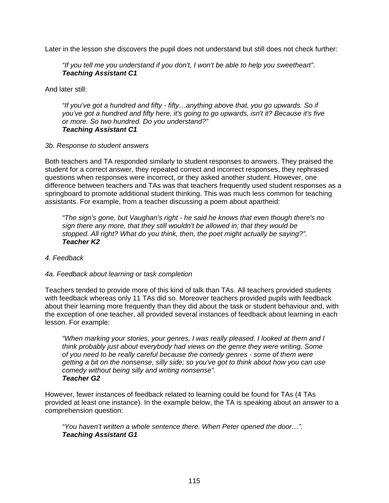Later in the lesson she discovers the pupil does not understand but still does not check further:

*"If you tell me you understand if you don't, I won't be able to help you sweetheart". Teaching Assistant C1* 

And later still:

*"If you've got a hundred and fifty - fifty…anything above that, you go upwards. So if you've got a hundred and fifty here, it's going to go upwards, isn't it? Because it's five or more. So two hundred. Do you understand?" Teaching Assistant C1* 

#### *3b. Response to student answers*

Both teachers and TA responded similarly to student responses to answers. They praised the student for a correct answer, they repeated correct and incorrect responses, they rephrased questions when responses were incorrect, or they asked another student. However, one difference between teachers and TAs was that teachers frequently used student responses as a springboard to promote additional student thinking. This was much less common for teaching assistants. For example, from a teacher discussing a poem about apartheid:

*"The sign's gone, but Vaughan's right - he said he knows that even though there's no sign there any more, that they still wouldn't be allowed in; that they would be stopped. All right? What do you think, then, the poet might actually be saying?". Teacher K2* 

# *4. Feedback*

# *4a. Feedback about learning or task completion*

Teachers tended to provide more of this kind of talk than TAs. All teachers provided students with feedback whereas only 11 TAs did so. Moreover teachers provided pupils with feedback about their learning more frequently than they did about the task or student behaviour and, with the exception of one teacher, all provided several instances of feedback about learning in each lesson. For example:

*"When marking your stories, your genres, I was really pleased. I looked at them and I think probably just about everybody had views on the genre they were writing. Some of you need to be really careful because the comedy genres - some of them were getting a bit on the nonsense, silly side; so you've got to think about how you can use comedy without being silly and writing nonsense". Teacher G2* 

However, fewer instances of feedback related to learning could be found for TAs (4 TAs provided at least one instance). In the example below, the TA is speaking about an answer to a comprehension question:

*"You haven't written a whole sentence there. When Peter opened the door…". Teaching Assistant G1*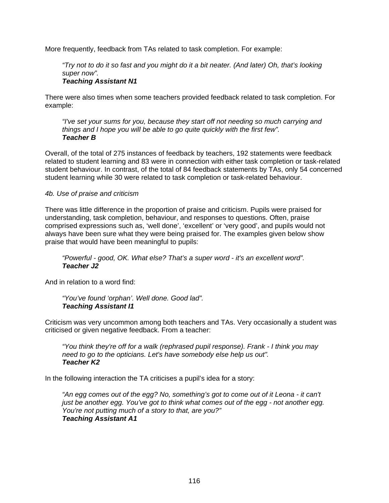More frequently, feedback from TAs related to task completion. For example:

*"Try not to do it so fast and you might do it a bit neater. (And later) Oh, that's looking super now".* 

#### *Teaching Assistant N1*

There were also times when some teachers provided feedback related to task completion. For example:

*"I've set your sums for you, because they start off not needing so much carrying and things and I hope you will be able to go quite quickly with the first few". Teacher B*

Overall, of the total of 275 instances of feedback by teachers, 192 statements were feedback related to student learning and 83 were in connection with either task completion or task-related student behaviour. In contrast, of the total of 84 feedback statements by TAs, only 54 concerned student learning while 30 were related to task completion or task-related behaviour.

# *4b. Use of praise and criticism*

There was little difference in the proportion of praise and criticism. Pupils were praised for understanding, task completion, behaviour, and responses to questions. Often, praise comprised expressions such as, 'well done', 'excellent' or 'very good', and pupils would not always have been sure what they were being praised for. The examples given below show praise that would have been meaningful to pupils:

*"Powerful - good, OK. What else? That's a super word - it's an excellent word". Teacher J2* 

And in relation to a word find:

*"You've found 'orphan'. Well done. Good lad". Teaching Assistant I1* 

Criticism was very uncommon among both teachers and TAs. Very occasionally a student was criticised or given negative feedback. From a teacher:

*"You think they're off for a walk (rephrased pupil response). Frank - I think you may need to go to the opticians. Let's have somebody else help us out". Teacher K2* 

In the following interaction the TA criticises a pupil's idea for a story:

*"An egg comes out of the egg? No, something's got to come out of it Leona - it can't just be another egg. You've got to think what comes out of the egg - not another egg. You're not putting much of a story to that, are you?" Teaching Assistant A1*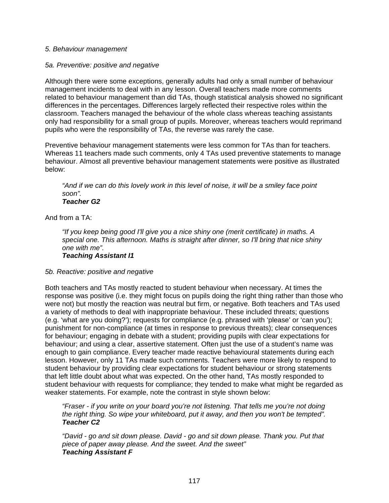#### *5. Behaviour management*

#### *5a. Preventive: positive and negative*

Although there were some exceptions, generally adults had only a small number of behaviour management incidents to deal with in any lesson. Overall teachers made more comments related to behaviour management than did TAs, though statistical analysis showed no significant differences in the percentages. Differences largely reflected their respective roles within the classroom. Teachers managed the behaviour of the whole class whereas teaching assistants only had responsibility for a small group of pupils. Moreover, whereas teachers would reprimand pupils who were the responsibility of TAs, the reverse was rarely the case.

Preventive behaviour management statements were less common for TAs than for teachers. Whereas 11 teachers made such comments, only 4 TAs used preventive statements to manage behaviour. Almost all preventive behaviour management statements were positive as illustrated below:

*"And if we can do this lovely work in this level of noise, it will be a smiley face point soon".* 

#### *Teacher G2*

And from a TA:

*"If you keep being good I'll give you a nice shiny one (merit certificate) in maths. A special one. This afternoon. Maths is straight after dinner, so I'll bring that nice shiny one with me".* 

*Teaching Assistant I1* 

#### *5b. Reactive: positive and negative*

Both teachers and TAs mostly reacted to student behaviour when necessary. At times the response was positive (i.e. they might focus on pupils doing the right thing rather than those who were not) but mostly the reaction was neutral but firm, or negative. Both teachers and TAs used a variety of methods to deal with inappropriate behaviour. These included threats; questions (e.g. 'what are you doing?'); requests for compliance (e.g. phrased with 'please' or 'can you'); punishment for non-compliance (at times in response to previous threats); clear consequences for behaviour; engaging in debate with a student; providing pupils with clear expectations for behaviour; and using a clear, assertive statement. Often just the use of a student's name was enough to gain compliance. Every teacher made reactive behavioural statements during each lesson. However, only 11 TAs made such comments. Teachers were more likely to respond to student behaviour by providing clear expectations for student behaviour or strong statements that left little doubt about what was expected. On the other hand, TAs mostly responded to student behaviour with requests for compliance; they tended to make what might be regarded as weaker statements. For example, note the contrast in style shown below:

*"Fraser - if you write on your board you're not listening. That tells me you're not doing the right thing. So wipe your whiteboard, put it away, and then you won't be tempted". Teacher C2* 

*"David - go and sit down please. David - go and sit down please. Thank you. Put that piece of paper away please. And the sweet. And the sweet" Teaching Assistant F*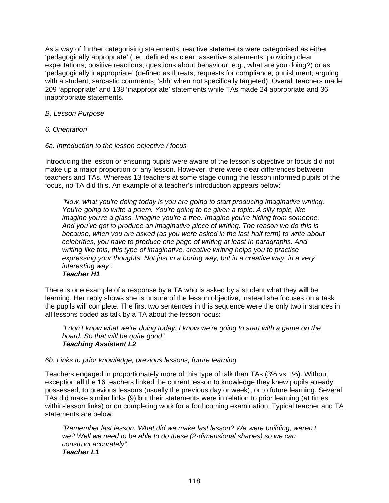As a way of further categorising statements, reactive statements were categorised as either 'pedagogically appropriate' (i.e., defined as clear, assertive statements; providing clear expectations; positive reactions; questions about behaviour, e.g., what are you doing?) or as 'pedagogically inappropriate' (defined as threats; requests for compliance; punishment; arguing with a student; sarcastic comments; 'shh' when not specifically targeted). Overall teachers made 209 'appropriate' and 138 'inappropriate' statements while TAs made 24 appropriate and 36 inappropriate statements.

#### *B. Lesson Purpose*

*6. Orientation* 

#### *6a. Introduction to the lesson objective / focus*

Introducing the lesson or ensuring pupils were aware of the lesson's objective or focus did not make up a major proportion of any lesson. However, there were clear differences between teachers and TAs. Whereas 13 teachers at some stage during the lesson informed pupils of the focus, no TA did this. An example of a teacher's introduction appears below:

*"Now, what you're doing today is you are going to start producing imaginative writing. You're going to write a poem. You're going to be given a topic. A silly topic, like imagine you're a glass. Imagine you're a tree. Imagine you're hiding from someone. And you've got to produce an imaginative piece of writing. The reason we do this is because, when you are asked (as you were asked in the last half term) to write about celebrities, you have to produce one page of writing at least in paragraphs. And writing like this, this type of imaginative, creative writing helps you to practise expressing your thoughts. Not just in a boring way, but in a creative way, in a very interesting way".* 

# *Teacher H1*

There is one example of a response by a TA who is asked by a student what they will be learning. Her reply shows she is unsure of the lesson objective, instead she focuses on a task the pupils will complete. The first two sentences in this sequence were the only two instances in all lessons coded as talk by a TA about the lesson focus:

*"I don't know what we're doing today. I know we're going to start with a game on the board. So that will be quite good". Teaching Assistant L2* 

#### *6b. Links to prior knowledge, previous lessons, future learning*

Teachers engaged in proportionately more of this type of talk than TAs (3% vs 1%). Without exception all the 16 teachers linked the current lesson to knowledge they knew pupils already possessed, to previous lessons (usually the previous day or week), or to future learning. Several TAs did make similar links (9) but their statements were in relation to prior learning (at times within-lesson links) or on completing work for a forthcoming examination. Typical teacher and TA statements are below:

*"Remember last lesson. What did we make last lesson? We were building, weren't we? Well we need to be able to do these (2-dimensional shapes) so we can construct accurately". Teacher L1*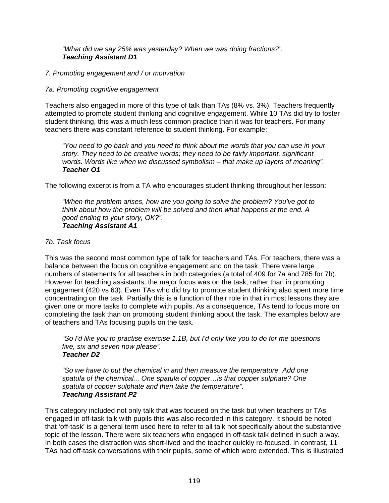#### *"What did we say 25% was yesterday? When we was doing fractions?". Teaching Assistant D1*

# *7. Promoting engagement and / or motivation*

#### *7a. Promoting cognitive engagement*

Teachers also engaged in more of this type of talk than TAs (8% vs. 3%). Teachers frequently attempted to promote student thinking and cognitive engagement. While 10 TAs did try to foster student thinking, this was a much less common practice than it was for teachers. For many teachers there was constant reference to student thinking. For example:

*"You need to go back and you need to think about the words that you can use in your story. They need to be creative words; they need to be fairly important, significant words. Words like when we discussed symbolism – that make up layers of meaning". Teacher O1* 

The following excerpt is from a TA who encourages student thinking throughout her lesson:

*"When the problem arises, how are you going to solve the problem? You've got to think about how the problem will be solved and then what happens at the end. A good ending to your story, OK?". Teaching Assistant A1* 

#### *7b. Task focus*

This was the second most common type of talk for teachers and TAs. For teachers, there was a balance between the focus on cognitive engagement and on the task. There were large numbers of statements for all teachers in both categories (a total of 409 for 7a and 785 for 7b). However for teaching assistants, the major focus was on the task, rather than in promoting engagement (420 vs 63). Even TAs who did try to promote student thinking also spent more time concentrating on the task. Partially this is a function of their role in that in most lessons they are given one or more tasks to complete with pupils. As a consequence, TAs tend to focus more on completing the task than on promoting student thinking about the task. The examples below are of teachers and TAs focusing pupils on the task.

*"So I'd like you to practise exercise 1.1B, but I'd only like you to do for me questions five, six and seven now please". Teacher D2* 

*"So we have to put the chemical in and then measure the temperature. Add one spatula of the chemical... One spatula of copper…is that copper sulphate? One spatula of copper sulphate and then take the temperature". Teaching Assistant P2* 

This category included not only talk that was focused on the task but when teachers or TAs engaged in off-task talk with pupils this was also recorded in this category. It should be noted that 'off-task' is a general term used here to refer to all talk not specifically about the substantive topic of the lesson. There were six teachers who engaged in off-task talk defined in such a way. In both cases the distraction was short-lived and the teacher quickly re-focused. In contrast, 11 TAs had off-task conversations with their pupils, some of which were extended. This is illustrated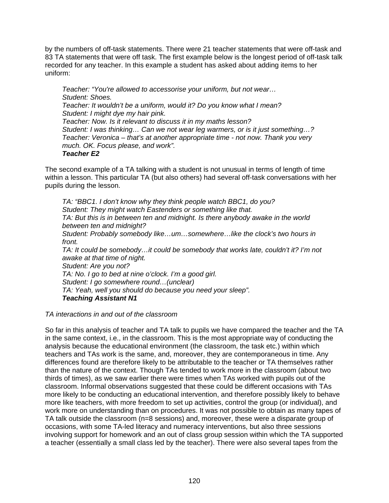by the numbers of off-task statements. There were 21 teacher statements that were off-task and 83 TA statements that were off task. The first example below is the longest period of off-task talk recorded for any teacher. In this example a student has asked about adding items to her uniform:

*Teacher: "You're allowed to accessorise your uniform, but not wear… Student: Shoes. Teacher: It wouldn't be a uniform, would it? Do you know what I mean? Student: I might dye my hair pink. Teacher: Now. Is it relevant to discuss it in my maths lesson? Student: I was thinking… Can we not wear leg warmers, or is it just something…? Teacher: Veronica – that's at another appropriate time - not now. Thank you very much. OK. Focus please, and work". Teacher E2* 

The second example of a TA talking with a student is not unusual in terms of length of time within a lesson. This particular TA (but also others) had several off-task conversations with her pupils during the lesson.

*TA: "BBC1. I don't know why they think people watch BBC1, do you? Student: They might watch Eastenders or something like that. TA: But this is in between ten and midnight. Is there anybody awake in the world between ten and midnight? Student: Probably somebody like…um…somewhere…like the clock's two hours in front. TA: It could be somebody…it could be somebody that works late, couldn't it? I'm not awake at that time of night. Student: Are you not? TA: No. I go to bed at nine o'clock. I'm a good girl. Student: I go somewhere round…(unclear) TA: Yeah, well you should do because you need your sleep". Teaching Assistant N1* 

#### *TA interactions in and out of the classroom*

So far in this analysis of teacher and TA talk to pupils we have compared the teacher and the TA in the same context, i.e., in the classroom. This is the most appropriate way of conducting the analysis because the educational environment (the classroom, the task etc.) within which teachers and TAs work is the same, and, moreover, they are contemporaneous in time. Any differences found are therefore likely to be attributable to the teacher or TA themselves rather than the nature of the context. Though TAs tended to work more in the classroom (about two thirds of times), as we saw earlier there were times when TAs worked with pupils out of the classroom. Informal observations suggested that these could be different occasions with TAs more likely to be conducting an educational intervention, and therefore possibly likely to behave more like teachers, with more freedom to set up activities, control the group (or individual), and work more on understanding than on procedures. It was not possible to obtain as many tapes of TA talk outside the classroom (n=8 sessions) and, moreover, these were a disparate group of occasions, with some TA-led literacy and numeracy interventions, but also three sessions involving support for homework and an out of class group session within which the TA supported a teacher (essentially a small class led by the teacher). There were also several tapes from the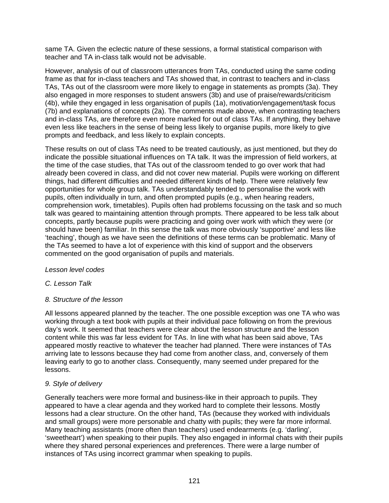same TA. Given the eclectic nature of these sessions, a formal statistical comparison with teacher and TA in-class talk would not be advisable.

However, analysis of out of classroom utterances from TAs, conducted using the same coding frame as that for in-class teachers and TAs showed that, in contrast to teachers and in-class TAs, TAs out of the classroom were more likely to engage in statements as prompts (3a). They also engaged in more responses to student answers (3b) and use of praise/rewards/criticism (4b), while they engaged in less organisation of pupils (1a), motivation/engagement/task focus (7b) and explanations of concepts (2a). The comments made above, when contrasting teachers and in-class TAs, are therefore even more marked for out of class TAs. If anything, they behave even less like teachers in the sense of being less likely to organise pupils, more likely to give prompts and feedback, and less likely to explain concepts.

These results on out of class TAs need to be treated cautiously, as just mentioned, but they do indicate the possible situational influences on TA talk. It was the impression of field workers, at the time of the case studies, that TAs out of the classroom tended to go over work that had already been covered in class, and did not cover new material. Pupils were working on different things, had different difficulties and needed different kinds of help. There were relatively few opportunities for whole group talk. TAs understandably tended to personalise the work with pupils, often individually in turn, and often prompted pupils (e.g., when hearing readers, comprehension work, timetables). Pupils often had problems focussing on the task and so much talk was geared to maintaining attention through prompts. There appeared to be less talk about concepts, partly because pupils were practicing and going over work with which they were (or should have been) familiar. In this sense the talk was more obviously 'supportive' and less like 'teaching', though as we have seen the definitions of these terms can be problematic. Many of the TAs seemed to have a lot of experience with this kind of support and the observers commented on the good organisation of pupils and materials.

# *Lesson level codes*

# *C. Lesson Talk*

# *8. Structure of the lesson*

All lessons appeared planned by the teacher. The one possible exception was one TA who was working through a text book with pupils at their individual pace following on from the previous day's work. It seemed that teachers were clear about the lesson structure and the lesson content while this was far less evident for TAs. In line with what has been said above, TAs appeared mostly reactive to whatever the teacher had planned. There were instances of TAs arriving late to lessons because they had come from another class, and, conversely of them leaving early to go to another class. Consequently, many seemed under prepared for the lessons.

#### *9. Style of delivery*

Generally teachers were more formal and business-like in their approach to pupils. They appeared to have a clear agenda and they worked hard to complete their lessons. Mostly lessons had a clear structure. On the other hand, TAs (because they worked with individuals and small groups) were more personable and chatty with pupils; they were far more informal. Many teaching assistants (more often than teachers) used endearments (e.g. 'darling', 'sweetheart') when speaking to their pupils. They also engaged in informal chats with their pupils where they shared personal experiences and preferences. There were a large number of instances of TAs using incorrect grammar when speaking to pupils.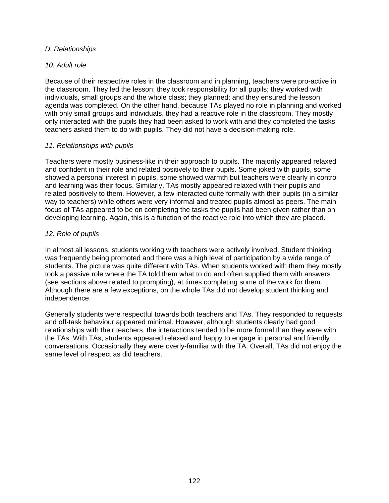# *D. Relationships*

#### *10. Adult role*

Because of their respective roles in the classroom and in planning, teachers were pro-active in the classroom. They led the lesson; they took responsibility for all pupils; they worked with individuals, small groups and the whole class; they planned; and they ensured the lesson agenda was completed. On the other hand, because TAs played no role in planning and worked with only small groups and individuals, they had a reactive role in the classroom. They mostly only interacted with the pupils they had been asked to work with and they completed the tasks teachers asked them to do with pupils. They did not have a decision-making role.

#### *11. Relationships with pupils*

Teachers were mostly business-like in their approach to pupils. The majority appeared relaxed and confident in their role and related positively to their pupils. Some joked with pupils, some showed a personal interest in pupils, some showed warmth but teachers were clearly in control and learning was their focus. Similarly, TAs mostly appeared relaxed with their pupils and related positively to them. However, a few interacted quite formally with their pupils (in a similar way to teachers) while others were very informal and treated pupils almost as peers. The main focus of TAs appeared to be on completing the tasks the pupils had been given rather than on developing learning. Again, this is a function of the reactive role into which they are placed.

# *12. Role of pupils*

In almost all lessons, students working with teachers were actively involved. Student thinking was frequently being promoted and there was a high level of participation by a wide range of students. The picture was quite different with TAs. When students worked with them they mostly took a passive role where the TA told them what to do and often supplied them with answers (see sections above related to prompting), at times completing some of the work for them. Although there are a few exceptions, on the whole TAs did not develop student thinking and independence.

Generally students were respectful towards both teachers and TAs. They responded to requests and off-task behaviour appeared minimal. However, although students clearly had good relationships with their teachers, the interactions tended to be more formal than they were with the TAs. With TAs, students appeared relaxed and happy to engage in personal and friendly conversations. Occasionally they were overly-familiar with the TA. Overall, TAs did not enjoy the same level of respect as did teachers.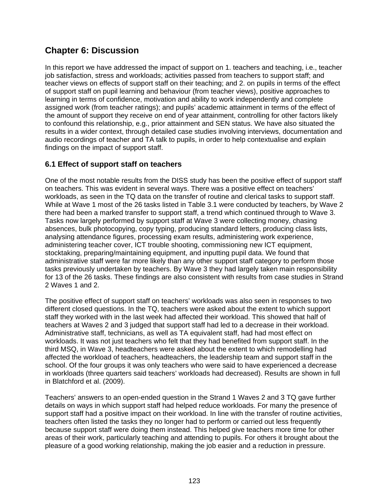# **Chapter 6: Discussion**

In this report we have addressed the impact of support on 1. teachers and teaching, i.e., teacher job satisfaction, stress and workloads; activities passed from teachers to support staff; and teacher views on effects of support staff on their teaching; and 2. on pupils in terms of the effect of support staff on pupil learning and behaviour (from teacher views), positive approaches to learning in terms of confidence, motivation and ability to work independently and complete assigned work (from teacher ratings); and pupils' academic attainment in terms of the effect of the amount of support they receive on end of year attainment, controlling for other factors likely to confound this relationship, e.g., prior attainment and SEN status. We have also situated the results in a wider context, through detailed case studies involving interviews, documentation and audio recordings of teacher and TA talk to pupils, in order to help contextualise and explain findings on the impact of support staff.

# **6.1 Effect of support staff on teachers**

One of the most notable results from the DISS study has been the positive effect of support staff on teachers. This was evident in several ways. There was a positive effect on teachers' workloads, as seen in the TQ data on the transfer of routine and clerical tasks to support staff. While at Wave 1 most of the 26 tasks listed in Table 3.1 were conducted by teachers, by Wave 2 there had been a marked transfer to support staff, a trend which continued through to Wave 3. Tasks now largely performed by support staff at Wave 3 were collecting money, chasing absences, bulk photocopying, copy typing, producing standard letters, producing class lists, analysing attendance figures, processing exam results, administering work experience, administering teacher cover, ICT trouble shooting, commissioning new ICT equipment, stocktaking, preparing/maintaining equipment, and inputting pupil data. We found that administrative staff were far more likely than any other support staff category to perform those tasks previously undertaken by teachers. By Wave 3 they had largely taken main responsibility for 13 of the 26 tasks. These findings are also consistent with results from case studies in Strand 2 Waves 1 and 2.

The positive effect of support staff on teachers' workloads was also seen in responses to two different closed questions. In the TQ, teachers were asked about the extent to which support staff they worked with in the last week had affected their workload. This showed that half of teachers at Waves 2 and 3 judged that support staff had led to a decrease in their workload. Administrative staff, technicians, as well as TA equivalent staff, had had most effect on workloads. It was not just teachers who felt that they had benefited from support staff. In the third MSQ, in Wave 3, headteachers were asked about the extent to which remodelling had affected the workload of teachers, headteachers, the leadership team and support staff in the school. Of the four groups it was only teachers who were said to have experienced a decrease in workloads (three quarters said teachers' workloads had decreased). Results are shown in full in Blatchford et al. (2009).

Teachers' answers to an open-ended question in the Strand 1 Waves 2 and 3 TQ gave further details on ways in which support staff had helped reduce workloads. For many the presence of support staff had a positive impact on their workload. In line with the transfer of routine activities, teachers often listed the tasks they no longer had to perform or carried out less frequently because support staff were doing them instead. This helped give teachers more time for other areas of their work, particularly teaching and attending to pupils. For others it brought about the pleasure of a good working relationship, making the job easier and a reduction in pressure.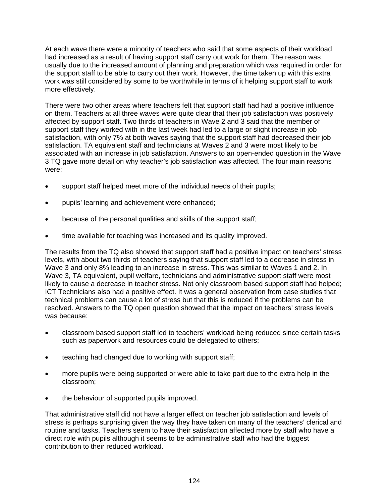At each wave there were a minority of teachers who said that some aspects of their workload had increased as a result of having support staff carry out work for them. The reason was usually due to the increased amount of planning and preparation which was required in order for the support staff to be able to carry out their work. However, the time taken up with this extra work was still considered by some to be worthwhile in terms of it helping support staff to work more effectively.

There were two other areas where teachers felt that support staff had had a positive influence on them. Teachers at all three waves were quite clear that their job satisfaction was positively affected by support staff. Two thirds of teachers in Wave 2 and 3 said that the member of support staff they worked with in the last week had led to a large or slight increase in job satisfaction, with only 7% at both waves saying that the support staff had decreased their job satisfaction. TA equivalent staff and technicians at Waves 2 and 3 were most likely to be associated with an increase in job satisfaction. Answers to an open-ended question in the Wave 3 TQ gave more detail on why teacher's job satisfaction was affected. The four main reasons were:

- support staff helped meet more of the individual needs of their pupils;
- pupils' learning and achievement were enhanced;
- because of the personal qualities and skills of the support staff;
- time available for teaching was increased and its quality improved.

The results from the TQ also showed that support staff had a positive impact on teachers' stress levels, with about two thirds of teachers saying that support staff led to a decrease in stress in Wave 3 and only 8% leading to an increase in stress. This was similar to Waves 1 and 2. In Wave 3, TA equivalent, pupil welfare, technicians and administrative support staff were most likely to cause a decrease in teacher stress. Not only classroom based support staff had helped; ICT Technicians also had a positive effect. It was a general observation from case studies that technical problems can cause a lot of stress but that this is reduced if the problems can be resolved. Answers to the TQ open question showed that the impact on teachers' stress levels was because:

- classroom based support staff led to teachers' workload being reduced since certain tasks such as paperwork and resources could be delegated to others;
- teaching had changed due to working with support staff;
- more pupils were being supported or were able to take part due to the extra help in the classroom;
- the behaviour of supported pupils improved.

That administrative staff did not have a larger effect on teacher job satisfaction and levels of stress is perhaps surprising given the way they have taken on many of the teachers' clerical and routine and tasks. Teachers seem to have their satisfaction affected more by staff who have a direct role with pupils although it seems to be administrative staff who had the biggest contribution to their reduced workload.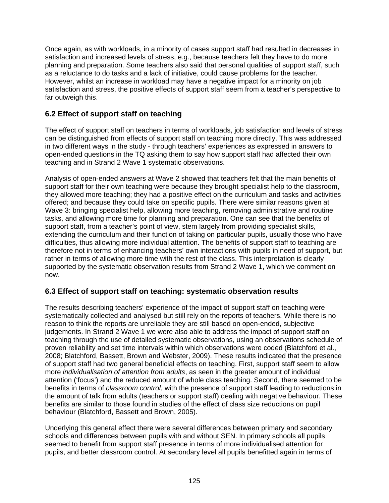Once again, as with workloads, in a minority of cases support staff had resulted in decreases in satisfaction and increased levels of stress, e.g., because teachers felt they have to do more planning and preparation. Some teachers also said that personal qualities of support staff, such as a reluctance to do tasks and a lack of initiative, could cause problems for the teacher. However, whilst an increase in workload may have a negative impact for a minority on job satisfaction and stress, the positive effects of support staff seem from a teacher's perspective to far outweigh this.

# **6.2 Effect of support staff on teaching**

The effect of support staff on teachers in terms of workloads, job satisfaction and levels of stress can be distinguished from effects of support staff on teaching more directly. This was addressed in two different ways in the study - through teachers' experiences as expressed in answers to open-ended questions in the TQ asking them to say how support staff had affected their own teaching and in Strand 2 Wave 1 systematic observations.

Analysis of open-ended answers at Wave 2 showed that teachers felt that the main benefits of support staff for their own teaching were because they brought specialist help to the classroom, they allowed more teaching; they had a positive effect on the curriculum and tasks and activities offered; and because they could take on specific pupils. There were similar reasons given at Wave 3: bringing specialist help, allowing more teaching, removing administrative and routine tasks, and allowing more time for planning and preparation. One can see that the benefits of support staff, from a teacher's point of view, stem largely from providing specialist skills, extending the curriculum and their function of taking on particular pupils, usually those who have difficulties, thus allowing more individual attention. The benefits of support staff to teaching are therefore not in terms of enhancing teachers' own interactions with pupils in need of support, but rather in terms of allowing more time with the rest of the class. This interpretation is clearly supported by the systematic observation results from Strand 2 Wave 1, which we comment on now.

# **6.3 Effect of support staff on teaching: systematic observation results**

The results describing teachers' experience of the impact of support staff on teaching were systematically collected and analysed but still rely on the reports of teachers. While there is no reason to think the reports are unreliable they are still based on open-ended, subjective judgements. In Strand 2 Wave 1 we were also able to address the impact of support staff on teaching through the use of detailed systematic observations, using an observations schedule of proven reliability and set time intervals within which observations were coded (Blatchford et al., 2008; Blatchford, Bassett, Brown and Webster, 2009). These results indicated that the presence of support staff had two general beneficial effects on teaching. First, support staff seem to allow more *individualisation of attention from adults*, as seen in the greater amount of individual attention ('focus') and the reduced amount of whole class teaching. Second, there seemed to be benefits in terms of *classroom control*, with the presence of support staff leading to reductions in the amount of talk from adults (teachers or support staff) dealing with negative behaviour. These benefits are similar to those found in studies of the effect of class size reductions on pupil behaviour (Blatchford, Bassett and Brown, 2005).

Underlying this general effect there were several differences between primary and secondary schools and differences between pupils with and without SEN. In primary schools all pupils seemed to benefit from support staff presence in terms of more individualised attention for pupils, and better classroom control. At secondary level all pupils benefitted again in terms of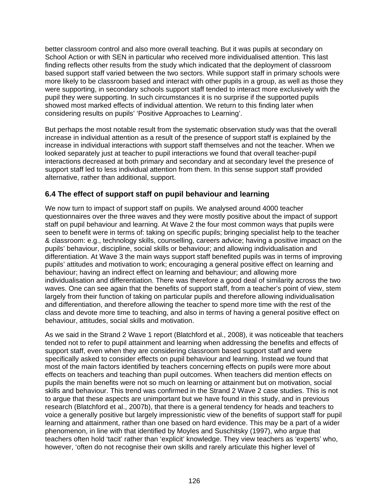better classroom control and also more overall teaching. But it was pupils at secondary on School Action or with SEN in particular who received more individualised attention. This last finding reflects other results from the study which indicated that the deployment of classroom based support staff varied between the two sectors. While support staff in primary schools were more likely to be classroom based and interact with other pupils in a group, as well as those they were supporting, in secondary schools support staff tended to interact more exclusively with the pupil they were supporting. In such circumstances it is no surprise if the supported pupils showed most marked effects of individual attention. We return to this finding later when considering results on pupils' 'Positive Approaches to Learning'.

But perhaps the most notable result from the systematic observation study was that the overall increase in individual attention as a result of the presence of support staff is explained by the increase in individual interactions with support staff themselves and not the teacher. When we looked separately just at teacher to pupil interactions we found that overall teacher-pupil interactions decreased at both primary and secondary and at secondary level the presence of support staff led to less individual attention from them. In this sense support staff provided alternative, rather than additional, support.

# **6.4 The effect of support staff on pupil behaviour and learning**

We now turn to impact of support staff on pupils. We analysed around 4000 teacher questionnaires over the three waves and they were mostly positive about the impact of support staff on pupil behaviour and learning. At Wave 2 the four most common ways that pupils were seen to benefit were in terms of: taking on specific pupils; bringing specialist help to the teacher & classroom: e.g., technology skills, counselling, careers advice; having a positive impact on the pupils' behaviour, discipline, social skills or behaviour; and allowing individualisation and differentiation. At Wave 3 the main ways support staff benefited pupils was in terms of improving pupils' attitudes and motivation to work; encouraging a general positive effect on learning and behaviour; having an indirect effect on learning and behaviour; and allowing more individualisation and differentiation. There was therefore a good deal of similarity across the two waves. One can see again that the benefits of support staff, from a teacher's point of view, stem largely from their function of taking on particular pupils and therefore allowing individualisation and differentiation, and therefore allowing the teacher to spend more time with the rest of the class and devote more time to teaching, and also in terms of having a general positive effect on behaviour, attitudes, social skills and motivation.

As we said in the Strand 2 Wave 1 report (Blatchford et al., 2008), it was noticeable that teachers tended not to refer to pupil attainment and learning when addressing the benefits and effects of support staff, even when they are considering classroom based support staff and were specifically asked to consider effects on pupil behaviour and learning. Instead we found that most of the main factors identified by teachers concerning effects on pupils were more about effects on teachers and teaching than pupil outcomes. When teachers did mention effects on pupils the main benefits were not so much on learning or attainment but on motivation, social skills and behaviour. This trend was confirmed in the Strand 2 Wave 2 case studies. This is not to argue that these aspects are unimportant but we have found in this study, and in previous research (Blatchford et al., 2007b), that there is a general tendency for heads and teachers to voice a generally positive but largely impressionistic view of the benefits of support staff for pupil learning and attainment, rather than one based on hard evidence. This may be a part of a wider phenomenon, in line with that identified by Moyles and Suschitsky (1997), who argue that teachers often hold 'tacit' rather than 'explicit' knowledge. They view teachers as 'experts' who, however, 'often do not recognise their own skills and rarely articulate this higher level of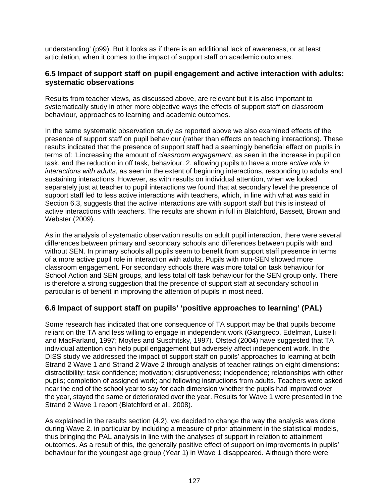understanding' (p99). But it looks as if there is an additional lack of awareness, or at least articulation, when it comes to the impact of support staff on academic outcomes.

# **6.5 Impact of support staff on pupil engagement and active interaction with adults: systematic observations**

Results from teacher views, as discussed above, are relevant but it is also important to systematically study in other more objective ways the effects of support staff on classroom behaviour, approaches to learning and academic outcomes.

In the same systematic observation study as reported above we also examined effects of the presence of support staff on pupil behaviour (rather than effects on teaching interactions). These results indicated that the presence of support staff had a seemingly beneficial effect on pupils in terms of: 1.increasing the amount of *classroom engagement*, as seen in the increase in pupil on task, and the reduction in off task, behaviour. 2. allowing pupils to have a more *active role in interactions with adults*, as seen in the extent of beginning interactions, responding to adults and sustaining interactions. However, as with results on individual attention, when we looked separately just at teacher to pupil interactions we found that at secondary level the presence of support staff led to less active interactions with teachers, which, in line with what was said in Section 6.3, suggests that the active interactions are with support staff but this is instead of active interactions with teachers. The results are shown in full in Blatchford, Bassett, Brown and Webster (2009).

As in the analysis of systematic observation results on adult pupil interaction, there were several differences between primary and secondary schools and differences between pupils with and without SEN. In primary schools all pupils seem to benefit from support staff presence in terms of a more active pupil role in interaction with adults. Pupils with non-SEN showed more classroom engagement. For secondary schools there was more total on task behaviour for School Action and SEN groups, and less total off task behaviour for the SEN group only. There is therefore a strong suggestion that the presence of support staff at secondary school in particular is of benefit in improving the attention of pupils in most need.

# **6.6 Impact of support staff on pupils' 'positive approaches to learning' (PAL)**

Some research has indicated that one consequence of TA support may be that pupils become reliant on the TA and less willing to engage in independent work (Giangreco, Edelman, Luiselli and MacFarland, 1997; Moyles and Suschitsky, 1997). Ofsted (2004) have suggested that TA individual attention can help pupil engagement but adversely affect independent work. In the DISS study we addressed the impact of support staff on pupils' approaches to learning at both Strand 2 Wave 1 and Strand 2 Wave 2 through analysis of teacher ratings on eight dimensions: distractibility; task confidence; motivation; disruptiveness; independence; relationships with other pupils; completion of assigned work; and following instructions from adults. Teachers were asked near the end of the school year to say for each dimension whether the pupils had improved over the year, stayed the same or deteriorated over the year. Results for Wave 1 were presented in the Strand 2 Wave 1 report (Blatchford et al., 2008).

As explained in the results section (4.2), we decided to change the way the analysis was done during Wave 2, in particular by including a measure of prior attainment in the statistical models, thus bringing the PAL analysis in line with the analyses of support in relation to attainment outcomes. As a result of this, the generally positive effect of support on improvements in pupils' behaviour for the youngest age group (Year 1) in Wave 1 disappeared. Although there were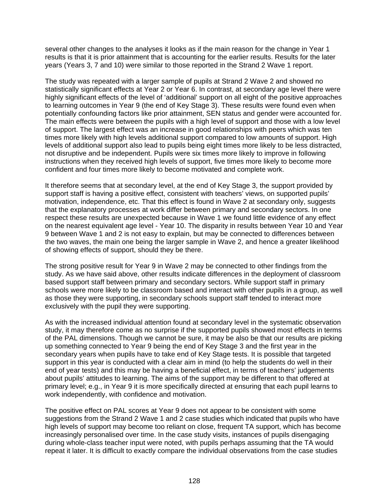several other changes to the analyses it looks as if the main reason for the change in Year 1 results is that it is prior attainment that is accounting for the earlier results. Results for the later years (Years 3, 7 and 10) were similar to those reported in the Strand 2 Wave 1 report.

The study was repeated with a larger sample of pupils at Strand 2 Wave 2 and showed no statistically significant effects at Year 2 or Year 6. In contrast, at secondary age level there were highly significant effects of the level of 'additional' support on all eight of the positive approaches to learning outcomes in Year 9 (the end of Key Stage 3). These results were found even when potentially confounding factors like prior attainment, SEN status and gender were accounted for. The main effects were between the pupils with a high level of support and those with a low level of support. The largest effect was an increase in good relationships with peers which was ten times more likely with high levels additional support compared to low amounts of support. High levels of additional support also lead to pupils being eight times more likely to be less distracted, not disruptive and be independent. Pupils were six times more likely to improve in following instructions when they received high levels of support, five times more likely to become more confident and four times more likely to become motivated and complete work.

It therefore seems that at secondary level, at the end of Key Stage 3, the support provided by support staff is having a positive effect, consistent with teachers' views, on supported pupils' motivation, independence, etc. That this effect is found in Wave 2 at secondary only, suggests that the explanatory processes at work differ between primary and secondary sectors. In one respect these results are unexpected because in Wave 1 we found little evidence of any effect on the nearest equivalent age level - Year 10. The disparity in results between Year 10 and Year 9 between Wave 1 and 2 is not easy to explain, but may be connected to differences between the two waves, the main one being the larger sample in Wave 2, and hence a greater likelihood of showing effects of support, should they be there.

The strong positive result for Year 9 in Wave 2 may be connected to other findings from the study. As we have said above, other results indicate differences in the deployment of classroom based support staff between primary and secondary sectors. While support staff in primary schools were more likely to be classroom based and interact with other pupils in a group, as well as those they were supporting, in secondary schools support staff tended to interact more exclusively with the pupil they were supporting.

As with the increased individual attention found at secondary level in the systematic observation study, it may therefore come as no surprise if the supported pupils showed most effects in terms of the PAL dimensions. Though we cannot be sure, it may be also be that our results are picking up something connected to Year 9 being the end of Key Stage 3 and the first year in the secondary years when pupils have to take end of Key Stage tests. It is possible that targeted support in this year is conducted with a clear aim in mind (to help the students do well in their end of year tests) and this may be having a beneficial effect, in terms of teachers' judgements about pupils' attitudes to learning. The aims of the support may be different to that offered at primary level; e.g., in Year 9 it is more specifically directed at ensuring that each pupil learns to work independently, with confidence and motivation.

The positive effect on PAL scores at Year 9 does not appear to be consistent with some suggestions from the Strand 2 Wave 1 and 2 case studies which indicated that pupils who have high levels of support may become too reliant on close, frequent TA support, which has become increasingly personalised over time. In the case study visits, instances of pupils disengaging during whole-class teacher input were noted, with pupils perhaps assuming that the TA would repeat it later. It is difficult to exactly compare the individual observations from the case studies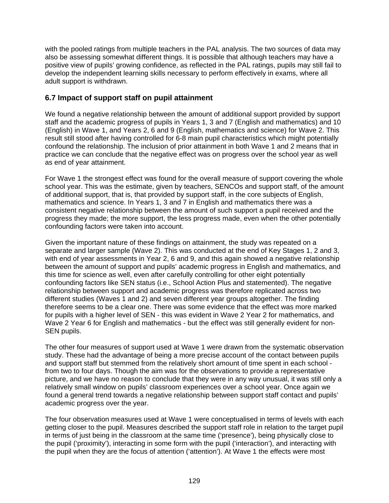with the pooled ratings from multiple teachers in the PAL analysis. The two sources of data may also be assessing somewhat different things. It is possible that although teachers may have a positive view of pupils' growing confidence, as reflected in the PAL ratings, pupils may still fail to develop the independent learning skills necessary to perform effectively in exams, where all adult support is withdrawn.

# **6.7 Impact of support staff on pupil attainment**

We found a negative relationship between the amount of additional support provided by support staff and the academic progress of pupils in Years 1, 3 and 7 (English and mathematics) and 10 (English) in Wave 1, and Years 2, 6 and 9 (English, mathematics and science) for Wave 2. This result still stood after having controlled for 6-8 main pupil characteristics which might potentially confound the relationship. The inclusion of prior attainment in both Wave 1 and 2 means that in practice we can conclude that the negative effect was on progress over the school year as well as end of year attainment.

For Wave 1 the strongest effect was found for the overall measure of support covering the whole school year. This was the estimate, given by teachers, SENCOs and support staff, of the amount of additional support, that is, that provided by support staff, in the core subjects of English, mathematics and science. In Years 1, 3 and 7 in English and mathematics there was a consistent negative relationship between the amount of such support a pupil received and the progress they made; the more support, the less progress made, even when the other potentially confounding factors were taken into account.

Given the important nature of these findings on attainment, the study was repeated on a separate and larger sample (Wave 2). This was conducted at the end of Key Stages 1, 2 and 3, with end of year assessments in Year 2, 6 and 9, and this again showed a negative relationship between the amount of support and pupils' academic progress in English and mathematics, and this time for science as well, even after carefully controlling for other eight potentially confounding factors like SEN status (i.e., School Action Plus and statemented). The negative relationship between support and academic progress was therefore replicated across two different studies (Waves 1 and 2) and seven different year groups altogether. The finding therefore seems to be a clear one. There was some evidence that the effect was more marked for pupils with a higher level of SEN - this was evident in Wave 2 Year 2 for mathematics, and Wave 2 Year 6 for English and mathematics - but the effect was still generally evident for non-SEN pupils.

The other four measures of support used at Wave 1 were drawn from the systematic observation study. These had the advantage of being a more precise account of the contact between pupils and support staff but stemmed from the relatively short amount of time spent in each school from two to four days. Though the aim was for the observations to provide a representative picture, and we have no reason to conclude that they were in any way unusual, it was still only a relatively small window on pupils' classroom experiences over a school year. Once again we found a general trend towards a negative relationship between support staff contact and pupils' academic progress over the year.

The four observation measures used at Wave 1 were conceptualised in terms of levels with each getting closer to the pupil. Measures described the support staff role in relation to the target pupil in terms of just being in the classroom at the same time ('presence'), being physically close to the pupil ('proximity'), interacting in some form with the pupil ('interaction'), and interacting with the pupil when they are the focus of attention ('attention'). At Wave 1 the effects were most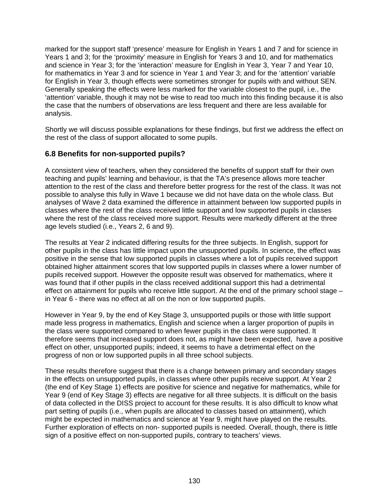marked for the support staff 'presence' measure for English in Years 1 and 7 and for science in Years 1 and 3; for the 'proximity' measure in English for Years 3 and 10, and for mathematics and science in Year 3; for the 'interaction' measure for English in Year 3, Year 7 and Year 10, for mathematics in Year 3 and for science in Year 1 and Year 3; and for the 'attention' variable for English in Year 3, though effects were sometimes stronger for pupils with and without SEN. Generally speaking the effects were less marked for the variable closest to the pupil, i.e., the 'attention' variable, though it may not be wise to read too much into this finding because it is also the case that the numbers of observations are less frequent and there are less available for analysis.

Shortly we will discuss possible explanations for these findings, but first we address the effect on the rest of the class of support allocated to some pupils.

# **6.8 Benefits for non-supported pupils?**

A consistent view of teachers, when they considered the benefits of support staff for their own teaching and pupils' learning and behaviour, is that the TA's presence allows more teacher attention to the rest of the class and therefore better progress for the rest of the class. It was not possible to analyse this fully in Wave 1 because we did not have data on the whole class. But analyses of Wave 2 data examined the difference in attainment between low supported pupils in classes where the rest of the class received little support and low supported pupils in classes where the rest of the class received more support. Results were markedly different at the three age levels studied (i.e., Years 2, 6 and 9).

The results at Year 2 indicated differing results for the three subjects. In English, support for other pupils in the class has little impact upon the unsupported pupils. In science, the effect was positive in the sense that low supported pupils in classes where a lot of pupils received support obtained higher attainment scores that low supported pupils in classes where a lower number of pupils received support. However the opposite result was observed for mathematics, where it was found that if other pupils in the class received additional support this had a detrimental effect on attainment for pupils who receive little support. At the end of the primary school stage – in Year 6 - there was no effect at all on the non or low supported pupils.

However in Year 9, by the end of Key Stage 3, unsupported pupils or those with little support made less progress in mathematics, English and science when a larger proportion of pupils in the class were supported compared to when fewer pupils in the class were supported. It therefore seems that increased support does not, as might have been expected, have a positive effect on other, unsupported pupils; indeed, it seems to have a detrimental effect on the progress of non or low supported pupils in all three school subjects.

These results therefore suggest that there is a change between primary and secondary stages in the effects on unsupported pupils, in classes where other pupils receive support. At Year 2 (the end of Key Stage 1) effects are positive for science and negative for mathematics, while for Year 9 (end of Key Stage 3) effects are negative for all three subjects. It is difficult on the basis of data collected in the DISS project to account for these results. It is also difficult to know what part setting of pupils (i.e., when pupils are allocated to classes based on attainment), which might be expected in mathematics and science at Year 9, might have played on the results. Further exploration of effects on non- supported pupils is needed. Overall, though, there is little sign of a positive effect on non-supported pupils, contrary to teachers' views.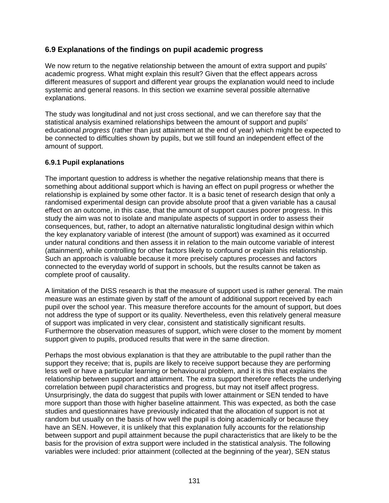# **6.9 Explanations of the findings on pupil academic progress**

We now return to the negative relationship between the amount of extra support and pupils' academic progress. What might explain this result? Given that the effect appears across different measures of support and different year groups the explanation would need to include systemic and general reasons. In this section we examine several possible alternative explanations.

The study was longitudinal and not just cross sectional, and we can therefore say that the statistical analysis examined relationships between the amount of support and pupils' educational *progress* (rather than just attainment at the end of year) which might be expected to be connected to difficulties shown by pupils, but we still found an independent effect of the amount of support.

# **6.9.1 Pupil explanations**

The important question to address is whether the negative relationship means that there is something about additional support which is having an effect on pupil progress or whether the relationship is explained by some other factor. It is a basic tenet of research design that only a randomised experimental design can provide absolute proof that a given variable has a causal effect on an outcome, in this case, that the amount of support causes poorer progress. In this study the aim was not to isolate and manipulate aspects of support in order to assess their consequences, but, rather, to adopt an alternative naturalistic longitudinal design within which the key explanatory variable of interest (the amount of support) was examined as it occurred under natural conditions and then assess it in relation to the main outcome variable of interest (attainment), while controlling for other factors likely to confound or explain this relationship. Such an approach is valuable because it more precisely captures processes and factors connected to the everyday world of support in schools, but the results cannot be taken as complete proof of causality.

A limitation of the DISS research is that the measure of support used is rather general. The main measure was an estimate given by staff of the amount of additional support received by each pupil over the school year. This measure therefore accounts for the amount of support, but does not address the type of support or its quality. Nevertheless, even this relatively general measure of support was implicated in very clear, consistent and statistically significant results. Furthermore the observation measures of support, which were closer to the moment by moment support given to pupils, produced results that were in the same direction.

Perhaps the most obvious explanation is that they are attributable to the pupil rather than the support they receive; that is, pupils are likely to receive support because they are performing less well or have a particular learning or behavioural problem, and it is this that explains the relationship between support and attainment. The extra support therefore reflects the underlying correlation between pupil characteristics and progress, but may not itself affect progress. Unsurprisingly, the data do suggest that pupils with lower attainment or SEN tended to have more support than those with higher baseline attainment. This was expected, as both the case studies and questionnaires have previously indicated that the allocation of support is not at random but usually on the basis of how well the pupil is doing academically or because they have an SEN. However, it is unlikely that this explanation fully accounts for the relationship between support and pupil attainment because the pupil characteristics that are likely to be the basis for the provision of extra support were included in the statistical analysis. The following variables were included: prior attainment (collected at the beginning of the year), SEN status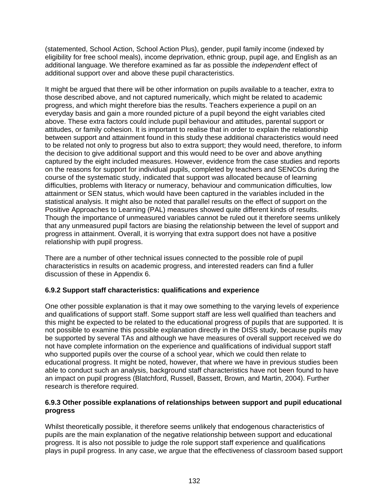(statemented, School Action, School Action Plus), gender, pupil family income (indexed by eligibility for free school meals), income deprivation, ethnic group, pupil age, and English as an additional language. We therefore examined as far as possible the *independent* effect of additional support over and above these pupil characteristics.

It might be argued that there will be other information on pupils available to a teacher, extra to those described above, and not captured numerically, which might be related to academic progress, and which might therefore bias the results. Teachers experience a pupil on an everyday basis and gain a more rounded picture of a pupil beyond the eight variables cited above. These extra factors could include pupil behaviour and attitudes, parental support or attitudes, or family cohesion. It is important to realise that in order to explain the relationship between support and attainment found in this study these additional characteristics would need to be related not only to progress but also to extra support; they would need, therefore, to inform the decision to give additional support and this would need to be over and above anything captured by the eight included measures. However, evidence from the case studies and reports on the reasons for support for individual pupils, completed by teachers and SENCOs during the course of the systematic study, indicated that support was allocated because of learning difficulties, problems with literacy or numeracy, behaviour and communication difficulties, low attainment or SEN status, which would have been captured in the variables included in the statistical analysis. It might also be noted that parallel results on the effect of support on the Positive Approaches to Learning (PAL) measures showed quite different kinds of results. Though the importance of unmeasured variables cannot be ruled out it therefore seems unlikely that any unmeasured pupil factors are biasing the relationship between the level of support and progress in attainment. Overall, it is worrying that extra support does not have a positive relationship with pupil progress.

There are a number of other technical issues connected to the possible role of pupil characteristics in results on academic progress, and interested readers can find a fuller discussion of these in Appendix 6.

# **6.9.2 Support staff characteristics: qualifications and experience**

One other possible explanation is that it may owe something to the varying levels of experience and qualifications of support staff. Some support staff are less well qualified than teachers and this might be expected to be related to the educational progress of pupils that are supported. It is not possible to examine this possible explanation directly in the DISS study, because pupils may be supported by several TAs and although we have measures of overall support received we do not have complete information on the experience and qualifications of individual support staff who supported pupils over the course of a school year, which we could then relate to educational progress. It might be noted, however, that where we have in previous studies been able to conduct such an analysis, background staff characteristics have not been found to have an impact on pupil progress (Blatchford, Russell, Bassett, Brown, and Martin, 2004). Further research is therefore required.

# **6.9.3 Other possible explanations of relationships between support and pupil educational progress**

Whilst theoretically possible, it therefore seems unlikely that endogenous characteristics of pupils are the main explanation of the negative relationship between support and educational progress. It is also not possible to judge the role support staff experience and qualifications plays in pupil progress. In any case, we argue that the effectiveness of classroom based support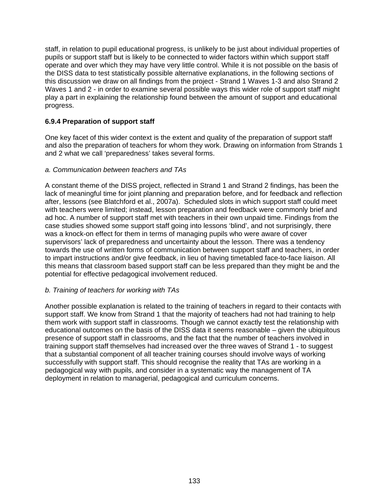staff, in relation to pupil educational progress, is unlikely to be just about individual properties of pupils or support staff but is likely to be connected to wider factors within which support staff operate and over which they may have very little control. While it is not possible on the basis of the DISS data to test statistically possible alternative explanations, in the following sections of this discussion we draw on all findings from the project - Strand 1 Waves 1-3 and also Strand 2 Waves 1 and 2 - in order to examine several possible ways this wider role of support staff might play a part in explaining the relationship found between the amount of support and educational progress.

# **6.9.4 Preparation of support staff**

One key facet of this wider context is the extent and quality of the preparation of support staff and also the preparation of teachers for whom they work. Drawing on information from Strands 1 and 2 what we call 'preparedness' takes several forms.

#### *a. Communication between teachers and TAs*

A constant theme of the DISS project, reflected in Strand 1 and Strand 2 findings, has been the lack of meaningful time for joint planning and preparation before, and for feedback and reflection after, lessons (see Blatchford et al., 2007a). Scheduled slots in which support staff could meet with teachers were limited; instead, lesson preparation and feedback were commonly brief and ad hoc. A number of support staff met with teachers in their own unpaid time. Findings from the case studies showed some support staff going into lessons 'blind', and not surprisingly, there was a knock-on effect for them in terms of managing pupils who were aware of cover supervisors' lack of preparedness and uncertainty about the lesson. There was a tendency towards the use of written forms of communication between support staff and teachers, in order to impart instructions and/or give feedback, in lieu of having timetabled face-to-face liaison. All this means that classroom based support staff can be less prepared than they might be and the potential for effective pedagogical involvement reduced.

# *b. Training of teachers for working with TAs*

Another possible explanation is related to the training of teachers in regard to their contacts with support staff. We know from Strand 1 that the majority of teachers had not had training to help them work with support staff in classrooms. Though we cannot exactly test the relationship with educational outcomes on the basis of the DISS data it seems reasonable – given the ubiquitous presence of support staff in classrooms, and the fact that the number of teachers involved in training support staff themselves had increased over the three waves of Strand 1 - to suggest that a substantial component of all teacher training courses should involve ways of working successfully with support staff. This should recognise the reality that TAs are working in a pedagogical way with pupils, and consider in a systematic way the management of TA deployment in relation to managerial, pedagogical and curriculum concerns.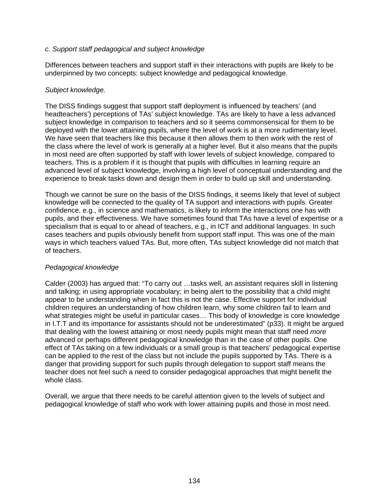# *c. Support staff pedagogical and subject knowledge*

Differences between teachers and support staff in their interactions with pupils are likely to be underpinned by two concepts: subject knowledge and pedagogical knowledge.

#### *Subject knowledge.*

The DISS findings suggest that support staff deployment is influenced by teachers' (and headteachers') perceptions of TAs' subject knowledge. TAs are likely to have a less advanced subject knowledge in comparison to teachers and so it seems commonsensical for them to be deployed with the lower attaining pupils, where the level of work is at a more rudimentary level. We have seen that teachers like this because it then allows them to then work with the rest of the class where the level of work is generally at a higher level. But it also means that the pupils in most need are often supported by staff with lower levels of subject knowledge, compared to teachers. This is a problem if it is thought that pupils with difficulties in learning require an advanced level of subject knowledge, involving a high level of conceptual understanding and the experience to break tasks down and design them in order to build up skill and understanding.

Though we cannot be sure on the basis of the DISS findings, it seems likely that level of subject knowledge will be connected to the quality of TA support and interactions with pupils. Greater confidence, e.g., in science and mathematics, is likely to inform the interactions one has with pupils, and their effectiveness. We have sometimes found that TAs have a level of expertise or a specialism that is equal to or ahead of teachers, e.g., in ICT and additional languages. In such cases teachers and pupils obviously benefit from support staff input. This was one of the main ways in which teachers valued TAs. But, more often, TAs subject knowledge did not match that of teachers.

# *Pedagogical knowledge*

Calder (2003) has argued that: "To carry out …tasks well, an assistant requires skill in listening and talking; in using appropriate vocabulary; in being alert to the possibility that a child might appear to be understanding when in fact this is not the case. Effective support for individual children requires an understanding of how children learn, why some children fail to learn and what strategies might be useful in particular cases… This body of knowledge is core knowledge in I.T.T and its importance for assistants should not be underestimated" (p33). It might be argued that dealing with the lowest attaining or most needy pupils might mean that staff need *more*  advanced or perhaps different pedagogical knowledge than in the case of other pupils. One effect of TAs taking on a few individuals or a small group is that teachers' pedagogical expertise can be applied to the rest of the class but not include the pupils supported by TAs. There is a danger that providing support for such pupils through delegation to support staff means the teacher does not feel such a need to consider pedagogical approaches that might benefit the whole class.

Overall, we argue that there needs to be careful attention given to the levels of subject and pedagogical knowledge of staff who work with lower attaining pupils and those in most need.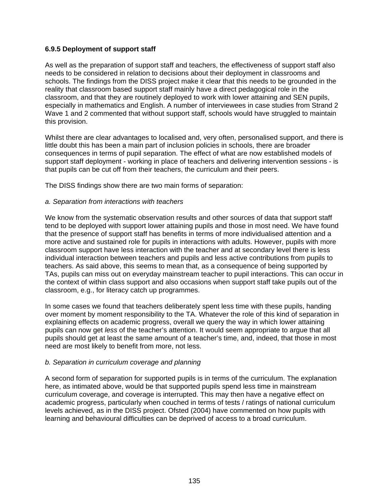# **6.9.5 Deployment of support staff**

As well as the preparation of support staff and teachers, the effectiveness of support staff also needs to be considered in relation to decisions about their deployment in classrooms and schools. The findings from the DISS project make it clear that this needs to be grounded in the reality that classroom based support staff mainly have a direct pedagogical role in the classroom, and that they are routinely deployed to work with lower attaining and SEN pupils, especially in mathematics and English. A number of interviewees in case studies from Strand 2 Wave 1 and 2 commented that without support staff, schools would have struggled to maintain this provision.

Whilst there are clear advantages to localised and, very often, personalised support, and there is little doubt this has been a main part of inclusion policies in schools, there are broader consequences in terms of pupil separation. The effect of what are now established models of support staff deployment - working in place of teachers and delivering intervention sessions - is that pupils can be cut off from their teachers, the curriculum and their peers.

The DISS findings show there are two main forms of separation:

#### *a. Separation from interactions with teachers*

We know from the systematic observation results and other sources of data that support staff tend to be deployed with support lower attaining pupils and those in most need. We have found that the presence of support staff has benefits in terms of more individualised attention and a more active and sustained role for pupils in interactions with adults. However, pupils with more classroom support have less interaction with the teacher and at secondary level there is less individual interaction between teachers and pupils and less active contributions from pupils to teachers. As said above, this seems to mean that, as a consequence of being supported by TAs, pupils can miss out on everyday mainstream teacher to pupil interactions. This can occur in the context of within class support and also occasions when support staff take pupils out of the classroom, e.g., for literacy catch up programmes.

In some cases we found that teachers deliberately spent less time with these pupils, handing over moment by moment responsibility to the TA. Whatever the role of this kind of separation in explaining effects on academic progress, overall we query the way in which lower attaining pupils can now get *less* of the teacher's attention. It would seem appropriate to argue that all pupils should get at least the same amount of a teacher's time, and, indeed, that those in most need are most likely to benefit from more, not less.

# *b. Separation in curriculum coverage and planning*

A second form of separation for supported pupils is in terms of the curriculum. The explanation here, as intimated above, would be that supported pupils spend less time in mainstream curriculum coverage, and coverage is interrupted. This may then have a negative effect on academic progress, particularly when couched in terms of tests / ratings of national curriculum levels achieved, as in the DISS project. Ofsted (2004) have commented on how pupils with learning and behavioural difficulties can be deprived of access to a broad curriculum.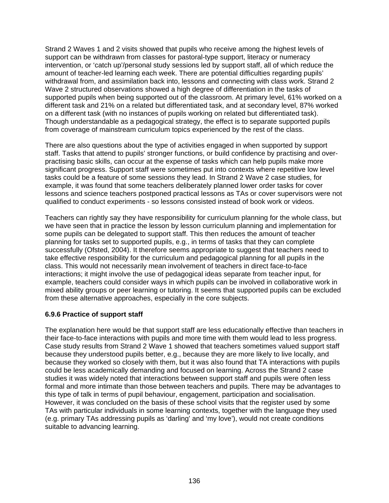Strand 2 Waves 1 and 2 visits showed that pupils who receive among the highest levels of support can be withdrawn from classes for pastoral-type support, literacy or numeracy intervention, or 'catch up'/personal study sessions led by support staff, all of which reduce the amount of teacher-led learning each week. There are potential difficulties regarding pupils' withdrawal from, and assimilation back into, lessons and connecting with class work. Strand 2 Wave 2 structured observations showed a high degree of differentiation in the tasks of supported pupils when being supported out of the classroom. At primary level, 61% worked on a different task and 21% on a related but differentiated task, and at secondary level, 87% worked on a different task (with no instances of pupils working on related but differentiated task). Though understandable as a pedagogical strategy, the effect is to separate supported pupils from coverage of mainstream curriculum topics experienced by the rest of the class.

There are also questions about the type of activities engaged in when supported by support staff. Tasks that attend to pupils' stronger functions, or build confidence by practising and overpractising basic skills, can occur at the expense of tasks which can help pupils make more significant progress. Support staff were sometimes put into contexts where repetitive low level tasks could be a feature of some sessions they lead. In Strand 2 Wave 2 case studies, for example, it was found that some teachers deliberately planned lower order tasks for cover lessons and science teachers postponed practical lessons as TAs or cover supervisors were not qualified to conduct experiments - so lessons consisted instead of book work or videos.

Teachers can rightly say they have responsibility for curriculum planning for the whole class, but we have seen that in practice the lesson by lesson curriculum planning and implementation for some pupils can be delegated to support staff. This then reduces the amount of teacher planning for tasks set to supported pupils, e.g., in terms of tasks that they can complete successfully (Ofsted, 2004). It therefore seems appropriate to suggest that teachers need to take effective responsibility for the curriculum and pedagogical planning for all pupils in the class. This would not necessarily mean involvement of teachers in direct face-to-face interactions; it might involve the use of pedagogical ideas separate from teacher input, for example, teachers could consider ways in which pupils can be involved in collaborative work in mixed ability groups or peer learning or tutoring. It seems that supported pupils can be excluded from these alternative approaches, especially in the core subjects.

# **6.9.6 Practice of support staff**

The explanation here would be that support staff are less educationally effective than teachers in their face-to-face interactions with pupils and more time with them would lead to less progress. Case study results from Strand 2 Wave 1 showed that teachers sometimes valued support staff because they understood pupils better, e.g., because they are more likely to live locally, and because they worked so closely with them, but it was also found that TA interactions with pupils could be less academically demanding and focused on learning. Across the Strand 2 case studies it was widely noted that interactions between support staff and pupils were often less formal and more intimate than those between teachers and pupils. There may be advantages to this type of talk in terms of pupil behaviour, engagement, participation and socialisation. However, it was concluded on the basis of these school visits that the register used by some TAs with particular individuals in some learning contexts, together with the language they used (e.g. primary TAs addressing pupils as 'darling' and 'my love'), would not create conditions suitable to advancing learning.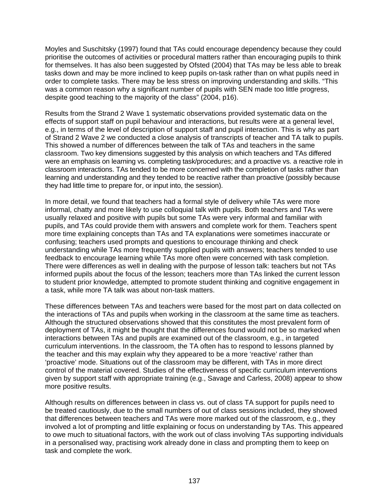Moyles and Suschitsky (1997) found that TAs could encourage dependency because they could prioritise the outcomes of activities or procedural matters rather than encouraging pupils to think for themselves. It has also been suggested by Ofsted (2004) that TAs may be less able to break tasks down and may be more inclined to keep pupils on-task rather than on what pupils need in order to complete tasks. There may be less stress on improving understanding and skills. "This was a common reason why a significant number of pupils with SEN made too little progress, despite good teaching to the majority of the class" (2004, p16).

Results from the Strand 2 Wave 1 systematic observations provided systematic data on the effects of support staff on pupil behaviour and interactions, but results were at a general level, e.g., in terms of the level of description of support staff and pupil interaction. This is why as part of Strand 2 Wave 2 we conducted a close analysis of transcripts of teacher and TA talk to pupils. This showed a number of differences between the talk of TAs and teachers in the same classroom. Two key dimensions suggested by this analysis on which teachers and TAs differed were an emphasis on learning vs. completing task/procedures; and a proactive vs. a reactive role in classroom interactions. TAs tended to be more concerned with the completion of tasks rather than learning and understanding and they tended to be reactive rather than proactive (possibly because they had little time to prepare for, or input into, the session).

In more detail, we found that teachers had a formal style of delivery while TAs were more informal, chatty and more likely to use colloquial talk with pupils. Both teachers and TAs were usually relaxed and positive with pupils but some TAs were very informal and familiar with pupils, and TAs could provide them with answers and complete work for them. Teachers spent more time explaining concepts than TAs and TA explanations were sometimes inaccurate or confusing; teachers used prompts and questions to encourage thinking and check understanding while TAs more frequently supplied pupils with answers; teachers tended to use feedback to encourage learning while TAs more often were concerned with task completion. There were differences as well in dealing with the purpose of lesson talk: teachers but not TAs informed pupils about the focus of the lesson; teachers more than TAs linked the current lesson to student prior knowledge, attempted to promote student thinking and cognitive engagement in a task, while more TA talk was about non-task matters.

These differences between TAs and teachers were based for the most part on data collected on the interactions of TAs and pupils when working in the classroom at the same time as teachers. Although the structured observations showed that this constitutes the most prevalent form of deployment of TAs, it might be thought that the differences found would not be so marked when interactions between TAs and pupils are examined out of the classroom, e.g., in targeted curriculum interventions. In the classroom, the TA often has to respond to lessons planned by the teacher and this may explain why they appeared to be a more 'reactive' rather than 'proactive' mode. Situations out of the classroom may be different, with TAs in more direct control of the material covered. Studies of the effectiveness of specific curriculum interventions given by support staff with appropriate training (e.g., Savage and Carless, 2008) appear to show more positive results.

Although results on differences between in class vs. out of class TA support for pupils need to be treated cautiously, due to the small numbers of out of class sessions included, they showed that differences between teachers and TAs were more marked out of the classroom, e.g., they involved a lot of prompting and little explaining or focus on understanding by TAs. This appeared to owe much to situational factors, with the work out of class involving TAs supporting individuals in a personalised way, practising work already done in class and prompting them to keep on task and complete the work.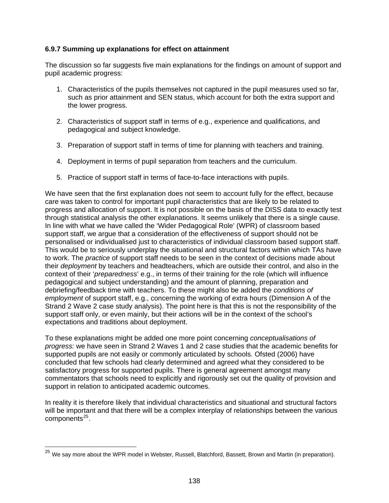# <span id="page-142-0"></span>**6.9.7 Summing up explanations for effect on attainment**

The discussion so far suggests five main explanations for the findings on amount of support and pupil academic progress:

- 1. Characteristics of the pupils themselves not captured in the pupil measures used so far, such as prior attainment and SEN status, which account for both the extra support and the lower progress.
- 2. Characteristics of support staff in terms of e.g., experience and qualifications, and pedagogical and subject knowledge.
- 3. Preparation of support staff in terms of time for planning with teachers and training.
- 4. Deployment in terms of pupil separation from teachers and the curriculum.
- 5. Practice of support staff in terms of face-to-face interactions with pupils.

We have seen that the first explanation does not seem to account fully for the effect, because care was taken to control for important pupil characteristics that are likely to be related to progress and allocation of support. It is not possible on the basis of the DISS data to exactly test through statistical analysis the other explanations. It seems unlikely that there is a single cause. In line with what we have called the 'Wider Pedagogical Role' (WPR) of classroom based support staff, we argue that a consideration of the effectiveness of support should not be personalised or individualised just to characteristics of individual classroom based support staff. This would be to seriously underplay the situational and structural factors within which TAs have to work. The *practice* of support staff needs to be seen in the context of decisions made about their *deployment* by teachers and headteachers, which are outside their control, and also in the context of their '*preparedness*' e.g., in terms of their training for the role (which will influence pedagogical and subject understanding) and the amount of planning, preparation and debriefing/feedback time with teachers. To these might also be added the *conditions of employment* of support staff, e.g., concerning the working of extra hours (Dimension A of the Strand 2 Wave 2 case study analysis). The point here is that this is not the responsibility of the support staff only, or even mainly, but their actions will be in the context of the school's expectations and traditions about deployment.

To these explanations might be added one more point concerning *conceptualisations of progress:* we have seen in Strand 2 Waves 1 and 2 case studies that the academic benefits for supported pupils are not easily or commonly articulated by schools. Ofsted (2006) have concluded that few schools had clearly determined and agreed what they considered to be satisfactory progress for supported pupils. There is general agreement amongst many commentators that schools need to explicitly and rigorously set out the quality of provision and support in relation to anticipated academic outcomes.

In reality it is therefore likely that individual characteristics and situational and structural factors will be important and that there will be a complex interplay of relationships between the various  $components<sup>25</sup>$  $components<sup>25</sup>$  $components<sup>25</sup>$ .

 $\overline{a}$ 

<sup>&</sup>lt;sup>25</sup> We say more about the WPR model in Webster, Russell, Blatchford, Bassett, Brown and Martin (in preparation).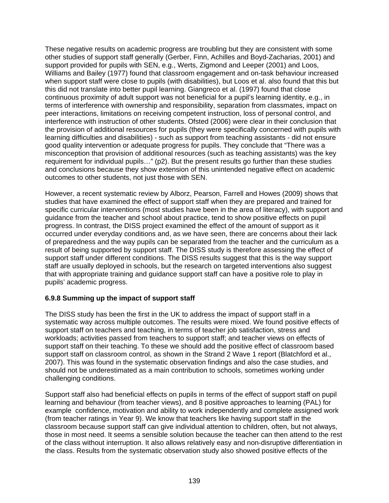These negative results on academic progress are troubling but they are consistent with some other studies of support staff generally (Gerber, Finn, Achilles and Boyd-Zacharias, 2001) and support provided for pupils with SEN, e.g., Werts, Zigmond and Leeper (2001) and Loos, Williams and Bailey (1977) found that classroom engagement and on-task behaviour increased when support staff were close to pupils (with disabilities), but Loos et al. also found that this but this did not translate into better pupil learning. Giangreco et al. (1997) found that close continuous proximity of adult support was not beneficial for a pupil's learning identity, e.g., in terms of interference with ownership and responsibility, separation from classmates, impact on peer interactions, limitations on receiving competent instruction, loss of personal control, and interference with instruction of other students. Ofsted (2006) were clear in their conclusion that the provision of additional resources for pupils (they were specifically concerned with pupils with learning difficulties and disabilities) - such as support from teaching assistants - did not ensure good quality intervention or adequate progress for pupils. They conclude that "There was a misconception that provision of additional resources (such as teaching assistants) was the key requirement for individual pupils…" (p2). But the present results go further than these studies and conclusions because they show extension of this unintended negative effect on academic outcomes to other students, not just those with SEN.

However, a recent systematic review by Alborz, Pearson, Farrell and Howes (2009) shows that studies that have examined the effect of support staff when they are prepared and trained for specific curricular interventions (most studies have been in the area of literacy), with support and guidance from the teacher and school about practice, tend to show positive effects on pupil progress. In contrast, the DISS project examined the effect of the amount of support as it occurred under everyday conditions and, as we have seen, there are concerns about their lack of preparedness and the way pupils can be separated from the teacher and the curriculum as a result of being supported by support staff. The DISS study is therefore assessing the effect of support staff under different conditions. The DISS results suggest that this is the way support staff are usually deployed in schools, but the research on targeted interventions also suggest that with appropriate training and guidance support staff can have a positive role to play in pupils' academic progress.

# **6.9.8 Summing up the impact of support staff**

The DISS study has been the first in the UK to address the impact of support staff in a systematic way across multiple outcomes. The results were mixed. We found positive effects of support staff on teachers and teaching, in terms of teacher job satisfaction, stress and workloads; activities passed from teachers to support staff; and teacher views on effects of support staff on their teaching. To these we should add the positive effect of classroom based support staff on classroom control, as shown in the Strand 2 Wave 1 report (Blatchford et al., 2007). This was found in the systematic observation findings and also the case studies, and should not be underestimated as a main contribution to schools, sometimes working under challenging conditions.

Support staff also had beneficial effects on pupils in terms of the effect of support staff on pupil learning and behaviour (from teacher views), and 8 positive approaches to learning (PAL) for example confidence, motivation and ability to work independently and complete assigned work (from teacher ratings in Year 9). We know that teachers like having support staff in the classroom because support staff can give individual attention to children, often, but not always, those in most need. It seems a sensible solution because the teacher can then attend to the rest of the class without interruption. It also allows relatively easy and non-disruptive differentiation in the class. Results from the systematic observation study also showed positive effects of the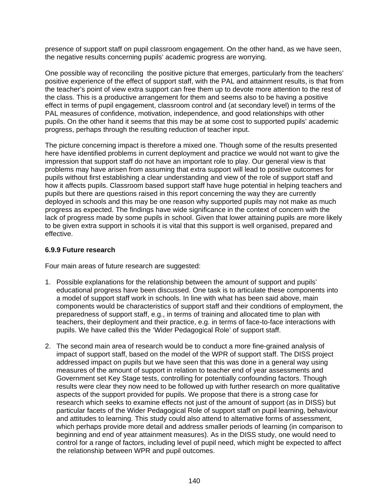presence of support staff on pupil classroom engagement. On the other hand, as we have seen, the negative results concerning pupils' academic progress are worrying.

One possible way of reconciling the positive picture that emerges, particularly from the teachers' positive experience of the effect of support staff, with the PAL and attainment results, is that from the teacher's point of view extra support can free them up to devote more attention to the rest of the class. This is a productive arrangement for them and seems also to be having a positive effect in terms of pupil engagement, classroom control and (at secondary level) in terms of the PAL measures of confidence, motivation, independence, and good relationships with other pupils. On the other hand it seems that this may be at some cost to supported pupils' academic progress, perhaps through the resulting reduction of teacher input.

The picture concerning impact is therefore a mixed one. Though some of the results presented here have identified problems in current deployment and practice we would not want to give the impression that support staff do not have an important role to play. Our general view is that problems may have arisen from assuming that extra support will lead to positive outcomes for pupils without first establishing a clear understanding and view of the role of support staff and how it affects pupils. Classroom based support staff have huge potential in helping teachers and pupils but there are questions raised in this report concerning the way they are currently deployed in schools and this may be one reason why supported pupils may not make as much progress as expected. The findings have wide significance in the context of concern with the lack of progress made by some pupils in school. Given that lower attaining pupils are more likely to be given extra support in schools it is vital that this support is well organised, prepared and effective.

#### **6.9.9 Future research**

Four main areas of future research are suggested:

- 1. Possible explanations for the relationship between the amount of support and pupils' educational progress have been discussed. One task is to articulate these components into a model of support staff work in schools. In line with what has been said above, main components would be characteristics of support staff and their conditions of employment, the preparedness of support staff, e.g., in terms of training and allocated time to plan with teachers, their deployment and their practice, e.g. in terms of face-to-face interactions with pupils. We have called this the 'Wider Pedagogical Role' of support staff.
- 2. The second main area of research would be to conduct a more fine-grained analysis of impact of support staff, based on the model of the WPR of support staff. The DISS project addressed impact on pupils but we have seen that this was done in a general way using measures of the amount of support in relation to teacher end of year assessments and Government set Key Stage tests, controlling for potentially confounding factors. Though results were clear they now need to be followed up with further research on more qualitative aspects of the support provided for pupils. We propose that there is a strong case for research which seeks to examine effects not just of the amount of support (as in DISS) but particular facets of the Wider Pedagogical Role of support staff on pupil learning, behaviour and attitudes to learning. This study could also attend to alternative forms of assessment, which perhaps provide more detail and address smaller periods of learning (in comparison to beginning and end of year attainment measures). As in the DISS study, one would need to control for a range of factors, including level of pupil need, which might be expected to affect the relationship between WPR and pupil outcomes.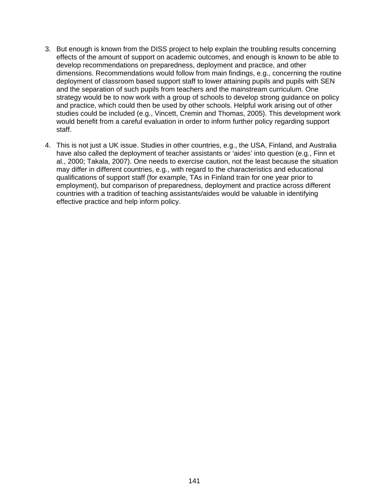- 3. But enough is known from the DISS project to help explain the troubling results concerning effects of the amount of support on academic outcomes, and enough is known to be able to develop recommendations on preparedness, deployment and practice, and other dimensions. Recommendations would follow from main findings, e.g., concerning the routine deployment of classroom based support staff to lower attaining pupils and pupils with SEN and the separation of such pupils from teachers and the mainstream curriculum. One strategy would be to now work with a group of schools to develop strong guidance on policy and practice, which could then be used by other schools. Helpful work arising out of other studies could be included (e.g., Vincett, Cremin and Thomas, 2005). This development work would benefit from a careful evaluation in order to inform further policy regarding support staff.
- 4. This is not just a UK issue. Studies in other countries, e.g., the USA, Finland, and Australia have also called the deployment of teacher assistants or 'aides' into question (e.g., Finn et al., 2000; Takala, 2007). One needs to exercise caution, not the least because the situation may differ in different countries, e.g., with regard to the characteristics and educational qualifications of support staff (for example, TAs in Finland train for one year prior to employment), but comparison of preparedness, deployment and practice across different countries with a tradition of teaching assistants/aides would be valuable in identifying effective practice and help inform policy.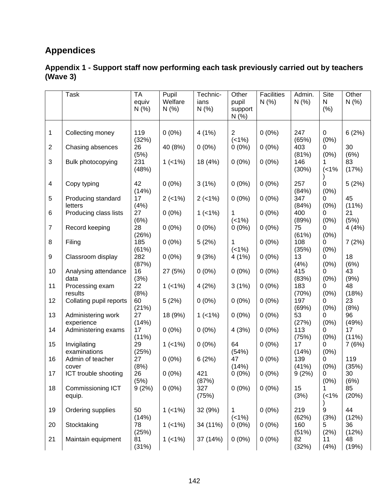# **Appendices**

#### **Appendix 1 - Support staff now performing each task previously carried out by teachers (Wave 3)**

|                | <b>Task</b>                      | <b>TA</b>   | Pupil       | Technic-  | Other                   | <b>Facilities</b> | Admin.       | Site      | Other          |
|----------------|----------------------------------|-------------|-------------|-----------|-------------------------|-------------------|--------------|-----------|----------------|
|                |                                  | equiv       | Welfare     | ians      | pupil                   | N(% )             | N(% )        | N         | N(% )          |
|                |                                  | N(%         | N(%         | N(% )     | support                 |                   |              | (% )      |                |
|                |                                  |             |             |           | N(% )                   |                   |              |           |                |
|                |                                  | 119         |             |           |                         |                   |              |           |                |
| 1              | Collecting money                 | (32%)       | $0(0\%)$    | 4(1%)     | $\overline{2}$<br>(<1%) | $0(0\%)$          | 247<br>(65%) | 0<br>(0%) | 6(2%)          |
| $\overline{2}$ | Chasing absences                 | 26          | 40 (8%)     | $0(0\%)$  | $0(0\%)$                | $0(0\%)$          | 403          | 0         | 30             |
|                |                                  | (5%)        |             |           |                         |                   | (81%)        | (0%)      | (6%)           |
| 3              | Bulk photocopying                | 231         | $1( < 1\%)$ | 18 (4%)   | $0(0\%)$                | $0(0\%)$          | 146          |           | 83             |
|                |                                  | (48%)       |             |           |                         |                   | (30%)        | (1%       | (17%)          |
|                |                                  |             |             |           |                         |                   |              |           |                |
| 4              | Copy typing                      | 42          | $0(0\%)$    | 3(1%)     | $0(0\%)$                | $0(0\%)$          | 257          | 0         | 5(2%)          |
|                |                                  | (14%)       |             |           |                         |                   | (84%)        | (0%)      |                |
| 5              | Producing standard               | 17          | $2$ (<1%)   | $2$ (<1%) | $0(0\%)$                | $0(0\%)$          | 347          | 0         | 45             |
| 6              | letters<br>Producing class lists | (4%)<br>27  | $0(0\%)$    | $1$ (<1%) | 1                       | $0(0\%)$          | (84%)<br>400 | (0%)<br>0 | $(11\%)$<br>21 |
|                |                                  | (6%)        |             |           | (<1%)                   |                   | (89%)        | (0%)      | (5%)           |
| $\overline{7}$ | Record keeping                   | 28          | $0(0\%)$    | $0(0\%)$  | $0(0\%)$                | $0(0\%)$          | 75           | 0         | 4 (4%)         |
|                |                                  | (26%)       |             |           |                         |                   | (61%)        | (0%)      |                |
| 8              | Filing                           | 185         | $0(0\%)$    | 5(2%)     | 1                       | $0(0\%)$          | 108          | 0         | 7(2%)          |
|                |                                  | (61%)       |             |           | $( < 1\%)$              |                   | (35%)        | (0%)      |                |
| 9              | Classroom display                | 282         | $0(0\%)$    | 9(3%)     | 4(1%)                   | $0(0\%)$          | 13           | 0         | 18             |
|                |                                  | (87%)       |             |           |                         |                   | (4%)         | (0%)      | (6%)<br>43     |
| 10             | Analysing attendance<br>data     | 16<br>(3%)  | 27 (5%)     | $0(0\%)$  | $0(0\%)$                | $0(0\%)$          | 415<br>(83%) | 0<br>(0%) | (9%)           |
| 11             | Processing exam                  | 22          | $1$ (<1%)   | 4(2%)     | 3(1%)                   | $0(0\%)$          | 183          | 0         | 48             |
|                | results                          | (8%)        |             |           |                         |                   | (70%)        | (0%)      | (18%)          |
| 12             | Collating pupil reports          | 60          | 5(2%)       | $0(0\%)$  | $0(0\%)$                | $0(0\%)$          | 197          | 0         | 23             |
|                |                                  | (21%)       |             |           |                         |                   | (69%)        | (0%)      | (8%)           |
| 13             | Administering work               | 27          | 18 (9%)     | $1$ (<1%) | $0(0\%)$                | $0(0\%)$          | 53           | 0         | 96             |
|                | experience                       | (14%)       |             |           |                         |                   | (27%)        | (0%)      | (49%)          |
| 14             | Administering exams              | 17          | $0(0\%)$    | $0(0\%)$  | 4(3%)                   | $0(0\%)$          | 113          | 0<br>(0%) | 17<br>(11%)    |
| 15             | Invigilating                     | (11%)<br>29 | $1( < 1\%)$ | $0(0\%)$  | 64                      | $0(0\%)$          | (75%)<br>17  | 0         | 7(6%)          |
|                | examinations                     | (25%)       |             |           | (54%)                   |                   | (14%)        | (0%)      |                |
| 16             | Admin of teacher                 | 27          | $0(0\%)$    | 6(2%)     | 47                      | $0(0\%)$          | 139          | 0         | 119            |
|                | cover                            | (8%)        |             |           | (14%)                   |                   | (41%)        | (0%)      | (35%)          |
| 17             | ICT trouble shooting             | 26          | $0(0\%)$    | 421       | $0(0\%)$                | $0(0\%)$          | 9(2%)        | 0         | 30             |
|                |                                  | (5%)        |             | (87%)     |                         |                   |              | (0%)      | (6%)           |
| 18             | Commissioning ICT                | 9(2%)       | $0(0\%)$    | 327       | $0(0\%)$                | $0(0\%)$          | 15           |           | 85             |
|                | equip.                           |             |             | (75%)     |                         |                   | (3%)         | (1%       | (20%)          |
| 19             | Ordering supplies                | 50          | $1$ (<1%)   | 32 (9%)   | 1                       | $0(0\%)$          | 219          | 9         | 44             |
|                |                                  | (14%)       |             |           | (<1%)                   |                   | (62%)        | (3%)      | (12%)          |
| 20             | Stocktaking                      | 78          | $1$ (<1%)   | 34 (11%)  | $0(0\%)$                | $0(0\%)$          | 160          | 5         | 36             |
|                |                                  | (25%)       |             |           |                         |                   | (51%)        | (2%)      | (12%)          |
| 21             | Maintain equipment               | 81          | $1$ (<1%)   | 37 (14%)  | $0(0\%)$                | $0(0\%)$          | 82           | 11        | 48             |
|                |                                  | (31%)       |             |           |                         |                   | (32%)        | (4% )     | (19%)          |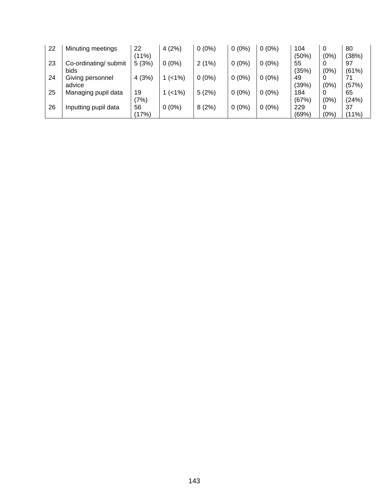| 22 | Minuting meetings             | 22<br>(11%) | 4(2%)     | $0(0\%)$ | $0(0\%)$ | $0(0\%)$ | 104<br>(50%) | 0<br>(0%) | 80<br>(38%)    |
|----|-------------------------------|-------------|-----------|----------|----------|----------|--------------|-----------|----------------|
| 23 | Co-ordinating/ submit<br>bids | 5(3%)       | $0(0\%)$  | 2(1%)    | $0(0\%)$ | $0(0\%)$ | 55<br>(35%)  | (0%)      | 97<br>(61%)    |
| 24 | Giving personnel<br>advice    | 4(3%)       | $1$ (<1%) | $0(0\%)$ | $0(0\%)$ | $0(0\%)$ | 49<br>(39%)  | (0%)      | 71<br>(57%)    |
| 25 | Managing pupil data           | 19<br>(7%)  | $1$ (<1%) | 5(2%)    | $0(0\%)$ | $0(0\%)$ | 184<br>(67%) | 0<br>(0%) | 65<br>(24%)    |
| 26 | Inputting pupil data          | 56<br>(17%) | $0(0\%)$  | 8(2%)    | $0(0\%)$ | $0(0\%)$ | 229<br>(69%) | (0%)      | 37<br>$(11\%)$ |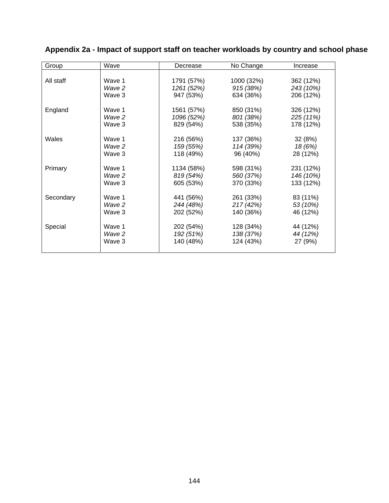| Group     | Wave   | Decrease   | No Change  | Increase  |
|-----------|--------|------------|------------|-----------|
|           |        |            |            |           |
| All staff | Wave 1 | 1791 (57%) | 1000 (32%) | 362 (12%) |
|           | Wave 2 | 1261 (52%) | 915 (38%)  | 243 (10%) |
|           | Wave 3 | 947 (53%)  | 634 (36%)  | 206 (12%) |
| England   | Wave 1 | 1561 (57%) | 850 (31%)  | 326 (12%) |
|           | Wave 2 | 1096 (52%) | 801 (38%)  | 225 (11%) |
|           | Wave 3 | 829 (54%)  | 538 (35%)  | 178 (12%) |
| Wales     | Wave 1 | 216 (56%)  | 137 (36%)  | 32(8%)    |
|           | Wave 2 | 159 (55%)  | 114 (39%)  | 18 (6%)   |
|           | Wave 3 | 118 (49%)  | 96 (40%)   | 28 (12%)  |
| Primary   | Wave 1 | 1134 (58%) | 598 (31%)  | 231 (12%) |
|           | Wave 2 | 819 (54%)  | 560 (37%)  | 146 (10%) |
|           | Wave 3 | 605 (53%)  | 370 (33%)  | 133 (12%) |
| Secondary | Wave 1 | 441 (56%)  | 261 (33%)  | 83 (11%)  |
|           | Wave 2 | 244 (48%)  | 217(42%)   | 53 (10%)  |
|           | Wave 3 | 202 (52%)  | 140 (36%)  | 46 (12%)  |
| Special   | Wave 1 | 202 (54%)  | 128 (34%)  | 44 (12%)  |
|           | Wave 2 | 192 (51%)  | 138 (37%)  | 44 (12%)  |
|           | Wave 3 | 140 (48%)  | 124 (43%)  | 27 (9%)   |
|           |        |            |            |           |

## **Appendix 2a - Impact of support staff on teacher workloads by country and school phase**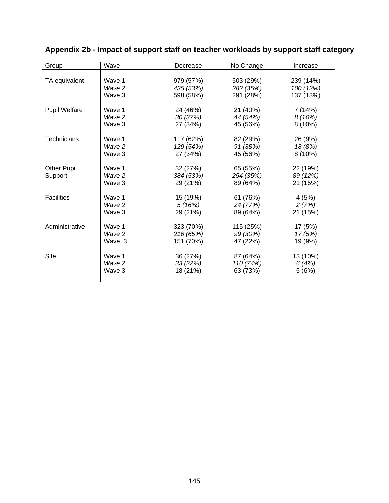| Group                | Wave   | Decrease  | No Change | Increase  |
|----------------------|--------|-----------|-----------|-----------|
|                      |        |           |           |           |
| TA equivalent        | Wave 1 | 979 (57%) | 503 (29%) | 239 (14%) |
|                      | Wave 2 | 435 (53%) | 282 (35%) | 100 (12%) |
|                      | Wave 3 | 598 (58%) | 291 (28%) | 137 (13%) |
| <b>Pupil Welfare</b> | Wave 1 | 24 (46%)  | 21 (40%)  | 7 (14%)   |
|                      | Wave 2 | 30 (37%)  | 44 (54%)  | 8(10%)    |
|                      | Wave 3 | 27 (34%)  | 45 (56%)  | $8(10\%)$ |
| <b>Technicians</b>   | Wave 1 | 117 (62%) | 82 (29%)  | 26 (9%)   |
|                      | Wave 2 | 129 (54%) | 91 (38%)  | 18 (8%)   |
|                      | Wave 3 | 27 (34%)  | 45 (56%)  | 8(10%)    |
| <b>Other Pupil</b>   | Wave 1 | 32 (27%)  | 65 (55%)  | 22 (19%)  |
| Support              | Wave 2 | 384 (53%) | 254 (35%) | 89 (12%)  |
|                      | Wave 3 | 29 (21%)  | 89 (64%)  | 21 (15%)  |
| <b>Facilities</b>    | Wave 1 | 15 (19%)  | 61 (76%)  | 4(5%)     |
|                      | Wave 2 | 5(16%)    | 24 (77%)  | 2(7%)     |
|                      | Wave 3 | 29 (21%)  | 89 (64%)  | 21 (15%)  |
| Administrative       | Wave 1 | 323 (70%) | 115 (25%) | 17 (5%)   |
|                      | Wave 2 | 216 (65%) | 99 (30%)  | 17 (5%)   |
|                      | Wave 3 | 151 (70%) | 47 (22%)  | 19 (9%)   |
| Site                 | Wave 1 | 36 (27%)  | 87 (64%)  | 13 (10%)  |
|                      | Wave 2 | 33(22%)   | 110 (74%) | 6(4%)     |
|                      | Wave 3 | 18 (21%)  | 63 (73%)  | 5(6%)     |
|                      |        |           |           |           |

## **Appendix 2b - Impact of support staff on teacher workloads by support staff category**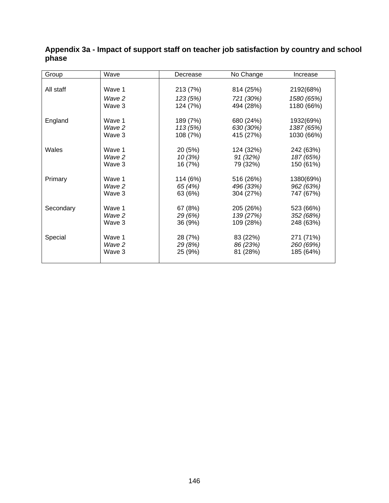| Group     | Wave   | Decrease | No Change | Increase   |
|-----------|--------|----------|-----------|------------|
|           |        |          |           |            |
| All staff | Wave 1 | 213 (7%) | 814 (25%) | 2192(68%)  |
|           | Wave 2 | 123 (5%) | 721 (30%) | 1580 (65%) |
|           | Wave 3 | 124 (7%) | 494 (28%) | 1180 (66%) |
| England   | Wave 1 | 189 (7%) | 680 (24%) | 1932(69%)  |
|           | Wave 2 | 113 (5%) | 630 (30%) | 1387 (65%) |
|           | Wave 3 | 108 (7%) | 415 (27%) | 1030 (66%) |
|           |        |          |           |            |
| Wales     | Wave 1 | 20 (5%)  | 124 (32%) | 242 (63%)  |
|           | Wave 2 | 10(3%)   | 91(32%)   | 187 (65%)  |
|           | Wave 3 | 16 (7%)  | 79 (32%)  | 150 (61%)  |
| Primary   | Wave 1 | 114 (6%) | 516 (26%) | 1380(69%)  |
|           | Wave 2 | 65 (4%)  | 496 (33%) | 962 (63%)  |
|           | Wave 3 | 63 (6%)  | 304 (27%) | 747 (67%)  |
| Secondary | Wave 1 | 67 (8%)  | 205 (26%) | 523 (66%)  |
|           | Wave 2 | 29 (6%)  | 139 (27%) | 352 (68%)  |
|           | Wave 3 | 36 (9%)  | 109 (28%) | 248 (63%)  |
|           |        |          |           |            |
| Special   | Wave 1 | 28 (7%)  | 83 (22%)  | 271 (71%)  |
|           | Wave 2 | 29 (8%)  | 86 (23%)  | 260 (69%)  |
|           | Wave 3 | 25 (9%)  | 81 (28%)  | 185 (64%)  |
|           |        |          |           |            |

#### **Appendix 3a - Impact of support staff on teacher job satisfaction by country and school phase**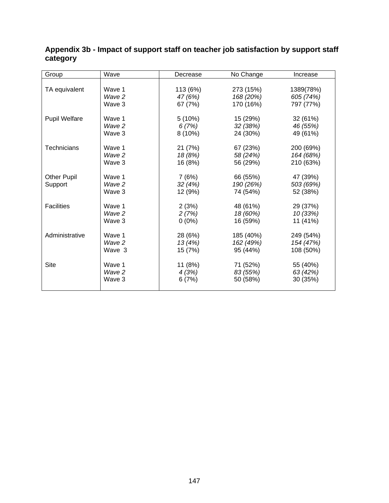| Group                | Wave   | Decrease  | No Change | Increase  |
|----------------------|--------|-----------|-----------|-----------|
|                      |        |           |           |           |
| TA equivalent        | Wave 1 | 113 (6%)  | 273 (15%) | 1389(78%) |
|                      | Wave 2 | 47 (6%)   | 168 (20%) | 605 (74%) |
|                      | Wave 3 | 67 (7%)   | 170 (16%) | 797 (77%) |
|                      |        |           |           |           |
| <b>Pupil Welfare</b> | Wave 1 | 5(10%)    | 15 (29%)  | 32 (61%)  |
|                      | Wave 2 | 6(7%)     | 32 (38%)  | 46 (55%)  |
|                      | Wave 3 | $8(10\%)$ | 24 (30%)  | 49 (61%)  |
|                      |        |           |           |           |
| <b>Technicians</b>   | Wave 1 | 21 (7%)   | 67 (23%)  | 200 (69%) |
|                      | Wave 2 | 18 (8%)   | 58 (24%)  | 164 (68%) |
|                      | Wave 3 | 16 (8%)   | 56 (29%)  | 210 (63%) |
| <b>Other Pupil</b>   | Wave 1 | 7(6%)     | 66 (55%)  | 47 (39%)  |
| Support              | Wave 2 | 32 (4%)   | 190 (26%) | 503 (69%) |
|                      | Wave 3 |           | 74 (54%)  | 52 (38%)  |
|                      |        | 12 (9%)   |           |           |
| <b>Facilities</b>    | Wave 1 | 2(3%)     | 48 (61%)  | 29 (37%)  |
|                      | Wave 2 | 2(7%)     | 18 (60%)  | 10 (33%)  |
|                      | Wave 3 | $0(0\%)$  | 16 (59%)  | 11 (41%)  |
|                      |        |           |           |           |
| Administrative       | Wave 1 | 28 (6%)   | 185 (40%) | 249 (54%) |
|                      | Wave 2 | 13 (4%)   | 162 (49%) | 154 (47%) |
|                      | Wave 3 | 15 (7%)   | 95 (44%)  | 108 (50%) |
| Site                 | Wave 1 |           |           |           |
|                      |        | 11 (8%)   | 71 (52%)  | 55 (40%)  |
|                      | Wave 2 | 4(3%)     | 83 (55%)  | 63 (42%)  |
|                      | Wave 3 | 6(7%)     | 50 (58%)  | 30 (35%)  |
|                      |        |           |           |           |

#### **Appendix 3b - Impact of support staff on teacher job satisfaction by support staff category**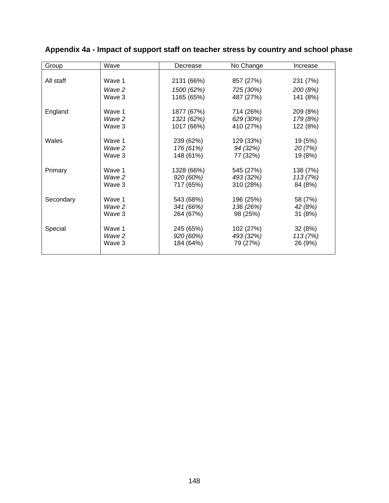| Group     | Wave             | Decrease                 | No Change              | Increase             |
|-----------|------------------|--------------------------|------------------------|----------------------|
|           |                  |                          |                        |                      |
| All staff | Wave 1           | 2131 (66%)               | 857 (27%)              | 231 (7%)             |
|           | Wave 2           | 1500 (62%)               | 725 (30%)              | 200 (8%)             |
|           | Wave 3           | 1165 (65%)               | 487 (27%)              | 141 (8%)             |
|           | Wave 1           |                          |                        |                      |
| England   | Wave 2           | 1877 (67%)<br>1321 (62%) | 714 (26%)<br>629 (30%) | 209 (8%)<br>179 (8%) |
|           | Wave 3           | 1017 (66%)               | 410 (27%)              | 122 (8%)             |
|           |                  |                          |                        |                      |
| Wales     | Wave 1           | 239 (62%)                | 129 (33%)              | 19 (5%)              |
|           | Wave 2           | 176 (61%)                | 94 (32%)               | 20(7%)               |
|           | Wave 3           | 148 (61%)                | 77 (32%)               | 19 (8%)              |
|           |                  |                          |                        |                      |
| Primary   | Wave 1<br>Wave 2 | 1328 (66%)<br>920 (60%)  | 545 (27%)<br>493 (32%) | 138 (7%)<br>113(7%)  |
|           | Wave 3           | 717 (65%)                | 310 (28%)              | 84 (8%)              |
|           |                  |                          |                        |                      |
| Secondary | Wave 1           | 543 (68%)                | 196 (25%)              | 58 (7%)              |
|           | Wave 2           | 341 (66%)                | 136 (26%)              | 42 (8%)              |
|           | Wave 3           | 264 (67%)                | 98 (25%)               | 31 (8%)              |
| Special   | Wave 1           | 245 (65%)                | 102 (27%)              | 32 (8%)              |
|           | Wave 2           | 920 (60%)                | 493 (32%)              | 113(7%)              |
|           | Wave 3           | 184 (64%)                | 79 (27%)               | 26 (9%)              |
|           |                  |                          |                        |                      |

## **Appendix 4a - Impact of support staff on teacher stress by country and school phase**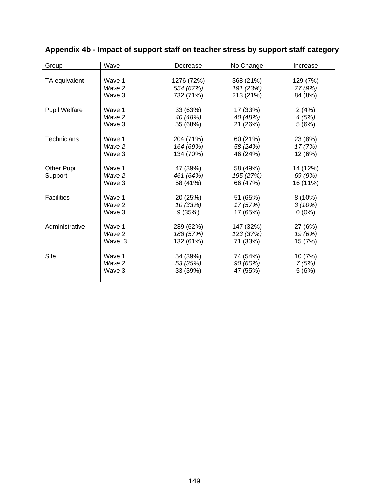| Group                | Wave   | Decrease   | No Change | Increase  |
|----------------------|--------|------------|-----------|-----------|
|                      |        |            |           |           |
| TA equivalent        | Wave 1 | 1276 (72%) | 368 (21%) | 129 (7%)  |
|                      | Wave 2 | 554 (67%)  | 191 (23%) | 77 (9%)   |
|                      | Wave 3 | 732 (71%)  | 213 (21%) | 84 (8%)   |
| <b>Pupil Welfare</b> | Wave 1 | 33 (63%)   | 17 (33%)  |           |
|                      | Wave 2 |            |           | 2(4%)     |
|                      | Wave 3 | 40 (48%)   | 40 (48%)  | 4(5%)     |
|                      |        | 55 (68%)   | 21 (26%)  | 5(6%)     |
| <b>Technicians</b>   | Wave 1 | 204 (71%)  | 60 (21%)  | 23 (8%)   |
|                      | Wave 2 | 164 (69%)  | 58 (24%)  | 17 (7%)   |
|                      | Wave 3 | 134 (70%)  | 46 (24%)  | 12 (6%)   |
|                      |        |            |           |           |
| <b>Other Pupil</b>   | Wave 1 | 47 (39%)   | 58 (49%)  | 14 (12%)  |
| Support              | Wave 2 | 461 (64%)  | 195 (27%) | 69 (9%)   |
|                      | Wave 3 | 58 (41%)   | 66 (47%)  | 16 (11%)  |
| <b>Facilities</b>    | Wave 1 | 20 (25%)   | 51 (65%)  | $8(10\%)$ |
|                      | Wave 2 | 10(33%)    | 17 (57%)  | 3(10%)    |
|                      | Wave 3 | 9(35%)     | 17 (65%)  | $0(0\%)$  |
|                      |        |            |           |           |
| Administrative       | Wave 1 | 289 (62%)  | 147 (32%) | 27 (6%)   |
|                      | Wave 2 | 188 (57%)  | 123 (37%) | 19 (6%)   |
|                      | Wave 3 | 132 (61%)  | 71 (33%)  | 15 (7%)   |
|                      |        |            |           |           |
| Site                 | Wave 1 | 54 (39%)   | 74 (54%)  | 10 (7%)   |
|                      | Wave 2 | 53 (35%)   | 90 (60%)  | 7(5%)     |
|                      | Wave 3 | 33 (39%)   | 47 (55%)  | 5(6%)     |
|                      |        |            |           |           |

## **Appendix 4b - Impact of support staff on teacher stress by support staff category**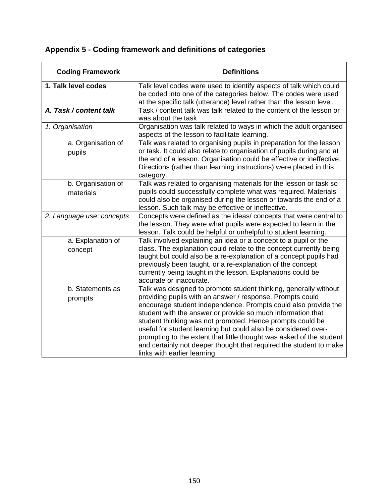| <b>Coding Framework</b>         | <b>Definitions</b>                                                                                                                                                                                                                                                                                                                                                                                                                                                                                                                                                          |
|---------------------------------|-----------------------------------------------------------------------------------------------------------------------------------------------------------------------------------------------------------------------------------------------------------------------------------------------------------------------------------------------------------------------------------------------------------------------------------------------------------------------------------------------------------------------------------------------------------------------------|
| 1. Talk level codes             | Talk level codes were used to identify aspects of talk which could<br>be coded into one of the categories below. The codes were used<br>at the specific talk (utterance) level rather than the lesson level.                                                                                                                                                                                                                                                                                                                                                                |
| A. Task / content talk          | Task / content talk was talk related to the content of the lesson or<br>was about the task                                                                                                                                                                                                                                                                                                                                                                                                                                                                                  |
| 1. Organisation                 | Organisation was talk related to ways in which the adult organised<br>aspects of the lesson to facilitate learning.                                                                                                                                                                                                                                                                                                                                                                                                                                                         |
| a. Organisation of<br>pupils    | Talk was related to organising pupils in preparation for the lesson<br>or task. It could also relate to organisation of pupils during and at<br>the end of a lesson. Organisation could be effective or ineffective.<br>Directions (rather than learning instructions) were placed in this<br>category.                                                                                                                                                                                                                                                                     |
| b. Organisation of<br>materials | Talk was related to organising materials for the lesson or task so<br>pupils could successfully complete what was required. Materials<br>could also be organised during the lesson or towards the end of a<br>lesson. Such talk may be effective or ineffective.                                                                                                                                                                                                                                                                                                            |
| 2. Language use: concepts       | Concepts were defined as the ideas/ concepts that were central to<br>the lesson. They were what pupils were expected to learn in the<br>lesson. Talk could be helpful or unhelpful to student learning.                                                                                                                                                                                                                                                                                                                                                                     |
| a. Explanation of<br>concept    | Talk involved explaining an idea or a concept to a pupil or the<br>class. The explanation could relate to the concept currently being<br>taught but could also be a re-explanation of a concept pupils had<br>previously been taught, or a re-explanation of the concept<br>currently being taught in the lesson. Explanations could be<br>accurate or inaccurate.                                                                                                                                                                                                          |
| b. Statements as<br>prompts     | Talk was designed to promote student thinking, generally without<br>providing pupils with an answer / response. Prompts could<br>encourage student independence. Prompts could also provide the<br>student with the answer or provide so much information that<br>student thinking was not promoted. Hence prompts could be<br>useful for student learning but could also be considered over-<br>prompting to the extent that little thought was asked of the student<br>and certainly not deeper thought that required the student to make<br>links with earlier learning. |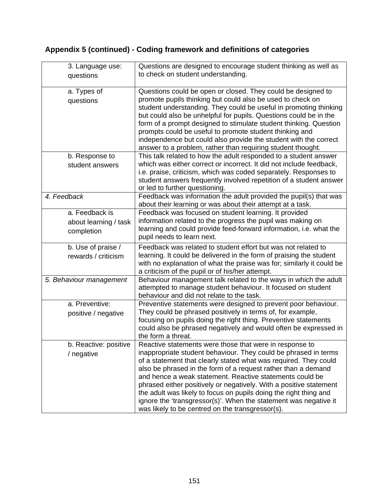| 3. Language use:<br>questions                         | Questions are designed to encourage student thinking as well as<br>to check on student understanding.                                                                                                                                                                                                                                                                                                                                                                                                                                                                                          |
|-------------------------------------------------------|------------------------------------------------------------------------------------------------------------------------------------------------------------------------------------------------------------------------------------------------------------------------------------------------------------------------------------------------------------------------------------------------------------------------------------------------------------------------------------------------------------------------------------------------------------------------------------------------|
| a. Types of<br>questions                              | Questions could be open or closed. They could be designed to<br>promote pupils thinking but could also be used to check on<br>student understanding. They could be useful in promoting thinking<br>but could also be unhelpful for pupils. Questions could be in the<br>form of a prompt designed to stimulate student thinking. Question<br>prompts could be useful to promote student thinking and<br>independence but could also provide the student with the correct<br>answer to a problem, rather than requiring student thought.                                                        |
| b. Response to<br>student answers                     | This talk related to how the adult responded to a student answer<br>which was either correct or incorrect. It did not include feedback,<br>i.e. praise, criticism, which was coded separately. Responses to<br>student answers frequently involved repetition of a student answer<br>or led to further questioning.                                                                                                                                                                                                                                                                            |
| 4. Feedback                                           | Feedback was information the adult provided the pupil(s) that was<br>about their learning or was about their attempt at a task.                                                                                                                                                                                                                                                                                                                                                                                                                                                                |
| a. Feedback is<br>about learning / task<br>completion | Feedback was focused on student learning. It provided<br>information related to the progress the pupil was making on<br>learning and could provide feed-forward information, i.e. what the<br>pupil needs to learn next.                                                                                                                                                                                                                                                                                                                                                                       |
| b. Use of praise /<br>rewards / criticism             | Feedback was related to student effort but was not related to<br>learning. It could be delivered in the form of praising the student<br>with no explanation of what the praise was for; similarly it could be<br>a criticism of the pupil or of his/her attempt.                                                                                                                                                                                                                                                                                                                               |
| 5. Behaviour management                               | Behaviour management talk related to the ways in which the adult<br>attempted to manage student behaviour. It focused on student<br>behaviour and did not relate to the task.                                                                                                                                                                                                                                                                                                                                                                                                                  |
| a. Preventive:<br>positive / negative                 | Preventive statements were designed to prevent poor behaviour.<br>They could be phrased positively in terms of, for example,<br>focusing on pupils doing the right thing. Preventive statements<br>could also be phrased negatively and would often be expressed in<br>the form a threat.                                                                                                                                                                                                                                                                                                      |
| b. Reactive: positive<br>/ negative                   | Reactive statements were those that were in response to<br>inappropriate student behaviour. They could be phrased in terms<br>of a statement that clearly stated what was required. They could<br>also be phrased in the form of a request rather than a demand<br>and hence a weak statement. Reactive statements could be<br>phrased either positively or negatively. With a positive statement<br>the adult was likely to focus on pupils doing the right thing and<br>ignore the 'transgressor(s)'. When the statement was negative it<br>was likely to be centred on the transgressor(s). |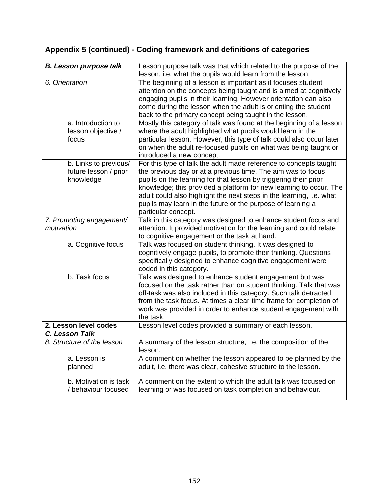| <b>B. Lesson purpose talk</b>                               | Lesson purpose talk was that which related to the purpose of the                                                                                                                                                                                                                                                                                                                                                                          |
|-------------------------------------------------------------|-------------------------------------------------------------------------------------------------------------------------------------------------------------------------------------------------------------------------------------------------------------------------------------------------------------------------------------------------------------------------------------------------------------------------------------------|
|                                                             | lesson, i.e. what the pupils would learn from the lesson.                                                                                                                                                                                                                                                                                                                                                                                 |
| 6. Orientation                                              | The beginning of a lesson is important as it focuses student<br>attention on the concepts being taught and is aimed at cognitively<br>engaging pupils in their learning. However orientation can also<br>come during the lesson when the adult is orienting the student<br>back to the primary concept being taught in the lesson.                                                                                                        |
| a. Introduction to<br>lesson objective /<br>focus           | Mostly this category of talk was found at the beginning of a lesson<br>where the adult highlighted what pupils would learn in the<br>particular lesson. However, this type of talk could also occur later<br>on when the adult re-focused pupils on what was being taught or<br>introduced a new concept.                                                                                                                                 |
| b. Links to previous/<br>future lesson / prior<br>knowledge | For this type of talk the adult made reference to concepts taught<br>the previous day or at a previous time. The aim was to focus<br>pupils on the learning for that lesson by triggering their prior<br>knowledge; this provided a platform for new learning to occur. The<br>adult could also highlight the next steps in the learning, i.e. what<br>pupils may learn in the future or the purpose of learning a<br>particular concept. |
| 7. Promoting engagement/<br>motivation                      | Talk in this category was designed to enhance student focus and<br>attention. It provided motivation for the learning and could relate<br>to cognitive engagement or the task at hand.                                                                                                                                                                                                                                                    |
| a. Cognitive focus                                          | Talk was focused on student thinking. It was designed to<br>cognitively engage pupils, to promote their thinking. Questions<br>specifically designed to enhance cognitive engagement were<br>coded in this category.                                                                                                                                                                                                                      |
| b. Task focus                                               | Talk was designed to enhance student engagement but was<br>focused on the task rather than on student thinking. Talk that was<br>off-task was also included in this category. Such talk detracted<br>from the task focus. At times a clear time frame for completion of<br>work was provided in order to enhance student engagement with<br>the task.                                                                                     |
| 2. Lesson level codes                                       | Lesson level codes provided a summary of each lesson.                                                                                                                                                                                                                                                                                                                                                                                     |
| C. Lesson Talk                                              |                                                                                                                                                                                                                                                                                                                                                                                                                                           |
| 8. Structure of the lesson                                  | A summary of the lesson structure, i.e. the composition of the<br>lesson.                                                                                                                                                                                                                                                                                                                                                                 |
| a. Lesson is<br>planned                                     | A comment on whether the lesson appeared to be planned by the<br>adult, i.e. there was clear, cohesive structure to the lesson.                                                                                                                                                                                                                                                                                                           |
| b. Motivation is task<br>/ behaviour focused                | A comment on the extent to which the adult talk was focused on<br>learning or was focused on task completion and behaviour.                                                                                                                                                                                                                                                                                                               |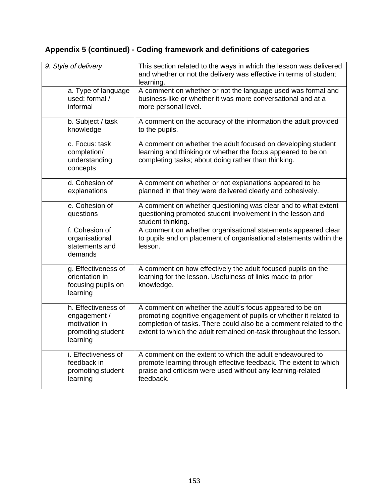| 9. Style of delivery                                                                  | This section related to the ways in which the lesson was delivered<br>and whether or not the delivery was effective in terms of student<br>learning.                                                                                                                    |
|---------------------------------------------------------------------------------------|-------------------------------------------------------------------------------------------------------------------------------------------------------------------------------------------------------------------------------------------------------------------------|
| a. Type of language<br>used: formal /<br>informal                                     | A comment on whether or not the language used was formal and<br>business-like or whether it was more conversational and at a<br>more personal level.                                                                                                                    |
| b. Subject / task<br>knowledge                                                        | A comment on the accuracy of the information the adult provided<br>to the pupils.                                                                                                                                                                                       |
| c. Focus: task<br>completion/<br>understanding<br>concepts                            | A comment on whether the adult focused on developing student<br>learning and thinking or whether the focus appeared to be on<br>completing tasks; about doing rather than thinking.                                                                                     |
| d. Cohesion of<br>explanations                                                        | A comment on whether or not explanations appeared to be<br>planned in that they were delivered clearly and cohesively.                                                                                                                                                  |
| e. Cohesion of<br>questions                                                           | A comment on whether questioning was clear and to what extent<br>questioning promoted student involvement in the lesson and<br>student thinking.                                                                                                                        |
| f. Cohesion of<br>organisational<br>statements and<br>demands                         | A comment on whether organisational statements appeared clear<br>to pupils and on placement of organisational statements within the<br>lesson.                                                                                                                          |
| g. Effectiveness of<br>orientation in<br>focusing pupils on<br>learning               | A comment on how effectively the adult focused pupils on the<br>learning for the lesson. Usefulness of links made to prior<br>knowledge.                                                                                                                                |
| h. Effectiveness of<br>engagement /<br>motivation in<br>promoting student<br>learning | A comment on whether the adult's focus appeared to be on<br>promoting cognitive engagement of pupils or whether it related to<br>completion of tasks. There could also be a comment related to the<br>extent to which the adult remained on-task throughout the lesson. |
| i. Effectiveness of<br>feedback in<br>promoting student<br>learning                   | A comment on the extent to which the adult endeavoured to<br>promote learning through effective feedback. The extent to which<br>praise and criticism were used without any learning-related<br>feedback.                                                               |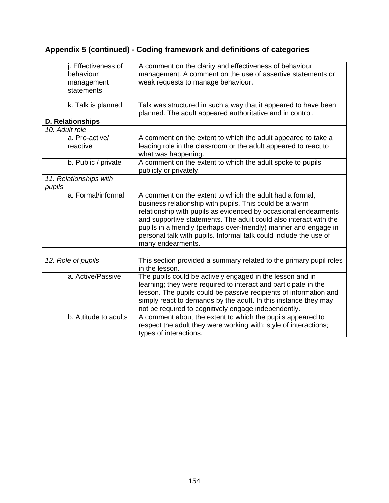| j. Effectiveness of<br>behaviour<br>management<br>statements | A comment on the clarity and effectiveness of behaviour<br>management. A comment on the use of assertive statements or<br>weak requests to manage behaviour.                                                                                                                                                                                                                                                               |
|--------------------------------------------------------------|----------------------------------------------------------------------------------------------------------------------------------------------------------------------------------------------------------------------------------------------------------------------------------------------------------------------------------------------------------------------------------------------------------------------------|
| k. Talk is planned                                           | Talk was structured in such a way that it appeared to have been<br>planned. The adult appeared authoritative and in control.                                                                                                                                                                                                                                                                                               |
| <b>D. Relationships</b>                                      |                                                                                                                                                                                                                                                                                                                                                                                                                            |
| 10. Adult role                                               |                                                                                                                                                                                                                                                                                                                                                                                                                            |
| a. Pro-active/<br>reactive                                   | A comment on the extent to which the adult appeared to take a<br>leading role in the classroom or the adult appeared to react to<br>what was happening.                                                                                                                                                                                                                                                                    |
| b. Public / private                                          | A comment on the extent to which the adult spoke to pupils<br>publicly or privately.                                                                                                                                                                                                                                                                                                                                       |
| 11. Relationships with<br>pupils                             |                                                                                                                                                                                                                                                                                                                                                                                                                            |
| a. Formal/informal                                           | A comment on the extent to which the adult had a formal,<br>business relationship with pupils. This could be a warm<br>relationship with pupils as evidenced by occasional endearments<br>and supportive statements. The adult could also interact with the<br>pupils in a friendly (perhaps over-friendly) manner and engage in<br>personal talk with pupils. Informal talk could include the use of<br>many endearments. |
|                                                              |                                                                                                                                                                                                                                                                                                                                                                                                                            |
| 12. Role of pupils                                           | This section provided a summary related to the primary pupil roles<br>in the lesson.                                                                                                                                                                                                                                                                                                                                       |
| a. Active/Passive                                            | The pupils could be actively engaged in the lesson and in<br>learning; they were required to interact and participate in the<br>lesson. The pupils could be passive recipients of information and<br>simply react to demands by the adult. In this instance they may<br>not be required to cognitively engage independently.                                                                                               |
| b. Attitude to adults                                        | A comment about the extent to which the pupils appeared to<br>respect the adult they were working with; style of interactions;<br>types of interactions.                                                                                                                                                                                                                                                                   |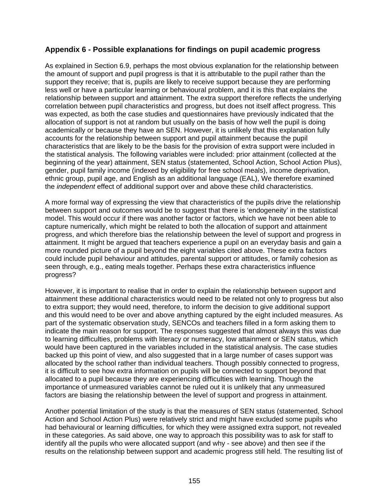#### **Appendix 6 - Possible explanations for findings on pupil academic progress**

As explained in Section 6.9, perhaps the most obvious explanation for the relationship between the amount of support and pupil progress is that it is attributable to the pupil rather than the support they receive; that is, pupils are likely to receive support because they are performing less well or have a particular learning or behavioural problem, and it is this that explains the relationship between support and attainment. The extra support therefore reflects the underlying correlation between pupil characteristics and progress, but does not itself affect progress. This was expected, as both the case studies and questionnaires have previously indicated that the allocation of support is not at random but usually on the basis of how well the pupil is doing academically or because they have an SEN. However, it is unlikely that this explanation fully accounts for the relationship between support and pupil attainment because the pupil characteristics that are likely to be the basis for the provision of extra support were included in the statistical analysis. The following variables were included: prior attainment (collected at the beginning of the year) attainment, SEN status (statemented, School Action, School Action Plus), gender, pupil family income (indexed by eligibility for free school meals), income deprivation, ethnic group, pupil age, and English as an additional language (EAL), We therefore examined the *independent* effect of additional support over and above these child characteristics.

A more formal way of expressing the view that characteristics of the pupils drive the relationship between support and outcomes would be to suggest that there is 'endogeneity' in the statistical model. This would occur if there was another factor or factors, which we have not been able to capture numerically, which might be related to both the allocation of support and attainment progress, and which therefore bias the relationship between the level of support and progress in attainment. It might be argued that teachers experience a pupil on an everyday basis and gain a more rounded picture of a pupil beyond the eight variables cited above. These extra factors could include pupil behaviour and attitudes, parental support or attitudes, or family cohesion as seen through, e.g., eating meals together. Perhaps these extra characteristics influence progress?

However, it is important to realise that in order to explain the relationship between support and attainment these additional characteristics would need to be related not only to progress but also to extra support; they would need, therefore, to inform the decision to give additional support and this would need to be over and above anything captured by the eight included measures. As part of the systematic observation study, SENCOs and teachers filled in a form asking them to indicate the main reason for support. The responses suggested that almost always this was due to learning difficulties, problems with literacy or numeracy, low attainment or SEN status, which would have been captured in the variables included in the statistical analysis. The case studies backed up this point of view, and also suggested that in a large number of cases support was allocated by the school rather than individual teachers. Though possibly connected to progress, it is difficult to see how extra information on pupils will be connected to support beyond that allocated to a pupil because they are experiencing difficulties with learning. Though the importance of unmeasured variables cannot be ruled out it is unlikely that any unmeasured factors are biasing the relationship between the level of support and progress in attainment.

Another potential limitation of the study is that the measures of SEN status (statemented, School Action and School Action Plus) were relatively strict and might have excluded some pupils who had behavioural or learning difficulties, for which they were assigned extra support, not revealed in these categories. As said above, one way to approach this possibility was to ask for staff to identify all the pupils who were allocated support (and why - see above) and then see if the results on the relationship between support and academic progress still held. The resulting list of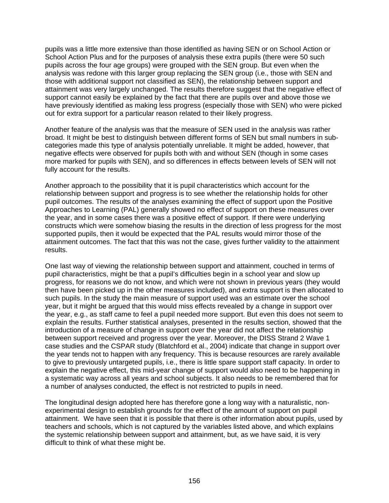pupils was a little more extensive than those identified as having SEN or on School Action or School Action Plus and for the purposes of analysis these extra pupils (there were 50 such pupils across the four age groups) were grouped with the SEN group. But even when the analysis was redone with this larger group replacing the SEN group (i.e., those with SEN and those with additional support not classified as SEN), the relationship between support and attainment was very largely unchanged. The results therefore suggest that the negative effect of support cannot easily be explained by the fact that there are pupils over and above those we have previously identified as making less progress (especially those with SEN) who were picked out for extra support for a particular reason related to their likely progress.

Another feature of the analysis was that the measure of SEN used in the analysis was rather broad. It might be best to distinguish between different forms of SEN but small numbers in subcategories made this type of analysis potentially unreliable. It might be added, however, that negative effects were observed for pupils both with and without SEN (though in some cases more marked for pupils with SEN), and so differences in effects between levels of SEN will not fully account for the results.

Another approach to the possibility that it is pupil characteristics which account for the relationship between support and progress is to see whether the relationship holds for other pupil outcomes. The results of the analyses examining the effect of support upon the Positive Approaches to Learning (PAL) generally showed no effect of support on these measures over the year, and in some cases there was a positive effect of support. If there were underlying constructs which were somehow biasing the results in the direction of less progress for the most supported pupils, then it would be expected that the PAL results would mirror those of the attainment outcomes. The fact that this was not the case, gives further validity to the attainment results.

One last way of viewing the relationship between support and attainment, couched in terms of pupil characteristics, might be that a pupil's difficulties begin in a school year and slow up progress, for reasons we do not know, and which were not shown in previous years (they would then have been picked up in the other measures included), and extra support is then allocated to such pupils. In the study the main measure of support used was an estimate over the school year, but it might be argued that this would miss effects revealed by a change in support over the year, e.g., as staff came to feel a pupil needed more support. But even this does not seem to explain the results. Further statistical analyses, presented in the results section, showed that the introduction of a measure of change in support over the year did not affect the relationship between support received and progress over the year. Moreover, the DISS Strand 2 Wave 1 case studies and the CSPAR study (Blatchford et al., 2004) indicate that change in support over the year tends not to happen with any frequency. This is because resources are rarely available to give to previously untargeted pupils, i.e., there is little spare support staff capacity. In order to explain the negative effect, this mid-year change of support would also need to be happening in a systematic way across all years and school subjects. It also needs to be remembered that for a number of analyses conducted, the effect is not restricted to pupils in need.

The longitudinal design adopted here has therefore gone a long way with a naturalistic, nonexperimental design to establish grounds for the effect of the amount of support on pupil attainment. We have seen that it is possible that there is other information about pupils, used by teachers and schools, which is not captured by the variables listed above, and which explains the systemic relationship between support and attainment, but, as we have said, it is very difficult to think of what these might be.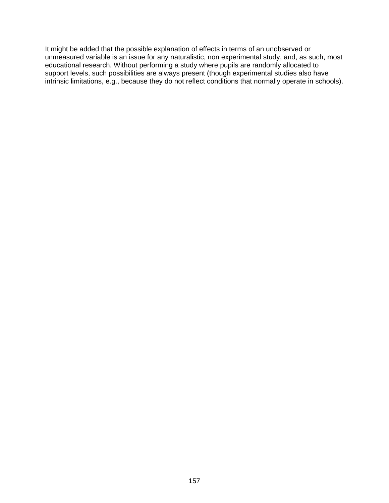It might be added that the possible explanation of effects in terms of an unobserved or unmeasured variable is an issue for any naturalistic, non experimental study, and, as such, most educational research. Without performing a study where pupils are randomly allocated to support levels, such possibilities are always present (though experimental studies also have intrinsic limitations, e.g., because they do not reflect conditions that normally operate in schools).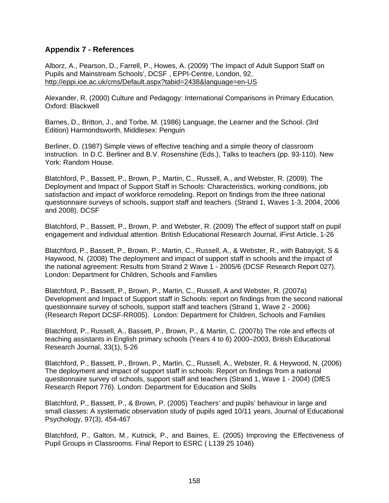#### **Appendix 7 - References**

Alborz, A., Pearson, D., Farrell, P., Howes, A. (2009) 'The Impact of Adult Support Staff on Pupils and Mainstream Schools', DCSF , EPPI-Centre, London, 92, <http://eppi.ioe.ac.uk/cms/Default.aspx?tabid=2438&language=en-US>

Alexander, R. (2000) Culture and Pedagogy: International Comparisons in Primary Education. Oxford: Blackwell

Barnes, D., Britton, J., and Torbe, M. (1986) Language, the Learner and the School. (3rd Edition) Harmondsworth, Middlesex: Penguin

Berliner, D. (1987) Simple views of effective teaching and a simple theory of classroom instruction. In D.C. Berliner and B.V. Rosenshine (Eds.), Talks to teachers (pp. 93-110). New York: Random House.

Blatchford, P., Bassett, P., Brown, P., Martin, C., Russell, A., and Webster, R. (2009). The Deployment and Impact of Support Staff in Schools: Characteristics, working conditions, job satisfaction and impact of workforce remodeling. Report on findings from the three national questionnaire surveys of schools, support staff and teachers. (Strand 1, Waves 1-3, 2004, 2006 and 2008). DCSF

Blatchford, P., Bassett, P., Brown, P. and Webster, R. (2009) The effect of support staff on pupil engagement and individual attention. British Educational Research Journal, iFirst Article, 1-26

Blatchford, P., Bassett, P., Brown, P., Martin, C., Russell, A., & Webster, R., with Babayigit, S & Haywood, N. (2008) The deployment and impact of support staff in schools and the impact of the national agreement: Results from Strand 2 Wave 1 - 2005/6 (DCSF Research Report 027). London: Department for Children, Schools and Families

Blatchford, P., Bassett, P., Brown, P., Martin, C., Russell, A and Webster, R. (2007a) Development and Impact of Support staff in Schools: report on findings from the second national questionnaire survey of schools, support staff and teachers (Strand 1, Wave 2 - 2006) (Research Report DCSF-RR005). London: Department for Children, Schools and Families

Blatchford, P., Russell, A., Bassett, P., Brown, P., & Martin, C. (2007b) The role and effects of teaching assistants in English primary schools (Years 4 to 6) 2000–2003, British Educational Research Journal, 33(1), 5-26

Blatchford, P., Bassett, P., Brown, P., Martin, C., Russell, A., Webster, R. & Heywood, N. (2006) The deployment and impact of support staff in schools: Report on findings from a national questionnaire survey of schools, support staff and teachers (Strand 1, Wave 1 - 2004) (DfES Research Report 776). London: Department for Education and Skills

Blatchford, P., Bassett, P., & Brown, P. (2005) Teachers' and pupils' behaviour in large and small classes: A systematic observation study of pupils aged 10/11 years, Journal of Educational Psychology, 97(3), 454-467

Blatchford, P., Galton, M., Kutnick, P., and Baines, E. (2005) Improving the Effectiveness of Pupil Groups in Classrooms. Final Report to ESRC ( L139 25 1046)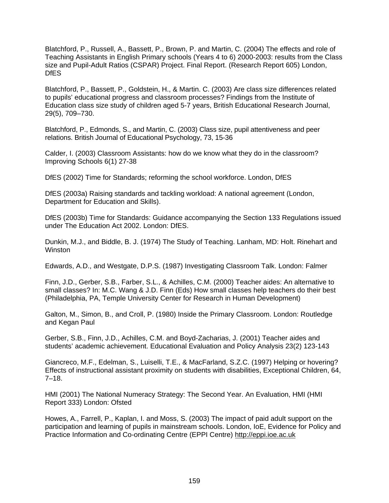Blatchford, P., Russell, A., Bassett, P., Brown, P. and Martin, C. (2004) The effects and role of Teaching Assistants in English Primary schools (Years 4 to 6) 2000-2003: results from the Class size and Pupil-Adult Ratios (CSPAR) Project. Final Report. (Research Report 605) London, **DfES** 

Blatchford, P., Bassett, P., Goldstein, H., & Martin. C. (2003) Are class size differences related to pupils' educational progress and classroom processes? Findings from the Institute of Education class size study of children aged 5-7 years, British Educational Research Journal, 29(5), 709–730.

Blatchford, P., Edmonds, S., and Martin, C. (2003) Class size, pupil attentiveness and peer relations. British Journal of Educational Psychology, 73, 15-36

Calder, I. (2003) Classroom Assistants: how do we know what they do in the classroom? Improving Schools 6(1) 27-38

DfES (2002) Time for Standards; reforming the school workforce. London, DfES

DfES (2003a) Raising standards and tackling workload: A national agreement (London, Department for Education and Skills).

DfES (2003b) Time for Standards: Guidance accompanying the Section 133 Regulations issued under The Education Act 2002. London: DfES.

Dunkin, M.J., and Biddle, B. J. (1974) The Study of Teaching. Lanham, MD: Holt. Rinehart and Winston

Edwards, A.D., and Westgate, D.P.S. (1987) Investigating Classroom Talk. London: Falmer

Finn, J.D., Gerber, S.B., Farber, S.L., & Achilles, C.M. (2000) Teacher aides: An alternative to small classes? In: M.C. Wang & J.D. Finn (Eds) How small classes help teachers do their best (Philadelphia, PA, Temple University Center for Research in Human Development)

Galton, M., Simon, B., and Croll, P. (1980) Inside the Primary Classroom. London: Routledge and Kegan Paul

Gerber, S.B., Finn, J.D., Achilles, C.M. and Boyd-Zacharias, J. (2001) Teacher aides and students' academic achievement. Educational Evaluation and Policy Analysis 23(2) 123-143

Giancreco, M.F., Edelman, S., Luiselli, T.E., & MacFarland, S.Z.C. (1997) Helping or hovering? Effects of instructional assistant proximity on students with disabilities, Exceptional Children, 64, 7–18.

HMI (2001) The National Numeracy Strategy: The Second Year. An Evaluation, HMI (HMI Report 333) London: Ofsted

Howes, A., Farrell, P., Kaplan, I. and Moss, S. (2003) The impact of paid adult support on the participation and learning of pupils in mainstream schools. London, IoE, Evidence for Policy and Practice Information and Co-ordinating Centre (EPPI Centre) [http://eppi.ioe.ac.uk](http://eppi.ioe.ac.uk/)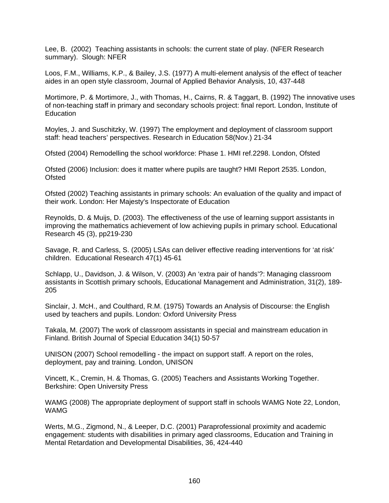Lee, B. (2002) Teaching assistants in schools: the current state of play. (NFER Research summary). Slough: NFER

Loos, F.M., Williams, K.P., & Bailey, J.S. (1977) A multi-element analysis of the effect of teacher aides in an open style classroom, Journal of Applied Behavior Analysis, 10, 437-448

Mortimore, P. & Mortimore, J., with Thomas, H., Cairns, R. & Taggart, B. (1992) The innovative uses of non-teaching staff in primary and secondary schools project: final report. London, Institute of **Education** 

Moyles, J. and Suschitzky, W. (1997) The employment and deployment of classroom support staff: head teachers' perspectives. Research in Education 58(Nov.) 21-34

Ofsted (2004) Remodelling the school workforce: Phase 1. HMI ref.2298. London, Ofsted

Ofsted (2006) Inclusion: does it matter where pupils are taught? HMI Report 2535. London, **Ofsted** 

Ofsted (2002) Teaching assistants in primary schools: An evaluation of the quality and impact of their work. London: Her Majesty's Inspectorate of Education

Reynolds, D. & Muijs, D. (2003). The effectiveness of the use of learning support assistants in improving the mathematics achievement of low achieving pupils in primary school. Educational Research 45 (3), pp219-230

Savage, R. and Carless, S. (2005) LSAs can deliver effective reading interventions for 'at risk' children. Educational Research 47(1) 45-61

Schlapp, U., Davidson, J. & Wilson, V. (2003) An 'extra pair of hands'?: Managing classroom assistants in Scottish primary schools, Educational Management and Administration, 31(2), 189- 205

Sinclair, J. McH., and Coulthard, R.M. (1975) Towards an Analysis of Discourse: the English used by teachers and pupils. London: Oxford University Press

Takala, M. (2007) The work of classroom assistants in special and mainstream education in Finland. British Journal of Special Education 34(1) 50-57

UNISON (2007) School remodelling - the impact on support staff. A report on the roles, deployment, pay and training. London, UNISON

Vincett, K., Cremin, H. & Thomas, G. (2005) Teachers and Assistants Working Together. Berkshire: Open University Press

WAMG (2008) The appropriate deployment of support staff in schools WAMG Note 22, London, WAMG

Werts, M.G., Zigmond, N., & Leeper, D.C. (2001) Paraprofessional proximity and academic engagement: students with disabilities in primary aged classrooms, Education and Training in Mental Retardation and Developmental Disabilities, 36, 424-440